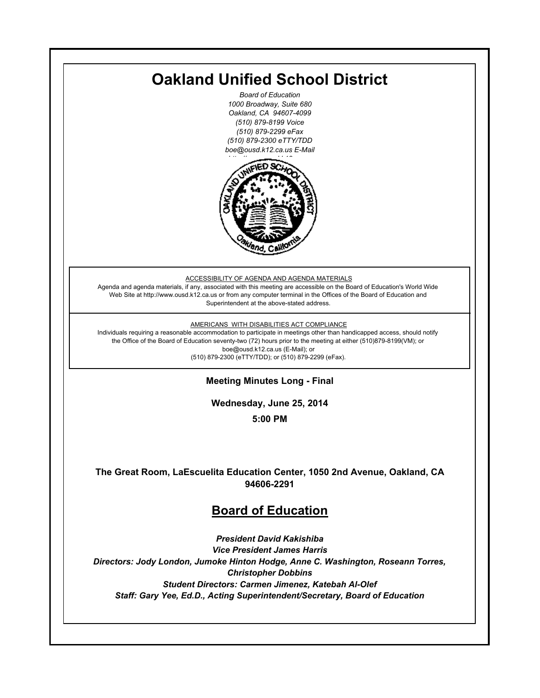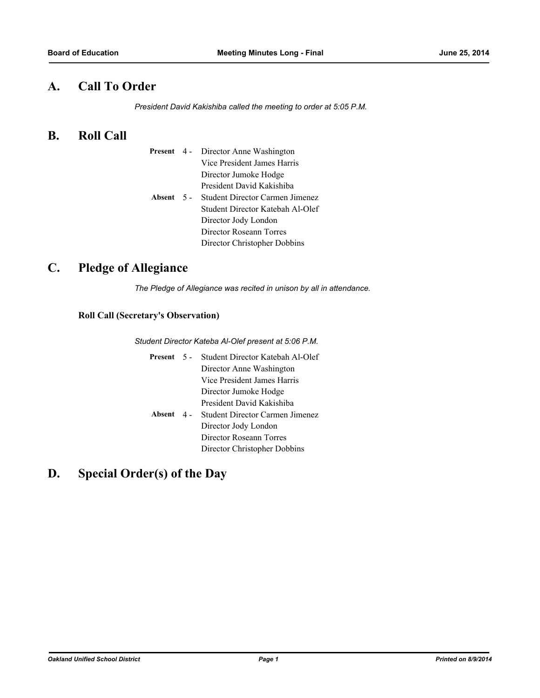## **A. Call To Order**

*President David Kakishiba called the meeting to order at 5:05 P.M.*

## **B. Roll Call**

| <b>Present</b> 4 - Director Anne Washington |
|---------------------------------------------|
| Vice President James Harris                 |
| Director Jumoke Hodge                       |
| President David Kakishiba                   |
| Student Director Carmen Jimenez             |
| Student Director Katebah Al-Olef            |
| Director Jody London                        |
| Director Roseann Torres                     |
| Director Christopher Dobbins                |
|                                             |

# **C. Pledge of Allegiance**

*The Pledge of Allegiance was recited in unison by all in attendance.*

## **Roll Call (Secretary's Observation)**

*Student Director Kateba Al-Olef present at 5:06 P.M.*

| <b>Present</b> 5 – | Student Director Katebah Al-Olef |
|--------------------|----------------------------------|
|                    | Director Anne Washington         |
|                    | Vice President James Harris      |
|                    | Director Jumoke Hodge            |
|                    | President David Kakishiba        |
| Absent 4 -         | Student Director Carmen Jimenez  |
|                    | Director Jody London             |
|                    | Director Roseann Torres          |
|                    | Director Christopher Dobbins     |

# **D. Special Order(s) of the Day**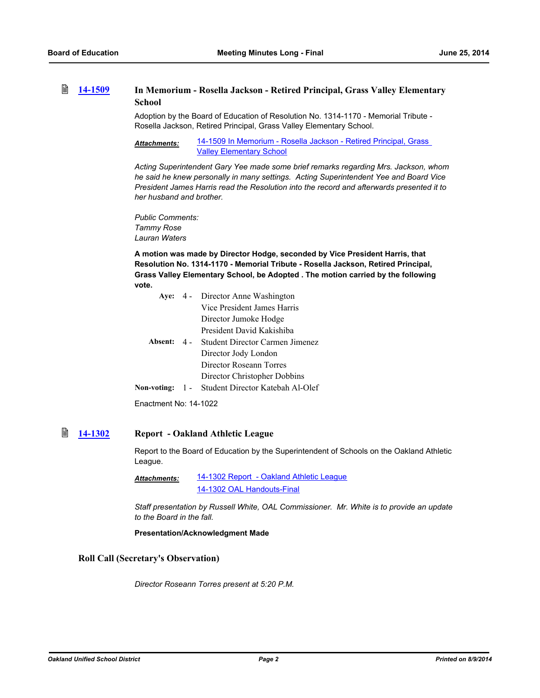#### 昏 **[14-1509](http://ousd.legistar.com/gateway.aspx?m=l&id=/matter.aspx?key=33185) In Memorium - Rosella Jackson - Retired Principal, Grass Valley Elementary School**

Adoption by the Board of Education of Resolution No. 1314-1170 - Memorial Tribute - Rosella Jackson, Retired Principal, Grass Valley Elementary School.

[14-1509 In Memorium - Rosella Jackson - Retired Principal, Grass](http://ousd.legistar.com/gateway.aspx?M=F&ID=76437.pdf)  Valley Elementary School *Attachments:*

*Acting Superintendent Gary Yee made some brief remarks regarding Mrs. Jackson, whom he said he knew personally in many settings. Acting Superintendent Yee and Board Vice President James Harris read the Resolution into the record and afterwards presented it to her husband and brother.*

*Public Comments: Tammy Rose Lauran Waters*

**A motion was made by Director Hodge, seconded by Vice President Harris, that Resolution No. 1314-1170 - Memorial Tribute - Rosella Jackson, Retired Principal, Grass Valley Elementary School, be Adopted . The motion carried by the following vote.**

|              | Aye: 4 - Director Anne Washington      |
|--------------|----------------------------------------|
|              | Vice President James Harris            |
|              | Director Jumoke Hodge                  |
|              | President David Kakishiba              |
| Absent: $4-$ | <b>Student Director Carmen Jimenez</b> |
|              | Director Jody London                   |
|              | Director Roseann Torres                |
|              | Director Christopher Dobbins           |
| Non-voting:  | 1 - Student Director Katebah Al-Olef   |

Enactment No: 14-1022

### **[14-1302](http://ousd.legistar.com/gateway.aspx?m=l&id=/matter.aspx?key=32982) Report - Oakland Athletic League**

Report to the Board of Education by the Superintendent of Schools on the Oakland Athletic League.

[14-1302 Report - Oakland Athletic League](http://ousd.legistar.com/gateway.aspx?M=F&ID=76354.pptx) [14-1302 OAL Handouts-Final](http://ousd.legistar.com/gateway.aspx?M=F&ID=76413.pdf) *Attachments:*

*Staff presentation by Russell White, OAL Commissioner. Mr. White is to provide an update to the Board in the fall.*

#### **Presentation/Acknowledgment Made**

### **Roll Call (Secretary's Observation)**

*Director Roseann Torres present at 5:20 P.M.*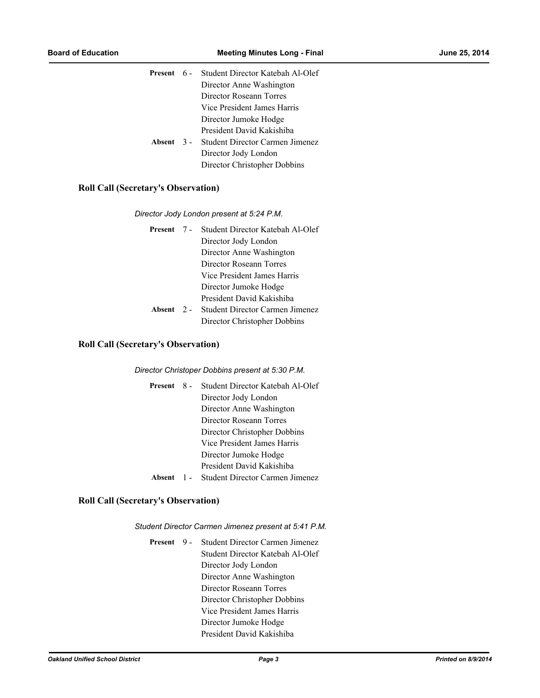| <b>Present</b> $6 -$ | Student Director Katebah Al-Olef           |
|----------------------|--------------------------------------------|
|                      | Director Anne Washington                   |
|                      | Director Roseann Torres                    |
|                      | Vice President James Harris                |
|                      | Director Jumoke Hodge                      |
|                      | President David Kakishiba                  |
|                      | Absent 3 - Student Director Carmen Jimenez |
|                      | Director Jody London                       |
|                      | Director Christopher Dobbins               |

### **Roll Call (Secretary's Observation)**

#### *Director Jody London present at 5:24 P.M.*

|            | Present 7 - Student Director Katebah Al-Olef |
|------------|----------------------------------------------|
|            | Director Jody London                         |
|            | Director Anne Washington                     |
|            | Director Roseann Torres                      |
|            | Vice President James Harris                  |
|            | Director Jumoke Hodge                        |
|            | President David Kakishiba                    |
| Absent 2 - | <b>Student Director Carmen Jimenez</b>       |
|            | Director Christopher Dobbins                 |

### **Roll Call (Secretary's Observation)**

#### *Director Christoper Dobbins present at 5:30 P.M.*

| Present | $8 -$ | Student Director Katebah Al-Olef       |
|---------|-------|----------------------------------------|
|         |       | Director Jody London                   |
|         |       | Director Anne Washington               |
|         |       | Director Roseann Torres                |
|         |       | Director Christopher Dobbins           |
|         |       | Vice President James Harris            |
|         |       | Director Jumoke Hodge                  |
|         |       | President David Kakishiba              |
| Absent  |       | <b>Student Director Carmen Jimenez</b> |

#### **Roll Call (Secretary's Observation)**

#### *Student Director Carmen Jimenez present at 5:41 P.M.*

Present 9 - Student Director Carmen Jimenez Student Director Katebah Al-Olef Director Jody London Director Anne Washington Director Roseann Torres Director Christopher Dobbins Vice President James Harris Director Jumoke Hodge President David Kakishiba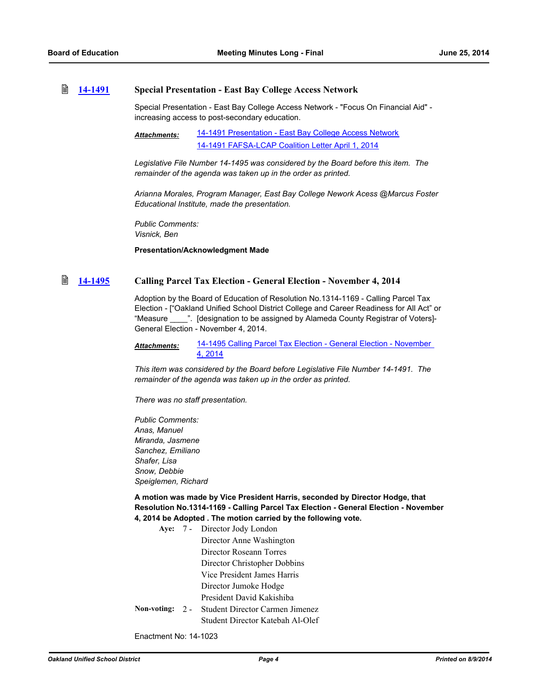#### ₿ **[14-1491](http://ousd.legistar.com/gateway.aspx?m=l&id=/matter.aspx?key=33167) Special Presentation - East Bay College Access Network**

Special Presentation - East Bay College Access Network - "Focus On Financial Aid" increasing access to post-secondary education.

[14-1491 Presentation - East Bay College Access Network](http://ousd.legistar.com/gateway.aspx?M=F&ID=76435.pptx) [14-1491 FAFSA-LCAP Coalition Letter April 1, 2014](http://ousd.legistar.com/gateway.aspx?M=F&ID=76436.pdf) *Attachments:*

*Legislative File Number 14-1495 was considered by the Board before this item. The remainder of the agenda was taken up in the order as printed.*

*Arianna Morales, Program Manager, East Bay College Nework Acess @Marcus Foster Educational Institute, made the presentation.*

*Public Comments: Visnick, Ben*

**Presentation/Acknowledgment Made**

#### **[14-1495](http://ousd.legistar.com/gateway.aspx?m=l&id=/matter.aspx?key=33171) Calling Parcel Tax Election - General Election - November 4, 2014**

Adoption by the Board of Education of Resolution No.1314-1169 - Calling Parcel Tax Election - ["Oakland Unified School District College and Career Readiness for All Act" or "Measure \_\_\_\_". [designation to be assigned by Alameda County Registrar of Voters]- General Election - November 4, 2014.

#### [14-1495 Calling Parcel Tax Election - General Election - November](http://ousd.legistar.com/gateway.aspx?M=F&ID=76444.pdf)  4, 2014 *Attachments:*

*This item was considered by the Board before Legislative File Number 14-1491. The remainder of the agenda was taken up in the order as printed.* 

*There was no staff presentation.*

*Public Comments: Anas, Manuel Miranda, Jasmene Sanchez, Emiliano Shafer, Lisa Snow, Debbie Speiglemen, Richard*

**A motion was made by Vice President Harris, seconded by Director Hodge, that Resolution No.1314-1169 - Calling Parcel Tax Election - General Election - November 4, 2014 be Adopted . The motion carried by the following vote.**

Aye: 7 - Director Jody London Director Anne Washington Director Roseann Torres Director Christopher Dobbins Vice President James Harris Director Jumoke Hodge President David Kakishiba **Student Director Carmen Jimenez** Student Director Katebah Al-Olef Non-voting:  $2 -$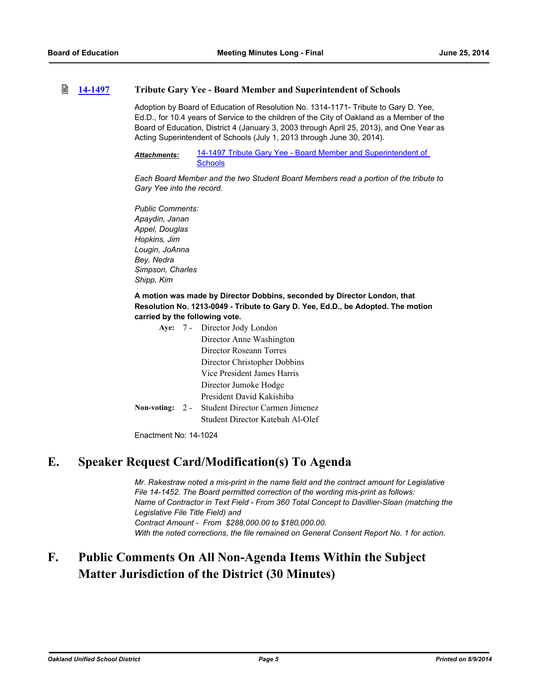#### 昏 **[14-1497](http://ousd.legistar.com/gateway.aspx?m=l&id=/matter.aspx?key=33173) Tribute Gary Yee - Board Member and Superintendent of Schools**

Adoption by Board of Education of Resolution No. 1314-1171- Tribute to Gary D. Yee, Ed.D., for 10.4 years of Service to the children of the City of Oakland as a Member of the Board of Education, District 4 (January 3, 2003 through April 25, 2013), and One Year as Acting Superintendent of Schools (July 1, 2013 through June 30, 2014).

[14-1497 Tribute Gary Yee - Board Member and Superintendent of](http://ousd.legistar.com/gateway.aspx?M=F&ID=76441.pdf)  **Schools** *Attachments:*

*Each Board Member and the two Student Board Members read a portion of the tribute to Gary Yee into the record.*

*Public Comments: Apaydin, Janan Appel, Douglas Hopkins, Jim Lougin, JoAnna Bey, Nedra Simpson, Charles Shipp, Kim*

**A motion was made by Director Dobbins, seconded by Director London, that Resolution No. 1213-0049 - Tribute to Gary D. Yee, Ed.D., be Adopted. The motion carried by the following vote.**

|                   | Aye: 7 - Director Jody London          |
|-------------------|----------------------------------------|
|                   | Director Anne Washington               |
|                   | Director Roseann Torres                |
|                   | Director Christopher Dobbins           |
|                   | Vice President James Harris            |
|                   | Director Jumoke Hodge                  |
|                   | President David Kakishiba              |
| Non-voting: $2 -$ | <b>Student Director Carmen Jimenez</b> |
|                   | Student Director Katebah Al-Olef       |

Enactment No: 14-1024

## **E. Speaker Request Card/Modification(s) To Agenda**

*Mr. Rakestraw noted a mis-print in the name field and the contract amount for Legislative File 14-1452. The Board permitted correction of the wording mis-print as follows: Name of Contractor in Text Field - From 360 Total Concept to Davillier-Sloan (matching the Legislative File Title Field) and Contract Amount - From \$288,000.00 to \$180,000.00. With the noted corrections, the file remained on General Consent Report No. 1 for action.*

#### **Public Comments On All Non-Agenda Items Within the Subject Matter Jurisdiction of the District (30 Minutes) F.**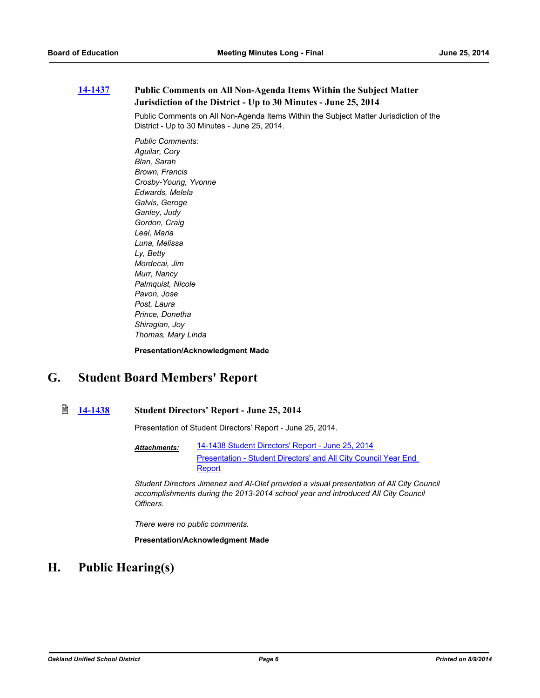## **[14-1437](http://ousd.legistar.com/gateway.aspx?m=l&id=/matter.aspx?key=33113) Public Comments on All Non-Agenda Items Within the Subject Matter Jurisdiction of the District - Up to 30 Minutes - June 25, 2014**

Public Comments on All Non-Agenda Items Within the Subject Matter Jurisdiction of the District - Up to 30 Minutes - June 25, 2014.

*Public Comments: Aguilar, Cory Blan, Sarah Brown, Francis Crosby-Young, Yvonne Edwards, Melela Galvis, Geroge Ganley, Judy Gordon, Craig Leal, Maria Luna, Melissa Ly, Betty Mordecai, Jim Murr, Nancy Palmquist, Nicole Pavon, Jose Post, Laura Prince, Donetha Shiragian, Joy Thomas, Mary Linda*

**Presentation/Acknowledgment Made**

# **G. Student Board Members' Report**

## **[14-1438](http://ousd.legistar.com/gateway.aspx?m=l&id=/matter.aspx?key=33114) Student Directors' Report - June 25, 2014**

Presentation of Student Directors' Report - June 25, 2014.

[14-1438 Student Directors' Report - June 25, 2014](http://ousd.legistar.com/gateway.aspx?M=F&ID=76442.pdf) [Presentation - Student Directors' and All City Council Year End](http://prezi.com/63ns60kx4obw/mse-board-presentation-june-25th-2014/)  **Report** *Attachments:*

*Student Directors Jimenez and Al-Olef provided a visual presentation of All City Council accomplishments during the 2013-2014 school year and introduced All City Council Officers.*

*There were no public comments.*

**Presentation/Acknowledgment Made**

## **H. Public Hearing(s)**

₿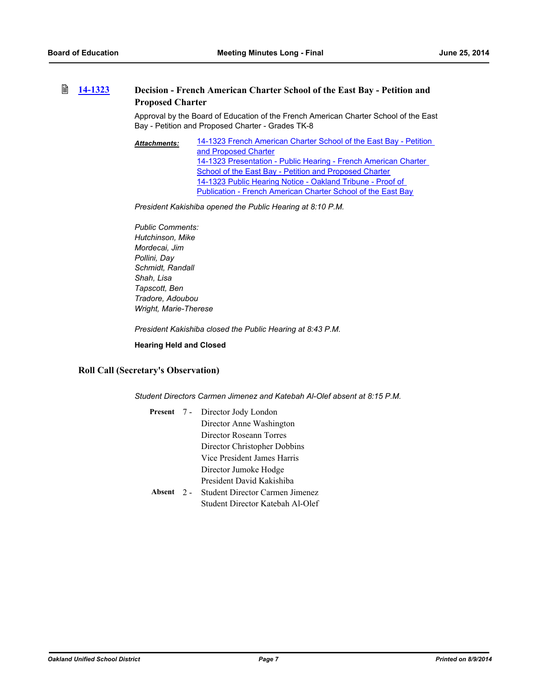#### 窅 **[14-1323](http://ousd.legistar.com/gateway.aspx?m=l&id=/matter.aspx?key=33003) Decision - French American Charter School of the East Bay - Petition and Proposed Charter**

Approval by the Board of Education of the French American Charter School of the East Bay - Petition and Proposed Charter - Grades TK-8

[14-1323 French American Charter School of the East Bay - Petition](http://ousd.legistar.com/gateway.aspx?M=F&ID=76256.pdf)  and Proposed Charter [14-1323 Presentation - Public Hearing - French American Charter](http://ousd.legistar.com/gateway.aspx?M=F&ID=76443.pptx)  School of the East Bay - Petition and Proposed Charter 14-1323 Public Hearing Notice - Oakland Tribune - Proof of [Publication - French American Charter School of the East Bay](http://ousd.legistar.com/gateway.aspx?M=F&ID=76780.pdf) *Attachments:*

*President Kakishiba opened the Public Hearing at 8:10 P.M.*

*Public Comments: Hutchinson, Mike Mordecai, Jim Pollini, Day Schmidt, Randall Shah, Lisa Tapscott, Ben Tradore, Adoubou Wright, Marie-Therese*

*President Kakishiba closed the Public Hearing at 8:43 P.M.*

**Hearing Held and Closed**

### **Roll Call (Secretary's Observation)**

*Student Directors Carmen Jimenez and Katebah Al-Olef absent at 8:15 P.M.*

|              | <b>Present</b> 7 - Director Jody London |
|--------------|-----------------------------------------|
|              | Director Anne Washington                |
|              | Director Roseann Torres                 |
|              | Director Christopher Dobbins            |
|              | Vice President James Harris             |
|              | Director Jumoke Hodge                   |
|              | President David Kakishiba               |
| Absent $2 -$ | <b>Student Director Carmen Jimenez</b>  |
|              | Student Director Katebah Al-Olef        |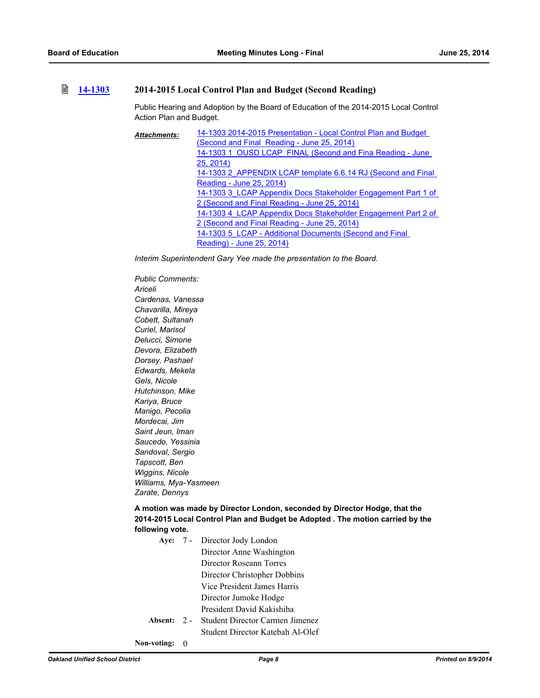#### 昏 **[14-1303](http://ousd.legistar.com/gateway.aspx?m=l&id=/matter.aspx?key=32983) 2014-2015 Local Control Plan and Budget (Second Reading)**

Public Hearing and Adoption by the Board of Education of the 2014-2015 Local Control Action Plan and Budget.

[14-1303 2014-2015 Presentation - Local Control Plan and Budget](http://ousd.legistar.com/gateway.aspx?M=F&ID=76758.pptx)  (Second and Final Reading - June 25, 2014) 14-1303 1\_OUSD LCAP\_FINAL (Second and Fina Reading - June 25, 2014) [14-1303 2\\_APPENDIX LCAP template 6.6.14 RJ \(Second and Final](http://ousd.legistar.com/gateway.aspx?M=F&ID=76760.pdf)  Reading - June 25, 2014) 14-1303 3 LCAP Appendix Docs Stakeholder Engagement Part 1 of 2 (Second and Final Reading - June 25, 2014) 14-1303 4 LCAP Appendix Docs Stakeholder Engagement Part 2 of 2 (Second and Final Reading - June 25, 2014) 14-1303 5 LCAP - Additional Documents (Second and Final Reading) - June 25, 2014) *Attachments:*

*Interim Superintendent Gary Yee made the presentation to the Board.*

*Public Comments: Ariceli Cardenas, Vanessa Chavarilla, Mireya Cobett, Sultanah Curiel, Marisol Delucci, Simone Devora, Elizabeth Dorsey, Pashael Edwards, Mekela Gels, Nicole Hutchinson, Mike Kariya, Bruce Manigo, Pecolia Mordecai, Jim Saint Jeun, Iman Saucedo, Yessinia Sandoval, Sergio Tapscott, Ben Wiggins, Nicole Williams, Mya-Yasmeen Zarate, Dennys*

#### **A motion was made by Director London, seconded by Director Hodge, that the 2014-2015 Local Control Plan and Budget be Adopted . The motion carried by the following vote.**

|               | Aye: 7 - Director Jody London          |
|---------------|----------------------------------------|
|               | Director Anne Washington               |
|               | Director Roseann Torres                |
|               | Director Christopher Dobbins           |
|               | Vice President James Harris            |
|               | Director Jumoke Hodge                  |
|               | President David Kakishiba              |
| Absent: $2 -$ | <b>Student Director Carmen Jimenez</b> |
|               | Student Director Katebah Al-Olef       |
| $\cdots$      |                                        |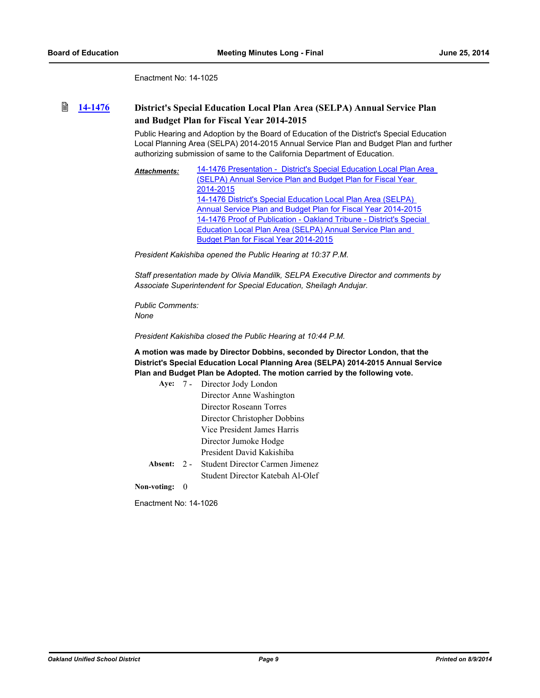#### 昏 **[14-1476](http://ousd.legistar.com/gateway.aspx?m=l&id=/matter.aspx?key=33152) District's Special Education Local Plan Area (SELPA) Annual Service Plan and Budget Plan for Fiscal Year 2014-2015**

Public Hearing and Adoption by the Board of Education of the District's Special Education Local Planning Area (SELPA) 2014-2015 Annual Service Plan and Budget Plan and further authorizing submission of same to the California Department of Education.

[14-1476 Presentation - District's Special Education Local Plan Area](http://ousd.legistar.com/gateway.aspx?M=F&ID=76405.pptx)  (SELPA) Annual Service Plan and Budget Plan for Fiscal Year 2014-2015 14-1476 District's Special Education Local Plan Area (SELPA) [Annual Service Plan and Budget Plan for Fiscal Year 2014-2015](http://ousd.legistar.com/gateway.aspx?M=F&ID=76406.pdf) [14-1476 Proof of Publication - Oakland Tribune - District's Special](http://ousd.legistar.com/gateway.aspx?M=F&ID=76779.pdf)  Education Local Plan Area (SELPA) Annual Service Plan and Budget Plan for Fiscal Year 2014-2015 *Attachments:*

*President Kakishiba opened the Public Hearing at 10:37 P.M.*

*Staff presentation made by Olivia Mandilk, SELPA Executive Director and comments by Associate Superintendent for Special Education, Sheilagh Andujar.*

*Public Comments: None*

*President Kakishiba closed the Public Hearing at 10:44 P.M.*

**A motion was made by Director Dobbins, seconded by Director London, that the District's Special Education Local Planning Area (SELPA) 2014-2015 Annual Service Plan and Budget Plan be Adopted. The motion carried by the following vote.**

|             |          | Aye: 7 - Director Jody London    |
|-------------|----------|----------------------------------|
|             |          | Director Anne Washington         |
|             |          | Director Roseann Torres          |
|             |          | Director Christopher Dobbins     |
|             |          | Vice President James Harris      |
|             |          | Director Jumoke Hodge            |
|             |          | President David Kakishiba        |
| Absent:     | $2 -$    | Student Director Carmen Jimenez  |
|             |          | Student Director Katebah Al-Olef |
| Non-voting: | $\theta$ |                                  |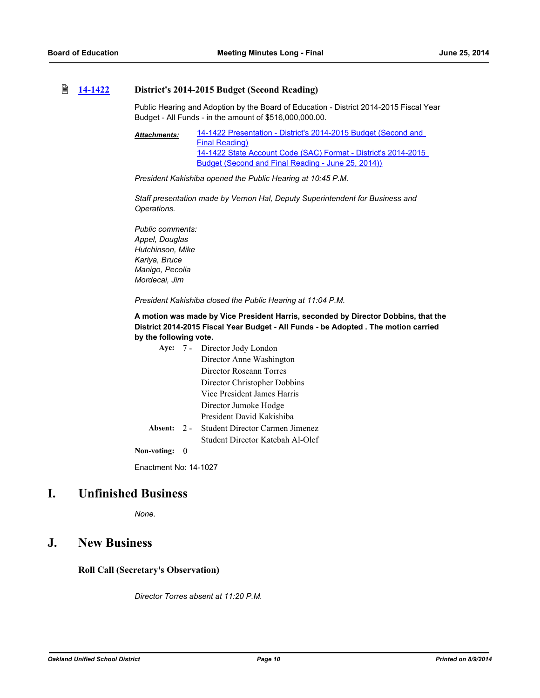#### ₿ **[14-1422](http://ousd.legistar.com/gateway.aspx?m=l&id=/matter.aspx?key=33102) District's 2014-2015 Budget (Second Reading)**

Public Hearing and Adoption by the Board of Education - District 2014-2015 Fiscal Year Budget - All Funds - in the amount of \$516,000,000.00.

[14-1422 Presentation - District's 2014-2015 Budget \(Second and](http://ousd.legistar.com/gateway.aspx?M=F&ID=76756.pptx)  Final Reading) [14-1422 State Account Code \(SAC\) Format - District's 2014-2015](http://ousd.legistar.com/gateway.aspx?M=F&ID=76757.pdf)  Budget (Second and Final Reading - June 25, 2014)) *Attachments:*

*President Kakishiba opened the Public Hearing at 10:45 P.M.*

*Staff presentation made by Vernon Hal, Deputy Superintendent for Business and Operations.*

*Public comments: Appel, Douglas Hutchinson, Mike Kariya, Bruce Manigo, Pecolia Mordecai, Jim*

*President Kakishiba closed the Public Hearing at 11:04 P.M.*

**A motion was made by Vice President Harris, seconded by Director Dobbins, that the District 2014-2015 Fiscal Year Budget - All Funds - be Adopted . The motion carried by the following vote.**

|               | Aye: 7 - Director Jody London          |
|---------------|----------------------------------------|
|               | Director Anne Washington               |
|               | Director Roseann Torres                |
|               | Director Christopher Dobbins           |
|               | Vice President James Harris            |
|               | Director Jumoke Hodge                  |
|               | President David Kakishiba              |
| Absent: $2 -$ | <b>Student Director Carmen Jimenez</b> |
|               | Student Director Katebah Al-Olef       |

**Non-voting:** 0

Enactment No: 14-1027

## **I. Unfinished Business**

*None.*

## **J. New Business**

#### **Roll Call (Secretary's Observation)**

*Director Torres absent at 11:20 P.M.*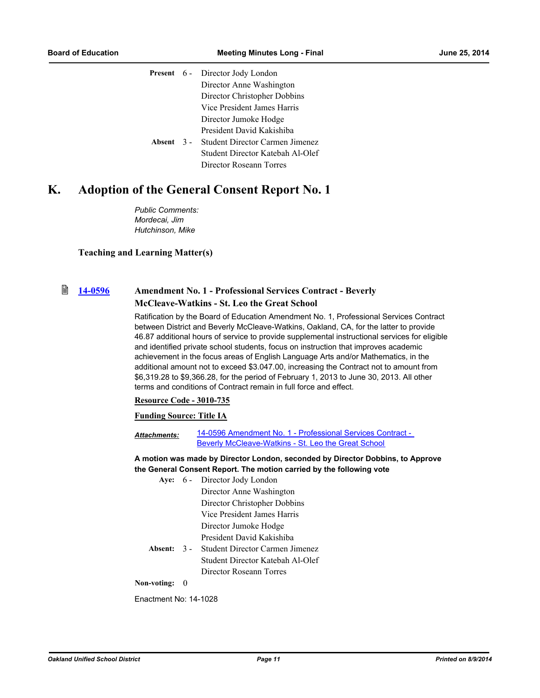|  | <b>Present</b> 6 - Director Jody London           |
|--|---------------------------------------------------|
|  | Director Anne Washington                          |
|  | Director Christopher Dobbins                      |
|  | Vice President James Harris                       |
|  | Director Jumoke Hodge                             |
|  | President David Kakishiba                         |
|  | <b>Absent</b> 3 - Student Director Carmen Jimenez |
|  | Student Director Katebah Al-Olef                  |
|  | Director Roseann Torres                           |

## **K. Adoption of the General Consent Report No. 1**

*Public Comments: Mordecai, Jim Hutchinson, Mike*

**Teaching and Learning Matter(s)**

#### 昏 **[14-0596](http://ousd.legistar.com/gateway.aspx?m=l&id=/matter.aspx?key=32301) Amendment No. 1 - Professional Services Contract - Beverly McCleave-Watkins - St. Leo the Great School**

Ratification by the Board of Education Amendment No. 1, Professional Services Contract between District and Beverly McCleave-Watkins, Oakland, CA, for the latter to provide 46.87 additional hours of service to provide supplemental instructional services for eligible and identified private school students, focus on instruction that improves academic achievement in the focus areas of English Language Arts and/or Mathematics, in the additional amount not to exceed \$3.047.00, increasing the Contract not to amount from \$6,319.28 to \$9,366.28, for the period of February 1, 2013 to June 30, 2013. All other terms and conditions of Contract remain in full force and effect.

#### **Resource Code - 3010-735**

**Funding Source: Title IA**

[14-0596 Amendment No. 1 - Professional Services Contract -](http://ousd.legistar.com/gateway.aspx?M=F&ID=76595.pdf)  Beverly McCleave-Watkins - St. Leo the Great School *Attachments:*

**A motion was made by Director London, seconded by Director Dobbins, to Approve the General Consent Report. The motion carried by the following vote**

Aye: 6 - Director Jody London Director Anne Washington Director Christopher Dobbins Vice President James Harris Director Jumoke Hodge President David Kakishiba **Student Director Carmen Jimenez** Student Director Katebah Al-Olef Director Roseann Torres Absent: 3 -

**Non-voting:** 0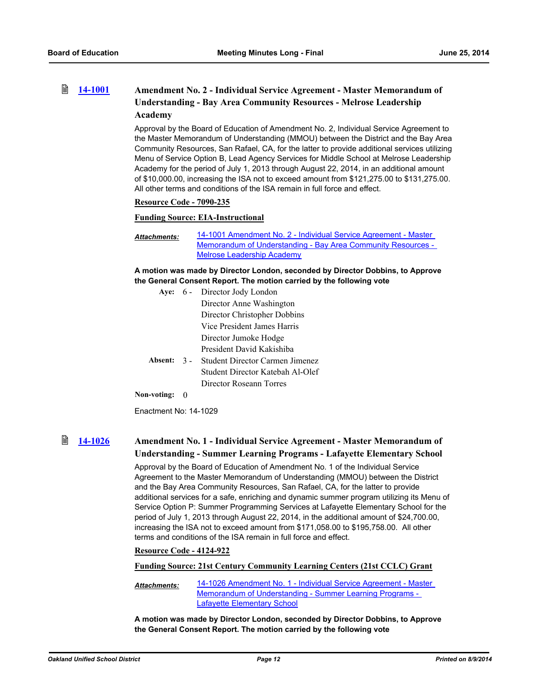#### ₿ **[14-1001](http://ousd.legistar.com/gateway.aspx?m=l&id=/matter.aspx?key=32701) Amendment No. 2 - Individual Service Agreement - Master Memorandum of Understanding - Bay Area Community Resources - Melrose Leadership Academy**

Approval by the Board of Education of Amendment No. 2, Individual Service Agreement to the Master Memorandum of Understanding (MMOU) between the District and the Bay Area Community Resources, San Rafael, CA, for the latter to provide additional services utilizing Menu of Service Option B, Lead Agency Services for Middle School at Melrose Leadership Academy for the period of July 1, 2013 through August 22, 2014, in an additional amount of \$10,000.00, increasing the ISA not to exceed amount from \$121,275.00 to \$131,275.00. All other terms and conditions of the ISA remain in full force and effect.

#### **Resource Code - 7090-235**

#### **Funding Source: EIA-Instructional**

| <b>Attachments:</b> | 14-1001 Amendment No. 2 - Individual Service Agreement - Master |
|---------------------|-----------------------------------------------------------------|
|                     | Memorandum of Understanding - Bay Area Community Resources -    |
|                     | Melrose Leadership Academy                                      |

#### **A motion was made by Director London, seconded by Director Dobbins, to Approve the General Consent Report. The motion carried by the following vote**

|             |       | Aye: 6 - Director Jody London          |
|-------------|-------|----------------------------------------|
|             |       | Director Anne Washington               |
|             |       | Director Christopher Dobbins           |
|             |       | Vice President James Harris            |
|             |       | Director Jumoke Hodge                  |
|             |       | President David Kakishiba              |
| Absent:     | $3 -$ | <b>Student Director Carmen Jimenez</b> |
|             |       | Student Director Katebah Al-Olef       |
|             |       | Director Roseann Torres                |
| Non-voting: | - 0   |                                        |
|             |       |                                        |

Enactment No: 14-1029

## ₿

## **[14-1026](http://ousd.legistar.com/gateway.aspx?m=l&id=/matter.aspx?key=32726) Amendment No. 1 - Individual Service Agreement - Master Memorandum of Understanding - Summer Learning Programs - Lafayette Elementary School**

Approval by the Board of Education of Amendment No. 1 of the Individual Service Agreement to the Master Memorandum of Understanding (MMOU) between the District and the Bay Area Community Resources, San Rafael, CA, for the latter to provide additional services for a safe, enriching and dynamic summer program utilizing its Menu of Service Option P: Summer Programming Services at Lafayette Elementary School for the period of July 1, 2013 through August 22, 2014, in the additional amount of \$24,700.00, increasing the ISA not to exceed amount from \$171,058.00 to \$195,758.00. All other terms and conditions of the ISA remain in full force and effect.

#### **Resource Code - 4124-922**

**Funding Source: 21st Century Community Learning Centers (21st CCLC) Grant**

[14-1026 Amendment No. 1 - Individual Service Agreement - Master](http://ousd.legistar.com/gateway.aspx?M=F&ID=76597.pdf)  Memorandum of Understanding - Summer Learning Programs - Lafayette Elementary School *Attachments:*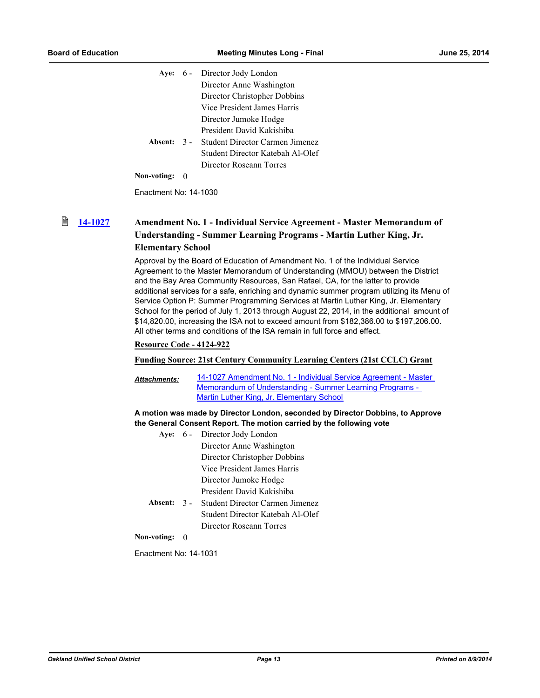|             | Aye: 6 - Director Jody London                      |
|-------------|----------------------------------------------------|
|             | Director Anne Washington                           |
|             | Director Christopher Dobbins                       |
|             | Vice President James Harris                        |
|             | Director Jumoke Hodge                              |
|             | President David Kakishiba                          |
|             | <b>Absent:</b> 3 - Student Director Carmen Jimenez |
|             | Student Director Katebah Al-Olef                   |
|             | Director Roseann Torres                            |
| Non-voting: |                                                    |

## **[14-1027](http://ousd.legistar.com/gateway.aspx?m=l&id=/matter.aspx?key=32727) Amendment No. 1 - Individual Service Agreement - Master Memorandum of Understanding - Summer Learning Programs - Martin Luther King, Jr. Elementary School**

Approval by the Board of Education of Amendment No. 1 of the Individual Service Agreement to the Master Memorandum of Understanding (MMOU) between the District and the Bay Area Community Resources, San Rafael, CA, for the latter to provide additional services for a safe, enriching and dynamic summer program utilizing its Menu of Service Option P: Summer Programming Services at Martin Luther King, Jr. Elementary School for the period of July 1, 2013 through August 22, 2014, in the additional amount of \$14,820.00, increasing the ISA not to exceed amount from \$182,386.00 to \$197,206.00. All other terms and conditions of the ISA remain in full force and effect.

#### **Resource Code - 4124-922**

#### **Funding Source: 21st Century Community Learning Centers (21st CCLC) Grant**

[14-1027 Amendment No. 1 - Individual Service Agreement - Master](http://ousd.legistar.com/gateway.aspx?M=F&ID=76480.pdf)  Memorandum of Understanding - Summer Learning Programs -Martin Luther King, Jr. Elementary School *Attachments:*

### **A motion was made by Director London, seconded by Director Dobbins, to Approve the General Consent Report. The motion carried by the following vote**

Aye: 6 - Director Jody London Director Anne Washington Director Christopher Dobbins Vice President James Harris Director Jumoke Hodge President David Kakishiba **Absent:** Student Director Carmen Jimenez Student Director Katebah Al-Olef Director Roseann Torres Absent:  $3 -$ 

### **Non-voting:** 0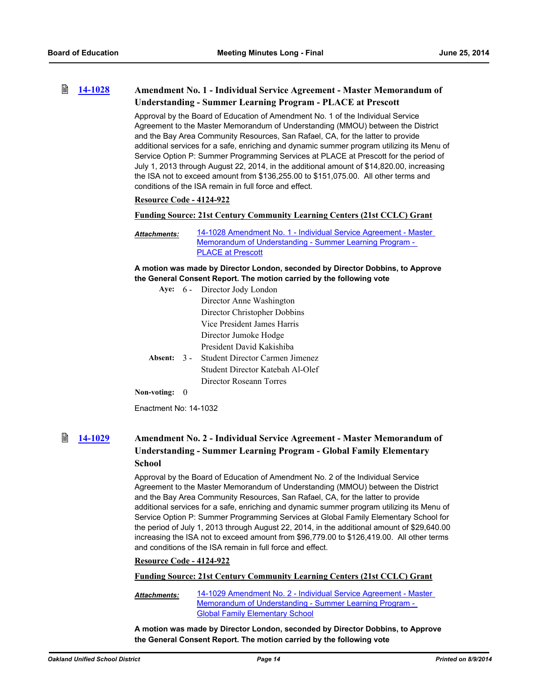#### ₿ **[14-1028](http://ousd.legistar.com/gateway.aspx?m=l&id=/matter.aspx?key=32728) Amendment No. 1 - Individual Service Agreement - Master Memorandum of Understanding - Summer Learning Program - PLACE at Prescott**

Approval by the Board of Education of Amendment No. 1 of the Individual Service Agreement to the Master Memorandum of Understanding (MMOU) between the District and the Bay Area Community Resources, San Rafael, CA, for the latter to provide additional services for a safe, enriching and dynamic summer program utilizing its Menu of Service Option P: Summer Programming Services at PLACE at Prescott for the period of July 1, 2013 through August 22, 2014, in the additional amount of \$14,820.00, increasing the ISA not to exceed amount from \$136,255.00 to \$151,075.00. All other terms and conditions of the ISA remain in full force and effect.

#### **Resource Code - 4124-922**

**Funding Source: 21st Century Community Learning Centers (21st CCLC) Grant**

### **A motion was made by Director London, seconded by Director Dobbins, to Approve the General Consent Report. The motion carried by the following vote**

|              |          | Aye: 6 - Director Jody London    |
|--------------|----------|----------------------------------|
|              |          | Director Anne Washington         |
|              |          | Director Christopher Dobbins     |
|              |          | Vice President James Harris      |
|              |          | Director Jumoke Hodge            |
|              |          | President David Kakishiba        |
| Absent: $3-$ |          | Student Director Carmen Jimenez  |
|              |          | Student Director Katebah Al-Olef |
|              |          | Director Roseann Torres          |
| Non-voting:  | $\theta$ |                                  |

Enactment No: 14-1032

## **[14-1029](http://ousd.legistar.com/gateway.aspx?m=l&id=/matter.aspx?key=32729) Amendment No. 2 - Individual Service Agreement - Master Memorandum of Understanding - Summer Learning Program - Global Family Elementary School**

Approval by the Board of Education of Amendment No. 2 of the Individual Service Agreement to the Master Memorandum of Understanding (MMOU) between the District and the Bay Area Community Resources, San Rafael, CA, for the latter to provide additional services for a safe, enriching and dynamic summer program utilizing its Menu of Service Option P: Summer Programming Services at Global Family Elementary School for the period of July 1, 2013 through August 22, 2014, in the additional amount of \$29,640.00 increasing the ISA not to exceed amount from \$96,779.00 to \$126,419.00. All other terms and conditions of the ISA remain in full force and effect.

#### **Resource Code - 4124-922**

**Funding Source: 21st Century Community Learning Centers (21st CCLC) Grant**

[14-1029 Amendment No. 2 - Individual Service Agreement - Master](http://ousd.legistar.com/gateway.aspx?M=F&ID=76599.pdf)  Memorandum of Understanding - Summer Learning Program - Global Family Elementary School *Attachments:*

[<sup>14-1028</sup> Amendment No. 1 - Individual Service Agreement - Master](http://ousd.legistar.com/gateway.aspx?M=F&ID=76598.pdf)  Memorandum of Understanding - Summer Learning Program - PLACE at Prescott *Attachments:*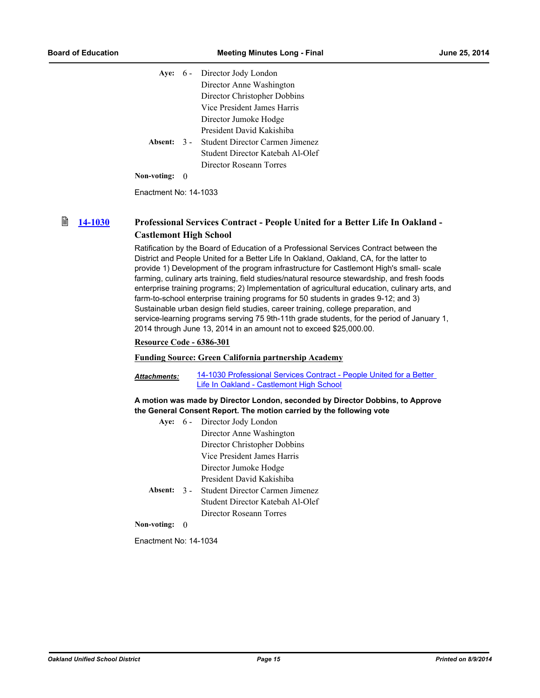|             | Aye: 6 - Director Jody London                      |
|-------------|----------------------------------------------------|
|             | Director Anne Washington                           |
|             | Director Christopher Dobbins                       |
|             | Vice President James Harris                        |
|             | Director Jumoke Hodge                              |
|             | President David Kakishiba                          |
|             | <b>Absent:</b> 3 - Student Director Carmen Jimenez |
|             | Student Director Katebah Al-Olef                   |
|             | Director Roseann Torres                            |
| Non-voting: |                                                    |

### **[14-1030](http://ousd.legistar.com/gateway.aspx?m=l&id=/matter.aspx?key=32730) Professional Services Contract - People United for a Better Life In Oakland - Castlemont High School**

Ratification by the Board of Education of a Professional Services Contract between the District and People United for a Better Life In Oakland, Oakland, CA, for the latter to provide 1) Development of the program infrastructure for Castlemont High's small- scale farming, culinary arts training, field studies/natural resource stewardship, and fresh foods enterprise training programs; 2) Implementation of agricultural education, culinary arts, and farm-to-school enterprise training programs for 50 students in grades 9-12; and 3) Sustainable urban design field studies, career training, college preparation, and service-learning programs serving 75 9th-11th grade students, for the period of January 1, 2014 through June 13, 2014 in an amount not to exceed \$25,000.00.

#### **Resource Code - 6386-301**

#### **Funding Source: Green California partnership Academy**

[14-1030 Professional Services Contract - People United for a Better](http://ousd.legistar.com/gateway.aspx?M=F&ID=76490.pdf)  Life In Oakland - Castlemont High School *Attachments:*

### **A motion was made by Director London, seconded by Director Dobbins, to Approve the General Consent Report. The motion carried by the following vote**

Aye: 6 - Director Jody London Director Anne Washington Director Christopher Dobbins Vice President James Harris Director Jumoke Hodge President David Kakishiba **Student Director Carmen Jimenez** Student Director Katebah Al-Olef Director Roseann Torres Absent: 3 -**Non-voting:** 0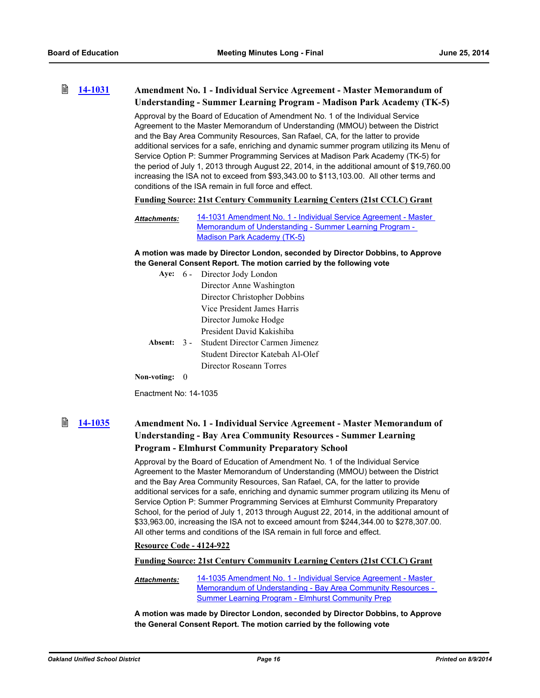#### ₿ **[14-1031](http://ousd.legistar.com/gateway.aspx?m=l&id=/matter.aspx?key=32731) Amendment No. 1 - Individual Service Agreement - Master Memorandum of Understanding - Summer Learning Program - Madison Park Academy (TK-5)**

Approval by the Board of Education of Amendment No. 1 of the Individual Service Agreement to the Master Memorandum of Understanding (MMOU) between the District and the Bay Area Community Resources, San Rafael, CA, for the latter to provide additional services for a safe, enriching and dynamic summer program utilizing its Menu of Service Option P: Summer Programming Services at Madison Park Academy (TK-5) for the period of July 1, 2013 through August 22, 2014, in the additional amount of \$19,760.00 increasing the ISA not to exceed from \$93,343.00 to \$113,103.00. All other terms and conditions of the ISA remain in full force and effect.

#### **Funding Source: 21st Century Community Learning Centers (21st CCLC) Grant**

[14-1031 Amendment No. 1 - Individual Service Agreement - Master](http://ousd.legistar.com/gateway.aspx?M=F&ID=76600.pdf)  Memorandum of Understanding - Summer Learning Program - Madison Park Academy (TK-5) *Attachments:*

#### **A motion was made by Director London, seconded by Director Dobbins, to Approve the General Consent Report. The motion carried by the following vote**

|               | Aye: 6 - Director Jody London          |
|---------------|----------------------------------------|
|               | Director Anne Washington               |
|               | Director Christopher Dobbins           |
|               | Vice President James Harris            |
|               | Director Jumoke Hodge                  |
|               | President David Kakishiba              |
| Absent: $3 -$ | <b>Student Director Carmen Jimenez</b> |
|               | Student Director Katebah Al-Olef       |
|               | Director Roseann Torres                |
| Non-voting:   |                                        |

Enactment No: 14-1035

### 窅

## **[14-1035](http://ousd.legistar.com/gateway.aspx?m=l&id=/matter.aspx?key=32735) Amendment No. 1 - Individual Service Agreement - Master Memorandum of Understanding - Bay Area Community Resources - Summer Learning Program - Elmhurst Community Preparatory School**

Approval by the Board of Education of Amendment No. 1 of the Individual Service Agreement to the Master Memorandum of Understanding (MMOU) between the District and the Bay Area Community Resources, San Rafael, CA, for the latter to provide additional services for a safe, enriching and dynamic summer program utilizing its Menu of Service Option P: Summer Programming Services at Elmhurst Community Preparatory School, for the period of July 1, 2013 through August 22, 2014, in the additional amount of \$33,963.00, increasing the ISA not to exceed amount from \$244,344.00 to \$278,307.00. All other terms and conditions of the ISA remain in full force and effect.

#### **Resource Code - 4124-922**

#### **Funding Source: 21st Century Community Learning Centers (21st CCLC) Grant**

14-1035 Amendment No. 1 - Individual Service Agreement - Master [Memorandum of Understanding - Bay Area Community Resources -](http://ousd.legistar.com/gateway.aspx?M=F&ID=76601.pdf)  Summer Learning Program - Elmhurst Community Prep *Attachments:*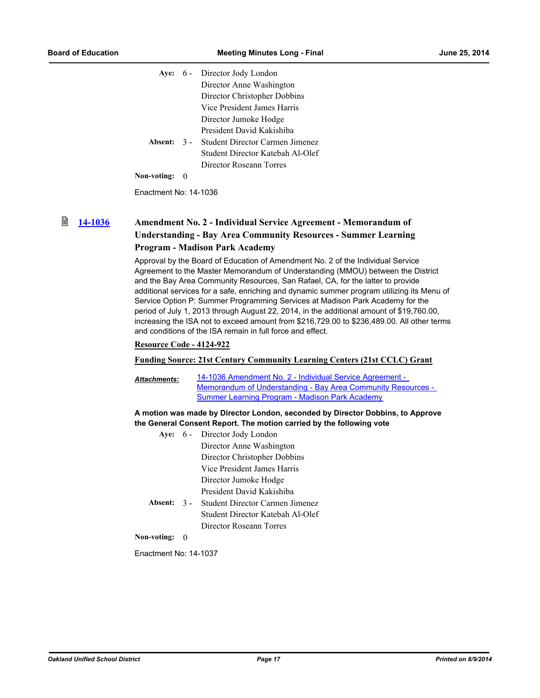|             | Aye: 6 - Director Jody London                      |
|-------------|----------------------------------------------------|
|             | Director Anne Washington                           |
|             | Director Christopher Dobbins                       |
|             | Vice President James Harris                        |
|             | Director Jumoke Hodge                              |
|             | President David Kakishiba                          |
|             | <b>Absent:</b> 3 - Student Director Carmen Jimenez |
|             | Student Director Katebah Al-Olef                   |
|             | Director Roseann Torres                            |
| Non-voting: |                                                    |

## **[14-1036](http://ousd.legistar.com/gateway.aspx?m=l&id=/matter.aspx?key=32736) Amendment No. 2 - Individual Service Agreement - Memorandum of Understanding - Bay Area Community Resources - Summer Learning Program - Madison Park Academy**

Approval by the Board of Education of Amendment No. 2 of the Individual Service Agreement to the Master Memorandum of Understanding (MMOU) between the District and the Bay Area Community Resources, San Rafael, CA, for the latter to provide additional services for a safe, enriching and dynamic summer program utilizing its Menu of Service Option P: Summer Programming Services at Madison Park Academy for the period of July 1, 2013 through August 22, 2014, in the additional amount of \$19,760.00, increasing the ISA not to exceed amount from \$216,729.00 to \$236,489.00. All other terms and conditions of the ISA remain in full force and effect.

#### **Resource Code - 4124-922**

#### **Funding Source: 21st Century Community Learning Centers (21st CCLC) Grant**

14-1036 Amendment No. 2 - Individual Service Agreement - [Memorandum of Understanding - Bay Area Community Resources -](http://ousd.legistar.com/gateway.aspx?M=F&ID=76476.pdf)  Summer Learning Program - Madison Park Academy *Attachments:*

### **A motion was made by Director London, seconded by Director Dobbins, to Approve the General Consent Report. The motion carried by the following vote**

Aye: 6 - Director Jody London Director Anne Washington Director Christopher Dobbins Vice President James Harris Director Jumoke Hodge President David Kakishiba **Absent:** Student Director Carmen Jimenez Student Director Katebah Al-Olef Director Roseann Torres Absent:  $3 -$ 

### **Non-voting:** 0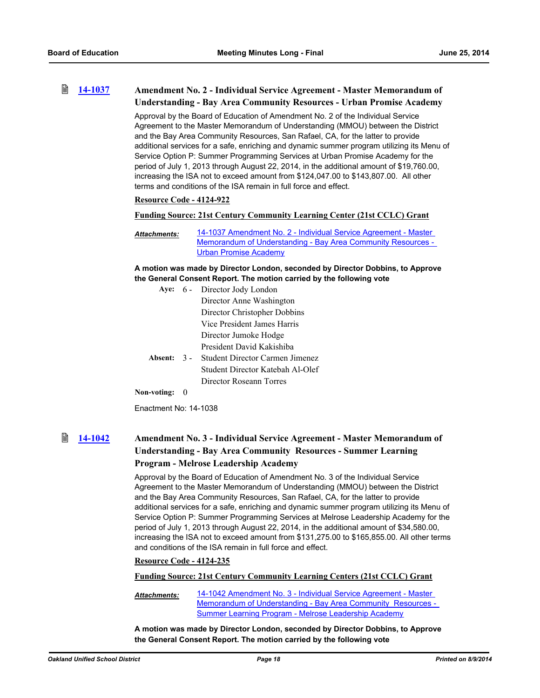#### ₿ **[14-1037](http://ousd.legistar.com/gateway.aspx?m=l&id=/matter.aspx?key=32737) Amendment No. 2 - Individual Service Agreement - Master Memorandum of Understanding - Bay Area Community Resources - Urban Promise Academy**

Approval by the Board of Education of Amendment No. 2 of the Individual Service Agreement to the Master Memorandum of Understanding (MMOU) between the District and the Bay Area Community Resources, San Rafael, CA, for the latter to provide additional services for a safe, enriching and dynamic summer program utilizing its Menu of Service Option P: Summer Programming Services at Urban Promise Academy for the period of July 1, 2013 through August 22, 2014, in the additional amount of \$19,760.00, increasing the ISA not to exceed amount from \$124,047.00 to \$143,807.00. All other terms and conditions of the ISA remain in full force and effect.

#### **Resource Code - 4124-922**

#### **Funding Source: 21st Century Community Learning Center (21st CCLC) Grant**

### **A motion was made by Director London, seconded by Director Dobbins, to Approve the General Consent Report. The motion carried by the following vote**

|             |          | Aye: 6 - Director Jody London                      |
|-------------|----------|----------------------------------------------------|
|             |          | Director Anne Washington                           |
|             |          | Director Christopher Dobbins                       |
|             |          | Vice President James Harris                        |
|             |          | Director Jumoke Hodge                              |
|             |          | President David Kakishiba                          |
|             |          | <b>Absent:</b> 3 - Student Director Carmen Jimenez |
|             |          | Student Director Katebah Al-Olef                   |
|             |          | Director Roseann Torres                            |
| Non-voting: | $\theta$ |                                                    |

Enactment No: 14-1038

## **[14-1042](http://ousd.legistar.com/gateway.aspx?m=l&id=/matter.aspx?key=32742) Amendment No. 3 - Individual Service Agreement - Master Memorandum of Understanding - Bay Area Community Resources - Summer Learning Program - Melrose Leadership Academy**

Approval by the Board of Education of Amendment No. 3 of the Individual Service Agreement to the Master Memorandum of Understanding (MMOU) between the District and the Bay Area Community Resources, San Rafael, CA, for the latter to provide additional services for a safe, enriching and dynamic summer program utilizing its Menu of Service Option P: Summer Programming Services at Melrose Leadership Academy for the period of July 1, 2013 through August 22, 2014, in the additional amount of \$34,580.00, increasing the ISA not to exceed amount from \$131,275.00 to \$165,855.00. All other terms and conditions of the ISA remain in full force and effect.

#### **Resource Code - 4124-235**

#### **Funding Source: 21st Century Community Learning Centers (21st CCLC) Grant**

14-1042 Amendment No. 3 - Individual Service Agreement - Master [Memorandum of Understanding - Bay Area Community Resources -](http://ousd.legistar.com/gateway.aspx?M=F&ID=76736.pdf)  Summer Learning Program - Melrose Leadership Academy *Attachments:*

<sup>14-1037</sup> Amendment No. 2 - Individual Service Agreement - Master [Memorandum of Understanding - Bay Area Community Resources -](http://ousd.legistar.com/gateway.aspx?M=F&ID=76735.pdf)  Urban Promise Academy *Attachments:*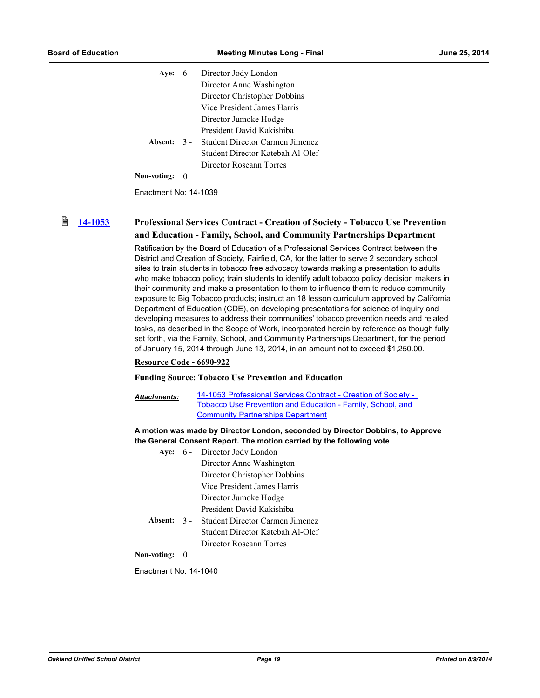|             |   | Aye: 6 - Director Jody London                      |
|-------------|---|----------------------------------------------------|
|             |   | Director Anne Washington                           |
|             |   | Director Christopher Dobbins                       |
|             |   | Vice President James Harris                        |
|             |   | Director Jumoke Hodge                              |
|             |   | President David Kakishiba                          |
|             |   | <b>Absent:</b> 3 - Student Director Carmen Jimenez |
|             |   | Student Director Katebah Al-Olef                   |
|             |   | Director Roseann Torres                            |
| Non-voting: | 0 |                                                    |

## **[14-1053](http://ousd.legistar.com/gateway.aspx?m=l&id=/matter.aspx?key=32753) Professional Services Contract - Creation of Society - Tobacco Use Prevention and Education - Family, School, and Community Partnerships Department**

Ratification by the Board of Education of a Professional Services Contract between the District and Creation of Society, Fairfield, CA, for the latter to serve 2 secondary school sites to train students in tobacco free advocacy towards making a presentation to adults who make tobacco policy; train students to identify adult tobacco policy decision makers in their community and make a presentation to them to influence them to reduce community exposure to Big Tobacco products; instruct an 18 lesson curriculum approved by California Department of Education (CDE), on developing presentations for science of inquiry and developing measures to address their communities' tobacco prevention needs and related tasks, as described in the Scope of Work, incorporated herein by reference as though fully set forth, via the Family, School, and Community Partnerships Department, for the period of January 15, 2014 through June 13, 2014, in an amount not to exceed \$1,250.00.

#### **Resource Code - 6690-922**

### **Funding Source: Tobacco Use Prevention and Education**

[14-1053 Professional Services Contract - Creation of Society -](http://ousd.legistar.com/gateway.aspx?M=F&ID=76495.pdf)  Tobacco Use Prevention and Education - Family, School, and Community Partnerships Department *Attachments:*

#### **A motion was made by Director London, seconded by Director Dobbins, to Approve the General Consent Report. The motion carried by the following vote**

|              | Aye: 6 - Director Jody London    |
|--------------|----------------------------------|
|              | Director Anne Washington         |
|              | Director Christopher Dobbins     |
|              | Vice President James Harris      |
|              | Director Jumoke Hodge            |
|              | President David Kakishiba        |
| Absent: $3-$ | Student Director Carmen Jimenez  |
|              | Student Director Katebah Al-Olef |
|              | Director Roseann Torres          |
| $\cdots$     |                                  |

**Non-voting:** 0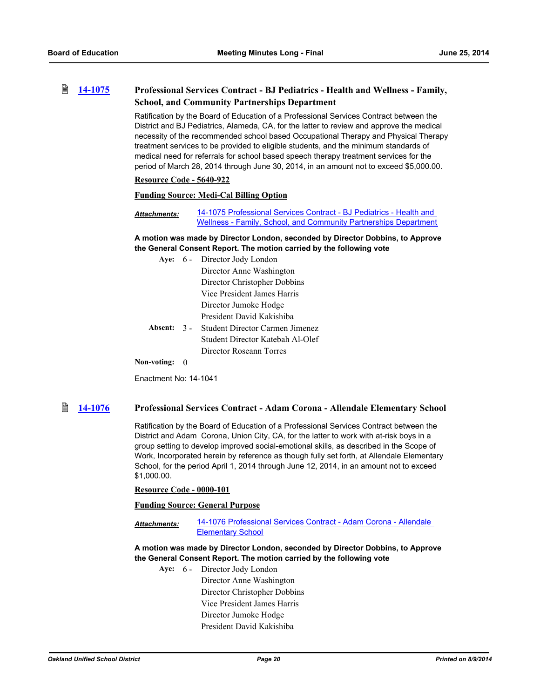#### ₿ **[14-1075](http://ousd.legistar.com/gateway.aspx?m=l&id=/matter.aspx?key=32775) Professional Services Contract - BJ Pediatrics - Health and Wellness - Family, School, and Community Partnerships Department**

Ratification by the Board of Education of a Professional Services Contract between the District and BJ Pediatrics, Alameda, CA, for the latter to review and approve the medical necessity of the recommended school based Occupational Therapy and Physical Therapy treatment services to be provided to eligible students, and the minimum standards of medical need for referrals for school based speech therapy treatment services for the period of March 28, 2014 through June 30, 2014, in an amount not to exceed \$5,000.00.

#### **Resource Code - 5640-922**

#### **Funding Source: Medi-Cal Billing Option**

14-1075 Professional Services Contract - BJ Pediatrics - Health and [Wellness - Family, School, and Community Partnerships Department](http://ousd.legistar.com/gateway.aspx?M=F&ID=76505.pdf) *Attachments:*

### **A motion was made by Director London, seconded by Director Dobbins, to Approve the General Consent Report. The motion carried by the following vote**

|         |       | Aye: 6 - Director Jody London          |
|---------|-------|----------------------------------------|
|         |       | Director Anne Washington               |
|         |       | Director Christopher Dobbins           |
|         |       | Vice President James Harris            |
|         |       | Director Jumoke Hodge                  |
|         |       | President David Kakishiba              |
| Absent: | $3 -$ | <b>Student Director Carmen Jimenez</b> |
|         |       | Student Director Katebah Al-Olef       |
|         |       | Director Roseann Torres                |

**Non-voting:** 0

Enactment No: 14-1041

### **[14-1076](http://ousd.legistar.com/gateway.aspx?m=l&id=/matter.aspx?key=32776) Professional Services Contract - Adam Corona - Allendale Elementary School**

Ratification by the Board of Education of a Professional Services Contract between the District and Adam Corona, Union City, CA, for the latter to work with at-risk boys in a group setting to develop improved social-emotional skills, as described in the Scope of Work, Incorporated herein by reference as though fully set forth, at Allendale Elementary School, for the period April 1, 2014 through June 12, 2014, in an amount not to exceed \$1,000.00.

#### **Resource Code - 0000-101**

#### **Funding Source: General Purpose**

[14-1076 Professional Services Contract - Adam Corona - Allendale](http://ousd.legistar.com/gateway.aspx?M=F&ID=76506.pdf)  Elementary School *Attachments:*

### **A motion was made by Director London, seconded by Director Dobbins, to Approve the General Consent Report. The motion carried by the following vote**

Aye: 6 - Director Jody London Director Anne Washington Director Christopher Dobbins Vice President James Harris Director Jumoke Hodge President David Kakishiba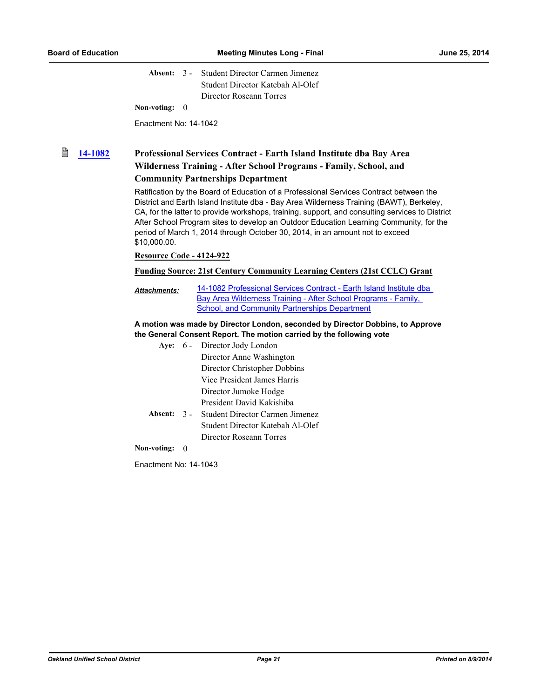**Student Director Carmen Jimenez** Student Director Katebah Al-Olef Director Roseann Torres Absent: 3 -

**Non-voting:** 0

Enactment No: 14-1042

### 閶

## **[14-1082](http://ousd.legistar.com/gateway.aspx?m=l&id=/matter.aspx?key=32782) Professional Services Contract - Earth Island Institute dba Bay Area Wilderness Training - After School Programs - Family, School, and Community Partnerships Department**

Ratification by the Board of Education of a Professional Services Contract between the District and Earth Island Institute dba - Bay Area Wilderness Training (BAWT), Berkeley, CA, for the latter to provide workshops, training, support, and consulting services to District After School Program sites to develop an Outdoor Education Learning Community, for the period of March 1, 2014 through October 30, 2014, in an amount not to exceed \$10,000.00.

#### **Resource Code - 4124-922**

#### **Funding Source: 21st Century Community Learning Centers (21st CCLC) Grant**

| Attachments: | 14-1082 Professional Services Contract - Earth Island Institute dba |
|--------------|---------------------------------------------------------------------|
|              | Bay Area Wilderness Training - After School Programs - Family.      |
|              | School, and Community Partnerships Department                       |

### **A motion was made by Director London, seconded by Director Dobbins, to Approve the General Consent Report. The motion carried by the following vote**

## Aye: 6 - Director Jody London Director Anne Washington Director Christopher Dobbins

Vice President James Harris Director Jumoke Hodge

President David Kakishiba

**Absent:** Student Director Carmen Jimenez Student Director Katebah Al-Olef Director Roseann Torres Absent:  $3 -$ 

**Non-voting:** 0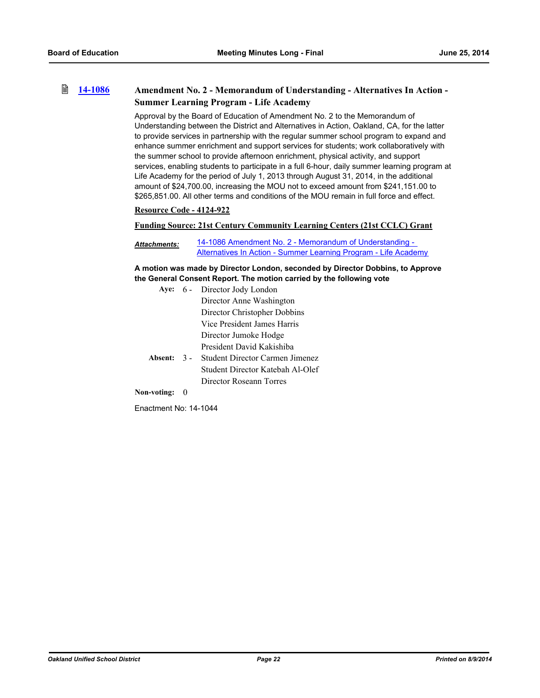#### 昏 **[14-1086](http://ousd.legistar.com/gateway.aspx?m=l&id=/matter.aspx?key=32786) Amendment No. 2 - Memorandum of Understanding - Alternatives In Action - Summer Learning Program - Life Academy**

Approval by the Board of Education of Amendment No. 2 to the Memorandum of Understanding between the District and Alternatives in Action, Oakland, CA, for the latter to provide services in partnership with the regular summer school program to expand and enhance summer enrichment and support services for students; work collaboratively with the summer school to provide afternoon enrichment, physical activity, and support services, enabling students to participate in a full 6-hour, daily summer learning program at Life Academy for the period of July 1, 2013 through August 31, 2014, in the additional amount of \$24,700.00, increasing the MOU not to exceed amount from \$241,151.00 to \$265,851.00. All other terms and conditions of the MOU remain in full force and effect.

#### **Resource Code - 4124-922**

**Funding Source: 21st Century Community Learning Centers (21st CCLC) Grant**

14-1086 Amendment No. 2 - Memorandum of Understanding - [Alternatives In Action - Summer Learning Program - Life Academy](http://ousd.legistar.com/gateway.aspx?M=F&ID=76464.pdf) *Attachments:*

**A motion was made by Director London, seconded by Director Dobbins, to Approve the General Consent Report. The motion carried by the following vote**

|               | Aye: 6 - Director Jody London          |
|---------------|----------------------------------------|
|               | Director Anne Washington               |
|               | Director Christopher Dobbins           |
|               | Vice President James Harris            |
|               | Director Jumoke Hodge                  |
|               | President David Kakishiba              |
| Absent: $3 -$ | <b>Student Director Carmen Jimenez</b> |
|               | Student Director Katebah Al-Olef       |
|               | Director Roseann Torres                |
| Non-voting:   |                                        |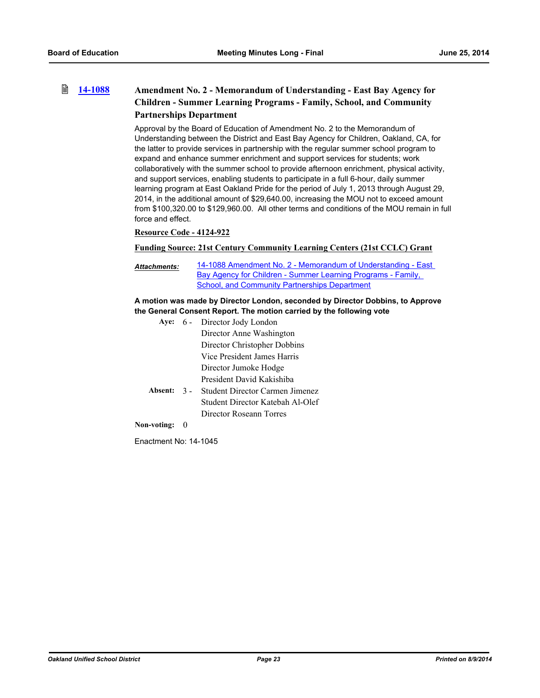#### 昏 **[14-1088](http://ousd.legistar.com/gateway.aspx?m=l&id=/matter.aspx?key=32788) Amendment No. 2 - Memorandum of Understanding - East Bay Agency for Children - Summer Learning Programs - Family, School, and Community Partnerships Department**

Approval by the Board of Education of Amendment No. 2 to the Memorandum of Understanding between the District and East Bay Agency for Children, Oakland, CA, for the latter to provide services in partnership with the regular summer school program to expand and enhance summer enrichment and support services for students; work collaboratively with the summer school to provide afternoon enrichment, physical activity, and support services, enabling students to participate in a full 6-hour, daily summer learning program at East Oakland Pride for the period of July 1, 2013 through August 29, 2014, in the additional amount of \$29,640.00, increasing the MOU not to exceed amount from \$100,320.00 to \$129,960.00. All other terms and conditions of the MOU remain in full force and effect.

#### **Resource Code - 4124-922**

#### **Funding Source: 21st Century Community Learning Centers (21st CCLC) Grant**

[14-1088 Amendment No. 2 - Memorandum of Understanding - East](http://ousd.legistar.com/gateway.aspx?M=F&ID=76654.pdf)  Bay Agency for Children - Summer Learning Programs - Family, School, and Community Partnerships Department *Attachments:*

### **A motion was made by Director London, seconded by Director Dobbins, to Approve the General Consent Report. The motion carried by the following vote**

|                               | Aye: 6 - Director Jody London          |
|-------------------------------|----------------------------------------|
|                               | Director Anne Washington               |
|                               | Director Christopher Dobbins           |
|                               | Vice President James Harris            |
|                               | Director Jumoke Hodge                  |
|                               | President David Kakishiba              |
| Absent: $3-$                  | <b>Student Director Carmen Jimenez</b> |
|                               | Student Director Katebah Al-Olef       |
|                               | Director Roseann Torres                |
| $\mathbf{r}$ and $\mathbf{r}$ |                                        |

**Non-voting:** 0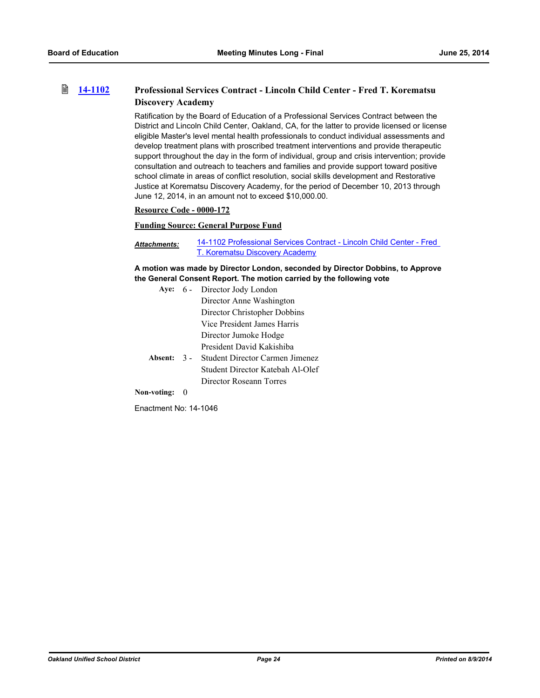#### 昏 **[14-1102](http://ousd.legistar.com/gateway.aspx?m=l&id=/matter.aspx?key=32802) Professional Services Contract - Lincoln Child Center - Fred T. Korematsu Discovery Academy**

Ratification by the Board of Education of a Professional Services Contract between the District and Lincoln Child Center, Oakland, CA, for the latter to provide licensed or license eligible Master's level mental health professionals to conduct individual assessments and develop treatment plans with proscribed treatment interventions and provide therapeutic support throughout the day in the form of individual, group and crisis intervention; provide consultation and outreach to teachers and families and provide support toward positive school climate in areas of conflict resolution, social skills development and Restorative Justice at Korematsu Discovery Academy, for the period of December 10, 2013 through June 12, 2014, in an amount not to exceed \$10,000.00.

#### **Resource Code - 0000-172**

#### **Funding Source: General Purpose Fund**

[14-1102 Professional Services Contract - Lincoln Child Center - Fred](http://ousd.legistar.com/gateway.aspx?M=F&ID=76518.pdf)  T. Korematsu Discovery Academy *Attachments:*

### **A motion was made by Director London, seconded by Director Dobbins, to Approve the General Consent Report. The motion carried by the following vote**

|               | Aye: 6 - Director Jody London          |
|---------------|----------------------------------------|
|               | Director Anne Washington               |
|               | Director Christopher Dobbins           |
|               | Vice President James Harris            |
|               | Director Jumoke Hodge                  |
|               | President David Kakishiba              |
| Absent: $3 -$ | <b>Student Director Carmen Jimenez</b> |
|               | Student Director Katebah Al-Olef       |
|               | Director Roseann Torres                |
| Non-voting:   |                                        |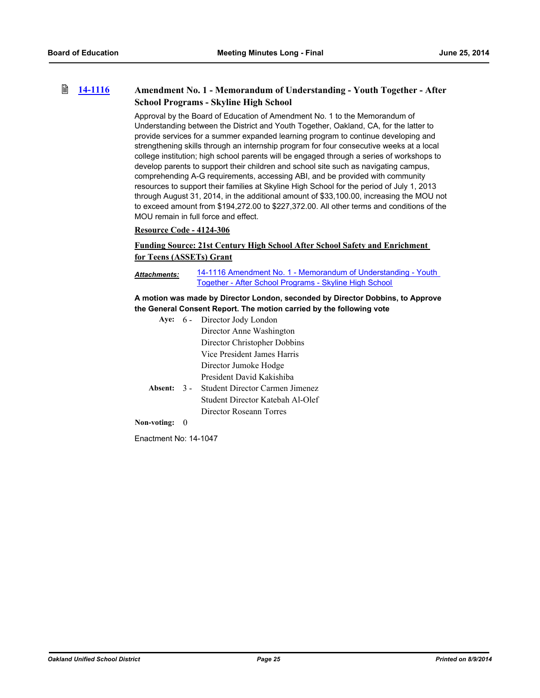#### 昏 **[14-1116](http://ousd.legistar.com/gateway.aspx?m=l&id=/matter.aspx?key=32816) Amendment No. 1 - Memorandum of Understanding - Youth Together - After School Programs - Skyline High School**

Approval by the Board of Education of Amendment No. 1 to the Memorandum of Understanding between the District and Youth Together, Oakland, CA, for the latter to provide services for a summer expanded learning program to continue developing and strengthening skills through an internship program for four consecutive weeks at a local college institution; high school parents will be engaged through a series of workshops to develop parents to support their children and school site such as navigating campus, comprehending A-G requirements, accessing ABI, and be provided with community resources to support their families at Skyline High School for the period of July 1, 2013 through August 31, 2014, in the additional amount of \$33,100.00, increasing the MOU not to exceed amount from \$194,272.00 to \$227,372.00. All other terms and conditions of the MOU remain in full force and effect.

#### **Resource Code - 4124-306**

#### **Funding Source: 21st Century High School After School Safety and Enrichment for Teens (ASSETs) Grant**

[14-1116 Amendment No. 1 - Memorandum of Understanding - Youth](http://ousd.legistar.com/gateway.aspx?M=F&ID=76663.pdf)  Together - After School Programs - Skyline High School *Attachments:*

### **A motion was made by Director London, seconded by Director Dobbins, to Approve the General Consent Report. The motion carried by the following vote**

|              | Aye: 6 - Director Jody London          |
|--------------|----------------------------------------|
|              | Director Anne Washington               |
|              | Director Christopher Dobbins           |
|              | Vice President James Harris            |
|              | Director Jumoke Hodge                  |
|              | President David Kakishiba              |
| Absent: $3-$ | <b>Student Director Carmen Jimenez</b> |
|              | Student Director Katebah Al-Olef       |
|              | Director Roseann Torres                |
|              |                                        |

**Non-voting:** 0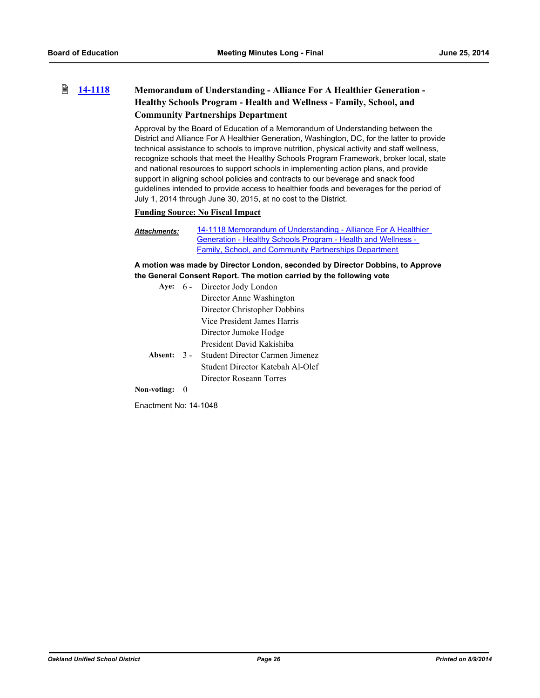#### 昏 **[14-1118](http://ousd.legistar.com/gateway.aspx?m=l&id=/matter.aspx?key=32818) Memorandum of Understanding - Alliance For A Healthier Generation - Healthy Schools Program - Health and Wellness - Family, School, and Community Partnerships Department**

Approval by the Board of Education of a Memorandum of Understanding between the District and Alliance For A Healthier Generation, Washington, DC, for the latter to provide technical assistance to schools to improve nutrition, physical activity and staff wellness, recognize schools that meet the Healthy Schools Program Framework, broker local, state and national resources to support schools in implementing action plans, and provide support in aligning school policies and contracts to our beverage and snack food guidelines intended to provide access to healthier foods and beverages for the period of July 1, 2014 through June 30, 2015, at no cost to the District.

#### **Funding Source: No Fiscal Impact**

[14-1118 Memorandum of Understanding - Alliance For A Healthier](http://ousd.legistar.com/gateway.aspx?M=F&ID=76666.pdf)  Generation - Healthy Schools Program - Health and Wellness - Family, School, and Community Partnerships Department *Attachments:*

**A motion was made by Director London, seconded by Director Dobbins, to Approve the General Consent Report. The motion carried by the following vote**

|               |          | Aye: 6 - Director Jody London    |
|---------------|----------|----------------------------------|
|               |          | Director Anne Washington         |
|               |          | Director Christopher Dobbins     |
|               |          | Vice President James Harris      |
|               |          | Director Jumoke Hodge            |
|               |          | President David Kakishiba        |
| Absent: $3 -$ |          | Student Director Carmen Jimenez  |
|               |          | Student Director Katebah Al-Olef |
|               |          | Director Roseann Torres          |
| Non-voting:   | $\theta$ |                                  |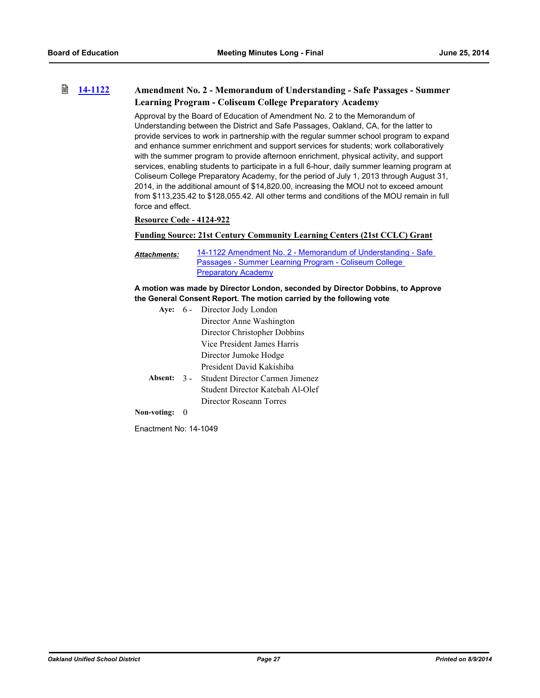#### 昏 **[14-1122](http://ousd.legistar.com/gateway.aspx?m=l&id=/matter.aspx?key=32822) Amendment No. 2 - Memorandum of Understanding - Safe Passages - Summer Learning Program - Coliseum College Preparatory Academy**

Approval by the Board of Education of Amendment No. 2 to the Memorandum of Understanding between the District and Safe Passages, Oakland, CA, for the latter to provide services to work in partnership with the regular summer school program to expand and enhance summer enrichment and support services for students; work collaboratively with the summer program to provide afternoon enrichment, physical activity, and support services, enabling students to participate in a full 6-hour, daily summer learning program at Coliseum College Preparatory Academy, for the period of July 1, 2013 through August 31, 2014, in the additional amount of \$14,820.00, increasing the MOU not to exceed amount from \$113,235.42 to \$128,055.42. All other terms and conditions of the MOU remain in full force and effect.

#### **Resource Code - 4124-922**

#### **Funding Source: 21st Century Community Learning Centers (21st CCLC) Grant**

[14-1122 Amendment No. 2 - Memorandum of Understanding - Safe](http://ousd.legistar.com/gateway.aspx?M=F&ID=76474.pdf)  Passages - Summer Learning Program - Coliseum College Preparatory Academy *Attachments:*

**A motion was made by Director London, seconded by Director Dobbins, to Approve the General Consent Report. The motion carried by the following vote**

Aye: 6 - Director Jody London Director Anne Washington Director Christopher Dobbins Vice President James Harris Director Jumoke Hodge President David Kakishiba **Student Director Carmen Jimenez** Student Director Katebah Al-Olef Director Roseann Torres Absent: 3 -**Non-voting:** 0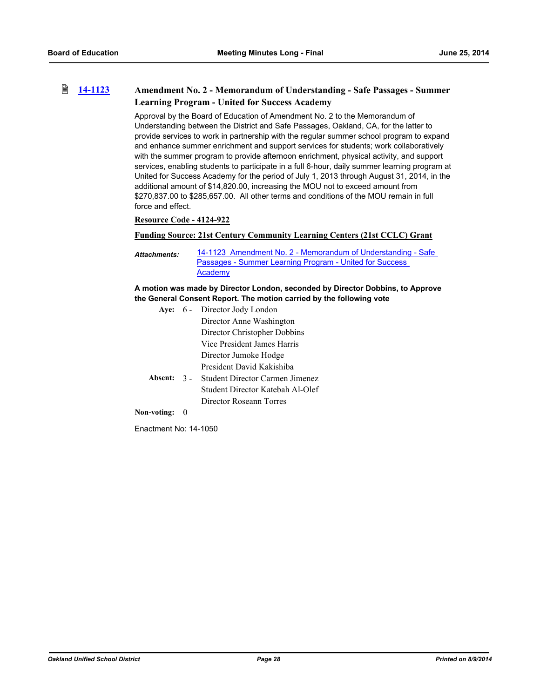#### 昏 **[14-1123](http://ousd.legistar.com/gateway.aspx?m=l&id=/matter.aspx?key=32823) Amendment No. 2 - Memorandum of Understanding - Safe Passages - Summer Learning Program - United for Success Academy**

Approval by the Board of Education of Amendment No. 2 to the Memorandum of Understanding between the District and Safe Passages, Oakland, CA, for the latter to provide services to work in partnership with the regular summer school program to expand and enhance summer enrichment and support services for students; work collaboratively with the summer program to provide afternoon enrichment, physical activity, and support services, enabling students to participate in a full 6-hour, daily summer learning program at United for Success Academy for the period of July 1, 2013 through August 31, 2014, in the additional amount of \$14,820.00, increasing the MOU not to exceed amount from \$270,837.00 to \$285,657.00. All other terms and conditions of the MOU remain in full force and effect.

#### **Resource Code - 4124-922**

#### **Funding Source: 21st Century Community Learning Centers (21st CCLC) Grant**

[14-1123 Amendment No. 2 - Memorandum of Understanding - Safe](http://ousd.legistar.com/gateway.aspx?M=F&ID=76670.pdf)  Passages - Summer Learning Program - United for Success Academy *Attachments:*

**A motion was made by Director London, seconded by Director Dobbins, to Approve the General Consent Report. The motion carried by the following vote**

Aye: 6 - Director Jody London Director Anne Washington Director Christopher Dobbins Vice President James Harris Director Jumoke Hodge President David Kakishiba **Student Director Carmen Jimenez** Student Director Katebah Al-Olef Director Roseann Torres Absent: 3 -

**Non-voting:** 0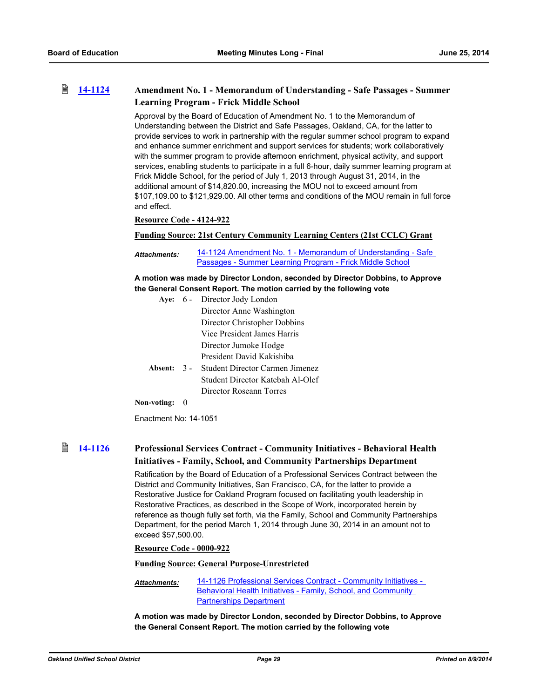#### 窅 **[14-1124](http://ousd.legistar.com/gateway.aspx?m=l&id=/matter.aspx?key=32824) Amendment No. 1 - Memorandum of Understanding - Safe Passages - Summer Learning Program - Frick Middle School**

Approval by the Board of Education of Amendment No. 1 to the Memorandum of Understanding between the District and Safe Passages, Oakland, CA, for the latter to provide services to work in partnership with the regular summer school program to expand and enhance summer enrichment and support services for students; work collaboratively with the summer program to provide afternoon enrichment, physical activity, and support services, enabling students to participate in a full 6-hour, daily summer learning program at Frick Middle School, for the period of July 1, 2013 through August 31, 2014, in the additional amount of \$14,820.00, increasing the MOU not to exceed amount from \$107,109.00 to \$121,929.00. All other terms and conditions of the MOU remain in full force and effect.

#### **Resource Code - 4124-922**

#### **Funding Source: 21st Century Community Learning Centers (21st CCLC) Grant**

[14-1124 Amendment No. 1 - Memorandum of Understanding - Safe](http://ousd.legistar.com/gateway.aspx?M=F&ID=76461.pdf)  Passages - Summer Learning Program - Frick Middle School *Attachments:*

**A motion was made by Director London, seconded by Director Dobbins, to Approve the General Consent Report. The motion carried by the following vote**

Aye: 6 - Director Jody London Director Anne Washington Director Christopher Dobbins Vice President James Harris Director Jumoke Hodge President David Kakishiba **Absent:** Student Director Carmen Jimenez Student Director Katebah Al-Olef Absent:  $3 -$ 

Director Roseann Torres

**Non-voting:** 0

Enactment No: 14-1051

## **[14-1126](http://ousd.legistar.com/gateway.aspx?m=l&id=/matter.aspx?key=32826) Professional Services Contract - Community Initiatives - Behavioral Health Initiatives - Family, School, and Community Partnerships Department**

Ratification by the Board of Education of a Professional Services Contract between the District and Community Initiatives, San Francisco, CA, for the latter to provide a Restorative Justice for Oakland Program focused on facilitating youth leadership in Restorative Practices, as described in the Scope of Work, incorporated herein by reference as though fully set forth, via the Family, School and Community Partnerships Department, for the period March 1, 2014 through June 30, 2014 in an amount not to exceed \$57,500.00.

#### **Resource Code - 0000-922**

**Funding Source: General Purpose-Unrestricted**

[14-1126 Professional Services Contract - Community Initiatives -](http://ousd.legistar.com/gateway.aspx?M=F&ID=76521.pdf)  Behavioral Health Initiatives - Family, School, and Community Partnerships Department *Attachments:*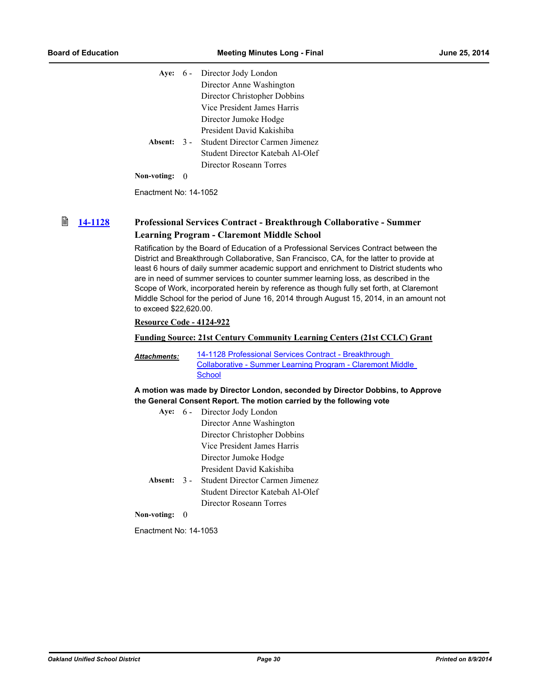|             | Aye: 6 - Director Jody London                      |
|-------------|----------------------------------------------------|
|             | Director Anne Washington                           |
|             | Director Christopher Dobbins                       |
|             | Vice President James Harris                        |
|             | Director Jumoke Hodge                              |
|             | President David Kakishiba                          |
|             | <b>Absent:</b> 3 - Student Director Carmen Jimenez |
|             | Student Director Katebah Al-Olef                   |
|             | Director Roseann Torres                            |
| Non-voting: |                                                    |

## **[14-1128](http://ousd.legistar.com/gateway.aspx?m=l&id=/matter.aspx?key=32828) Professional Services Contract - Breakthrough Collaborative - Summer Learning Program - Claremont Middle School**

Ratification by the Board of Education of a Professional Services Contract between the District and Breakthrough Collaborative, San Francisco, CA, for the latter to provide at least 6 hours of daily summer academic support and enrichment to District students who are in need of summer services to counter summer learning loss, as described in the Scope of Work, incorporated herein by reference as though fully set forth, at Claremont Middle School for the period of June 16, 2014 through August 15, 2014, in an amount not to exceed \$22,620.00.

#### **Resource Code - 4124-922**

#### **Funding Source: 21st Century Community Learning Centers (21st CCLC) Grant**

14-1128 Professional Services Contract - Breakthrough [Collaborative - Summer Learning Program - Claremont Middle](http://ousd.legistar.com/gateway.aspx?M=F&ID=76462.pdf)  **School** *Attachments:*

#### **A motion was made by Director London, seconded by Director Dobbins, to Approve the General Consent Report. The motion carried by the following vote**

Aye: 6 - Director Jody London Director Anne Washington Director Christopher Dobbins Vice President James Harris Director Jumoke Hodge President David Kakishiba **Absent:** Student Director Carmen Jimenez Student Director Katebah Al-Olef Director Roseann Torres Absent:  $3 -$ **Non-voting:** 0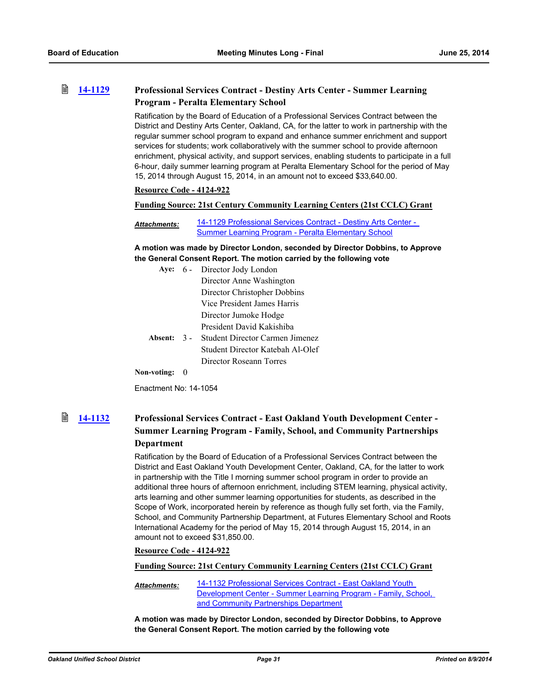#### ₿ **[14-1129](http://ousd.legistar.com/gateway.aspx?m=l&id=/matter.aspx?key=32829) Professional Services Contract - Destiny Arts Center - Summer Learning Program - Peralta Elementary School**

Ratification by the Board of Education of a Professional Services Contract between the District and Destiny Arts Center, Oakland, CA, for the latter to work in partnership with the regular summer school program to expand and enhance summer enrichment and support services for students; work collaboratively with the summer school to provide afternoon enrichment, physical activity, and support services, enabling students to participate in a full 6-hour, daily summer learning program at Peralta Elementary School for the period of May 15, 2014 through August 15, 2014, in an amount not to exceed \$33,640.00.

#### **Resource Code - 4124-922**

**Funding Source: 21st Century Community Learning Centers (21st CCLC) Grant**

[14-1129 Professional Services Contract - Destiny Arts Center -](http://ousd.legistar.com/gateway.aspx?M=F&ID=76672.pdf)  Summer Learning Program - Peralta Elementary School *Attachments:*

#### **A motion was made by Director London, seconded by Director Dobbins, to Approve the General Consent Report. The motion carried by the following vote**

|                    | Aye: 6 - Director Jody London          |
|--------------------|----------------------------------------|
|                    | Director Anne Washington               |
|                    | Director Christopher Dobbins           |
|                    | Vice President James Harris            |
|                    | Director Jumoke Hodge                  |
|                    | President David Kakishiba              |
| <b>Absent:</b> 3 - | <b>Student Director Carmen Jimenez</b> |
|                    | Student Director Katebah Al-Olef       |
|                    |                                        |

Director Roseann Torres

### **Non-voting:** 0

Enactment No: 14-1054

## **[14-1132](http://ousd.legistar.com/gateway.aspx?m=l&id=/matter.aspx?key=32832) Professional Services Contract - East Oakland Youth Development Center - Summer Learning Program - Family, School, and Community Partnerships Department**

Ratification by the Board of Education of a Professional Services Contract between the District and East Oakland Youth Development Center, Oakland, CA, for the latter to work in partnership with the Title I morning summer school program in order to provide an additional three hours of afternoon enrichment, including STEM learning, physical activity, arts learning and other summer learning opportunities for students, as described in the Scope of Work, incorporated herein by reference as though fully set forth, via the Family, School, and Community Partnership Department, at Futures Elementary School and Roots International Academy for the period of May 15, 2014 through August 15, 2014, in an amount not to exceed \$31,850.00.

#### **Resource Code - 4124-922**

**Funding Source: 21st Century Community Learning Centers (21st CCLC) Grant**

14-1132 Professional Services Contract - East Oakland Youth [Development Center - Summer Learning Program - Family, School,](http://ousd.legistar.com/gateway.aspx?M=F&ID=76478.pdf)  and Community Partnerships Department *Attachments:*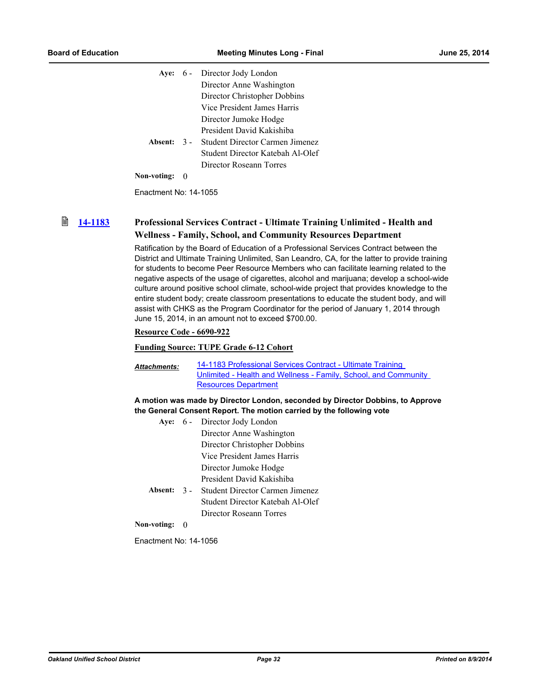|             | Aye: 6 - Director Jody London                      |
|-------------|----------------------------------------------------|
|             | Director Anne Washington                           |
|             | Director Christopher Dobbins                       |
|             | Vice President James Harris                        |
|             | Director Jumoke Hodge                              |
|             | President David Kakishiba                          |
|             | <b>Absent:</b> 3 - Student Director Carmen Jimenez |
|             | Student Director Katebah Al-Olef                   |
|             | Director Roseann Torres                            |
| Non-voting: |                                                    |

眥

## **[14-1183](http://ousd.legistar.com/gateway.aspx?m=l&id=/matter.aspx?key=32873) Professional Services Contract - Ultimate Training Unlimited - Health and Wellness - Family, School, and Community Resources Department**

Ratification by the Board of Education of a Professional Services Contract between the District and Ultimate Training Unlimited, San Leandro, CA, for the latter to provide training for students to become Peer Resource Members who can facilitate learning related to the negative aspects of the usage of cigarettes, alcohol and marijuana; develop a school-wide culture around positive school climate, school-wide project that provides knowledge to the entire student body; create classroom presentations to educate the student body, and will assist with CHKS as the Program Coordinator for the period of January 1, 2014 through June 15, 2014, in an amount not to exceed \$700.00.

#### **Resource Code - 6690-922**

#### **Funding Source: TUPE Grade 6-12 Cohort**

| <b>Attachments:</b> | 14-1183 Professional Services Contract - Ultimate Training      |
|---------------------|-----------------------------------------------------------------|
|                     | Unlimited - Health and Wellness - Family, School, and Community |
|                     | <b>Resources Department</b>                                     |

### **A motion was made by Director London, seconded by Director Dobbins, to Approve the General Consent Report. The motion carried by the following vote**

|             |            | Aye: 6 - Director Jody London    |
|-------------|------------|----------------------------------|
|             |            | Director Anne Washington         |
|             |            | Director Christopher Dobbins     |
|             |            | Vice President James Harris      |
|             |            | Director Jumoke Hodge            |
|             |            | President David Kakishiba        |
| Absent:     | $\sim$ 3 – | Student Director Carmen Jimenez  |
|             |            | Student Director Katebah Al-Olef |
|             |            | Director Roseann Torres          |
| Non-voting: | $\theta$   |                                  |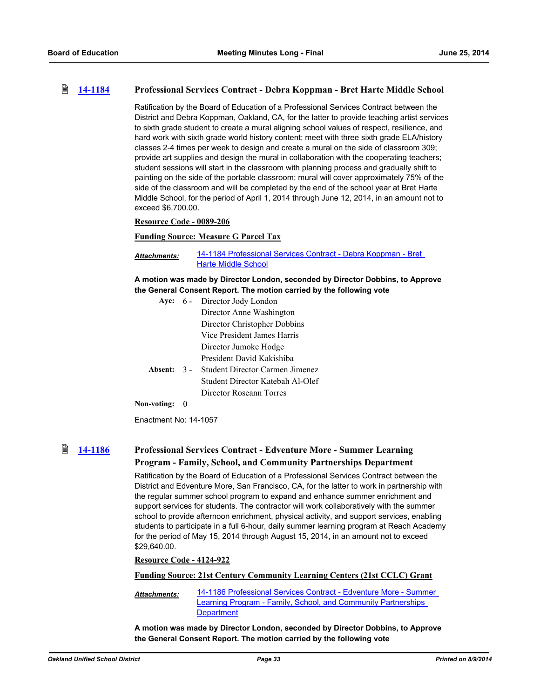#### ₿ **[14-1184](http://ousd.legistar.com/gateway.aspx?m=l&id=/matter.aspx?key=32874) Professional Services Contract - Debra Koppman - Bret Harte Middle School**

Ratification by the Board of Education of a Professional Services Contract between the District and Debra Koppman, Oakland, CA, for the latter to provide teaching artist services to sixth grade student to create a mural aligning school values of respect, resilience, and hard work with sixth grade world history content; meet with three sixth grade ELA/history classes 2-4 times per week to design and create a mural on the side of classroom 309; provide art supplies and design the mural in collaboration with the cooperating teachers; student sessions will start in the classroom with planning process and gradually shift to painting on the side of the portable classroom; mural will cover approximately 75% of the side of the classroom and will be completed by the end of the school year at Bret Harte Middle School, for the period of April 1, 2014 through June 12, 2014, in an amount not to exceed \$6,700.00.

#### **Resource Code - 0089-206**

#### **Funding Source: Measure G Parcel Tax**

[14-1184 Professional Services Contract - Debra Koppman - Bret](http://ousd.legistar.com/gateway.aspx?M=F&ID=76530.pdf)  **Harte Middle School** *Attachments:*

**A motion was made by Director London, seconded by Director Dobbins, to Approve the General Consent Report. The motion carried by the following vote**

Aye: 6 - Director Jody London Director Anne Washington Director Christopher Dobbins Vice President James Harris Director Jumoke Hodge President David Kakishiba **Absent:** Student Director Carmen Jimenez Student Director Katebah Al-Olef Director Roseann Torres Absent:  $3 -$ 

**Non-voting:** 0

Enactment No: 14-1057

## **[14-1186](http://ousd.legistar.com/gateway.aspx?m=l&id=/matter.aspx?key=32876) Professional Services Contract - Edventure More - Summer Learning Program - Family, School, and Community Partnerships Department**

Ratification by the Board of Education of a Professional Services Contract between the District and Edventure More, San Francisco, CA, for the latter to work in partnership with the regular summer school program to expand and enhance summer enrichment and support services for students. The contractor will work collaboratively with the summer school to provide afternoon enrichment, physical activity, and support services, enabling students to participate in a full 6-hour, daily summer learning program at Reach Academy for the period of May 15, 2014 through August 15, 2014, in an amount not to exceed \$29,640.00.

#### **Resource Code - 4124-922**

#### **Funding Source: 21st Century Community Learning Centers (21st CCLC) Grant**

[14-1186 Professional Services Contract - Edventure More - Summer](http://ousd.legistar.com/gateway.aspx?M=F&ID=76674.pdf)  Learning Program - Family, School, and Community Partnerships **Department** *Attachments:*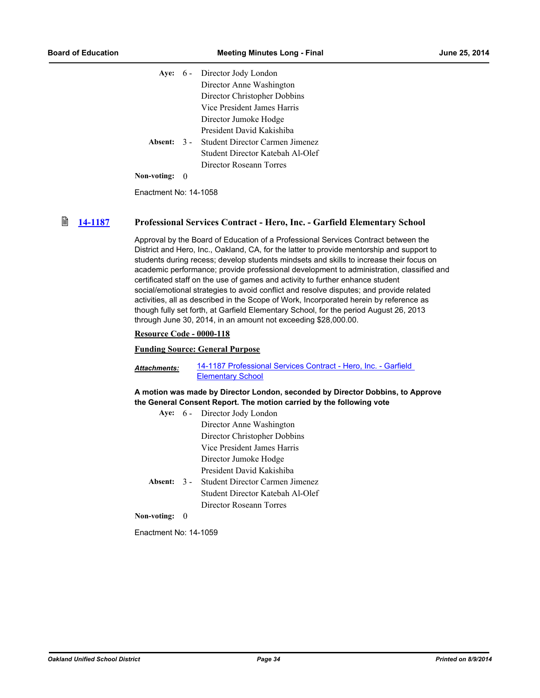|             | Aye: 6 - Director Jody London                      |
|-------------|----------------------------------------------------|
|             | Director Anne Washington                           |
|             | Director Christopher Dobbins                       |
|             | Vice President James Harris                        |
|             | Director Jumoke Hodge                              |
|             | President David Kakishiba                          |
|             | <b>Absent:</b> 3 - Student Director Carmen Jimenez |
|             | Student Director Katebah Al-Olef                   |
|             | Director Roseann Torres                            |
| Non-voting: |                                                    |

### 眥

#### **[14-1187](http://ousd.legistar.com/gateway.aspx?m=l&id=/matter.aspx?key=32877) Professional Services Contract - Hero, Inc. - Garfield Elementary School**

Approval by the Board of Education of a Professional Services Contract between the District and Hero, Inc., Oakland, CA, for the latter to provide mentorship and support to students during recess; develop students mindsets and skills to increase their focus on academic performance; provide professional development to administration, classified and certificated staff on the use of games and activity to further enhance student social/emotional strategies to avoid conflict and resolve disputes; and provide related activities, all as described in the Scope of Work, Incorporated herein by reference as though fully set forth, at Garfield Elementary School, for the period August 26, 2013 through June 30, 2014, in an amount not exceeding \$28,000.00.

#### **Resource Code - 0000-118**

#### **Funding Source: General Purpose**

[14-1187 Professional Services Contract - Hero, Inc. - Garfield](http://ousd.legistar.com/gateway.aspx?M=F&ID=76532.pdf)  **Elementary School** *Attachments:*

**A motion was made by Director London, seconded by Director Dobbins, to Approve the General Consent Report. The motion carried by the following vote**

Aye: 6 - Director Jody London Director Anne Washington Director Christopher Dobbins Vice President James Harris Director Jumoke Hodge President David Kakishiba **Absent:** Student Director Carmen Jimenez Student Director Katebah Al-Olef Director Roseann Torres Absent:  $3 -$ **Non-voting:** 0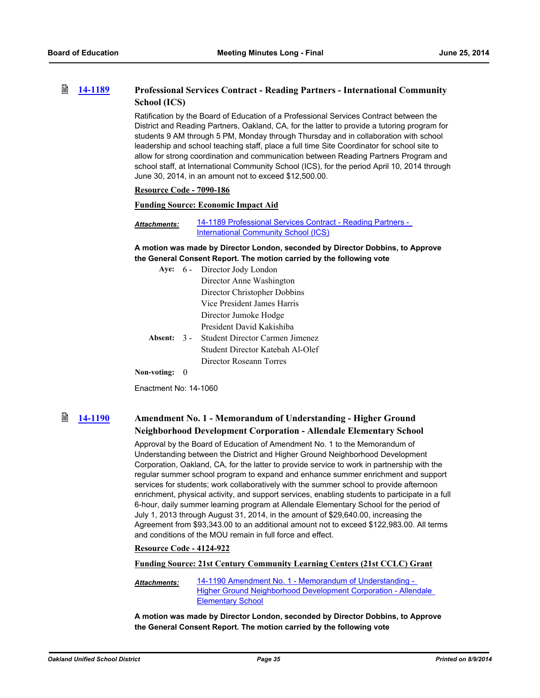#### ₿ **[14-1189](http://ousd.legistar.com/gateway.aspx?m=l&id=/matter.aspx?key=32879) Professional Services Contract - Reading Partners - International Community School (ICS)**

Ratification by the Board of Education of a Professional Services Contract between the District and Reading Partners, Oakland, CA, for the latter to provide a tutoring program for students 9 AM through 5 PM, Monday through Thursday and in collaboration with school leadership and school teaching staff, place a full time Site Coordinator for school site to allow for strong coordination and communication between Reading Partners Program and school staff, at International Community School (ICS), for the period April 10, 2014 through June 30, 2014, in an amount not to exceed \$12,500.00.

#### **Resource Code - 7090-186**

#### **Funding Source: Economic Impact Aid**

[14-1189 Professional Services Contract - Reading Partners -](http://ousd.legistar.com/gateway.aspx?M=F&ID=76534.pdf)  International Community School (ICS) *Attachments:*

#### **A motion was made by Director London, seconded by Director Dobbins, to Approve the General Consent Report. The motion carried by the following vote**

|              | Aye: 6 - Director Jody London          |
|--------------|----------------------------------------|
|              | Director Anne Washington               |
|              | Director Christopher Dobbins           |
|              | Vice President James Harris            |
|              | Director Jumoke Hodge                  |
|              | President David Kakishiba              |
| Absent: $3-$ | <b>Student Director Carmen Jimenez</b> |
|              | Student Director Katebah Al-Olef       |
|              | Director Roseann Torres                |
|              |                                        |

### **Non-voting:** 0

Enactment No: 14-1060

## 窅

## **[14-1190](http://ousd.legistar.com/gateway.aspx?m=l&id=/matter.aspx?key=32880) Amendment No. 1 - Memorandum of Understanding - Higher Ground Neighborhood Development Corporation - Allendale Elementary School**

Approval by the Board of Education of Amendment No. 1 to the Memorandum of Understanding between the District and Higher Ground Neighborhood Development Corporation, Oakland, CA, for the latter to provide service to work in partnership with the regular summer school program to expand and enhance summer enrichment and support services for students; work collaboratively with the summer school to provide afternoon enrichment, physical activity, and support services, enabling students to participate in a full 6-hour, daily summer learning program at Allendale Elementary School for the period of July 1, 2013 through August 31, 2014, in the amount of \$29,640.00, increasing the Agreement from \$93,343.00 to an additional amount not to exceed \$122,983.00. All terms and conditions of the MOU remain in full force and effect.

#### **Resource Code - 4124-922**

#### **Funding Source: 21st Century Community Learning Centers (21st CCLC) Grant**

14-1190 Amendment No. 1 - Memorandum of Understanding - [Higher Ground Neighborhood Development Corporation - Allendale](http://ousd.legistar.com/gateway.aspx?M=F&ID=76477.pdf)  Elementary School *Attachments:*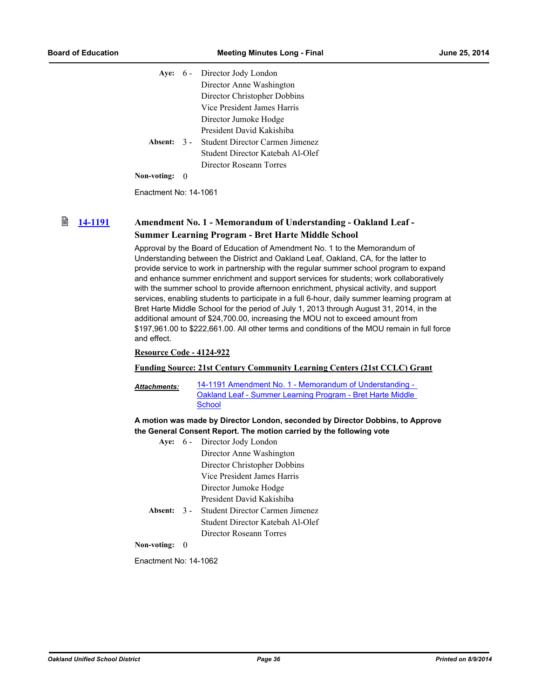|             |          | Aye: 6 - Director Jody London                      |
|-------------|----------|----------------------------------------------------|
|             |          | Director Anne Washington                           |
|             |          | Director Christopher Dobbins                       |
|             |          | Vice President James Harris                        |
|             |          | Director Jumoke Hodge                              |
|             |          | President David Kakishiba                          |
|             |          | <b>Absent:</b> 3 - Student Director Carmen Jimenez |
|             |          | Student Director Katebah Al-Olef                   |
|             |          | Director Roseann Torres                            |
| Non-voting: | $\theta$ |                                                    |

# 眥

# **[14-1191](http://ousd.legistar.com/gateway.aspx?m=l&id=/matter.aspx?key=32881) Amendment No. 1 - Memorandum of Understanding - Oakland Leaf - Summer Learning Program - Bret Harte Middle School**

Approval by the Board of Education of Amendment No. 1 to the Memorandum of Understanding between the District and Oakland Leaf, Oakland, CA, for the latter to provide service to work in partnership with the regular summer school program to expand and enhance summer enrichment and support services for students; work collaboratively with the summer school to provide afternoon enrichment, physical activity, and support services, enabling students to participate in a full 6-hour, daily summer learning program at Bret Harte Middle School for the period of July 1, 2013 through August 31, 2014, in the additional amount of \$24,700.00, increasing the MOU not to exceed amount from \$197,961.00 to \$222,661.00. All other terms and conditions of the MOU remain in full force and effect.

# **Resource Code - 4124-922**

# **Funding Source: 21st Century Community Learning Centers (21st CCLC) Grant**

[14-1191 Amendment No. 1 - Memorandum of Understanding -](http://ousd.legistar.com/gateway.aspx?M=F&ID=76676.pdf)  Oakland Leaf - Summer Learning Program - Bret Harte Middle **School** *Attachments:*

# **A motion was made by Director London, seconded by Director Dobbins, to Approve the General Consent Report. The motion carried by the following vote**

|                    | Aye: 6 - Director Jody London          |
|--------------------|----------------------------------------|
|                    | Director Anne Washington               |
|                    | Director Christopher Dobbins           |
|                    | Vice President James Harris            |
|                    | Director Jumoke Hodge                  |
|                    | President David Kakishiba              |
| <b>Absent:</b> 3 - | <b>Student Director Carmen Jimenez</b> |
|                    | Student Director Katebah Al-Olef       |
|                    | Director Roseann Torres                |
|                    |                                        |

# **Non-voting:** 0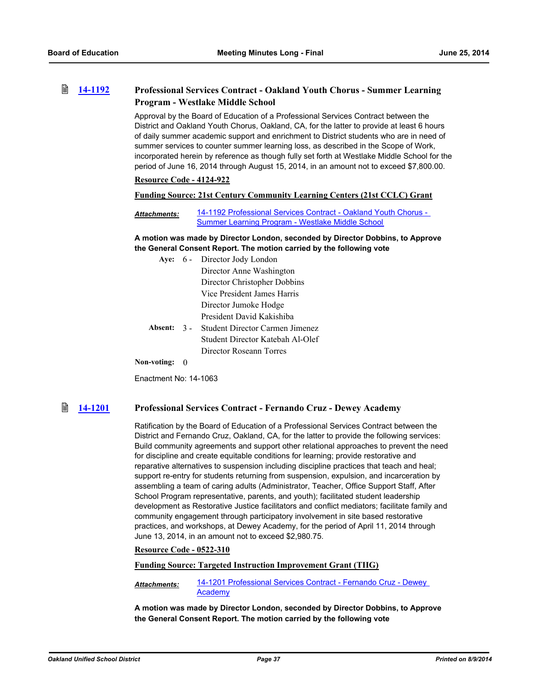#### ₿ **[14-1192](http://ousd.legistar.com/gateway.aspx?m=l&id=/matter.aspx?key=32882) Professional Services Contract - Oakland Youth Chorus - Summer Learning Program - Westlake Middle School**

Approval by the Board of Education of a Professional Services Contract between the District and Oakland Youth Chorus, Oakland, CA, for the latter to provide at least 6 hours of daily summer academic support and enrichment to District students who are in need of summer services to counter summer learning loss, as described in the Scope of Work, incorporated herein by reference as though fully set forth at Westlake Middle School for the period of June 16, 2014 through August 15, 2014, in an amount not to exceed \$7,800.00.

# **Resource Code - 4124-922**

#### **Funding Source: 21st Century Community Learning Centers (21st CCLC) Grant**

[14-1192 Professional Services Contract - Oakland Youth Chorus -](http://ousd.legistar.com/gateway.aspx?M=F&ID=76463.pdf)  Summer Learning Program - Westlake Middle School *Attachments:*

# **A motion was made by Director London, seconded by Director Dobbins, to Approve the General Consent Report. The motion carried by the following vote**

|               | Aye: 6 - Director Jody London          |
|---------------|----------------------------------------|
|               | Director Anne Washington               |
|               | Director Christopher Dobbins           |
|               | Vice President James Harris            |
|               | Director Jumoke Hodge                  |
|               | President David Kakishiba              |
| Absent: $3 -$ | <b>Student Director Carmen Jimenez</b> |
|               | Student Director Katebah Al-Olef       |
|               | Director Roseann Torres                |
|               |                                        |

**Non-voting:** 0

Enactment No: 14-1063

# **[14-1201](http://ousd.legistar.com/gateway.aspx?m=l&id=/matter.aspx?key=32889) Professional Services Contract - Fernando Cruz - Dewey Academy**

Ratification by the Board of Education of a Professional Services Contract between the District and Fernando Cruz, Oakland, CA, for the latter to provide the following services: Build community agreements and support other relational approaches to prevent the need for discipline and create equitable conditions for learning; provide restorative and reparative alternatives to suspension including discipline practices that teach and heal; support re-entry for students returning from suspension, expulsion, and incarceration by assembling a team of caring adults (Administrator, Teacher, Office Support Staff, After School Program representative, parents, and youth); facilitated student leadership development as Restorative Justice facilitators and conflict mediators; facilitate family and community engagement through participatory involvement in site based restorative practices, and workshops, at Dewey Academy, for the period of April 11, 2014 through June 13, 2014, in an amount not to exceed \$2,980.75.

# **Resource Code - 0522-310**

#### **Funding Source: Targeted Instruction Improvement Grant (TIIG)**

#### [14-1201 Professional Services Contract - Fernando Cruz - Dewey](http://ousd.legistar.com/gateway.aspx?M=F&ID=76537.pdf)  **Academy** *Attachments:*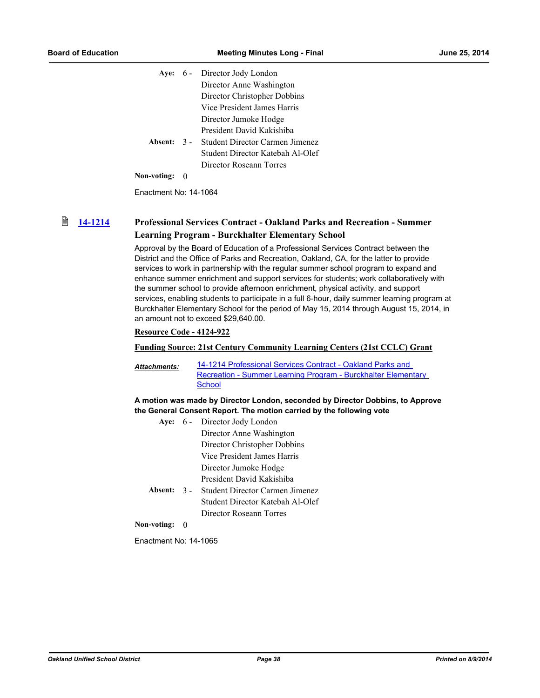|             | Aye: 6 - Director Jody London                      |
|-------------|----------------------------------------------------|
|             | Director Anne Washington                           |
|             | Director Christopher Dobbins                       |
|             | Vice President James Harris                        |
|             | Director Jumoke Hodge                              |
|             | President David Kakishiba                          |
|             | <b>Absent:</b> 3 - Student Director Carmen Jimenez |
|             | Student Director Katebah Al-Olef                   |
|             | Director Roseann Torres                            |
| Non-voting: |                                                    |

# 誾

# **[14-1214](http://ousd.legistar.com/gateway.aspx?m=l&id=/matter.aspx?key=32902) Professional Services Contract - Oakland Parks and Recreation - Summer Learning Program - Burckhalter Elementary School**

Approval by the Board of Education of a Professional Services Contract between the District and the Office of Parks and Recreation, Oakland, CA, for the latter to provide services to work in partnership with the regular summer school program to expand and enhance summer enrichment and support services for students; work collaboratively with the summer school to provide afternoon enrichment, physical activity, and support services, enabling students to participate in a full 6-hour, daily summer learning program at Burckhalter Elementary School for the period of May 15, 2014 through August 15, 2014, in an amount not to exceed \$29,640.00.

# **Resource Code - 4124-922**

# **Funding Source: 21st Century Community Learning Centers (21st CCLC) Grant**

| <b>Attachments:</b> | 14-1214 Professional Services Contract - Oakland Parks and    |
|---------------------|---------------------------------------------------------------|
|                     | Recreation - Summer Learning Program - Burckhalter Elementary |
|                     | School                                                        |

**A motion was made by Director London, seconded by Director Dobbins, to Approve the General Consent Report. The motion carried by the following vote**

|             |       | Aye: 6 - Director Jody London          |
|-------------|-------|----------------------------------------|
|             |       | Director Anne Washington               |
|             |       | Director Christopher Dobbins           |
|             |       | Vice President James Harris            |
|             |       | Director Jumoke Hodge                  |
|             |       | President David Kakishiba              |
| Absent:     | $3 -$ | <b>Student Director Carmen Jimenez</b> |
|             |       | Student Director Katebah Al-Olef       |
|             |       | Director Roseann Torres                |
| Non-voting: |       |                                        |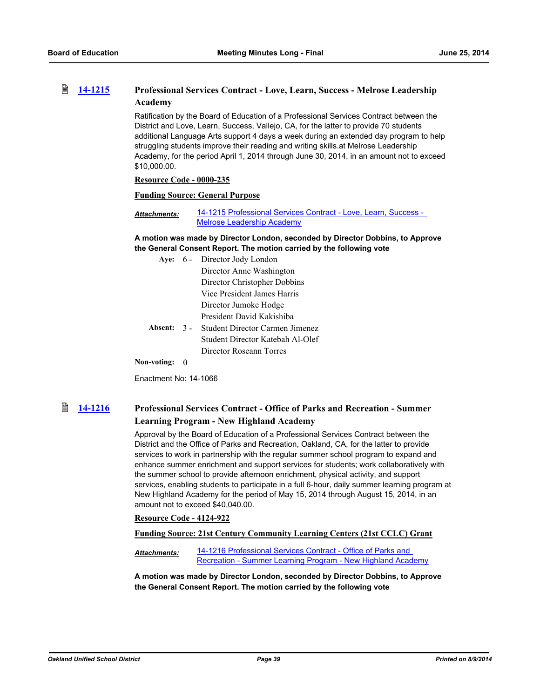#### ₿ **[14-1215](http://ousd.legistar.com/gateway.aspx?m=l&id=/matter.aspx?key=32903) Professional Services Contract - Love, Learn, Success - Melrose Leadership Academy**

Ratification by the Board of Education of a Professional Services Contract between the District and Love, Learn, Success, Vallejo, CA, for the latter to provide 70 students additional Language Arts support 4 days a week during an extended day program to help struggling students improve their reading and writing skills.at Melrose Leadership Academy, for the period April 1, 2014 through June 30, 2014, in an amount not to exceed \$10,000.00.

# **Resource Code - 0000-235**

#### **Funding Source: General Purpose**

[14-1215 Professional Services Contract - Love, Learn, Success -](http://ousd.legistar.com/gateway.aspx?M=F&ID=76541.pdf)  Melrose Leadership Academy *Attachments:*

# **A motion was made by Director London, seconded by Director Dobbins, to Approve the General Consent Report. The motion carried by the following vote**

|                       | Aye: 6 - Director Jody London          |
|-----------------------|----------------------------------------|
|                       | Director Anne Washington               |
|                       | Director Christopher Dobbins           |
|                       | Vice President James Harris            |
|                       | Director Jumoke Hodge                  |
|                       | President David Kakishiba              |
| Absent: $3 -$         | <b>Student Director Carmen Jimenez</b> |
|                       | Student Director Katebah Al-Olef       |
|                       | Director Roseann Torres                |
| -- --- <b>45</b> ---- |                                        |

**Non-voting:** 0

Enactment No: 14-1066

# **[14-1216](http://ousd.legistar.com/gateway.aspx?m=l&id=/matter.aspx?key=32904) Professional Services Contract - Office of Parks and Recreation - Summer Learning Program - New Highland Academy**

Approval by the Board of Education of a Professional Services Contract between the District and the Office of Parks and Recreation, Oakland, CA, for the latter to provide services to work in partnership with the regular summer school program to expand and enhance summer enrichment and support services for students; work collaboratively with the summer school to provide afternoon enrichment, physical activity, and support services, enabling students to participate in a full 6-hour, daily summer learning program at New Highland Academy for the period of May 15, 2014 through August 15, 2014, in an amount not to exceed \$40,040.00.

# **Resource Code - 4124-922**

# **Funding Source: 21st Century Community Learning Centers (21st CCLC) Grant**

14-1216 Professional Services Contract - Office of Parks and [Recreation - Summer Learning Program - New Highland Academy](http://ousd.legistar.com/gateway.aspx?M=F&ID=76690.pdf) *Attachments:*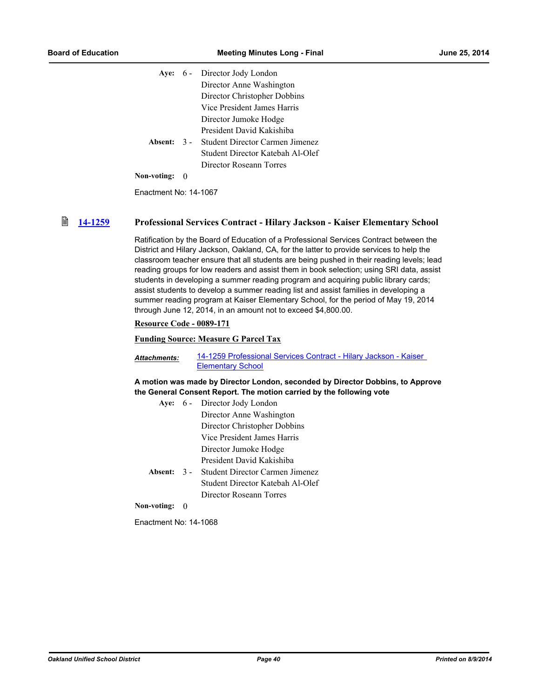|                    | Aye: 6 - Director Jody London          |
|--------------------|----------------------------------------|
|                    | Director Anne Washington               |
|                    | Director Christopher Dobbins           |
|                    | Vice President James Harris            |
|                    | Director Jumoke Hodge                  |
|                    | President David Kakishiba              |
| <b>Absent:</b> 3 - | <b>Student Director Carmen Jimenez</b> |
|                    | Student Director Katebah Al-Olef       |
|                    | Director Roseann Torres                |
| Non-voting:        |                                        |

## **[14-1259](http://ousd.legistar.com/gateway.aspx?m=l&id=/matter.aspx?key=32947) Professional Services Contract - Hilary Jackson - Kaiser Elementary School**

Ratification by the Board of Education of a Professional Services Contract between the District and Hilary Jackson, Oakland, CA, for the latter to provide services to help the classroom teacher ensure that all students are being pushed in their reading levels; lead reading groups for low readers and assist them in book selection; using SRI data, assist students in developing a summer reading program and acquiring public library cards; assist students to develop a summer reading list and assist families in developing a summer reading program at Kaiser Elementary School, for the period of May 19, 2014 through June 12, 2014, in an amount not to exceed \$4,800.00.

# **Resource Code - 0089-171**

# **Funding Source: Measure G Parcel Tax**

[14-1259 Professional Services Contract - Hilary Jackson - Kaiser](http://ousd.legistar.com/gateway.aspx?M=F&ID=76579.pdf)  Elementary School *Attachments:*

**A motion was made by Director London, seconded by Director Dobbins, to Approve the General Consent Report. The motion carried by the following vote**

Aye: 6 - Director Jody London Director Anne Washington Director Christopher Dobbins Vice President James Harris Director Jumoke Hodge President David Kakishiba **Absent:** Student Director Carmen Jimenez Student Director Katebah Al-Olef Director Roseann Torres Absent:  $3 -$ **Non-voting:** 0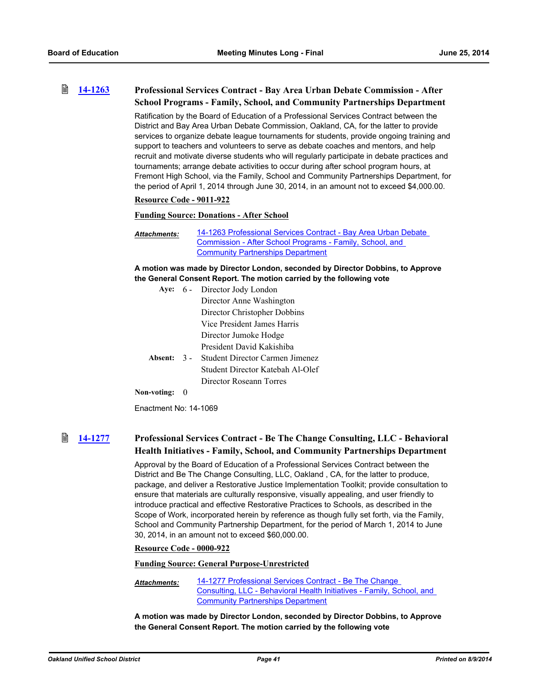#### 昏 **[14-1263](http://ousd.legistar.com/gateway.aspx?m=l&id=/matter.aspx?key=32951) Professional Services Contract - Bay Area Urban Debate Commission - After School Programs - Family, School, and Community Partnerships Department**

Ratification by the Board of Education of a Professional Services Contract between the District and Bay Area Urban Debate Commission, Oakland, CA, for the latter to provide services to organize debate league tournaments for students, provide ongoing training and support to teachers and volunteers to serve as debate coaches and mentors, and help recruit and motivate diverse students who will regularly participate in debate practices and tournaments; arrange debate activities to occur during after school program hours, at Fremont High School, via the Family, School and Community Partnerships Department, for the period of April 1, 2014 through June 30, 2014, in an amount not to exceed \$4,000.00.

# **Resource Code - 9011-922**

# **Funding Source: Donations - After School**

```
14-1263 Professional Services Contract - Bay Area Urban Debate 
                Commission - After School Programs - Family, School, and 
                Community Partnerships Department
Attachments:
```
# **A motion was made by Director London, seconded by Director Dobbins, to Approve the General Consent Report. The motion carried by the following vote**

|               | Aye: 6 - Director Jody London    |
|---------------|----------------------------------|
|               | Director Anne Washington         |
|               | Director Christopher Dobbins     |
|               | Vice President James Harris      |
|               | Director Jumoke Hodge            |
|               | President David Kakishiba        |
| Absent: $3 -$ | Student Director Carmen Jimenez  |
|               | Student Director Katebah Al-Olef |
|               | Director Roseann Torres          |
| Non-voting:   |                                  |

Enactment No: 14-1069

# **[14-1277](http://ousd.legistar.com/gateway.aspx?m=l&id=/matter.aspx?key=32965) Professional Services Contract - Be The Change Consulting, LLC - Behavioral Health Initiatives - Family, School, and Community Partnerships Department**

Approval by the Board of Education of a Professional Services Contract between the District and Be The Change Consulting, LLC, Oakland , CA, for the latter to produce, package, and deliver a Restorative Justice Implementation Toolkit; provide consultation to ensure that materials are culturally responsive, visually appealing, and user friendly to introduce practical and effective Restorative Practices to Schools, as described in the Scope of Work, incorporated herein by reference as though fully set forth, via the Family, School and Community Partnership Department, for the period of March 1, 2014 to June 30, 2014, in an amount not to exceed \$60,000.00.

# **Resource Code - 0000-922**

## **Funding Source: General Purpose-Unrestricted**

14-1277 Professional Services Contract - Be The Change [Consulting, LLC - Behavioral Health Initiatives - Family, School, and](http://ousd.legistar.com/gateway.aspx?M=F&ID=76586.pdf)  Community Partnerships Department *Attachments:*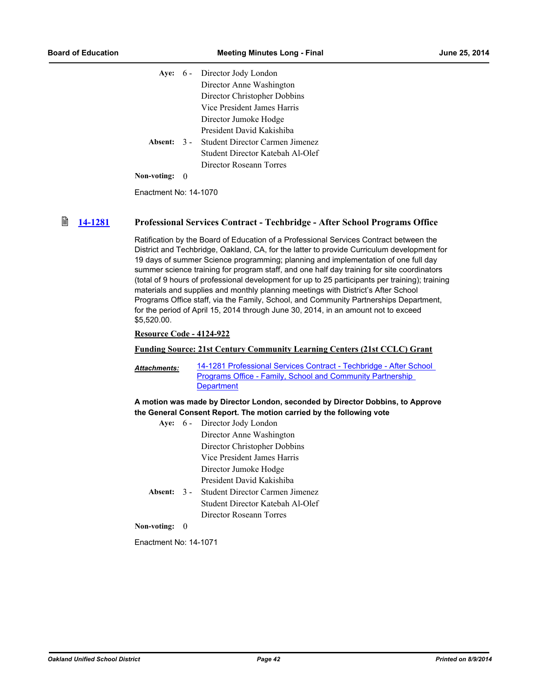|             | Aye: 6 - Director Jody London                      |
|-------------|----------------------------------------------------|
|             | Director Anne Washington                           |
|             | Director Christopher Dobbins                       |
|             | Vice President James Harris                        |
|             | Director Jumoke Hodge                              |
|             | President David Kakishiba                          |
|             | <b>Absent:</b> 3 - Student Director Carmen Jimenez |
|             | Student Director Katebah Al-Olef                   |
|             | Director Roseann Torres                            |
| Non-voting: |                                                    |

# **[14-1281](http://ousd.legistar.com/gateway.aspx?m=l&id=/matter.aspx?key=32967) Professional Services Contract - Techbridge - After School Programs Office**

Ratification by the Board of Education of a Professional Services Contract between the District and Techbridge, Oakland, CA, for the latter to provide Curriculum development for 19 days of summer Science programming; planning and implementation of one full day summer science training for program staff, and one half day training for site coordinators (total of 9 hours of professional development for up to 25 participants per training); training materials and supplies and monthly planning meetings with District's After School Programs Office staff, via the Family, School, and Community Partnerships Department, for the period of April 15, 2014 through June 30, 2014, in an amount not to exceed \$5,520.00.

# **Resource Code - 4124-922**

# **Funding Source: 21st Century Community Learning Centers (21st CCLC) Grant**

| <b>Attachments:</b> | 14-1281 Professional Services Contract - Techbridge - After School |
|---------------------|--------------------------------------------------------------------|
|                     | Programs Office - Family, School and Community Partnership         |
|                     | Department                                                         |

**A motion was made by Director London, seconded by Director Dobbins, to Approve the General Consent Report. The motion carried by the following vote**

Aye: 6 - Director Jody London Director Anne Washington Director Christopher Dobbins Vice President James Harris Director Jumoke Hodge President David Kakishiba **Student Director Carmen Jimenez** Student Director Katebah Al-Olef Director Roseann Torres Absent:  $3 -$ **Non-voting:** 0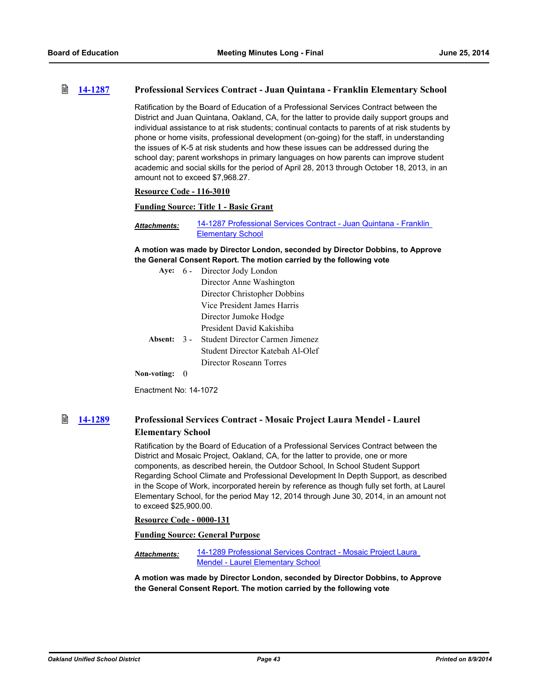#### ₿ **[14-1287](http://ousd.legistar.com/gateway.aspx?m=l&id=/matter.aspx?key=32973) Professional Services Contract - Juan Quintana - Franklin Elementary School**

Ratification by the Board of Education of a Professional Services Contract between the District and Juan Quintana, Oakland, CA, for the latter to provide daily support groups and individual assistance to at risk students; continual contacts to parents of at risk students by phone or home visits, professional development (on-going) for the staff, in understanding the issues of K-5 at risk students and how these issues can be addressed during the school day; parent workshops in primary languages on how parents can improve student academic and social skills for the period of April 28, 2013 through October 18, 2013, in an amount not to exceed \$7,968.27.

## **Resource Code - 116-3010**

## **Funding Source: Title 1 - Basic Grant**

[14-1287 Professional Services Contract - Juan Quintana - Franklin](http://ousd.legistar.com/gateway.aspx?M=F&ID=76590.pdf)  **Elementary School** *Attachments:*

# **A motion was made by Director London, seconded by Director Dobbins, to Approve the General Consent Report. The motion carried by the following vote**

- Aye: 6 Director Jody London Director Anne Washington Director Christopher Dobbins Vice President James Harris Director Jumoke Hodge President David Kakishiba **Student Director Carmen Jimenez**
- Student Director Katebah Al-Olef Director Roseann Torres Absent: 3 -

**Non-voting:** 0

Enactment No: 14-1072

# **[14-1289](http://ousd.legistar.com/gateway.aspx?m=l&id=/matter.aspx?key=32975) Professional Services Contract - Mosaic Project Laura Mendel - Laurel Elementary School**

Ratification by the Board of Education of a Professional Services Contract between the District and Mosaic Project, Oakland, CA, for the latter to provide, one or more components, as described herein, the Outdoor School, In School Student Support Regarding School Climate and Professional Development In Depth Support, as described in the Scope of Work, incorporated herein by reference as though fully set forth, at Laurel Elementary School, for the period May 12, 2014 through June 30, 2014, in an amount not to exceed \$25,900.00.

**Resource Code - 0000-131**

#### **Funding Source: General Purpose**

*Attachments:*

[14-1289 Professional Services Contract - Mosaic Project Laura](http://ousd.legistar.com/gateway.aspx?M=F&ID=76592.pdf)  Mendel - Laurel Elementary School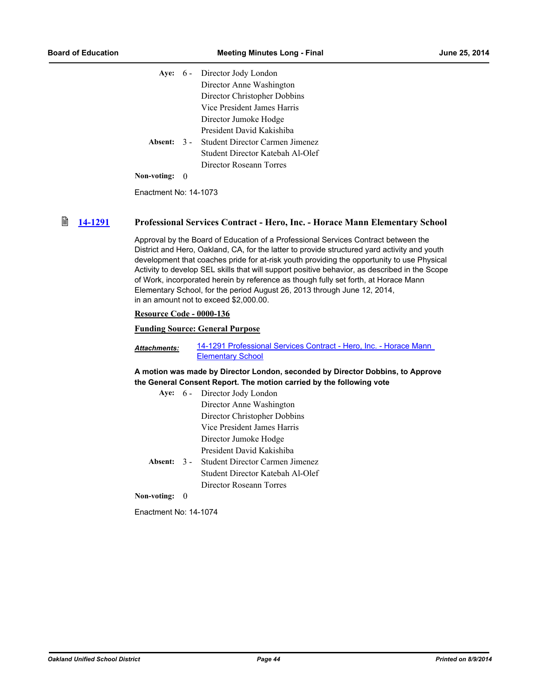|             | Aye: 6 - Director Jody London                      |
|-------------|----------------------------------------------------|
|             | Director Anne Washington                           |
|             | Director Christopher Dobbins                       |
|             | Vice President James Harris                        |
|             | Director Jumoke Hodge                              |
|             | President David Kakishiba                          |
|             | <b>Absent:</b> 3 - Student Director Carmen Jimenez |
|             | Student Director Katebah Al-Olef                   |
|             | Director Roseann Torres                            |
| Non-voting: |                                                    |

誾

# **[14-1291](http://ousd.legistar.com/gateway.aspx?m=l&id=/matter.aspx?key=32977) Professional Services Contract - Hero, Inc. - Horace Mann Elementary School**

Approval by the Board of Education of a Professional Services Contract between the District and Hero, Oakland, CA, for the latter to provide structured yard activity and youth development that coaches pride for at-risk youth providing the opportunity to use Physical Activity to develop SEL skills that will support positive behavior, as described in the Scope of Work, incorporated herein by reference as though fully set forth, at Horace Mann Elementary School, for the period August 26, 2013 through June 12, 2014, in an amount not to exceed \$2,000.00.

#### **Resource Code - 0000-136**

**Funding Source: General Purpose**

#### [14-1291 Professional Services Contract - Hero, Inc. - Horace Mann](http://ousd.legistar.com/gateway.aspx?M=F&ID=76593.pdf)  Elementary School *Attachments:*

# **A motion was made by Director London, seconded by Director Dobbins, to Approve the General Consent Report. The motion carried by the following vote**

|               | Aye: 6 - Director Jody London    |
|---------------|----------------------------------|
|               | Director Anne Washington         |
|               | Director Christopher Dobbins     |
|               | Vice President James Harris      |
|               | Director Jumoke Hodge            |
|               | President David Kakishiba        |
| Absent: $3 -$ | Student Director Carmen Jimenez  |
|               | Student Director Katebah Al-Olef |
|               | Director Roseann Torres          |
| Non-voting:   |                                  |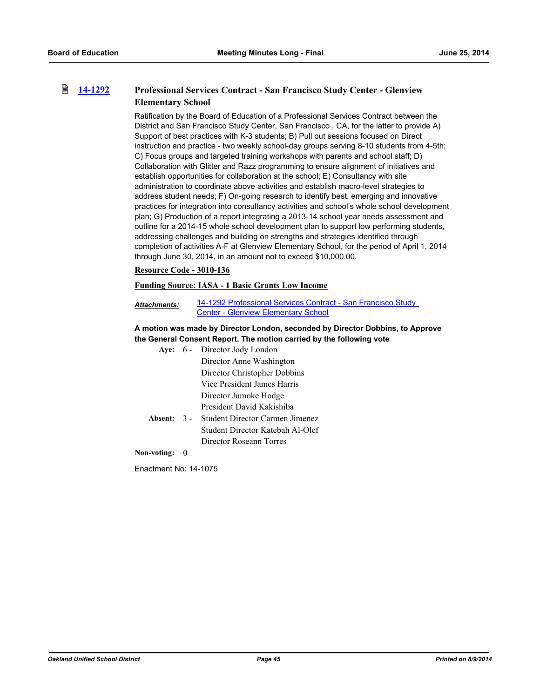#### 昏 **[14-1292](http://ousd.legistar.com/gateway.aspx?m=l&id=/matter.aspx?key=32978) Professional Services Contract - San Francisco Study Center - Glenview Elementary School**

Ratification by the Board of Education of a Professional Services Contract between the District and San Francisco Study Center, San Francisco , CA, for the latter to provide A) Support of best practices with K-3 students; B) Pull out sessions focused on Direct instruction and practice - two weekly school-day groups serving 8-10 students from 4-5th; C) Focus groups and targeted training workshops with parents and school staff; D) Collaboration with Glitter and Razz programming to ensure alignment of initiatives and establish opportunities for collaboration at the school; E) Consultancy with site administration to coordinate above activities and establish macro-level strategies to address student needs; F) On-going research to identify best, emerging and innovative practices for integration into consultancy activities and school's whole school development plan; G) Production of a report integrating a 2013-14 school year needs assessment and outline for a 2014-15 whole school development plan to support low performing students, addressing challenges and building on strengths and strategies identified through completion of activities A-F at Glenview Elementary School, for the period of April 1, 2014 through June 30, 2014, in an amount not to exceed \$10,000.00.

## **Resource Code - 3010-136**

# **Funding Source: IASA - 1 Basic Grants Low Income**

[14-1292 Professional Services Contract - San Francisco Study](http://ousd.legistar.com/gateway.aspx?M=F&ID=76594.pdf)  Center - Glenview Elementary School *Attachments:*

# **A motion was made by Director London, seconded by Director Dobbins, to Approve the General Consent Report. The motion carried by the following vote**

|             | Aye: 6 - Director Jody London          |
|-------------|----------------------------------------|
|             | Director Anne Washington               |
|             | Director Christopher Dobbins           |
|             | Vice President James Harris            |
|             | Director Jumoke Hodge                  |
|             | President David Kakishiba              |
| Absent: 3 - | <b>Student Director Carmen Jimenez</b> |
|             | Student Director Katebah Al-Olef       |
|             | Director Roseann Torres                |

**Non-voting:** 0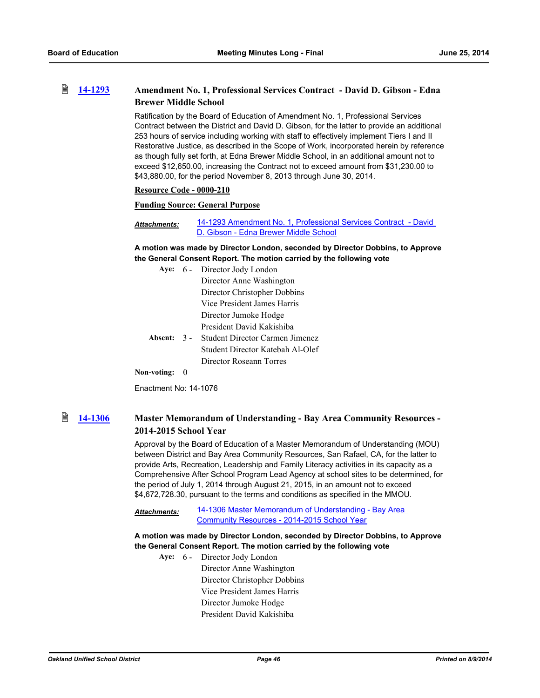#### ₿ **[14-1293](http://ousd.legistar.com/gateway.aspx?m=l&id=/matter.aspx?key=32979) Amendment No. 1, Professional Services Contract - David D. Gibson - Edna Brewer Middle School**

Ratification by the Board of Education of Amendment No. 1, Professional Services Contract between the District and David D. Gibson, for the latter to provide an additional 253 hours of service including working with staff to effectively implement Tiers I and II Restorative Justice, as described in the Scope of Work, incorporated herein by reference as though fully set forth, at Edna Brewer Middle School, in an additional amount not to exceed \$12,650.00, increasing the Contract not to exceed amount from \$31,230.00 to \$43,880.00, for the period November 8, 2013 through June 30, 2014.

# **Resource Code - 0000-210**

## **Funding Source: General Purpose**

[14-1293 Amendment No. 1, Professional Services Contract - David](http://ousd.legistar.com/gateway.aspx?M=F&ID=76696.pdf)  D. Gibson - Edna Brewer Middle School *Attachments:*

# **A motion was made by Director London, seconded by Director Dobbins, to Approve the General Consent Report. The motion carried by the following vote**

|             | Aye: 6 - Director Jody London    |
|-------------|----------------------------------|
|             | Director Anne Washington         |
|             | Director Christopher Dobbins     |
|             | Vice President James Harris      |
|             | Director Jumoke Hodge            |
|             | President David Kakishiba        |
| Absent: 3 - | Student Director Carmen Jimenez  |
|             | Student Director Katebah Al-Olef |
|             | Director Roseann Torres          |
|             |                                  |

# **Non-voting:** 0

Enactment No: 14-1076

#### ₿ **[14-1306](http://ousd.legistar.com/gateway.aspx?m=l&id=/matter.aspx?key=32986) Master Memorandum of Understanding - Bay Area Community Resources - 2014-2015 School Year**

Approval by the Board of Education of a Master Memorandum of Understanding (MOU) between District and Bay Area Community Resources, San Rafael, CA, for the latter to provide Arts, Recreation, Leadership and Family Literacy activities in its capacity as a Comprehensive After School Program Lead Agency at school sites to be determined, for the period of July 1, 2014 through August 21, 2015, in an amount not to exceed \$4,672,728.30, pursuant to the terms and conditions as specified in the MMOU.

[14-1306 Master Memorandum of Understanding - Bay Area](http://ousd.legistar.com/gateway.aspx?M=F&ID=76697.pdf)  Community Resources - 2014-2015 School Year *Attachments:*

## **A motion was made by Director London, seconded by Director Dobbins, to Approve the General Consent Report. The motion carried by the following vote**

Aye: 6 - Director Jody London Director Anne Washington Director Christopher Dobbins Vice President James Harris Director Jumoke Hodge President David Kakishiba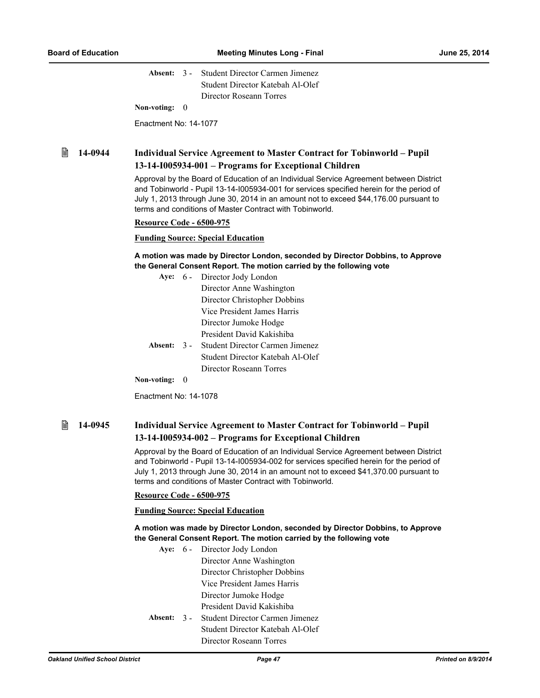**Absent:** Student Director Carmen Jimenez Student Director Katebah Al-Olef Director Roseann Torres Absent:  $3 -$ 

**Non-voting:** 0

Enactment No: 14-1077

# **14-0944 Individual Service Agreement to Master Contract for Tobinworld – Pupil 13-14-I005934-001 – Programs for Exceptional Children**

Approval by the Board of Education of an Individual Service Agreement between District and Tobinworld - Pupil 13-14-I005934-001 for services specified herein for the period of July 1, 2013 through June 30, 2014 in an amount not to exceed \$44,176.00 pursuant to terms and conditions of Master Contract with Tobinworld.

# **Resource Code - 6500-975**

# **Funding Source: Special Education**

# **A motion was made by Director London, seconded by Director Dobbins, to Approve the General Consent Report. The motion carried by the following vote**

Aye: 6 - Director Jody London Director Anne Washington Director Christopher Dobbins Vice President James Harris Director Jumoke Hodge President David Kakishiba **Absent:** Student Director Carmen Jimenez Student Director Katebah Al-Olef Director Roseann Torres Absent:  $3 -$ **Non-voting:** 0

Enactment No: 14-1078

# **14-0945 Individual Service Agreement to Master Contract for Tobinworld – Pupil 13-14-I005934-002 – Programs for Exceptional Children**

Approval by the Board of Education of an Individual Service Agreement between District and Tobinworld - Pupil 13-14-I005934-002 for services specified herein for the period of July 1, 2013 through June 30, 2014 in an amount not to exceed \$41,370.00 pursuant to terms and conditions of Master Contract with Tobinworld.

# **Resource Code - 6500-975**

**Funding Source: Special Education**

# **A motion was made by Director London, seconded by Director Dobbins, to Approve the General Consent Report. The motion carried by the following vote**

Aye: 6 - Director Jody London Director Anne Washington Director Christopher Dobbins Vice President James Harris Director Jumoke Hodge President David Kakishiba **Absent:** Student Director Carmen Jimenez Student Director Katebah Al-Olef Director Roseann Torres Absent:  $3 -$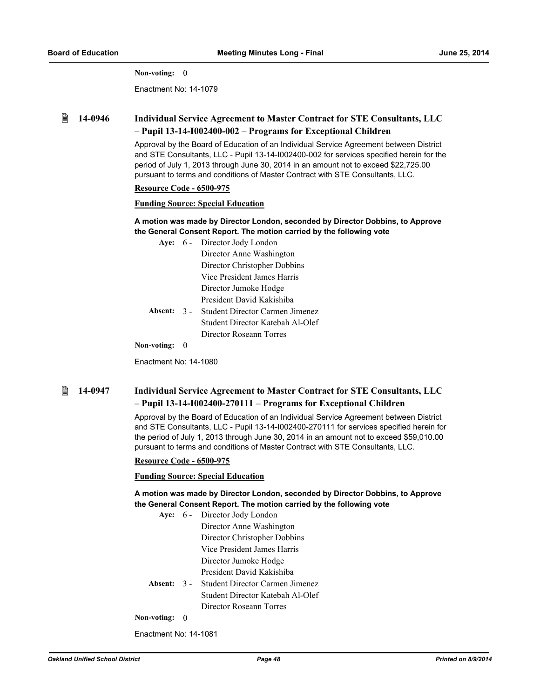**Non-voting:** 0

Enactment No: 14-1079

# **14-0946 Individual Service Agreement to Master Contract for STE Consultants, LLC – Pupil 13-14-I002400-002 – Programs for Exceptional Children**

Approval by the Board of Education of an Individual Service Agreement between District and STE Consultants, LLC - Pupil 13-14-I002400-002 for services specified herein for the period of July 1, 2013 through June 30, 2014 in an amount not to exceed \$22,725.00 pursuant to terms and conditions of Master Contract with STE Consultants, LLC.

# **Resource Code - 6500-975**

## **Funding Source: Special Education**

# **A motion was made by Director London, seconded by Director Dobbins, to Approve the General Consent Report. The motion carried by the following vote**

- Aye: 6 Director Jody London Director Anne Washington Director Christopher Dobbins Vice President James Harris Director Jumoke Hodge President David Kakishiba **Student Director Carmen Jimenez**
- Student Director Katebah Al-Olef Director Roseann Torres Absent:  $3 -$

**Non-voting:** 0

Enactment No: 14-1080

# **14-0947 Individual Service Agreement to Master Contract for STE Consultants, LLC – Pupil 13-14-I002400-270111 – Programs for Exceptional Children**

Approval by the Board of Education of an Individual Service Agreement between District and STE Consultants, LLC - Pupil 13-14-I002400-270111 for services specified herein for the period of July 1, 2013 through June 30, 2014 in an amount not to exceed \$59,010.00 pursuant to terms and conditions of Master Contract with STE Consultants, LLC.

#### **Resource Code - 6500-975**

#### **Funding Source: Special Education**

**A motion was made by Director London, seconded by Director Dobbins, to Approve the General Consent Report. The motion carried by the following vote**

- Aye: 6 Director Jody London Director Anne Washington Director Christopher Dobbins Vice President James Harris Director Jumoke Hodge President David Kakishiba **Student Director Carmen Jimenez** Absent:  $3 -$
- Student Director Katebah Al-Olef Director Roseann Torres

**Non-voting:** 0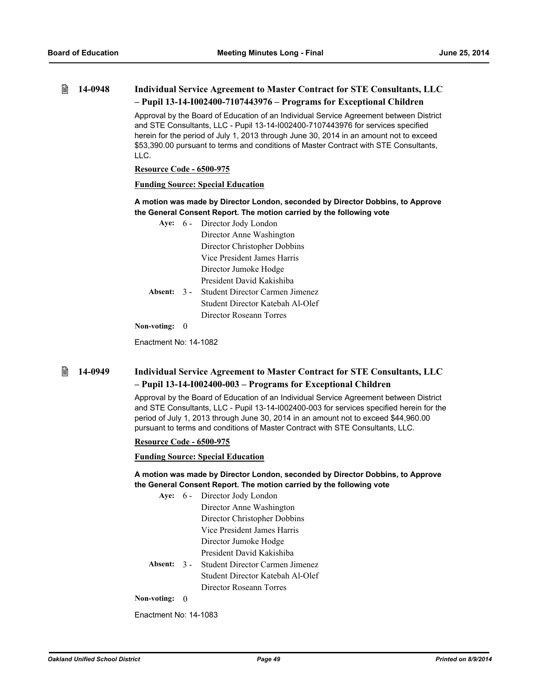#### ₿ **14-0948 Individual Service Agreement to Master Contract for STE Consultants, LLC – Pupil 13-14-I002400-7107443976 – Programs for Exceptional Children**

Approval by the Board of Education of an Individual Service Agreement between District and STE Consultants, LLC - Pupil 13-14-I002400-7107443976 for services specified herein for the period of July 1, 2013 through June 30, 2014 in an amount not to exceed \$53,390.00 pursuant to terms and conditions of Master Contract with STE Consultants, LLC.

# **Resource Code - 6500-975**

# **Funding Source: Special Education**

**A motion was made by Director London, seconded by Director Dobbins, to Approve the General Consent Report. The motion carried by the following vote**

Aye: 6 - Director Jody London Director Anne Washington Director Christopher Dobbins Vice President James Harris Director Jumoke Hodge President David Kakishiba **Absent:** Student Director Carmen Jimenez Student Director Katebah Al-Olef Absent:  $3 -$ 

**Non-voting:** 0

Enactment No: 14-1082

# **14-0949 Individual Service Agreement to Master Contract for STE Consultants, LLC – Pupil 13-14-I002400-003 – Programs for Exceptional Children**

Director Roseann Torres

Approval by the Board of Education of an Individual Service Agreement between District and STE Consultants, LLC - Pupil 13-14-I002400-003 for services specified herein for the period of July 1, 2013 through June 30, 2014 in an amount not to exceed \$44,960.00 pursuant to terms and conditions of Master Contract with STE Consultants, LLC.

# **Resource Code - 6500-975**

**Funding Source: Special Education**

# **A motion was made by Director London, seconded by Director Dobbins, to Approve the General Consent Report. The motion carried by the following vote**

Aye: 6 - Director Jody London Director Anne Washington Director Christopher Dobbins Vice President James Harris Director Jumoke Hodge President David Kakishiba **Absent:** Student Director Carmen Jimenez Student Director Katebah Al-Olef Director Roseann Torres Absent:  $3 -$ **Non-voting:** 0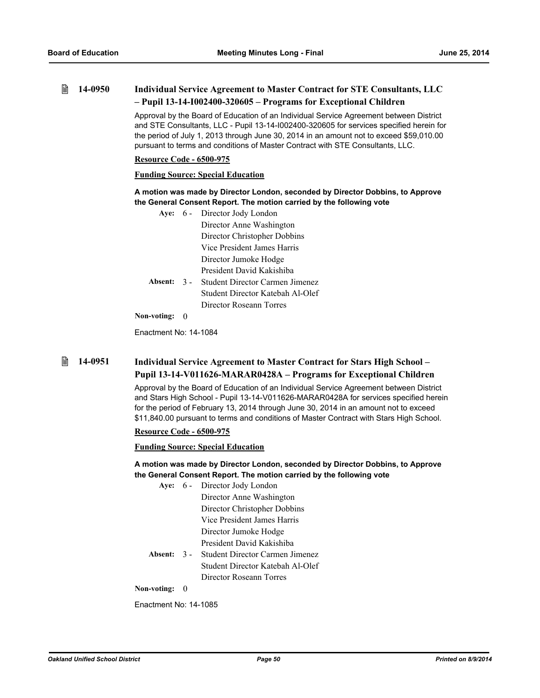#### ₿ **14-0950 Individual Service Agreement to Master Contract for STE Consultants, LLC – Pupil 13-14-I002400-320605 – Programs for Exceptional Children**

Approval by the Board of Education of an Individual Service Agreement between District and STE Consultants, LLC - Pupil 13-14-I002400-320605 for services specified herein for the period of July 1, 2013 through June 30, 2014 in an amount not to exceed \$59,010.00 pursuant to terms and conditions of Master Contract with STE Consultants, LLC.

# **Resource Code - 6500-975**

# **Funding Source: Special Education**

**A motion was made by Director London, seconded by Director Dobbins, to Approve the General Consent Report. The motion carried by the following vote**

|                    | Aye: 6 - Director Jody London          |
|--------------------|----------------------------------------|
|                    | Director Anne Washington               |
|                    | Director Christopher Dobbins           |
|                    | Vice President James Harris            |
|                    | Director Jumoke Hodge                  |
|                    | President David Kakishiba              |
| <b>Absent:</b> 3 - | <b>Student Director Carmen Jimenez</b> |
|                    | Student Director Katebah Al-Olef       |
|                    | Director Roseann Torres                |
|                    |                                        |

**Non-voting:** 0

Enactment No: 14-1084

#### **14-0951 Individual Service Agreement to Master Contract for Stars High School –**  眥 **Pupil 13-14-V011626-MARAR0428A – Programs for Exceptional Children**

Approval by the Board of Education of an Individual Service Agreement between District and Stars High School - Pupil 13-14-V011626-MARAR0428A for services specified herein for the period of February 13, 2014 through June 30, 2014 in an amount not to exceed \$11,840.00 pursuant to terms and conditions of Master Contract with Stars High School.

# **Resource Code - 6500-975**

# **Funding Source: Special Education**

**A motion was made by Director London, seconded by Director Dobbins, to Approve the General Consent Report. The motion carried by the following vote**

|                    | Aye: 6 - Director Jody London          |
|--------------------|----------------------------------------|
|                    | Director Anne Washington               |
|                    | Director Christopher Dobbins           |
|                    | Vice President James Harris            |
|                    | Director Jumoke Hodge                  |
|                    | President David Kakishiba              |
| <b>Absent:</b> 3 - | <b>Student Director Carmen Jimenez</b> |
|                    | Student Director Katebah Al-Olef       |
|                    | Director Roseann Torres                |
|                    |                                        |

**Non-voting:** 0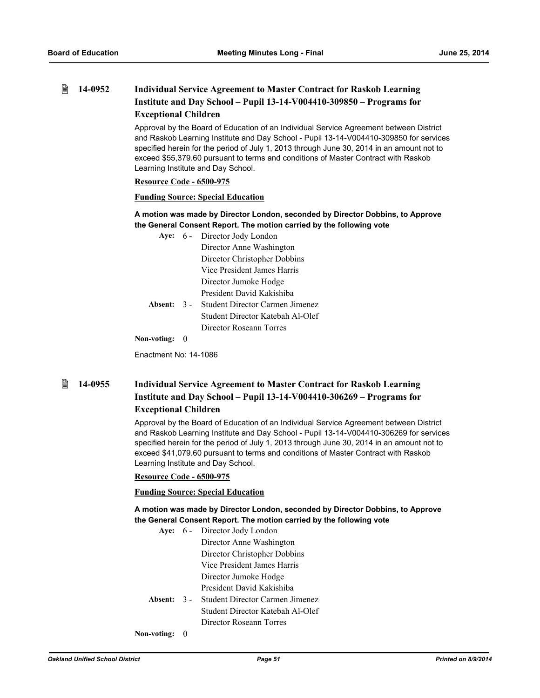#### ₿ **14-0952 Individual Service Agreement to Master Contract for Raskob Learning Institute and Day School – Pupil 13-14-V004410-309850 – Programs for Exceptional Children**

Approval by the Board of Education of an Individual Service Agreement between District and Raskob Learning Institute and Day School - Pupil 13-14-V004410-309850 for services specified herein for the period of July 1, 2013 through June 30, 2014 in an amount not to exceed \$55,379.60 pursuant to terms and conditions of Master Contract with Raskob Learning Institute and Day School.

# **Resource Code - 6500-975**

# **Funding Source: Special Education**

**A motion was made by Director London, seconded by Director Dobbins, to Approve the General Consent Report. The motion carried by the following vote**

Aye: 6 - Director Jody London Director Anne Washington Director Christopher Dobbins Vice President James Harris Director Jumoke Hodge President David Kakishiba Absent: 3 - Student Director Carmen Jimenez Student Director Katebah Al-Olef Director Roseann Torres

**Non-voting:** 0

Enactment No: 14-1086

**14-0955 Individual Service Agreement to Master Contract for Raskob Learning Institute and Day School – Pupil 13-14-V004410-306269 – Programs for Exceptional Children**

> Approval by the Board of Education of an Individual Service Agreement between District and Raskob Learning Institute and Day School - Pupil 13-14-V004410-306269 for services specified herein for the period of July 1, 2013 through June 30, 2014 in an amount not to exceed \$41,079.60 pursuant to terms and conditions of Master Contract with Raskob Learning Institute and Day School.

# **Resource Code - 6500-975**

# **Funding Source: Special Education**

**A motion was made by Director London, seconded by Director Dobbins, to Approve the General Consent Report. The motion carried by the following vote**

Aye: 6 - Director Jody London Director Anne Washington Director Christopher Dobbins Vice President James Harris Director Jumoke Hodge President David Kakishiba **Absent:** Student Director Carmen Jimenez Student Director Katebah Al-Olef Director Roseann Torres Absent:  $3 -$ 

**Non-voting:** 0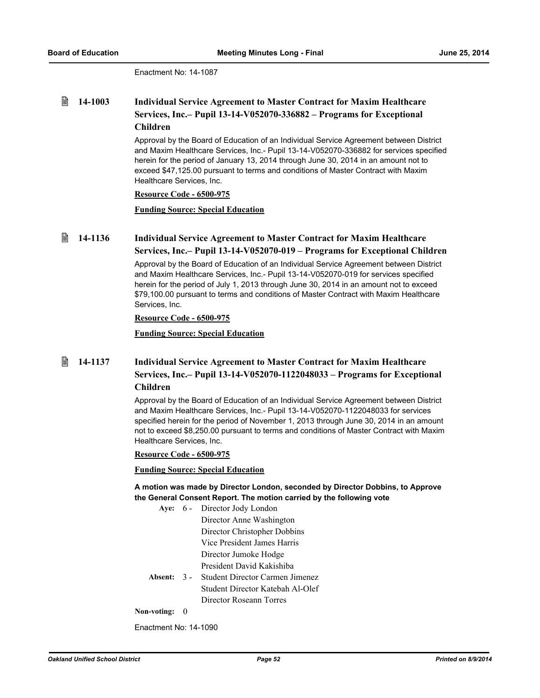#### 昏 **14-1003 Individual Service Agreement to Master Contract for Maxim Healthcare Services, Inc.– Pupil 13-14-V052070-336882 – Programs for Exceptional Children**

Approval by the Board of Education of an Individual Service Agreement between District and Maxim Healthcare Services, Inc.- Pupil 13-14-V052070-336882 for services specified herein for the period of January 13, 2014 through June 30, 2014 in an amount not to exceed \$47,125.00 pursuant to terms and conditions of Master Contract with Maxim Healthcare Services, Inc.

# **Resource Code - 6500-975**

**Funding Source: Special Education**

#### 昏 **14-1136 Individual Service Agreement to Master Contract for Maxim Healthcare Services, Inc.– Pupil 13-14-V052070-019 – Programs for Exceptional Children**

Approval by the Board of Education of an Individual Service Agreement between District and Maxim Healthcare Services, Inc.- Pupil 13-14-V052070-019 for services specified herein for the period of July 1, 2013 through June 30, 2014 in an amount not to exceed \$79,100.00 pursuant to terms and conditions of Master Contract with Maxim Healthcare Services, Inc.

# **Resource Code - 6500-975**

**Funding Source: Special Education**

# **14-1137 Individual Service Agreement to Master Contract for Maxim Healthcare Services, Inc.– Pupil 13-14-V052070-1122048033 – Programs for Exceptional Children**

Approval by the Board of Education of an Individual Service Agreement between District and Maxim Healthcare Services, Inc.- Pupil 13-14-V052070-1122048033 for services specified herein for the period of November 1, 2013 through June 30, 2014 in an amount not to exceed \$8,250.00 pursuant to terms and conditions of Master Contract with Maxim Healthcare Services, Inc.

# **Resource Code - 6500-975**

### **Funding Source: Special Education**

# **A motion was made by Director London, seconded by Director Dobbins, to Approve the General Consent Report. The motion carried by the following vote**

Aye: 6 - Director Jody London Director Anne Washington Director Christopher Dobbins Vice President James Harris Director Jumoke Hodge President David Kakishiba **Student Director Carmen Jimenez** Student Director Katebah Al-Olef Director Roseann Torres Absent: 3 -

**Non-voting:** 0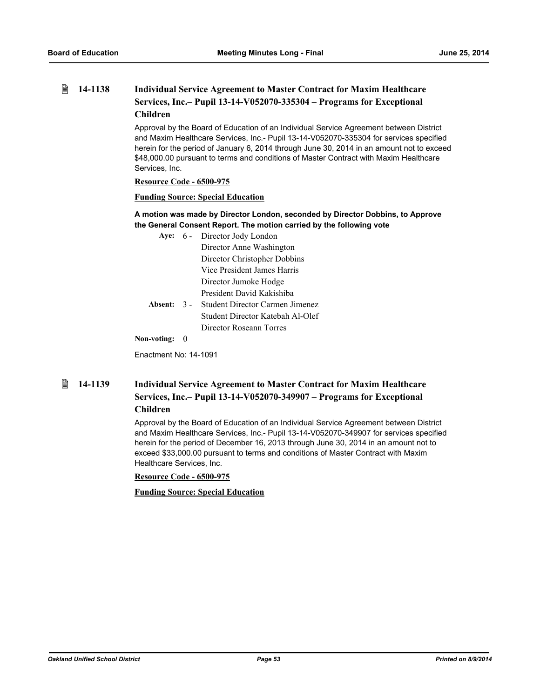#### 昏 **14-1138 Individual Service Agreement to Master Contract for Maxim Healthcare Services, Inc.– Pupil 13-14-V052070-335304 – Programs for Exceptional Children**

Approval by the Board of Education of an Individual Service Agreement between District and Maxim Healthcare Services, Inc.- Pupil 13-14-V052070-335304 for services specified herein for the period of January 6, 2014 through June 30, 2014 in an amount not to exceed \$48,000.00 pursuant to terms and conditions of Master Contract with Maxim Healthcare Services, Inc.

# **Resource Code - 6500-975**

# **Funding Source: Special Education**

**A motion was made by Director London, seconded by Director Dobbins, to Approve the General Consent Report. The motion carried by the following vote**

Aye: 6 - Director Jody London Director Anne Washington Director Christopher Dobbins Vice President James Harris Director Jumoke Hodge President David Kakishiba Absent: 3 - Student Director Carmen Jimenez Student Director Katebah Al-Olef Director Roseann Torres

**Non-voting:** 0

Enactment No: 14-1091

眥

# **14-1139 Individual Service Agreement to Master Contract for Maxim Healthcare Services, Inc.– Pupil 13-14-V052070-349907 – Programs for Exceptional Children**

Approval by the Board of Education of an Individual Service Agreement between District and Maxim Healthcare Services, Inc.- Pupil 13-14-V052070-349907 for services specified herein for the period of December 16, 2013 through June 30, 2014 in an amount not to exceed \$33,000.00 pursuant to terms and conditions of Master Contract with Maxim Healthcare Services, Inc.

**Resource Code - 6500-975**

**Funding Source: Special Education**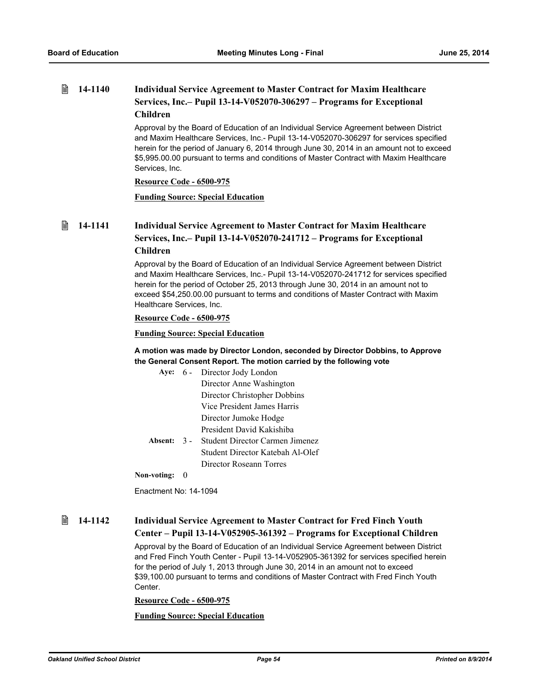#### ₿ **14-1140 Individual Service Agreement to Master Contract for Maxim Healthcare Services, Inc.– Pupil 13-14-V052070-306297 – Programs for Exceptional Children**

Approval by the Board of Education of an Individual Service Agreement between District and Maxim Healthcare Services, Inc.- Pupil 13-14-V052070-306297 for services specified herein for the period of January 6, 2014 through June 30, 2014 in an amount not to exceed \$5,995.00.00 pursuant to terms and conditions of Master Contract with Maxim Healthcare Services, Inc.

# **Resource Code - 6500-975**

**Funding Source: Special Education**

#### 眥 **14-1141 Individual Service Agreement to Master Contract for Maxim Healthcare Services, Inc.– Pupil 13-14-V052070-241712 – Programs for Exceptional Children**

Approval by the Board of Education of an Individual Service Agreement between District and Maxim Healthcare Services, Inc.- Pupil 13-14-V052070-241712 for services specified herein for the period of October 25, 2013 through June 30, 2014 in an amount not to exceed \$54,250.00.00 pursuant to terms and conditions of Master Contract with Maxim Healthcare Services, Inc.

# **Resource Code - 6500-975**

# **Funding Source: Special Education**

# **A motion was made by Director London, seconded by Director Dobbins, to Approve the General Consent Report. The motion carried by the following vote**

- Aye: 6 Director Jody London Director Anne Washington Director Christopher Dobbins Vice President James Harris Director Jumoke Hodge President David Kakishiba **Absent:** Student Director Carmen Jimenez Absent:  $3 -$
- Student Director Katebah Al-Olef Director Roseann Torres

**Non-voting:** 0

Enactment No: 14-1094

# **14-1142 Individual Service Agreement to Master Contract for Fred Finch Youth Center – Pupil 13-14-V052905-361392 – Programs for Exceptional Children**

Approval by the Board of Education of an Individual Service Agreement between District and Fred Finch Youth Center - Pupil 13-14-V052905-361392 for services specified herein for the period of July 1, 2013 through June 30, 2014 in an amount not to exceed \$39,100.00 pursuant to terms and conditions of Master Contract with Fred Finch Youth Center.

# **Resource Code - 6500-975**

# **Funding Source: Special Education**

*Oakland Unified School District Page 54 Printed on 8/9/2014*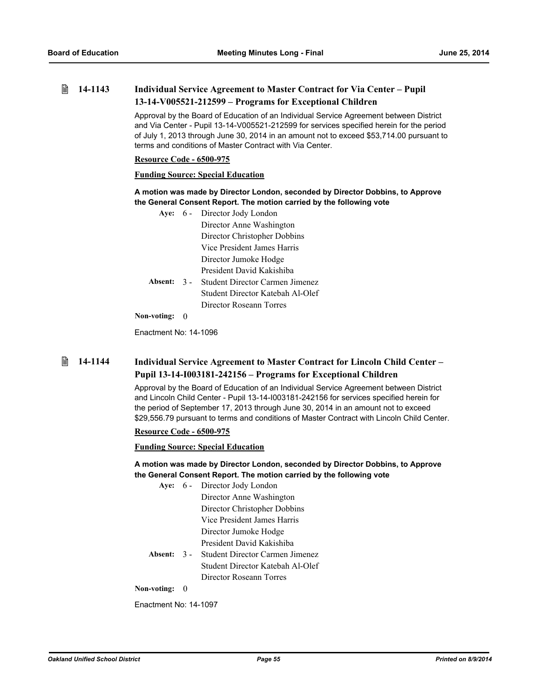#### 昏 **14-1143 Individual Service Agreement to Master Contract for Via Center – Pupil 13-14-V005521-212599 – Programs for Exceptional Children**

Approval by the Board of Education of an Individual Service Agreement between District and Via Center - Pupil 13-14-V005521-212599 for services specified herein for the period of July 1, 2013 through June 30, 2014 in an amount not to exceed \$53,714.00 pursuant to terms and conditions of Master Contract with Via Center.

# **Resource Code - 6500-975**

# **Funding Source: Special Education**

**A motion was made by Director London, seconded by Director Dobbins, to Approve the General Consent Report. The motion carried by the following vote**

|              | Aye: 6 - Director Jody London    |
|--------------|----------------------------------|
|              | Director Anne Washington         |
|              | Director Christopher Dobbins     |
|              | Vice President James Harris      |
|              | Director Jumoke Hodge            |
|              | President David Kakishiba        |
| Absent: $3-$ | Student Director Carmen Jimenez  |
|              | Student Director Katebah Al-Olef |
|              | Director Roseann Torres          |
| $\cdots$     |                                  |

**Non-voting:** 0

Enactment No: 14-1096

# **14-1144 Individual Service Agreement to Master Contract for Lincoln Child Center – Pupil 13-14-I003181-242156 – Programs for Exceptional Children**

Approval by the Board of Education of an Individual Service Agreement between District and Lincoln Child Center - Pupil 13-14-I003181-242156 for services specified herein for the period of September 17, 2013 through June 30, 2014 in an amount not to exceed \$29,556.79 pursuant to terms and conditions of Master Contract with Lincoln Child Center.

# **Resource Code - 6500-975**

# **Funding Source: Special Education**

**A motion was made by Director London, seconded by Director Dobbins, to Approve the General Consent Report. The motion carried by the following vote**

|                    | Aye: 6 - Director Jody London          |
|--------------------|----------------------------------------|
|                    | Director Anne Washington               |
|                    | Director Christopher Dobbins           |
|                    | Vice President James Harris            |
|                    | Director Jumoke Hodge                  |
|                    | President David Kakishiba              |
| <b>Absent:</b> 3 - | <b>Student Director Carmen Jimenez</b> |
|                    | Student Director Katebah Al-Olef       |
|                    | Director Roseann Torres                |
|                    |                                        |

**Non-voting:** 0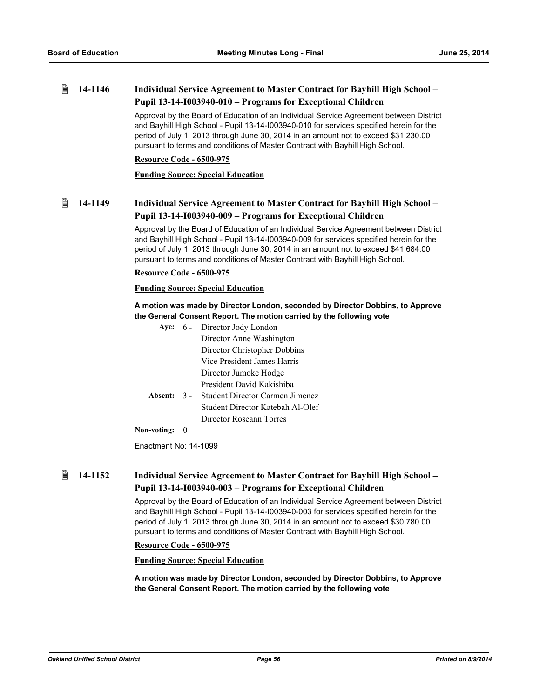#### ₿ **14-1146 Individual Service Agreement to Master Contract for Bayhill High School – Pupil 13-14-I003940-010 – Programs for Exceptional Children**

Approval by the Board of Education of an Individual Service Agreement between District and Bayhill High School - Pupil 13-14-I003940-010 for services specified herein for the period of July 1, 2013 through June 30, 2014 in an amount not to exceed \$31,230.00 pursuant to terms and conditions of Master Contract with Bayhill High School.

**Resource Code - 6500-975**

**Funding Source: Special Education**

#### **14-1149 Individual Service Agreement to Master Contract for Bayhill High School –**  ₿ **Pupil 13-14-I003940-009 – Programs for Exceptional Children**

Approval by the Board of Education of an Individual Service Agreement between District and Bayhill High School - Pupil 13-14-I003940-009 for services specified herein for the period of July 1, 2013 through June 30, 2014 in an amount not to exceed \$41,684.00 pursuant to terms and conditions of Master Contract with Bayhill High School.

# **Resource Code - 6500-975**

## **Funding Source: Special Education**

**A motion was made by Director London, seconded by Director Dobbins, to Approve the General Consent Report. The motion carried by the following vote**

Aye: 6 - Director Jody London Director Anne Washington Director Christopher Dobbins Vice President James Harris Director Jumoke Hodge President David Kakishiba **Absent:** Student Director Carmen Jimenez Student Director Katebah Al-Olef Director Roseann Torres Absent:  $3 -$ 

#### **Non-voting:** 0

Enactment No: 14-1099

#### ₿ **14-1152 Individual Service Agreement to Master Contract for Bayhill High School – Pupil 13-14-I003940-003 – Programs for Exceptional Children**

Approval by the Board of Education of an Individual Service Agreement between District and Bayhill High School - Pupil 13-14-I003940-003 for services specified herein for the period of July 1, 2013 through June 30, 2014 in an amount not to exceed \$30,780.00 pursuant to terms and conditions of Master Contract with Bayhill High School.

# **Resource Code - 6500-975**

**Funding Source: Special Education**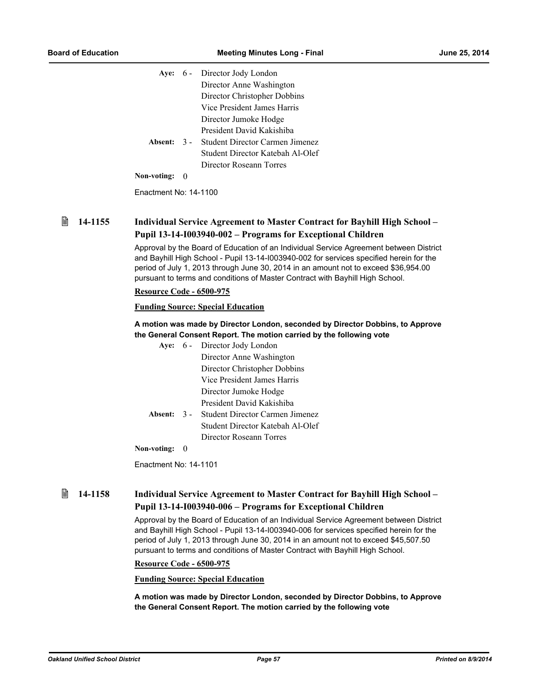|               | Aye: 6 - Director Jody London          |
|---------------|----------------------------------------|
|               | Director Anne Washington               |
|               | Director Christopher Dobbins           |
|               | Vice President James Harris            |
|               | Director Jumoke Hodge                  |
|               | President David Kakishiba              |
| Absent: $3 -$ | <b>Student Director Carmen Jimenez</b> |
|               | Student Director Katebah Al-Olef       |
|               | Director Roseann Torres                |
| Non-voting:   |                                        |

#### 眥 **14-1155 Individual Service Agreement to Master Contract for Bayhill High School – Pupil 13-14-I003940-002 – Programs for Exceptional Children**

Approval by the Board of Education of an Individual Service Agreement between District and Bayhill High School - Pupil 13-14-I003940-002 for services specified herein for the period of July 1, 2013 through June 30, 2014 in an amount not to exceed \$36,954.00 pursuant to terms and conditions of Master Contract with Bayhill High School.

# **Resource Code - 6500-975**

## **Funding Source: Special Education**

# **A motion was made by Director London, seconded by Director Dobbins, to Approve the General Consent Report. The motion carried by the following vote**

|               | Aye: 6 - Director Jody London          |
|---------------|----------------------------------------|
|               | Director Anne Washington               |
|               | Director Christopher Dobbins           |
|               | Vice President James Harris            |
|               | Director Jumoke Hodge                  |
|               | President David Kakishiba              |
| Absent: $3 -$ | <b>Student Director Carmen Jimenez</b> |
|               | Student Director Katebah Al-Olef       |
|               | Director Roseann Torres                |

**Non-voting:** 0

Enactment No: 14-1101

#### **14-1158 Individual Service Agreement to Master Contract for Bayhill High School –**  B. **Pupil 13-14-I003940-006 – Programs for Exceptional Children**

Approval by the Board of Education of an Individual Service Agreement between District and Bayhill High School - Pupil 13-14-I003940-006 for services specified herein for the period of July 1, 2013 through June 30, 2014 in an amount not to exceed \$45,507.50 pursuant to terms and conditions of Master Contract with Bayhill High School.

### **Resource Code - 6500-975**

# **Funding Source: Special Education**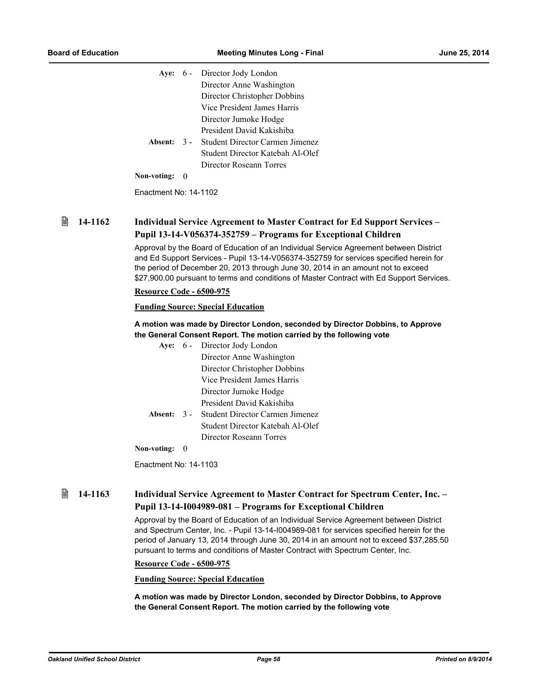|               | Aye: 6 - Director Jody London          |
|---------------|----------------------------------------|
|               | Director Anne Washington               |
|               | Director Christopher Dobbins           |
|               | Vice President James Harris            |
|               | Director Jumoke Hodge                  |
|               | President David Kakishiba              |
| Absent: $3 -$ | <b>Student Director Carmen Jimenez</b> |
|               | Student Director Katebah Al-Olef       |
|               | Director Roseann Torres                |
| Non-voting:   |                                        |

#### 眥 **14-1162 Individual Service Agreement to Master Contract for Ed Support Services – Pupil 13-14-V056374-352759 – Programs for Exceptional Children**

Approval by the Board of Education of an Individual Service Agreement between District and Ed Support Services - Pupil 13-14-V056374-352759 for services specified herein for the period of December 20, 2013 through June 30, 2014 in an amount not to exceed \$27,900.00 pursuant to terms and conditions of Master Contract with Ed Support Services.

# **Resource Code - 6500-975**

## **Funding Source: Special Education**

# **A motion was made by Director London, seconded by Director Dobbins, to Approve the General Consent Report. The motion carried by the following vote**

|               | Aye: 6 - Director Jody London          |
|---------------|----------------------------------------|
|               | Director Anne Washington               |
|               | Director Christopher Dobbins           |
|               | Vice President James Harris            |
|               | Director Jumoke Hodge                  |
|               | President David Kakishiba              |
| Absent: $3 -$ | <b>Student Director Carmen Jimenez</b> |
|               | Student Director Katebah Al-Olef       |
|               | Director Roseann Torres                |

**Non-voting:** 0

Enactment No: 14-1103

#### **14-1163 Individual Service Agreement to Master Contract for Spectrum Center, Inc. –**  ₿ **Pupil 13-14-I004989-081 – Programs for Exceptional Children**

Approval by the Board of Education of an Individual Service Agreement between District and Spectrum Center, Inc. - Pupil 13-14-I004989-081 for services specified herein for the period of January 13, 2014 through June 30, 2014 in an amount not to exceed \$37,285.50 pursuant to terms and conditions of Master Contract with Spectrum Center, Inc.

### **Resource Code - 6500-975**

# **Funding Source: Special Education**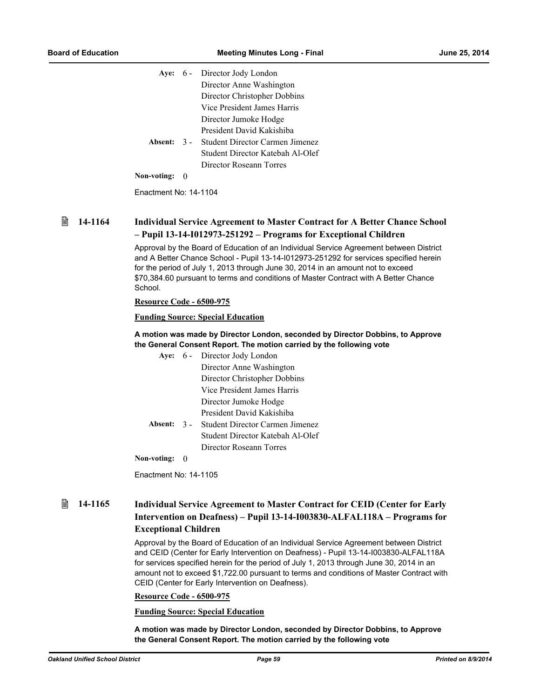|             | Aye: 6 - Director Jody London                      |
|-------------|----------------------------------------------------|
|             | Director Anne Washington                           |
|             | Director Christopher Dobbins                       |
|             | Vice President James Harris                        |
|             | Director Jumoke Hodge                              |
|             | President David Kakishiba                          |
|             | <b>Absent:</b> 3 - Student Director Carmen Jimenez |
|             | Student Director Katebah Al-Olef                   |
|             | Director Roseann Torres                            |
| Non-voting: |                                                    |

# **14-1164 Individual Service Agreement to Master Contract for A Better Chance School – Pupil 13-14-I012973-251292 – Programs for Exceptional Children**

Approval by the Board of Education of an Individual Service Agreement between District and A Better Chance School - Pupil 13-14-I012973-251292 for services specified herein for the period of July 1, 2013 through June 30, 2014 in an amount not to exceed \$70,384.60 pursuant to terms and conditions of Master Contract with A Better Chance School.

#### **Resource Code - 6500-975**

# **Funding Source: Special Education**

# **A motion was made by Director London, seconded by Director Dobbins, to Approve the General Consent Report. The motion carried by the following vote**

|               | Aye: 6 - Director Jody London          |
|---------------|----------------------------------------|
|               | Director Anne Washington               |
|               | Director Christopher Dobbins           |
|               | Vice President James Harris            |
|               | Director Jumoke Hodge                  |
|               | President David Kakishiba              |
| Absent: $3 -$ | <b>Student Director Carmen Jimenez</b> |
|               | Student Director Katebah Al-Olef       |
|               | Director Roseann Torres                |
|               |                                        |

**Non-voting:** 0

Enactment No: 14-1105

# **14-1165 Individual Service Agreement to Master Contract for CEID (Center for Early Intervention on Deafness) – Pupil 13-14-I003830-ALFAL118A – Programs for Exceptional Children**

Approval by the Board of Education of an Individual Service Agreement between District and CEID (Center for Early Intervention on Deafness) - Pupil 13-14-I003830-ALFAL118A for services specified herein for the period of July 1, 2013 through June 30, 2014 in an amount not to exceed \$1,722.00 pursuant to terms and conditions of Master Contract with CEID (Center for Early Intervention on Deafness).

# **Resource Code - 6500-975**

# **Funding Source: Special Education**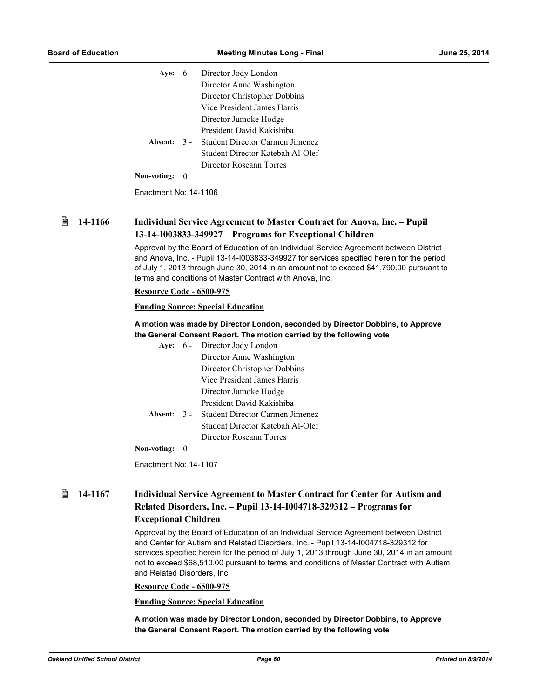|               | Aye: 6 - Director Jody London    |
|---------------|----------------------------------|
|               | Director Anne Washington         |
|               | Director Christopher Dobbins     |
|               | Vice President James Harris      |
|               | Director Jumoke Hodge            |
|               | President David Kakishiba        |
| Absent: $3 -$ | Student Director Carmen Jimenez  |
|               | Student Director Katebah Al-Olef |
|               | Director Roseann Torres          |
| Non-voting:   |                                  |

#### 眥 **14-1166 Individual Service Agreement to Master Contract for Anova, Inc. – Pupil 13-14-I003833-349927 – Programs for Exceptional Children**

Approval by the Board of Education of an Individual Service Agreement between District and Anova, Inc. - Pupil 13-14-I003833-349927 for services specified herein for the period of July 1, 2013 through June 30, 2014 in an amount not to exceed \$41,790.00 pursuant to terms and conditions of Master Contract with Anova, Inc.

# **Resource Code - 6500-975**

## **Funding Source: Special Education**

# **A motion was made by Director London, seconded by Director Dobbins, to Approve the General Consent Report. The motion carried by the following vote**

|              | Aye: 6 - Director Jody London          |  |
|--------------|----------------------------------------|--|
|              | Director Anne Washington               |  |
|              | Director Christopher Dobbins           |  |
|              | Vice President James Harris            |  |
|              | Director Jumoke Hodge                  |  |
|              | President David Kakishiba              |  |
| Absent: $3-$ | <b>Student Director Carmen Jimenez</b> |  |
|              | Student Director Katebah Al-Olef       |  |
|              | Director Roseann Torres                |  |

**Non-voting:** 0

Enactment No: 14-1107

# **14-1167 Individual Service Agreement to Master Contract for Center for Autism and Related Disorders, Inc. – Pupil 13-14-I004718-329312 – Programs for Exceptional Children**

Approval by the Board of Education of an Individual Service Agreement between District and Center for Autism and Related Disorders, Inc. - Pupil 13-14-I004718-329312 for services specified herein for the period of July 1, 2013 through June 30, 2014 in an amount not to exceed \$68,510.00 pursuant to terms and conditions of Master Contract with Autism and Related Disorders, Inc.

# **Resource Code - 6500-975**

**Funding Source: Special Education**

**A motion was made by Director London, seconded by Director Dobbins, to Approve the General Consent Report. The motion carried by the following vote**

₿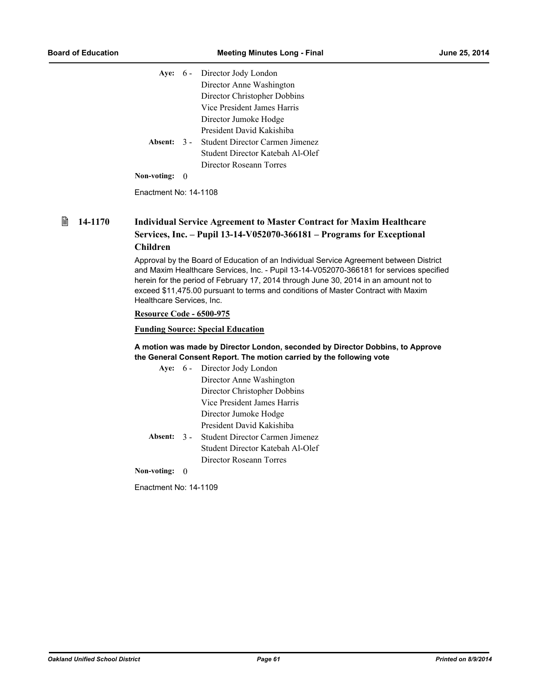|               | Aye: 6 - Director Jody London          |
|---------------|----------------------------------------|
|               | Director Anne Washington               |
|               | Director Christopher Dobbins           |
|               | Vice President James Harris            |
|               | Director Jumoke Hodge                  |
|               | President David Kakishiba              |
| Absent: $3 -$ | <b>Student Director Carmen Jimenez</b> |
|               | Student Director Katebah Al-Olef       |
|               | Director Roseann Torres                |
| Non-voting:   |                                        |

#### 昏 **14-1170 Individual Service Agreement to Master Contract for Maxim Healthcare Services, Inc. – Pupil 13-14-V052070-366181 – Programs for Exceptional Children**

Approval by the Board of Education of an Individual Service Agreement between District and Maxim Healthcare Services, Inc. - Pupil 13-14-V052070-366181 for services specified herein for the period of February 17, 2014 through June 30, 2014 in an amount not to exceed \$11,475.00 pursuant to terms and conditions of Master Contract with Maxim Healthcare Services, Inc.

### **Resource Code - 6500-975**

# **Funding Source: Special Education**

# **A motion was made by Director London, seconded by Director Dobbins, to Approve the General Consent Report. The motion carried by the following vote**

|              | Aye: 6 - Director Jody London          |
|--------------|----------------------------------------|
|              | Director Anne Washington               |
|              | Director Christopher Dobbins           |
|              | Vice President James Harris            |
|              | Director Jumoke Hodge                  |
|              | President David Kakishiba              |
| Absent: $3-$ | <b>Student Director Carmen Jimenez</b> |
|              | Student Director Katebah Al-Olef       |
|              | Director Roseann Torres                |

**Non-voting:** 0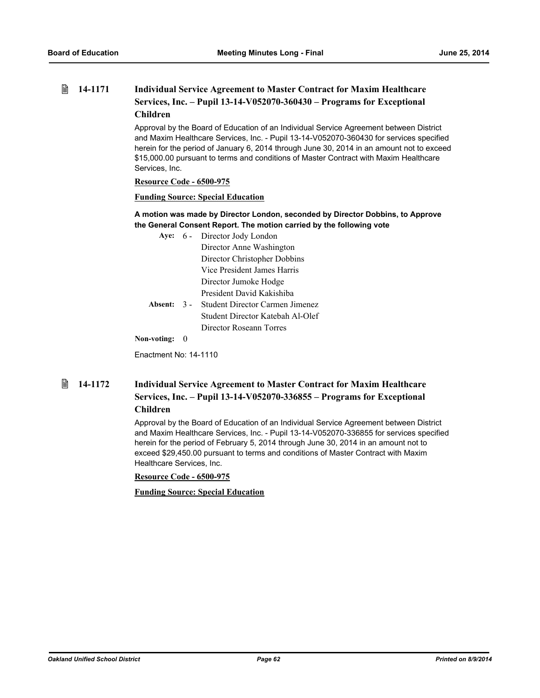#### 昏 **14-1171 Individual Service Agreement to Master Contract for Maxim Healthcare Services, Inc. – Pupil 13-14-V052070-360430 – Programs for Exceptional Children**

Approval by the Board of Education of an Individual Service Agreement between District and Maxim Healthcare Services, Inc. - Pupil 13-14-V052070-360430 for services specified herein for the period of January 6, 2014 through June 30, 2014 in an amount not to exceed \$15,000.00 pursuant to terms and conditions of Master Contract with Maxim Healthcare Services, Inc.

# **Resource Code - 6500-975**

# **Funding Source: Special Education**

**A motion was made by Director London, seconded by Director Dobbins, to Approve the General Consent Report. The motion carried by the following vote**

Aye: 6 - Director Jody London Director Anne Washington Director Christopher Dobbins Vice President James Harris Director Jumoke Hodge President David Kakishiba Absent: 3 - Student Director Carmen Jimenez Student Director Katebah Al-Olef

Director Roseann Torres

**Non-voting:** 0

Enactment No: 14-1110

# B.

# **14-1172 Individual Service Agreement to Master Contract for Maxim Healthcare Services, Inc. – Pupil 13-14-V052070-336855 – Programs for Exceptional Children**

Approval by the Board of Education of an Individual Service Agreement between District and Maxim Healthcare Services, Inc. - Pupil 13-14-V052070-336855 for services specified herein for the period of February 5, 2014 through June 30, 2014 in an amount not to exceed \$29,450.00 pursuant to terms and conditions of Master Contract with Maxim Healthcare Services, Inc.

**Resource Code - 6500-975**

# **Funding Source: Special Education**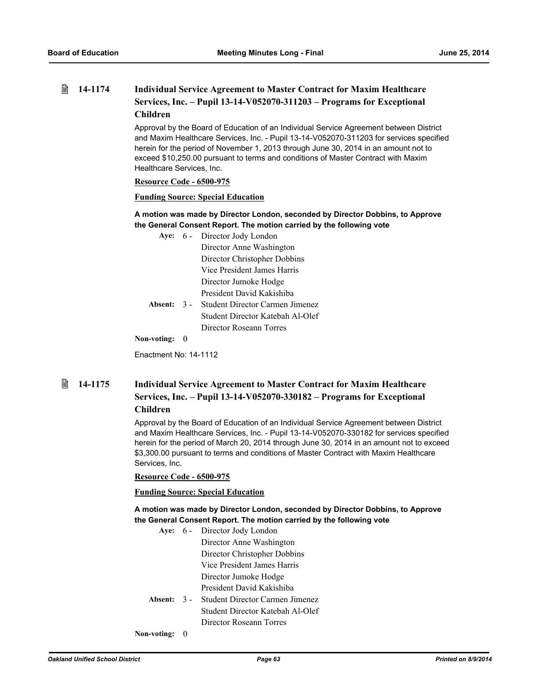#### 昏 **14-1174 Individual Service Agreement to Master Contract for Maxim Healthcare Services, Inc. – Pupil 13-14-V052070-311203 – Programs for Exceptional Children**

Approval by the Board of Education of an Individual Service Agreement between District and Maxim Healthcare Services, Inc. - Pupil 13-14-V052070-311203 for services specified herein for the period of November 1, 2013 through June 30, 2014 in an amount not to exceed \$10,250.00 pursuant to terms and conditions of Master Contract with Maxim Healthcare Services, Inc.

# **Resource Code - 6500-975**

# **Funding Source: Special Education**

**A motion was made by Director London, seconded by Director Dobbins, to Approve the General Consent Report. The motion carried by the following vote**

Aye: 6 - Director Jody London Director Anne Washington Director Christopher Dobbins Vice President James Harris Director Jumoke Hodge President David Kakishiba Absent: 3 - Student Director Carmen Jimenez Student Director Katebah Al-Olef Director Roseann Torres

**Non-voting:** 0

Enactment No: 14-1112

# **14-1175 Individual Service Agreement to Master Contract for Maxim Healthcare Services, Inc. – Pupil 13-14-V052070-330182 – Programs for Exceptional Children**

Approval by the Board of Education of an Individual Service Agreement between District and Maxim Healthcare Services, Inc. - Pupil 13-14-V052070-330182 for services specified herein for the period of March 20, 2014 through June 30, 2014 in an amount not to exceed \$3,300.00 pursuant to terms and conditions of Master Contract with Maxim Healthcare Services, Inc.

**Resource Code - 6500-975**

# **Funding Source: Special Education**

**A motion was made by Director London, seconded by Director Dobbins, to Approve the General Consent Report. The motion carried by the following vote**

Aye: 6 - Director Jody London Director Anne Washington Director Christopher Dobbins Vice President James Harris Director Jumoke Hodge President David Kakishiba **Absent:** Student Director Carmen Jimenez Student Director Katebah Al-Olef Director Roseann Torres Absent:  $3 -$ 

**Non-voting:** 0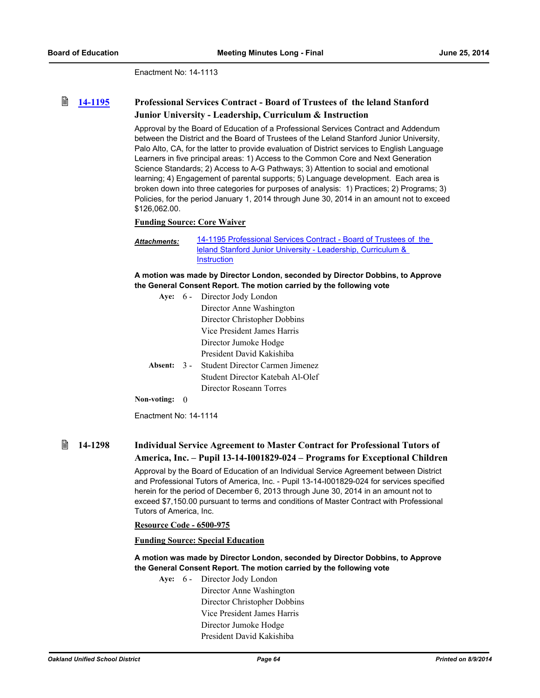#### 窅 **[14-1195](http://ousd.legistar.com/gateway.aspx?m=l&id=/matter.aspx?key=32885) Professional Services Contract - Board of Trustees of the leland Stanford Junior University - Leadership, Curriculum & Instruction**

Approval by the Board of Education of a Professional Services Contract and Addendum between the District and the Board of Trustees of the Leland Stanford Junior University, Palo Alto, CA, for the latter to provide evaluation of District services to English Language Learners in five principal areas: 1) Access to the Common Core and Next Generation Science Standards; 2) Access to A-G Pathways; 3) Attention to social and emotional learning; 4) Engagement of parental supports; 5) Language development. Each area is broken down into three categories for purposes of analysis: 1) Practices; 2) Programs; 3) Policies, for the period January 1, 2014 through June 30, 2014 in an amount not to exceed \$126,062.00.

## **Funding Source: Core Waiver**

```
14-1195 Professional Services Contract - Board of Trustees of the 
                 leland Stanford Junior University - Leadership, Curriculum & 
                 Instruction
Attachments:
```
**A motion was made by Director London, seconded by Director Dobbins, to Approve the General Consent Report. The motion carried by the following vote**

|             | Aye: 6 - Director Jody London       |
|-------------|-------------------------------------|
|             | Director Anne Washington            |
|             | Director Christopher Dobbins        |
|             | Vice President James Harris         |
|             | Director Jumoke Hodge               |
|             | President David Kakishiba           |
| Absent:     | 3 - Student Director Carmen Jimenez |
|             | Student Director Katebah Al-Olef    |
|             | Director Roseann Torres             |
| Non-voting: |                                     |

Enactment No: 14-1114

₿

# **14-1298 Individual Service Agreement to Master Contract for Professional Tutors of America, Inc. – Pupil 13-14-I001829-024 – Programs for Exceptional Children**

Approval by the Board of Education of an Individual Service Agreement between District and Professional Tutors of America, Inc. - Pupil 13-14-I001829-024 for services specified herein for the period of December 6, 2013 through June 30, 2014 in an amount not to exceed \$7,150.00 pursuant to terms and conditions of Master Contract with Professional Tutors of America, Inc.

**Resource Code - 6500-975**

## **Funding Source: Special Education**

- Aye: 6 Director Jody London
	- Director Anne Washington Director Christopher Dobbins Vice President James Harris Director Jumoke Hodge President David Kakishiba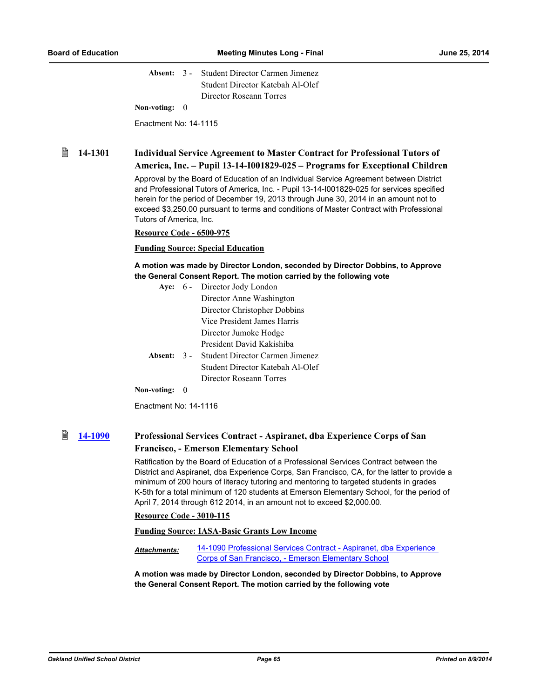|  | <b>Absent:</b> 3 - Student Director Carmen Jimenez |
|--|----------------------------------------------------|
|  | Student Director Katebah Al-Olef                   |
|  | Director Roseann Torres                            |

**Non-voting:** 0

Enactment No: 14-1115

#### **14-1301 Individual Service Agreement to Master Contract for Professional Tutors of**  眥 **America, Inc. – Pupil 13-14-I001829-025 – Programs for Exceptional Children**

Approval by the Board of Education of an Individual Service Agreement between District and Professional Tutors of America, Inc. - Pupil 13-14-I001829-025 for services specified herein for the period of December 19, 2013 through June 30, 2014 in an amount not to exceed \$3,250.00 pursuant to terms and conditions of Master Contract with Professional Tutors of America, Inc.

# **Resource Code - 6500-975**

#### **Funding Source: Special Education**

**A motion was made by Director London, seconded by Director Dobbins, to Approve the General Consent Report. The motion carried by the following vote**

Aye: 6 - Director Jody London Director Anne Washington Director Christopher Dobbins Vice President James Harris Director Jumoke Hodge President David Kakishiba **Absent:** Student Director Carmen Jimenez Student Director Katebah Al-Olef Director Roseann Torres Absent:  $3 -$ 

**Non-voting:** 0

Enactment No: 14-1116

# **[14-1090](http://ousd.legistar.com/gateway.aspx?m=l&id=/matter.aspx?key=32790) Professional Services Contract - Aspiranet, dba Experience Corps of San Francisco, - Emerson Elementary School**

Ratification by the Board of Education of a Professional Services Contract between the District and Aspiranet, dba Experience Corps, San Francisco, CA, for the latter to provide a minimum of 200 hours of literacy tutoring and mentoring to targeted students in grades K-5th for a total minimum of 120 students at Emerson Elementary School, for the period of April 7, 2014 through 612 2014, in an amount not to exceed \$2,000.00.

#### **Resource Code - 3010-115**

### **Funding Source: IASA-Basic Grants Low Income**

[14-1090 Professional Services Contract - Aspiranet, dba Experience](http://ousd.legistar.com/gateway.aspx?M=F&ID=76512.pdf)  Corps of San Francisco, - Emerson Elementary School *Attachments:*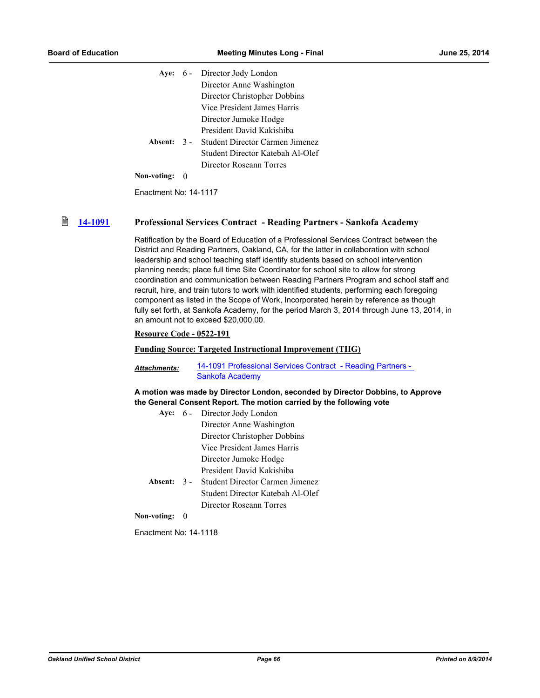|               | Aye: 6 - Director Jody London    |
|---------------|----------------------------------|
|               | Director Anne Washington         |
|               | Director Christopher Dobbins     |
|               | Vice President James Harris      |
|               | Director Jumoke Hodge            |
|               | President David Kakishiba        |
| Absent: $3 -$ | Student Director Carmen Jimenez  |
|               | Student Director Katebah Al-Olef |
|               | Director Roseann Torres          |
| Non-voting:   |                                  |

## **[14-1091](http://ousd.legistar.com/gateway.aspx?m=l&id=/matter.aspx?key=32791) Professional Services Contract - Reading Partners - Sankofa Academy**

Ratification by the Board of Education of a Professional Services Contract between the District and Reading Partners, Oakland, CA, for the latter in collaboration with school leadership and school teaching staff identify students based on school intervention planning needs; place full time Site Coordinator for school site to allow for strong coordination and communication between Reading Partners Program and school staff and recruit, hire, and train tutors to work with identified students, performing each foregoing component as listed in the Scope of Work, Incorporated herein by reference as though fully set forth, at Sankofa Academy, for the period March 3, 2014 through June 13, 2014, in an amount not to exceed \$20,000.00.

# **Resource Code - 0522-191**

# **Funding Source: Targeted Instructional Improvement (TIIG)**

| <b>Attachments:</b> | 14-1091 Professional Services Contract - Reading Partners - |
|---------------------|-------------------------------------------------------------|
|                     | Sankofa Academy                                             |

**A motion was made by Director London, seconded by Director Dobbins, to Approve the General Consent Report. The motion carried by the following vote**

Aye: 6 - Director Jody London Director Anne Washington Director Christopher Dobbins Vice President James Harris Director Jumoke Hodge President David Kakishiba **Absent:** Student Director Carmen Jimenez Student Director Katebah Al-Olef Director Roseann Torres Absent:  $3 -$ **Non-voting:** 0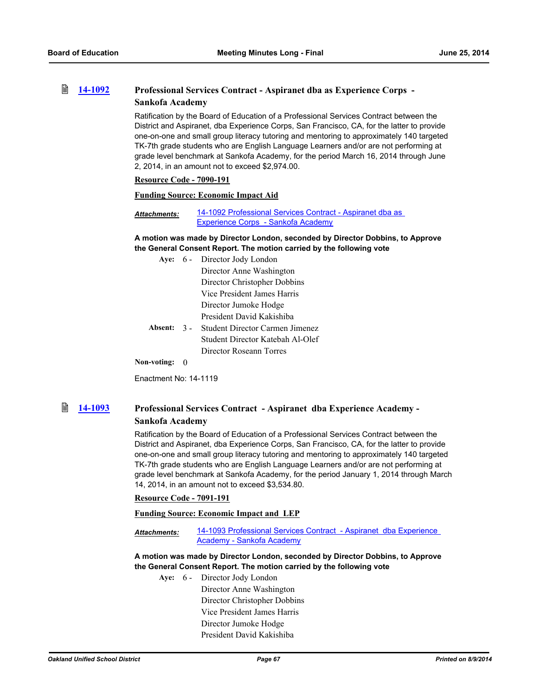#### ₿ **[14-1092](http://ousd.legistar.com/gateway.aspx?m=l&id=/matter.aspx?key=32792) Professional Services Contract - Aspiranet dba as Experience Corps - Sankofa Academy**

Ratification by the Board of Education of a Professional Services Contract between the District and Aspiranet, dba Experience Corps, San Francisco, CA, for the latter to provide one-on-one and small group literacy tutoring and mentoring to approximately 140 targeted TK-7th grade students who are English Language Learners and/or are not performing at grade level benchmark at Sankofa Academy, for the period March 16, 2014 through June 2, 2014, in an amount not to exceed \$2,974.00.

# **Resource Code - 7090-191**

#### **Funding Source: Economic Impact Aid**

[14-1092 Professional Services Contract - Aspiranet dba as](http://ousd.legistar.com/gateway.aspx?M=F&ID=76514.pdf)  Experience Corps - Sankofa Academy *Attachments:*

# **A motion was made by Director London, seconded by Director Dobbins, to Approve the General Consent Report. The motion carried by the following vote**

|         |       | Aye: 6 - Director Jody London          |
|---------|-------|----------------------------------------|
|         |       | Director Anne Washington               |
|         |       | Director Christopher Dobbins           |
|         |       | Vice President James Harris            |
|         |       | Director Jumoke Hodge                  |
|         |       | President David Kakishiba              |
| Absent: | $3 -$ | <b>Student Director Carmen Jimenez</b> |
|         |       | Student Director Katebah Al-Olef       |
|         |       | Director Roseann Torres                |

**Non-voting:** 0

Enactment No: 14-1119

# **[14-1093](http://ousd.legistar.com/gateway.aspx?m=l&id=/matter.aspx?key=32793) Professional Services Contract - Aspiranet dba Experience Academy - Sankofa Academy**

Ratification by the Board of Education of a Professional Services Contract between the District and Aspiranet, dba Experience Corps, San Francisco, CA, for the latter to provide one-on-one and small group literacy tutoring and mentoring to approximately 140 targeted TK-7th grade students who are English Language Learners and/or are not performing at grade level benchmark at Sankofa Academy, for the period January 1, 2014 through March 14, 2014, in an amount not to exceed \$3,534.80.

## **Resource Code - 7091-191**

**Funding Source: Economic Impact and LEP**

[14-1093 Professional Services Contract - Aspiranet dba Experience](http://ousd.legistar.com/gateway.aspx?M=F&ID=76515.pdf)  Academy - Sankofa Academy *Attachments:*

# **A motion was made by Director London, seconded by Director Dobbins, to Approve the General Consent Report. The motion carried by the following vote**

### Aye: 6 - Director Jody London

Director Anne Washington Director Christopher Dobbins Vice President James Harris Director Jumoke Hodge President David Kakishiba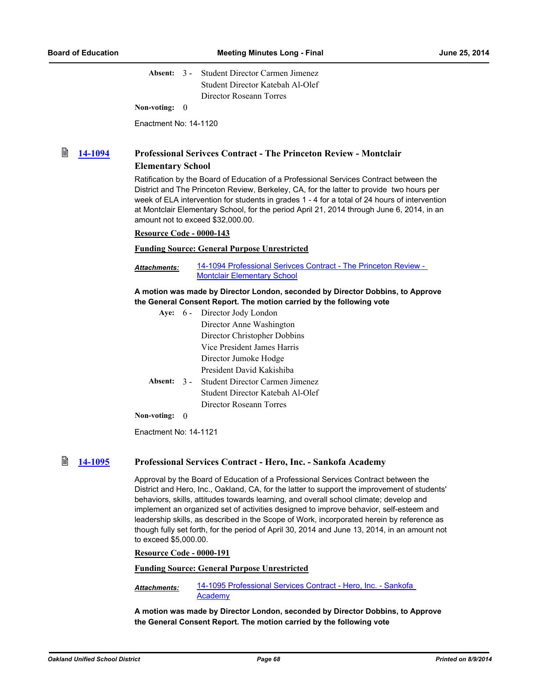|  | <b>Absent:</b> 3 - Student Director Carmen Jimenez |
|--|----------------------------------------------------|
|  | Student Director Katebah Al-Olef                   |
|  | Director Roseann Torres                            |

**Non-voting:** 0

Enactment No: 14-1120

# **[14-1094](http://ousd.legistar.com/gateway.aspx?m=l&id=/matter.aspx?key=32794) Professional Serivces Contract - The Princeton Review - Montclair Elementary School**

Ratification by the Board of Education of a Professional Services Contract between the District and The Princeton Review, Berkeley, CA, for the latter to provide two hours per week of ELA intervention for students in grades 1 - 4 for a total of 24 hours of intervention at Montclair Elementary School, for the period April 21, 2014 through June 6, 2014, in an amount not to exceed \$32,000.00.

### **Resource Code - 0000-143**

## **Funding Source: General Purpose Unrestricted**

[14-1094 Professional Serivces Contract - The Princeton Review -](http://ousd.legistar.com/gateway.aspx?M=F&ID=76516.pdf)  Montclair Elementary School *Attachments:*

**A motion was made by Director London, seconded by Director Dobbins, to Approve the General Consent Report. The motion carried by the following vote**

Aye: 6 - Director Jody London Director Anne Washington Director Christopher Dobbins Vice President James Harris Director Jumoke Hodge President David Kakishiba **Student Director Carmen Jimenez** Student Director Katebah Al-Olef Director Roseann Torres Absent: 3 -

**Non-voting:** 0

Enactment No: 14-1121

# **[14-1095](http://ousd.legistar.com/gateway.aspx?m=l&id=/matter.aspx?key=32795) Professional Services Contract - Hero, Inc. - Sankofa Academy**

Approval by the Board of Education of a Professional Services Contract between the District and Hero, Inc., Oakland, CA, for the latter to support the improvement of students' behaviors, skills, attitudes towards learning, and overall school climate; develop and implement an organized set of activities designed to improve behavior, self-esteem and leadership skills, as described in the Scope of Work, incorporated herein by reference as though fully set forth, for the period of April 30, 2014 and June 13, 2014, in an amount not to exceed \$5,000.00.

**Resource Code - 0000-191**

**Funding Source: General Purpose Unrestricted**

[14-1095 Professional Services Contract - Hero, Inc. - Sankofa](http://ousd.legistar.com/gateway.aspx?M=F&ID=76517.pdf)  Academy *Attachments:*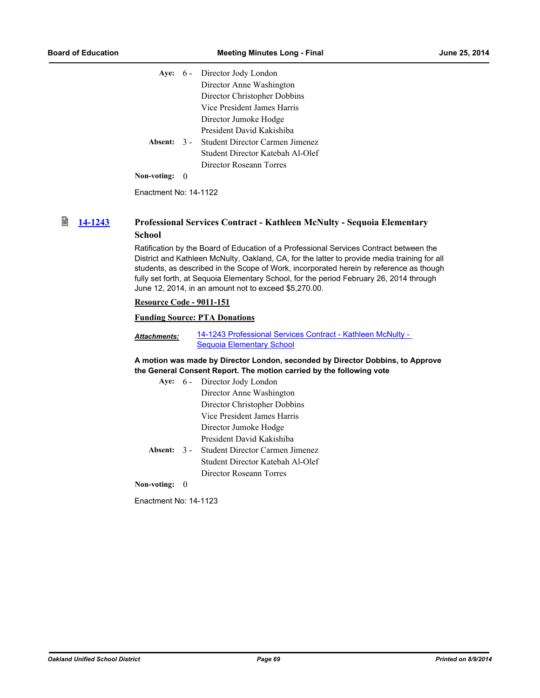|             | Aye: 6 - Director Jody London                      |
|-------------|----------------------------------------------------|
|             | Director Anne Washington                           |
|             | Director Christopher Dobbins                       |
|             | Vice President James Harris                        |
|             | Director Jumoke Hodge                              |
|             | President David Kakishiba                          |
|             | <b>Absent:</b> 3 - Student Director Carmen Jimenez |
|             | Student Director Katebah Al-Olef                   |
|             | Director Roseann Torres                            |
| Non-voting: |                                                    |

# 誾

# **[14-1243](http://ousd.legistar.com/gateway.aspx?m=l&id=/matter.aspx?key=32931) Professional Services Contract - Kathleen McNulty - Sequoia Elementary School**

Ratification by the Board of Education of a Professional Services Contract between the District and Kathleen McNulty, Oakland, CA, for the latter to provide media training for all students, as described in the Scope of Work, incorporated herein by reference as though fully set forth, at Sequoia Elementary School, for the period February 26, 2014 through June 12, 2014, in an amount not to exceed \$5,270.00.

# **Resource Code - 9011-151**

# **Funding Source: PTA Donations**

[14-1243 Professional Services Contract - Kathleen McNulty -](http://ousd.legistar.com/gateway.aspx?M=F&ID=76560.pdf)  Sequoia Elementary School *Attachments:*

# **A motion was made by Director London, seconded by Director Dobbins, to Approve the General Consent Report. The motion carried by the following vote**

|             |       | Aye: 6 - Director Jody London    |
|-------------|-------|----------------------------------|
|             |       | Director Anne Washington         |
|             |       | Director Christopher Dobbins     |
|             |       | Vice President James Harris      |
|             |       | Director Jumoke Hodge            |
|             |       | President David Kakishiba        |
| Absent:     | $3 -$ | Student Director Carmen Jimenez  |
|             |       | Student Director Katebah Al-Olef |
|             |       | Director Roseann Torres          |
| Non-voting: |       |                                  |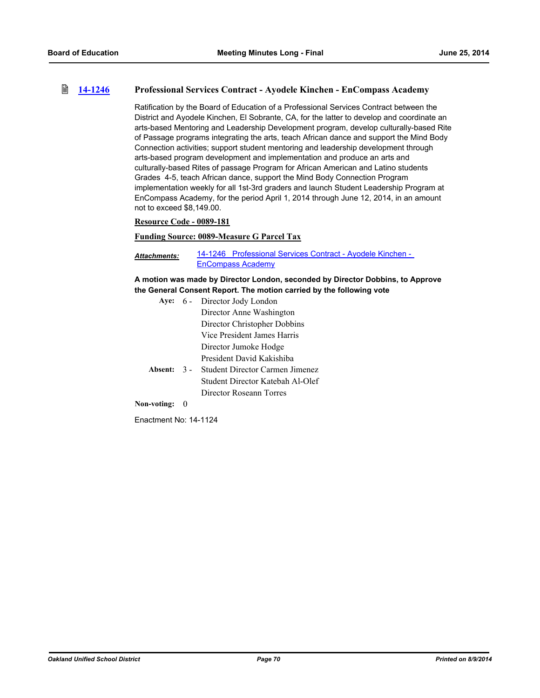#### 昏 **[14-1246](http://ousd.legistar.com/gateway.aspx?m=l&id=/matter.aspx?key=32934) Professional Services Contract - Ayodele Kinchen - EnCompass Academy**

Ratification by the Board of Education of a Professional Services Contract between the District and Ayodele Kinchen, El Sobrante, CA, for the latter to develop and coordinate an arts-based Mentoring and Leadership Development program, develop culturally-based Rite of Passage programs integrating the arts, teach African dance and support the Mind Body Connection activities; support student mentoring and leadership development through arts-based program development and implementation and produce an arts and culturally-based Rites of passage Program for African American and Latino students Grades 4-5, teach African dance, support the Mind Body Connection Program implementation weekly for all 1st-3rd graders and launch Student Leadership Program at EnCompass Academy, for the period April 1, 2014 through June 12, 2014, in an amount not to exceed \$8,149.00.

## **Resource Code - 0089-181**

## **Funding Source: 0089-Measure G Parcel Tax**

[14-1246 Professional Services Contract - Ayodele Kinchen -](http://ousd.legistar.com/gateway.aspx?M=F&ID=76564.pdf)  EnCompass Academy *Attachments:*

**A motion was made by Director London, seconded by Director Dobbins, to Approve the General Consent Report. The motion carried by the following vote**

Aye: 6 - Director Jody London Director Anne Washington Director Christopher Dobbins Vice President James Harris Director Jumoke Hodge President David Kakishiba **Absent:** Student Director Carmen Jimenez Student Director Katebah Al-Olef Director Roseann Torres Absent:  $3 -$ 

**Non-voting:** 0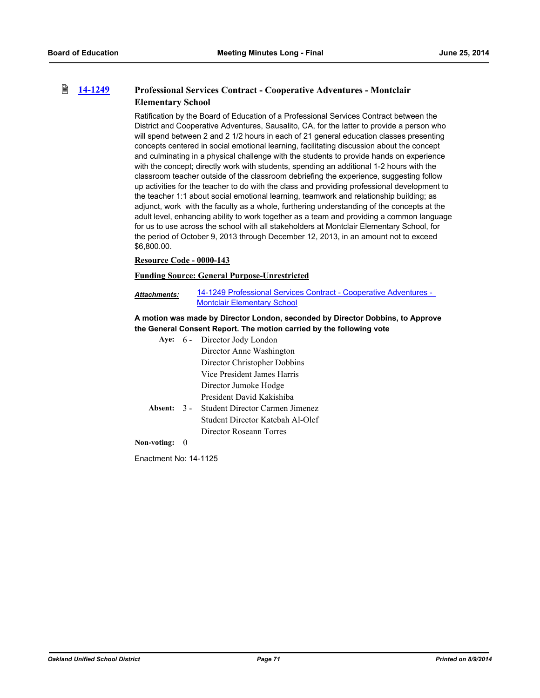#### 昏 **[14-1249](http://ousd.legistar.com/gateway.aspx?m=l&id=/matter.aspx?key=32937) Professional Services Contract - Cooperative Adventures - Montclair Elementary School**

Ratification by the Board of Education of a Professional Services Contract between the District and Cooperative Adventures, Sausalito, CA, for the latter to provide a person who will spend between 2 and 2 1/2 hours in each of 21 general education classes presenting concepts centered in social emotional learning, facilitating discussion about the concept and culminating in a physical challenge with the students to provide hands on experience with the concept; directly work with students, spending an additional 1-2 hours with the classroom teacher outside of the classroom debriefing the experience, suggesting follow up activities for the teacher to do with the class and providing professional development to the teacher 1:1 about social emotional learning, teamwork and relationship building; as adjunct, work with the faculty as a whole, furthering understanding of the concepts at the adult level, enhancing ability to work together as a team and providing a common language for us to use across the school with all stakeholders at Montclair Elementary School, for the period of October 9, 2013 through December 12, 2013, in an amount not to exceed \$6,800.00.

## **Resource Code - 0000-143**

**Funding Source: General Purpose-Unrestricted**

[14-1249 Professional Services Contract - Cooperative Adventures -](http://ousd.legistar.com/gateway.aspx?M=F&ID=76567.pdf)  Montclair Elementary School *Attachments:*

**A motion was made by Director London, seconded by Director Dobbins, to Approve the General Consent Report. The motion carried by the following vote**

|         |       | Aye: 6 - Director Jody London          |
|---------|-------|----------------------------------------|
|         |       | Director Anne Washington               |
|         |       | Director Christopher Dobbins           |
|         |       | Vice President James Harris            |
|         |       | Director Jumoke Hodge                  |
|         |       | President David Kakishiba              |
| Absent: | $3 -$ | <b>Student Director Carmen Jimenez</b> |
|         |       | Student Director Katebah Al-Olef       |
|         |       | Director Roseann Torres                |
|         |       |                                        |

**Non-voting:** 0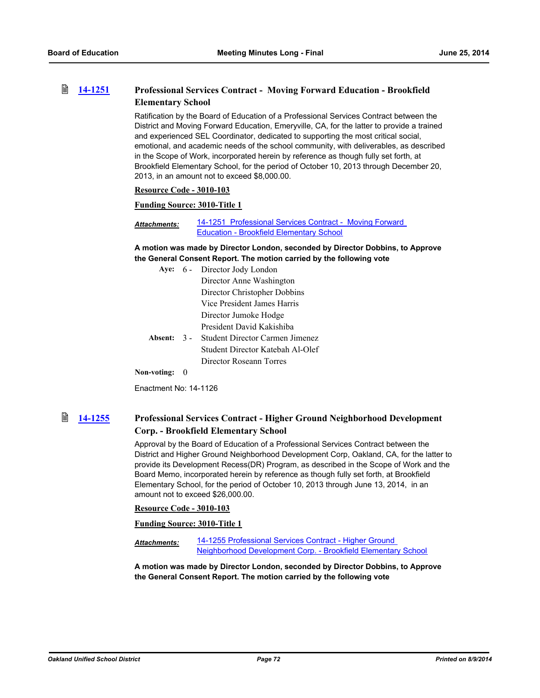#### ₿ **[14-1251](http://ousd.legistar.com/gateway.aspx?m=l&id=/matter.aspx?key=32939) Professional Services Contract - Moving Forward Education - Brookfield Elementary School**

Ratification by the Board of Education of a Professional Services Contract between the District and Moving Forward Education, Emeryville, CA, for the latter to provide a trained and experienced SEL Coordinator, dedicated to supporting the most critical social, emotional, and academic needs of the school community, with deliverables, as described in the Scope of Work, incorporated herein by reference as though fully set forth, at Brookfield Elementary School, for the period of October 10, 2013 through December 20, 2013, in an amount not to exceed \$8,000.00.

## **Resource Code - 3010-103**

## **Funding Source: 3010-Title 1**

[14-1251 Professional Services Contract - Moving Forward](http://ousd.legistar.com/gateway.aspx?M=F&ID=76571.pdf)  Education - Brookfield Elementary School *Attachments:*

## **A motion was made by Director London, seconded by Director Dobbins, to Approve the General Consent Report. The motion carried by the following vote**

|               | Aye: 6 - Director Jody London    |
|---------------|----------------------------------|
|               | Director Anne Washington         |
|               | Director Christopher Dobbins     |
|               | Vice President James Harris      |
|               | Director Jumoke Hodge            |
|               | President David Kakishiba        |
| Absent: $3 -$ | Student Director Carmen Jimenez  |
|               | Student Director Katebah Al-Olef |
|               | Director Roseann Torres          |
|               |                                  |

# **Non-voting:** 0

Enactment No: 14-1126

### 窅 **[14-1255](http://ousd.legistar.com/gateway.aspx?m=l&id=/matter.aspx?key=32943) Professional Services Contract - Higher Ground Neighborhood Development Corp. - Brookfield Elementary School**

Approval by the Board of Education of a Professional Services Contract between the District and Higher Ground Neighborhood Development Corp, Oakland, CA, for the latter to provide its Development Recess(DR) Program, as described in the Scope of Work and the Board Memo, incorporated herein by reference as though fully set forth, at Brookfield Elementary School, for the period of October 10, 2013 through June 13, 2014, in an amount not to exceed \$26,000.00.

## **Resource Code - 3010-103**

## **Funding Source: 3010-Title 1**

14-1255 Professional Services Contract - Higher Ground [Neighborhood Development Corp. - Brookfield Elementary School](http://ousd.legistar.com/gateway.aspx?M=F&ID=76576.pdf) *Attachments:*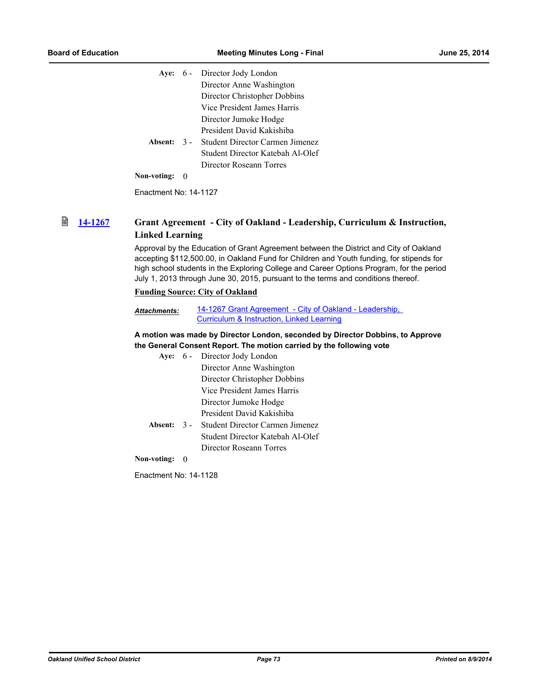|             | Aye: 6 - Director Jody London                      |
|-------------|----------------------------------------------------|
|             | Director Anne Washington                           |
|             | Director Christopher Dobbins                       |
|             | Vice President James Harris                        |
|             | Director Jumoke Hodge                              |
|             | President David Kakishiba                          |
|             | <b>Absent:</b> 3 - Student Director Carmen Jimenez |
|             | Student Director Katebah Al-Olef                   |
|             | Director Roseann Torres                            |
| Non-voting: |                                                    |

眥

# **[14-1267](http://ousd.legistar.com/gateway.aspx?m=l&id=/matter.aspx?key=32955) Grant Agreement - City of Oakland - Leadership, Curriculum & Instruction, Linked Learning**

Approval by the Education of Grant Agreement between the District and City of Oakland accepting \$112,500.00, in Oakland Fund for Children and Youth funding, for stipends for high school students in the Exploring College and Career Options Program, for the period July 1, 2013 through June 30, 2015, pursuant to the terms and conditions thereof.

# **Funding Source: City of Oakland**

[14-1267 Grant Agreement - City of Oakland - Leadership,](http://ousd.legistar.com/gateway.aspx?M=F&ID=76747.pdf)  Curriculum & Instruction, Linked Learning *Attachments:*

## **A motion was made by Director London, seconded by Director Dobbins, to Approve the General Consent Report. The motion carried by the following vote**

Aye: 6 - Director Jody London

Director Anne Washington Director Christopher Dobbins Vice President James Harris Director Jumoke Hodge President David Kakishiba

**Student Director Carmen Jimenez** Student Director Katebah Al-Olef Director Roseann Torres Absent:  $3 -$ 

**Non-voting:** 0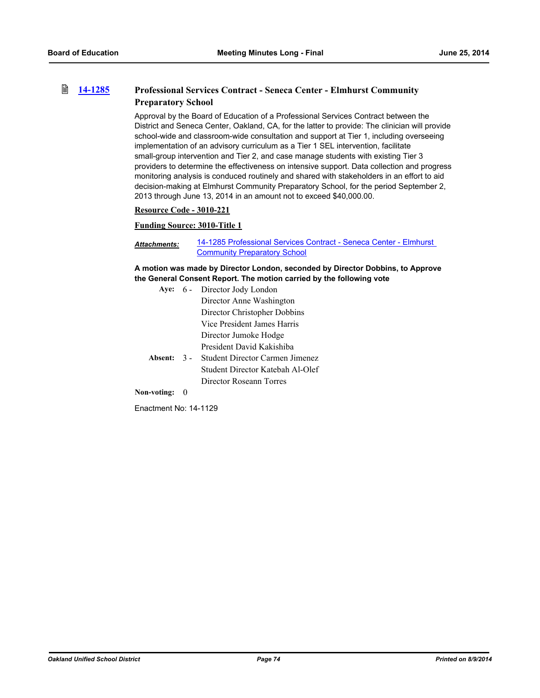### 昏 **[14-1285](http://ousd.legistar.com/gateway.aspx?m=l&id=/matter.aspx?key=32971) Professional Services Contract - Seneca Center - Elmhurst Community Preparatory School**

Approval by the Board of Education of a Professional Services Contract between the District and Seneca Center, Oakland, CA, for the latter to provide: The clinician will provide school-wide and classroom-wide consultation and support at Tier 1, including overseeing implementation of an advisory curriculum as a Tier 1 SEL intervention, facilitate small-group intervention and Tier 2, and case manage students with existing Tier 3 providers to determine the effectiveness on intensive support. Data collection and progress monitoring analysis is conduced routinely and shared with stakeholders in an effort to aid decision-making at Elmhurst Community Preparatory School, for the period September 2, 2013 through June 13, 2014 in an amount not to exceed \$40,000.00.

## **Resource Code - 3010-221**

## **Funding Source: 3010-Title 1**

[14-1285 Professional Services Contract - Seneca Center - Elmhurst](http://ousd.legistar.com/gateway.aspx?M=F&ID=76589.pdf)  **Community Preparatory School** *Attachments:*

# **A motion was made by Director London, seconded by Director Dobbins, to Approve the General Consent Report. The motion carried by the following vote**

|               | Aye: 6 - Director Jody London    |
|---------------|----------------------------------|
|               | Director Anne Washington         |
|               | Director Christopher Dobbins     |
|               | Vice President James Harris      |
|               | Director Jumoke Hodge            |
|               | President David Kakishiba        |
| Absent: $3 -$ | Student Director Carmen Jimenez  |
|               | Student Director Katebah Al-Olef |
|               | Director Roseann Torres          |
| Non-voting:   |                                  |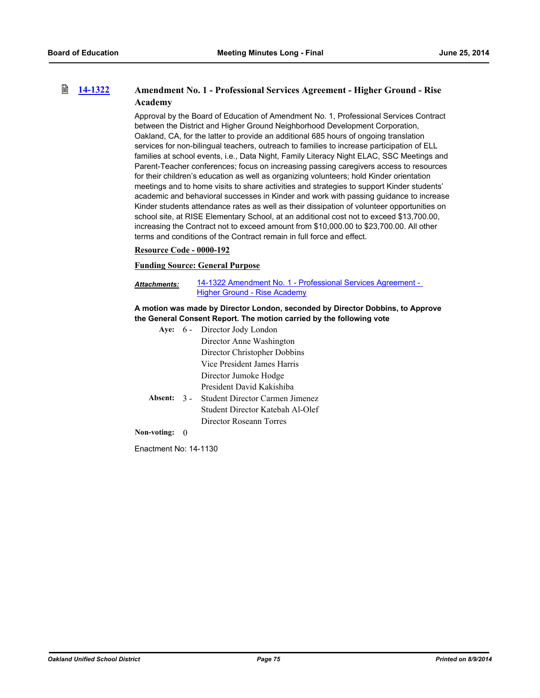### 昏 **[14-1322](http://ousd.legistar.com/gateway.aspx?m=l&id=/matter.aspx?key=33002) Amendment No. 1 - Professional Services Agreement - Higher Ground - Rise**

# **Academy**

Approval by the Board of Education of Amendment No. 1, Professional Services Contract between the District and Higher Ground Neighborhood Development Corporation, Oakland, CA, for the latter to provide an additional 685 hours of ongoing translation services for non-bilingual teachers, outreach to families to increase participation of ELL families at school events, i.e., Data Night, Family Literacy Night ELAC, SSC Meetings and Parent-Teacher conferences; focus on increasing passing caregivers access to resources for their children's education as well as organizing volunteers; hold Kinder orientation meetings and to home visits to share activities and strategies to support Kinder students' academic and behavioral successes in Kinder and work with passing guidance to increase Kinder students attendance rates as well as their dissipation of volunteer opportunities on school site, at RISE Elementary School, at an additional cost not to exceed \$13,700.00, increasing the Contract not to exceed amount from \$10,000.00 to \$23,700.00. All other terms and conditions of the Contract remain in full force and effect.

## **Resource Code - 0000-192**

## **Funding Source: General Purpose**

[14-1322 Amendment No. 1 - Professional Services Agreement -](http://ousd.legistar.com/gateway.aspx?M=F&ID=76744.pdf)  Higher Ground - Rise Academy *Attachments:*

**A motion was made by Director London, seconded by Director Dobbins, to Approve the General Consent Report. The motion carried by the following vote**

|              | Aye: 6 - Director Jody London          |
|--------------|----------------------------------------|
|              | Director Anne Washington               |
|              | Director Christopher Dobbins           |
|              | Vice President James Harris            |
|              | Director Jumoke Hodge                  |
|              | President David Kakishiba              |
| Absent: $3-$ | <b>Student Director Carmen Jimenez</b> |
|              | Student Director Katebah Al-Olef       |
|              | Director Roseann Torres                |
| . <b></b>    |                                        |

**Non-voting:** 0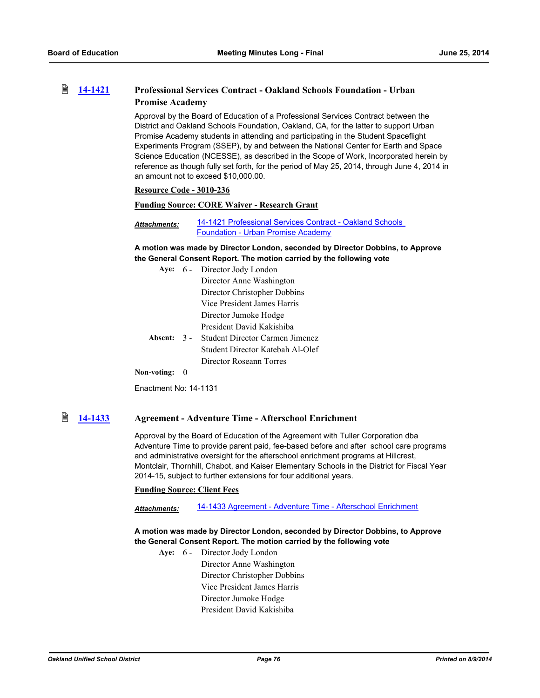#### ₿ **[14-1421](http://ousd.legistar.com/gateway.aspx?m=l&id=/matter.aspx?key=33101) Professional Services Contract - Oakland Schools Foundation - Urban Promise Academy**

Approval by the Board of Education of a Professional Services Contract between the District and Oakland Schools Foundation, Oakland, CA, for the latter to support Urban Promise Academy students in attending and participating in the Student Spaceflight Experiments Program (SSEP), by and between the National Center for Earth and Space Science Education (NCESSE), as described in the Scope of Work, Incorporated herein by reference as though fully set forth, for the period of May 25, 2014, through June 4, 2014 in an amount not to exceed \$10,000.00.

## **Resource Code - 3010-236**

## **Funding Source: CORE Waiver - Research Grant**

[14-1421 Professional Services Contract - Oakland Schools](http://ousd.legistar.com/gateway.aspx?M=F&ID=76714.pdf)  Foundation - Urban Promise Academy *Attachments:*

## **A motion was made by Director London, seconded by Director Dobbins, to Approve the General Consent Report. The motion carried by the following vote**

|                    | Aye: 6 - Director Jody London          |
|--------------------|----------------------------------------|
|                    | Director Anne Washington               |
|                    | Director Christopher Dobbins           |
|                    | Vice President James Harris            |
|                    | Director Jumoke Hodge                  |
|                    | President David Kakishiba              |
| <b>Absent:</b> 3 - | <b>Student Director Carmen Jimenez</b> |
|                    | Student Director Katebah Al-Olef       |
|                    | Director Roseann Torres                |

**Non-voting:** 0

Enactment No: 14-1131

#### ₿ **[14-1433](http://ousd.legistar.com/gateway.aspx?m=l&id=/matter.aspx?key=33109) Agreement - Adventure Time - Afterschool Enrichment**

Approval by the Board of Education of the Agreement with Tuller Corporation dba Adventure Time to provide parent paid, fee-based before and after school care programs and administrative oversight for the afterschool enrichment programs at Hillcrest, Montclair, Thornhill, Chabot, and Kaiser Elementary Schools in the District for Fiscal Year 2014-15, subject to further extensions for four additional years.

## **Funding Source: Client Fees**

*Attachments:* [14-1433 Agreement - Adventure Time - Afterschool Enrichment](http://ousd.legistar.com/gateway.aspx?M=F&ID=76772.pdf)

## **A motion was made by Director London, seconded by Director Dobbins, to Approve the General Consent Report. The motion carried by the following vote**

Aye: 6 - Director Jody London Director Anne Washington Director Christopher Dobbins Vice President James Harris Director Jumoke Hodge President David Kakishiba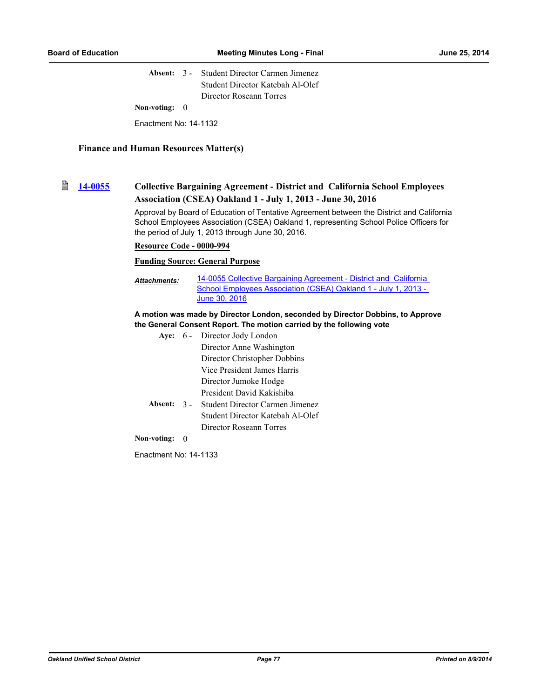**Student Director Carmen Jimenez** Student Director Katebah Al-Olef Director Roseann Torres Absent: 3 -

**Non-voting:** 0

Enactment No: 14-1132

## **Finance and Human Resources Matter(s)**

### 閶 **[14-0055](http://ousd.legistar.com/gateway.aspx?m=l&id=/matter.aspx?key=31767) Collective Bargaining Agreement - District and California School Employees Association (CSEA) Oakland 1 - July 1, 2013 - June 30, 2016**

Approval by Board of Education of Tentative Agreement between the District and California School Employees Association (CSEA) Oakland 1, representing School Police Officers for the period of July 1, 2013 through June 30, 2016.

## **Resource Code - 0000-994**

## **Funding Source: General Purpose**

[14-0055 Collective Bargaining Agreement - District and California](http://ousd.legistar.com/gateway.aspx?M=F&ID=76752.pdf)  School Employees Association (CSEA) Oakland 1 - July 1, 2013 -June 30, 2016 *Attachments:*

# **A motion was made by Director London, seconded by Director Dobbins, to Approve the General Consent Report. The motion carried by the following vote**

|               | Aye: 6 - Director Jody London          |
|---------------|----------------------------------------|
|               | Director Anne Washington               |
|               | Director Christopher Dobbins           |
|               | Vice President James Harris            |
|               | Director Jumoke Hodge                  |
|               | President David Kakishiba              |
| Absent: $3 -$ | <b>Student Director Carmen Jimenez</b> |
|               | Student Director Katebah Al-Olef       |
|               | Director Roseann Torres                |
|               |                                        |

**Non-voting:** 0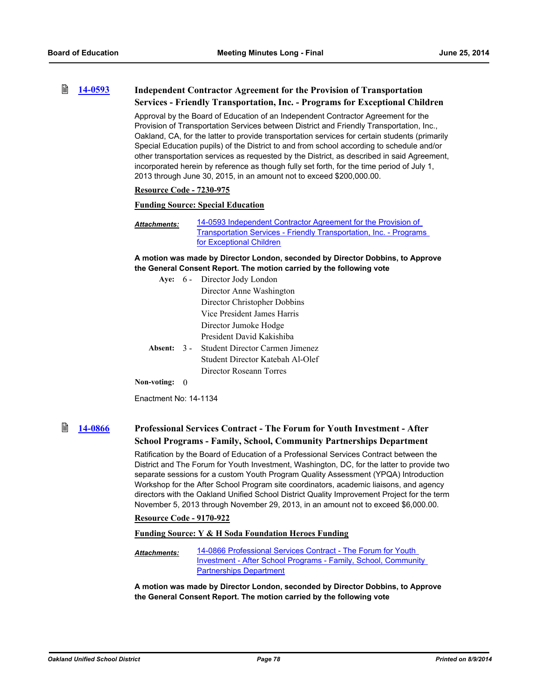#### ₿ **[14-0593](http://ousd.legistar.com/gateway.aspx?m=l&id=/matter.aspx?key=32298) Independent Contractor Agreement for the Provision of Transportation Services - Friendly Transportation, Inc. - Programs for Exceptional Children**

Approval by the Board of Education of an Independent Contractor Agreement for the Provision of Transportation Services between District and Friendly Transportation, Inc., Oakland, CA, for the latter to provide transportation services for certain students (primarily Special Education pupils) of the District to and from school according to schedule and/or other transportation services as requested by the District, as described in said Agreement, incorporated herein by reference as though fully set forth, for the time period of July 1, 2013 through June 30, 2015, in an amount not to exceed \$200,000.00.

## **Resource Code - 7230-975**

## **Funding Source: Special Education**

14-0593 Independent Contractor Agreement for the Provision of [Transportation Services - Friendly Transportation, Inc. - Programs](http://ousd.legistar.com/gateway.aspx?M=F&ID=76698.pdf)  for Exceptional Children *Attachments:*

## **A motion was made by Director London, seconded by Director Dobbins, to Approve the General Consent Report. The motion carried by the following vote**

|            |        | Aye: 6 - Director Jody London          |
|------------|--------|----------------------------------------|
|            |        | Director Anne Washington               |
|            |        | Director Christopher Dobbins           |
|            |        | Vice President James Harris            |
|            |        | Director Jumoke Hodge                  |
|            |        | President David Kakishiba              |
| Absent:    | $-3$ – | <b>Student Director Carmen Jimenez</b> |
|            |        | Student Director Katebah Al-Olef       |
|            |        | Director Roseann Torres                |
| on votinge |        |                                        |

## **Non-voting:** 0

Enactment No: 14-1134

# **[14-0866](http://ousd.legistar.com/gateway.aspx?m=l&id=/matter.aspx?key=32568) Professional Services Contract - The Forum for Youth Investment - After School Programs - Family, School, Community Partnerships Department**

Ratification by the Board of Education of a Professional Services Contract between the District and The Forum for Youth Investment, Washington, DC, for the latter to provide two separate sessions for a custom Youth Program Quality Assessment (YPQA) Introduction Workshop for the After School Program site coordinators, academic liaisons, and agency directors with the Oakland Unified School District Quality Improvement Project for the term November 5, 2013 through November 29, 2013, in an amount not to exceed \$6,000.00.

## **Resource Code - 9170-922**

## **Funding Source: Y & H Soda Foundation Heroes Funding**

14-0866 Professional Services Contract - The Forum for Youth [Investment - After School Programs - Family, School, Community](http://ousd.legistar.com/gateway.aspx?M=F&ID=76720.pdf)  Partnerships Department *Attachments:*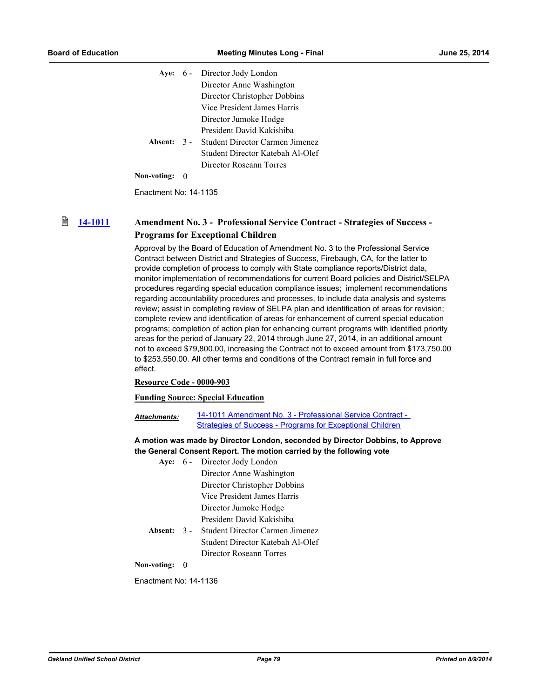|             | Aye: 6 - Director Jody London                      |
|-------------|----------------------------------------------------|
|             | Director Anne Washington                           |
|             | Director Christopher Dobbins                       |
|             | Vice President James Harris                        |
|             | Director Jumoke Hodge                              |
|             | President David Kakishiba                          |
|             | <b>Absent:</b> 3 - Student Director Carmen Jimenez |
|             | Student Director Katebah Al-Olef                   |
|             | Director Roseann Torres                            |
| Non-voting: |                                                    |

# **[14-1011](http://ousd.legistar.com/gateway.aspx?m=l&id=/matter.aspx?key=32711) Amendment No. 3 - Professional Service Contract - Strategies of Success - Programs for Exceptional Children**

Approval by the Board of Education of Amendment No. 3 to the Professional Service Contract between District and Strategies of Success, Firebaugh, CA, for the latter to provide completion of process to comply with State compliance reports/District data, monitor implementation of recommendations for current Board policies and District/SELPA procedures regarding special education compliance issues; implement recommendations regarding accountability procedures and processes, to include data analysis and systems review; assist in completing review of SELPA plan and identification of areas for revision; complete review and identification of areas for enhancement of current special education programs; completion of action plan for enhancing current programs with identified priority areas for the period of January 22, 2014 through June 27, 2014, in an additional amount not to exceed \$79,800.00, increasing the Contract not to exceed amount from \$173,750.00 to \$253,550.00. All other terms and conditions of the Contract remain in full force and effect.

**Resource Code - 0000-903**

**Funding Source: Special Education**

[14-1011 Amendment No. 3 - Professional Service Contract -](http://ousd.legistar.com/gateway.aspx?M=F&ID=76699.pdf)  Strategies of Success - Programs for Exceptional Children *Attachments:*

# **A motion was made by Director London, seconded by Director Dobbins, to Approve the General Consent Report. The motion carried by the following vote**

# Aye: 6 - Director Jody London Director Anne Washington Director Christopher Dobbins Vice President James Harris Director Jumoke Hodge President David Kakishiba **Absent:** Student Director Carmen Jimenez Student Director Katebah Al-Olef Director Roseann Torres Absent:  $3 -$

**Non-voting:** 0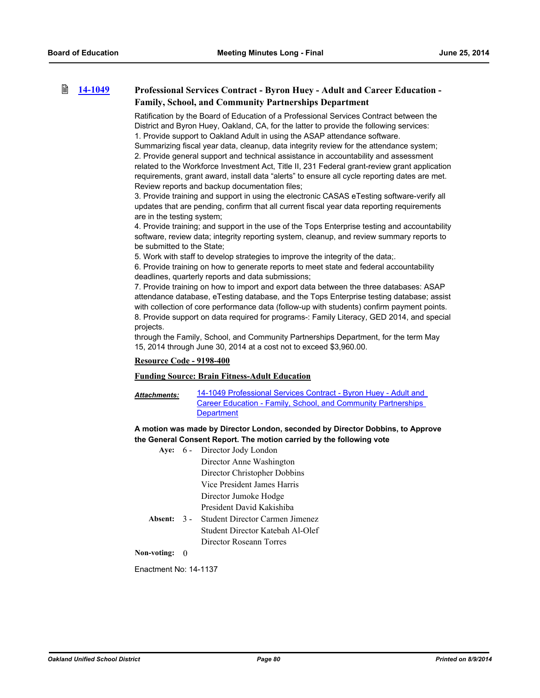### 昏 **[14-1049](http://ousd.legistar.com/gateway.aspx?m=l&id=/matter.aspx?key=32749) Professional Services Contract - Byron Huey - Adult and Career Education - Family, School, and Community Partnerships Department**

Ratification by the Board of Education of a Professional Services Contract between the District and Byron Huey, Oakland, CA, for the latter to provide the following services: 1. Provide support to Oakland Adult in using the ASAP attendance software.

Summarizing fiscal year data, cleanup, data integrity review for the attendance system; 2. Provide general support and technical assistance in accountability and assessment related to the Workforce Investment Act, Title II, 231 Federal grant-review grant application requirements, grant award, install data "alerts" to ensure all cycle reporting dates are met. Review reports and backup documentation files;

3. Provide training and support in using the electronic CASAS eTesting software-verify all updates that are pending, confirm that all current fiscal year data reporting requirements are in the testing system;

4. Provide training; and support in the use of the Tops Enterprise testing and accountability software, review data; integrity reporting system, cleanup, and review summary reports to be submitted to the State;

5. Work with staff to develop strategies to improve the integrity of the data;.

6. Provide training on how to generate reports to meet state and federal accountability deadlines, quarterly reports and data submissions;

7. Provide training on how to import and export data between the three databases: ASAP attendance database, eTesting database, and the Tops Enterprise testing database; assist with collection of core performance data (follow-up with students) confirm payment points. 8. Provide support on data required for programs-: Family Literacy, GED 2014, and special projects.

through the Family, School, and Community Partnerships Department, for the term May 15, 2014 through June 30, 2014 at a cost not to exceed \$3,960.00.

## **Resource Code - 9198-400**

## **Funding Source: Brain Fitness-Adult Education**

[14-1049 Professional Services Contract - Byron Huey - Adult and](http://ousd.legistar.com/gateway.aspx?M=F&ID=76491.pdf)  Career Education - Family, School, and Community Partnerships **Department** *Attachments:*

**A motion was made by Director London, seconded by Director Dobbins, to Approve the General Consent Report. The motion carried by the following vote**

|         |       | Aye: 6 - Director Jody London          |
|---------|-------|----------------------------------------|
|         |       | Director Anne Washington               |
|         |       | Director Christopher Dobbins           |
|         |       | Vice President James Harris            |
|         |       | Director Jumoke Hodge                  |
|         |       | President David Kakishiba              |
| Absent: | $-3-$ | <b>Student Director Carmen Jimenez</b> |
|         |       | Student Director Katebah Al-Olef       |
|         |       | Director Roseann Torres                |
|         |       |                                        |

**Non-voting:** 0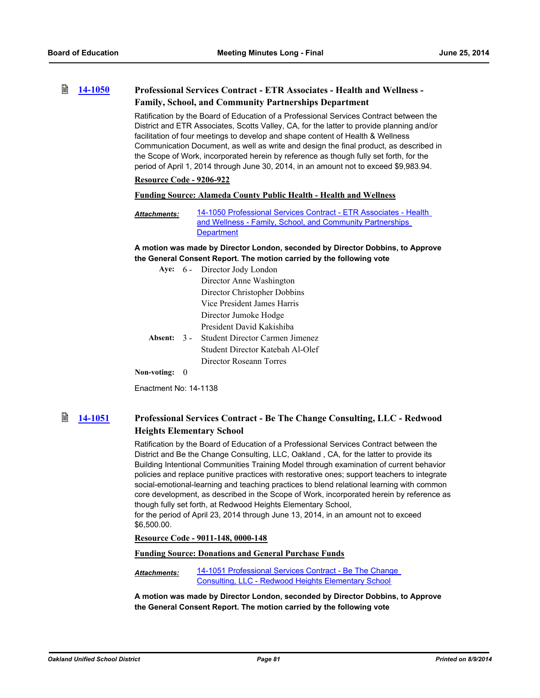### ₿ **[14-1050](http://ousd.legistar.com/gateway.aspx?m=l&id=/matter.aspx?key=32750) Professional Services Contract - ETR Associates - Health and Wellness - Family, School, and Community Partnerships Department**

Ratification by the Board of Education of a Professional Services Contract between the District and ETR Associates, Scotts Valley, CA, for the latter to provide planning and/or facilitation of four meetings to develop and shape content of Health & Wellness Communication Document, as well as write and design the final product, as described in the Scope of Work, incorporated herein by reference as though fully set forth, for the period of April 1, 2014 through June 30, 2014, in an amount not to exceed \$9,983.94.

# **Resource Code - 9206-922**

**Funding Source: Alameda County Public Health - Health and Wellness**

[14-1050 Professional Services Contract - ETR Associates - Health](http://ousd.legistar.com/gateway.aspx?M=F&ID=76492.pdf)  and Wellness - Family, School, and Community Partnerships **Department** *Attachments:*

## **A motion was made by Director London, seconded by Director Dobbins, to Approve the General Consent Report. The motion carried by the following vote**

|                    | Aye: 6 - Director Jody London   |
|--------------------|---------------------------------|
|                    | Director Anne Washington        |
|                    | Director Christopher Dobbins    |
|                    | Vice President James Harris     |
|                    | Director Jumoke Hodge           |
|                    | President David Kakishiba       |
| <b>Absent:</b> 3 - | Student Director Carmen Jimenez |
|                    | 0.1.01                          |

Student Director Katebah Al-Olef Director Roseann Torres

**Non-voting:** 0

Enactment No: 14-1138

# **[14-1051](http://ousd.legistar.com/gateway.aspx?m=l&id=/matter.aspx?key=32751) Professional Services Contract - Be The Change Consulting, LLC - Redwood Heights Elementary School**

Ratification by the Board of Education of a Professional Services Contract between the District and Be the Change Consulting, LLC, Oakland , CA, for the latter to provide its Building Intentional Communities Training Model through examination of current behavior policies and replace punitive practices with restorative ones; support teachers to integrate social-emotional-learning and teaching practices to blend relational learning with common core development, as described in the Scope of Work, incorporated herein by reference as though fully set forth, at Redwood Heights Elementary School,

for the period of April 23, 2014 through June 13, 2014, in an amount not to exceed \$6,500.00.

## **Resource Code - 9011-148, 0000-148**

## **Funding Source: Donations and General Purchase Funds**

[14-1051 Professional Services Contract - Be The Change](http://ousd.legistar.com/gateway.aspx?M=F&ID=76493.pdf)  Consulting, LLC - Redwood Heights Elementary School *Attachments:*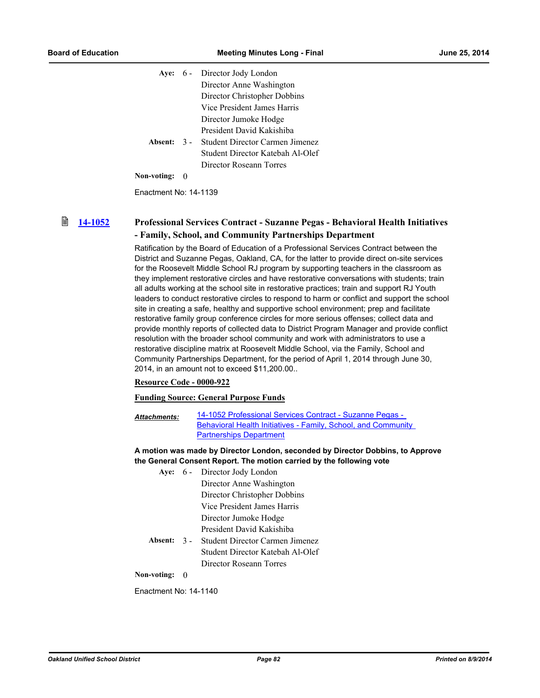|             | Aye: 6 - Director Jody London                      |
|-------------|----------------------------------------------------|
|             | Director Anne Washington                           |
|             | Director Christopher Dobbins                       |
|             | Vice President James Harris                        |
|             | Director Jumoke Hodge                              |
|             | President David Kakishiba                          |
|             | <b>Absent:</b> 3 - Student Director Carmen Jimenez |
|             | Student Director Katebah Al-Olef                   |
|             | Director Roseann Torres                            |
| Non-voting: |                                                    |

# **[14-1052](http://ousd.legistar.com/gateway.aspx?m=l&id=/matter.aspx?key=32752) Professional Services Contract - Suzanne Pegas - Behavioral Health Initiatives - Family, School, and Community Partnerships Department**

Ratification by the Board of Education of a Professional Services Contract between the District and Suzanne Pegas, Oakland, CA, for the latter to provide direct on-site services for the Roosevelt Middle School RJ program by supporting teachers in the classroom as they implement restorative circles and have restorative conversations with students; train all adults working at the school site in restorative practices; train and support RJ Youth leaders to conduct restorative circles to respond to harm or conflict and support the school site in creating a safe, healthy and supportive school environment; prep and facilitate restorative family group conference circles for more serious offenses; collect data and provide monthly reports of collected data to District Program Manager and provide conflict resolution with the broader school community and work with administrators to use a restorative discipline matrix at Roosevelt Middle School, via the Family, School and Community Partnerships Department, for the period of April 1, 2014 through June 30, 2014, in an amount not to exceed \$11,200.00..

## **Resource Code - 0000-922**

## **Funding Source: General Purpose Funds**

14-1052 Professional Services Contract - Suzanne Pegas - [Behavioral Health Initiatives - Family, School, and Community](http://ousd.legistar.com/gateway.aspx?M=F&ID=76494.pdf)  Partnerships Department *Attachments:*

# **A motion was made by Director London, seconded by Director Dobbins, to Approve the General Consent Report. The motion carried by the following vote**

Aye: 6 - Director Jody London

Director Anne Washington Director Christopher Dobbins Vice President James Harris Director Jumoke Hodge President David Kakishiba

**Absent:** Student Director Carmen Jimenez Student Director Katebah Al-Olef Director Roseann Torres Absent:  $3 -$ 

**Non-voting:** 0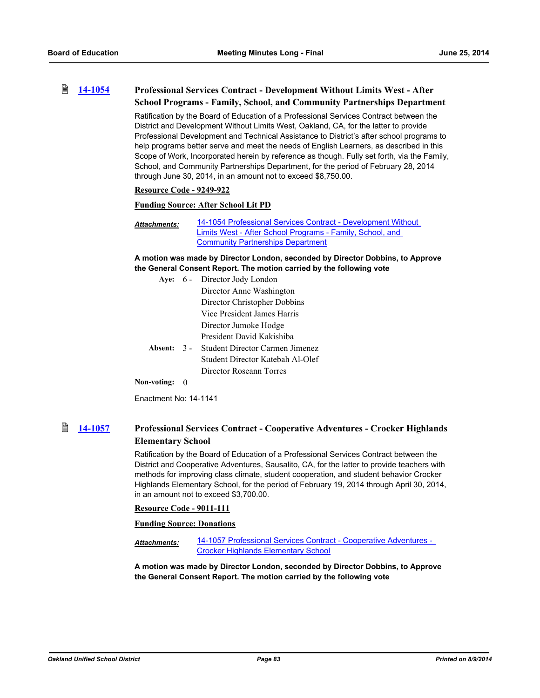### ₿ **[14-1054](http://ousd.legistar.com/gateway.aspx?m=l&id=/matter.aspx?key=32754) Professional Services Contract - Development Without Limits West - After School Programs - Family, School, and Community Partnerships Department**

Ratification by the Board of Education of a Professional Services Contract between the District and Development Without Limits West, Oakland, CA, for the latter to provide Professional Development and Technical Assistance to District's after school programs to help programs better serve and meet the needs of English Learners, as described in this Scope of Work, Incorporated herein by reference as though. Fully set forth, via the Family, School, and Community Partnerships Department, for the period of February 28, 2014 through June 30, 2014, in an amount not to exceed \$8,750.00.

# **Resource Code - 9249-922**

## **Funding Source: After School Lit PD**

[14-1054 Professional Services Contract - Development Without](http://ousd.legistar.com/gateway.aspx?M=F&ID=76496.pdf)  Limits West - After School Programs - Family, School, and **Community Partnerships Department** *Attachments:*

## **A motion was made by Director London, seconded by Director Dobbins, to Approve the General Consent Report. The motion carried by the following vote**

|                    | Aye: 6 - Director Jody London          |
|--------------------|----------------------------------------|
|                    | Director Anne Washington               |
|                    | Director Christopher Dobbins           |
|                    | Vice President James Harris            |
|                    | Director Jumoke Hodge                  |
|                    | President David Kakishiba              |
| <b>Absent:</b> 3 – | <b>Student Director Carmen Jimenez</b> |
|                    | Student Director Katebah Al-Olef       |
|                    | Director Roseann Torres                |
| $\cdots$           |                                        |

**Non-voting:** 0

Enactment No: 14-1141

# **[14-1057](http://ousd.legistar.com/gateway.aspx?m=l&id=/matter.aspx?key=32757) Professional Services Contract - Cooperative Adventures - Crocker Highlands Elementary School**

Ratification by the Board of Education of a Professional Services Contract between the District and Cooperative Adventures, Sausalito, CA, for the latter to provide teachers with methods for improving class climate, student cooperation, and student behavior Crocker Highlands Elementary School, for the period of February 19, 2014 through April 30, 2014, in an amount not to exceed \$3,700.00.

**Resource Code - 9011-111**

## **Funding Source: Donations**

[14-1057 Professional Services Contract - Cooperative Adventures -](http://ousd.legistar.com/gateway.aspx?M=F&ID=76498.pdf)  Crocker Highlands Elementary School *Attachments:*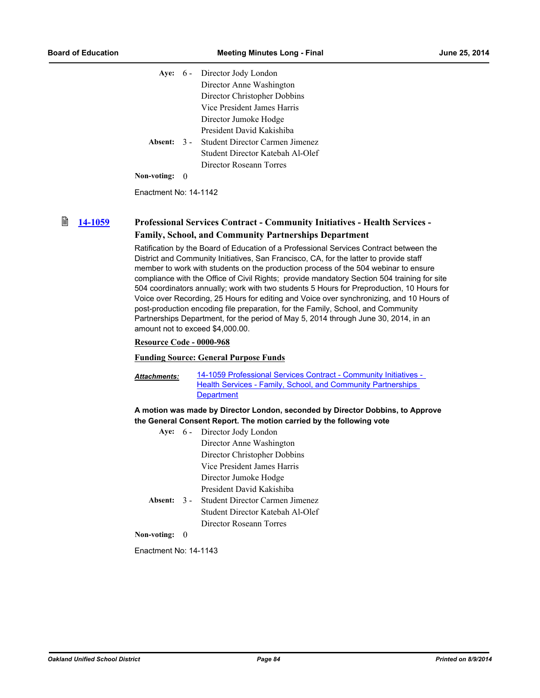|             | Aye: 6 - Director Jody London                      |
|-------------|----------------------------------------------------|
|             | Director Anne Washington                           |
|             | Director Christopher Dobbins                       |
|             | Vice President James Harris                        |
|             | Director Jumoke Hodge                              |
|             | President David Kakishiba                          |
|             | <b>Absent:</b> 3 - Student Director Carmen Jimenez |
|             | Student Director Katebah Al-Olef                   |
|             | Director Roseann Torres                            |
| Non-voting: |                                                    |

# **[14-1059](http://ousd.legistar.com/gateway.aspx?m=l&id=/matter.aspx?key=32759) Professional Services Contract - Community Initiatives - Health Services - Family, School, and Community Partnerships Department**

Ratification by the Board of Education of a Professional Services Contract between the District and Community Initiatives, San Francisco, CA, for the latter to provide staff member to work with students on the production process of the 504 webinar to ensure compliance with the Office of Civil Rights; provide mandatory Section 504 training for site 504 coordinators annually; work with two students 5 Hours for Preproduction, 10 Hours for Voice over Recording, 25 Hours for editing and Voice over synchronizing, and 10 Hours of post-production encoding file preparation, for the Family, School, and Community Partnerships Department, for the period of May 5, 2014 through June 30, 2014, in an amount not to exceed \$4,000.00.

## **Resource Code - 0000-968**

## **Funding Source: General Purpose Funds**

[14-1059 Professional Services Contract - Community Initiatives -](http://ousd.legistar.com/gateway.aspx?M=F&ID=76499.pdf)  Health Services - Family, School, and Community Partnerships **Department** *Attachments:*

**A motion was made by Director London, seconded by Director Dobbins, to Approve the General Consent Report. The motion carried by the following vote**

Aye: 6 - Director Jody London Director Anne Washington Director Christopher Dobbins Vice President James Harris Director Jumoke Hodge President David Kakishiba **Student Director Carmen Jimenez** Student Director Katebah Al-Olef Director Roseann Torres Absent: 3 -

## **Non-voting:** 0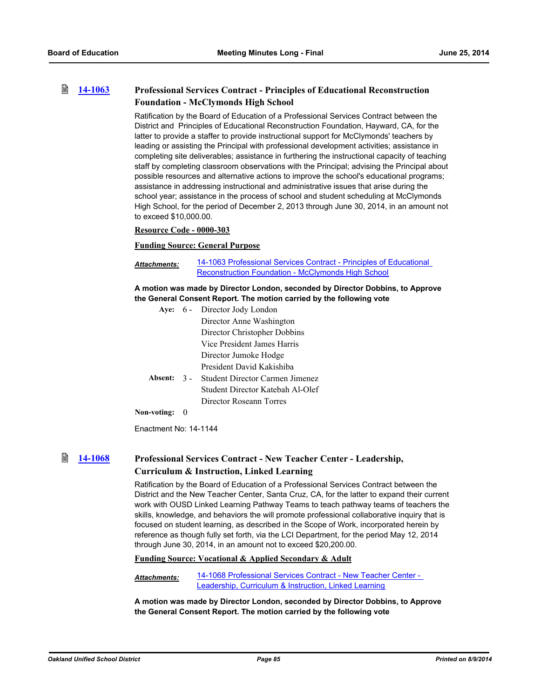#### ₿ **[14-1063](http://ousd.legistar.com/gateway.aspx?m=l&id=/matter.aspx?key=32763) Professional Services Contract - Principles of Educational Reconstruction Foundation - McClymonds High School**

Ratification by the Board of Education of a Professional Services Contract between the District and Principles of Educational Reconstruction Foundation, Hayward, CA, for the latter to provide a staffer to provide instructional support for McClymonds' teachers by leading or assisting the Principal with professional development activities; assistance in completing site deliverables; assistance in furthering the instructional capacity of teaching staff by completing classroom observations with the Principal; advising the Principal about possible resources and alternative actions to improve the school's educational programs; assistance in addressing instructional and administrative issues that arise during the school year; assistance in the process of school and student scheduling at McClymonds High School, for the period of December 2, 2013 through June 30, 2014, in an amount not to exceed \$10,000.00.

## **Resource Code - 0000-303**

## **Funding Source: General Purpose**

[14-1063 Professional Services Contract - Principles of Educational](http://ousd.legistar.com/gateway.aspx?M=F&ID=76500.pdf)  Reconstruction Foundation - McClymonds High School *Attachments:*

**A motion was made by Director London, seconded by Director Dobbins, to Approve the General Consent Report. The motion carried by the following vote**

|               | Aye: 6 - Director Jody London          |
|---------------|----------------------------------------|
|               | Director Anne Washington               |
|               | Director Christopher Dobbins           |
|               | Vice President James Harris            |
|               | Director Jumoke Hodge                  |
|               | President David Kakishiba              |
| Absent: $3 -$ | <b>Student Director Carmen Jimenez</b> |
|               | Student Director Katebah Al-Olef       |
|               | Director Roseann Torres                |
|               |                                        |

## **Non-voting:** 0

Enactment No: 14-1144

# **[14-1068](http://ousd.legistar.com/gateway.aspx?m=l&id=/matter.aspx?key=32768) Professional Services Contract - New Teacher Center - Leadership, Curriculum & Instruction, Linked Learning**

Ratification by the Board of Education of a Professional Services Contract between the District and the New Teacher Center, Santa Cruz, CA, for the latter to expand their current work with OUSD Linked Learning Pathway Teams to teach pathway teams of teachers the skills, knowledge, and behaviors the will promote professional collaborative inquiry that is focused on student learning, as described in the Scope of Work, incorporated herein by reference as though fully set forth, via the LCI Department, for the period May 12, 2014 through June 30, 2014, in an amount not to exceed \$20,200.00.

**Funding Source: Vocational & Applied Secondary & Adult**

[14-1068 Professional Services Contract - New Teacher Center -](http://ousd.legistar.com/gateway.aspx?M=F&ID=76700.pdf)  Leadership, Curriculum & Instruction, Linked Learning *Attachments:*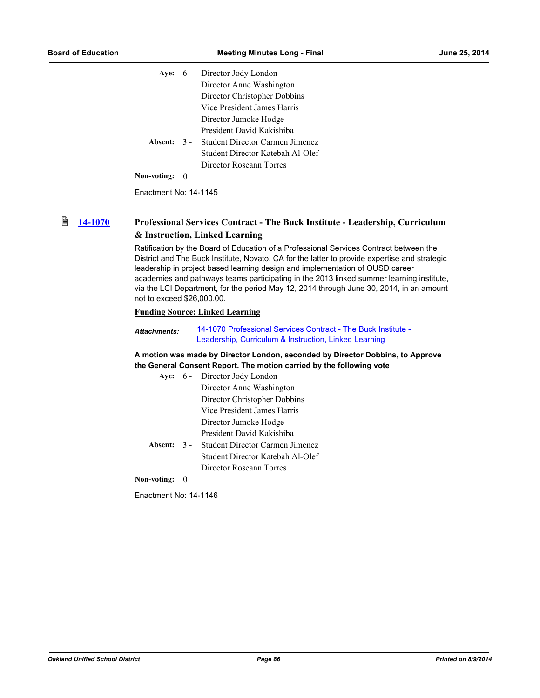|             | Aye: 6 - Director Jody London                      |
|-------------|----------------------------------------------------|
|             | Director Anne Washington                           |
|             | Director Christopher Dobbins                       |
|             | Vice President James Harris                        |
|             | Director Jumoke Hodge                              |
|             | President David Kakishiba                          |
|             | <b>Absent:</b> 3 - Student Director Carmen Jimenez |
|             | Student Director Katebah Al-Olef                   |
|             | Director Roseann Torres                            |
| Non-voting: |                                                    |

誾

# **[14-1070](http://ousd.legistar.com/gateway.aspx?m=l&id=/matter.aspx?key=32770) Professional Services Contract - The Buck Institute - Leadership, Curriculum & Instruction, Linked Learning**

Ratification by the Board of Education of a Professional Services Contract between the District and The Buck Institute, Novato, CA for the latter to provide expertise and strategic leadership in project based learning design and implementation of OUSD career academies and pathways teams participating in the 2013 linked summer learning institute, via the LCI Department, for the period May 12, 2014 through June 30, 2014, in an amount not to exceed \$26,000.00.

## **Funding Source: Linked Learning**

[14-1070 Professional Services Contract - The Buck Institute -](http://ousd.legistar.com/gateway.aspx?M=F&ID=76701.pdf)  Leadership, Curriculum & Instruction, Linked Learning *Attachments:*

# **A motion was made by Director London, seconded by Director Dobbins, to Approve the General Consent Report. The motion carried by the following vote**

|             | Aye: 6 - Director Jody London          |
|-------------|----------------------------------------|
|             | Director Anne Washington               |
|             | Director Christopher Dobbins           |
|             | Vice President James Harris            |
|             | Director Jumoke Hodge                  |
|             | President David Kakishiba              |
| Absent: 3 - | <b>Student Director Carmen Jimenez</b> |
|             | Student Director Katebah Al-Olef       |
|             | Director Roseann Torres                |
| Non-voting: |                                        |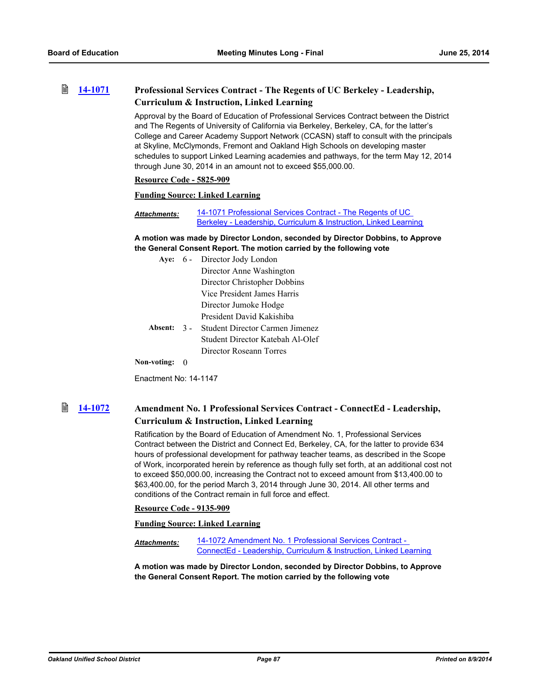#### ₿ **[14-1071](http://ousd.legistar.com/gateway.aspx?m=l&id=/matter.aspx?key=32771) Professional Services Contract - The Regents of UC Berkeley - Leadership, Curriculum & Instruction, Linked Learning**

Approval by the Board of Education of Professional Services Contract between the District and The Regents of University of California via Berkeley, Berkeley, CA, for the latter's College and Career Academy Support Network (CCASN) staff to consult with the principals at Skyline, McClymonds, Fremont and Oakland High Schools on developing master schedules to support Linked Learning academies and pathways, for the term May 12, 2014 through June 30, 2014 in an amount not to exceed \$55,000.00.

# **Resource Code - 5825-909**

## **Funding Source: Linked Learning**

14-1071 Professional Services Contract - The Regents of UC [Berkeley - Leadership, Curriculum & Instruction, Linked Learning](http://ousd.legistar.com/gateway.aspx?M=F&ID=76727.pdf) *Attachments:*

# **A motion was made by Director London, seconded by Director Dobbins, to Approve the General Consent Report. The motion carried by the following vote**

|               | Aye: 6 - Director Jody London          |
|---------------|----------------------------------------|
|               | Director Anne Washington               |
|               | Director Christopher Dobbins           |
|               | Vice President James Harris            |
|               | Director Jumoke Hodge                  |
|               | President David Kakishiba              |
| Absent: $3 -$ | <b>Student Director Carmen Jimenez</b> |
|               | Student Director Katebah Al-Olef       |
|               | Director Roseann Torres                |
|               |                                        |

**Non-voting:** 0

Enactment No: 14-1147

# **[14-1072](http://ousd.legistar.com/gateway.aspx?m=l&id=/matter.aspx?key=32772) Amendment No. 1 Professional Services Contract - ConnectEd - Leadership, Curriculum & Instruction, Linked Learning**

Ratification by the Board of Education of Amendment No. 1, Professional Services Contract between the District and Connect Ed, Berkeley, CA, for the latter to provide 634 hours of professional development for pathway teacher teams, as described in the Scope of Work, incorporated herein by reference as though fully set forth, at an additional cost not to exceed \$50,000.00, increasing the Contract not to exceed amount from \$13,400.00 to \$63,400.00, for the period March 3, 2014 through June 30, 2014. All other terms and conditions of the Contract remain in full force and effect.

## **Resource Code - 9135-909**

## **Funding Source: Linked Learning**

14-1072 Amendment No. 1 Professional Services Contract - [ConnectEd - Leadership, Curriculum & Instruction, Linked Learning](http://ousd.legistar.com/gateway.aspx?M=F&ID=76731.pdf) *Attachments:*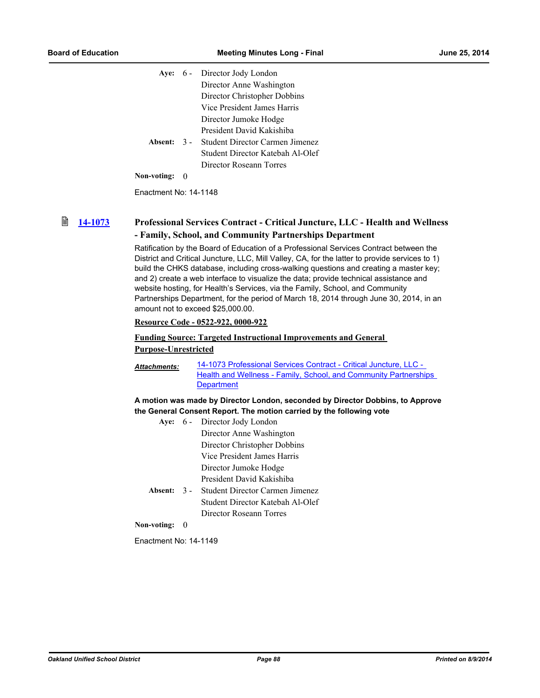|             | Aye: 6 - Director Jody London                      |
|-------------|----------------------------------------------------|
|             | Director Anne Washington                           |
|             | Director Christopher Dobbins                       |
|             | Vice President James Harris                        |
|             | Director Jumoke Hodge                              |
|             | President David Kakishiba                          |
|             | <b>Absent:</b> 3 - Student Director Carmen Jimenez |
|             | Student Director Katebah Al-Olef                   |
|             | Director Roseann Torres                            |
| Non-voting: |                                                    |

## 誾

# **[14-1073](http://ousd.legistar.com/gateway.aspx?m=l&id=/matter.aspx?key=32773) Professional Services Contract - Critical Juncture, LLC - Health and Wellness - Family, School, and Community Partnerships Department**

Ratification by the Board of Education of a Professional Services Contract between the District and Critical Juncture, LLC, Mill Valley, CA, for the latter to provide services to 1) build the CHKS database, including cross-walking questions and creating a master key; and 2) create a web interface to visualize the data; provide technical assistance and website hosting, for Health's Services, via the Family, School, and Community Partnerships Department, for the period of March 18, 2014 through June 30, 2014, in an amount not to exceed \$25,000.00.

## **Resource Code - 0522-922, 0000-922**

# **Funding Source: Targeted Instructional Improvements and General Purpose-Unrestricted**

| <b>Attachments:</b> | 14-1073 Professional Services Contract - Critical Juncture, LLC - |
|---------------------|-------------------------------------------------------------------|
|                     | Health and Wellness - Family, School, and Community Partnerships  |
|                     | Department                                                        |

## **A motion was made by Director London, seconded by Director Dobbins, to Approve the General Consent Report. The motion carried by the following vote**

|               | Aye: 6 - Director Jody London          |
|---------------|----------------------------------------|
|               | Director Anne Washington               |
|               | Director Christopher Dobbins           |
|               | Vice President James Harris            |
|               | Director Jumoke Hodge                  |
|               | President David Kakishiba              |
| Absent: $3 -$ | <b>Student Director Carmen Jimenez</b> |
|               | Student Director Katebah Al-Olef       |
|               | Director Roseann Torres                |
|               |                                        |

**Non-voting:** 0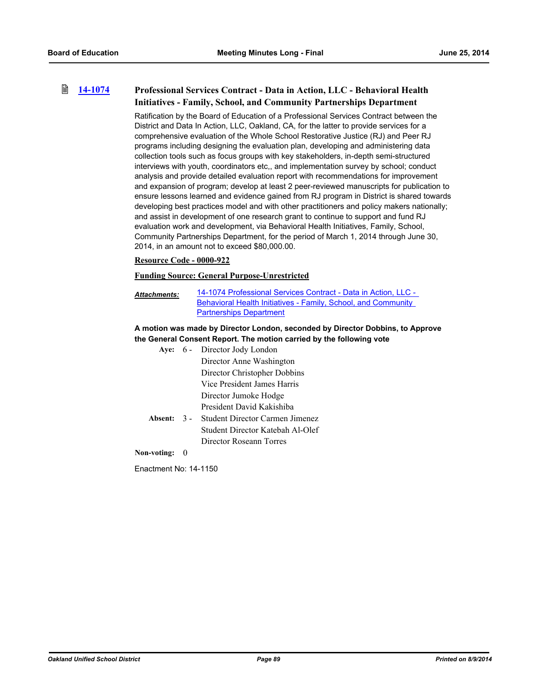### 昏 **[14-1074](http://ousd.legistar.com/gateway.aspx?m=l&id=/matter.aspx?key=32774) Professional Services Contract - Data in Action, LLC - Behavioral Health Initiatives - Family, School, and Community Partnerships Department**

Ratification by the Board of Education of a Professional Services Contract between the District and Data In Action, LLC, Oakland, CA, for the latter to provide services for a comprehensive evaluation of the Whole School Restorative Justice (RJ) and Peer RJ programs including designing the evaluation plan, developing and administering data collection tools such as focus groups with key stakeholders, in-depth semi-structured interviews with youth, coordinators etc,, and implementation survey by school; conduct analysis and provide detailed evaluation report with recommendations for improvement and expansion of program; develop at least 2 peer-reviewed manuscripts for publication to ensure lessons learned and evidence gained from RJ program in District is shared towards developing best practices model and with other practitioners and policy makers nationally; and assist in development of one research grant to continue to support and fund RJ evaluation work and development, via Behavioral Health Initiatives, Family, School, Community Partnerships Department, for the period of March 1, 2014 through June 30, 2014, in an amount not to exceed \$80,000.00.

## **Resource Code - 0000-922**

**Funding Source: General Purpose-Unrestricted**

[14-1074 Professional Services Contract - Data in Action, LLC -](http://ousd.legistar.com/gateway.aspx?M=F&ID=76503.pdf)  Behavioral Health Initiatives - Family, School, and Community Partnerships Department *Attachments:*

# **A motion was made by Director London, seconded by Director Dobbins, to Approve the General Consent Report. The motion carried by the following vote**

|               | Aye: 6 - Director Jody London          |
|---------------|----------------------------------------|
|               | Director Anne Washington               |
|               | Director Christopher Dobbins           |
|               | Vice President James Harris            |
|               | Director Jumoke Hodge                  |
|               | President David Kakishiba              |
| Absent: $3 -$ | <b>Student Director Carmen Jimenez</b> |
|               | Student Director Katebah Al-Olef       |
|               | Director Roseann Torres                |

**Non-voting:** 0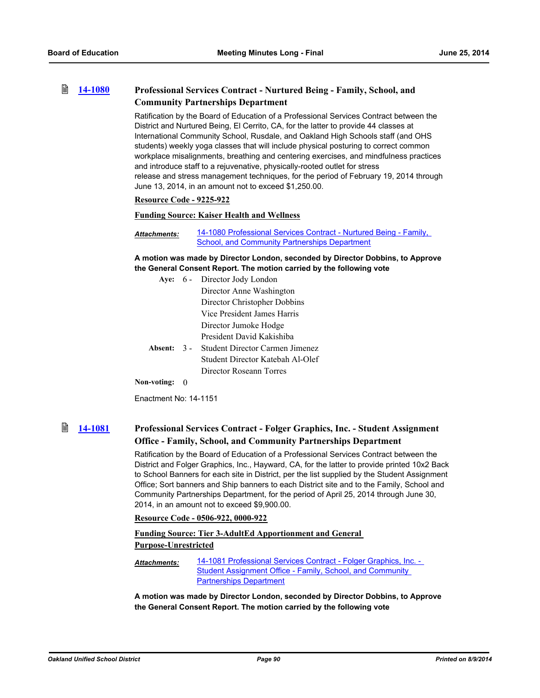#### ₿ **[14-1080](http://ousd.legistar.com/gateway.aspx?m=l&id=/matter.aspx?key=32780) Professional Services Contract - Nurtured Being - Family, School, and Community Partnerships Department**

Ratification by the Board of Education of a Professional Services Contract between the District and Nurtured Being, El Cerrito, CA, for the latter to provide 44 classes at International Community School, Rusdale, and Oakland High Schools staff (and OHS students) weekly yoga classes that will include physical posturing to correct common workplace misalignments, breathing and centering exercises, and mindfulness practices and introduce staff to a rejuvenative, physically-rooted outlet for stress release and stress management techniques, for the period of February 19, 2014 through June 13, 2014, in an amount not to exceed \$1,250.00.

## **Resource Code - 9225-922**

## **Funding Source: Kaiser Health and Wellness**

[14-1080 Professional Services Contract - Nurtured Being - Family,](http://ousd.legistar.com/gateway.aspx?M=F&ID=76507.pdf)  School, and Community Partnerships Department *Attachments:*

## **A motion was made by Director London, seconded by Director Dobbins, to Approve the General Consent Report. The motion carried by the following vote**

|               | Aye: 6 - Director Jody London          |
|---------------|----------------------------------------|
|               | Director Anne Washington               |
|               | Director Christopher Dobbins           |
|               | Vice President James Harris            |
|               | Director Jumoke Hodge                  |
|               | President David Kakishiba              |
| Absent: $3 -$ | <b>Student Director Carmen Jimenez</b> |
|               | Student Director Katebah Al-Olef       |
|               | Director Roseann Torres                |
| lon-votino:   |                                        |

**Non-voting:** 0

Enactment No: 14-1151

# **[14-1081](http://ousd.legistar.com/gateway.aspx?m=l&id=/matter.aspx?key=32781) Professional Services Contract - Folger Graphics, Inc. - Student Assignment Office - Family, School, and Community Partnerships Department**

Ratification by the Board of Education of a Professional Services Contract between the District and Folger Graphics, Inc., Hayward, CA, for the latter to provide printed 10x2 Back to School Banners for each site in District, per the list supplied by the Student Assignment Office; Sort banners and Ship banners to each District site and to the Family, School and Community Partnerships Department, for the period of April 25, 2014 through June 30, 2014, in an amount not to exceed \$9,900.00.

**Resource Code - 0506-922, 0000-922**

# **Funding Source: Tier 3-AdultEd Apportionment and General Purpose-Unrestricted**

[14-1081 Professional Services Contract - Folger Graphics, Inc. -](http://ousd.legistar.com/gateway.aspx?M=F&ID=76508.pdf)  Student Assignment Office - Family, School, and Community Partnerships Department *Attachments:*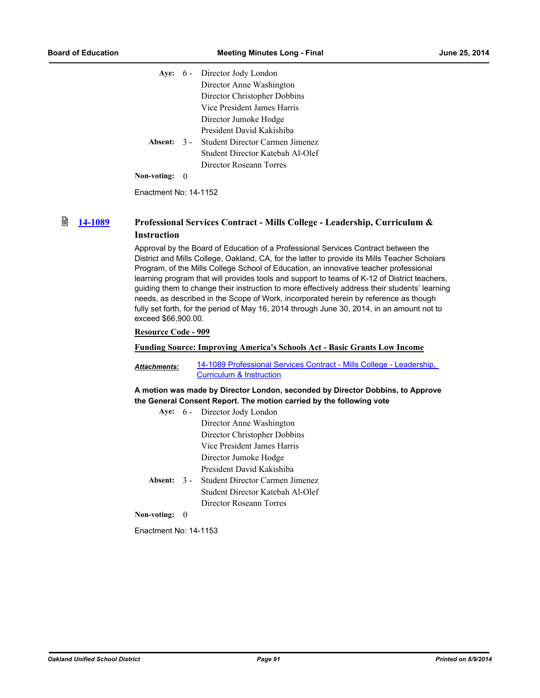|             | Aye: 6 - Director Jody London                      |
|-------------|----------------------------------------------------|
|             | Director Anne Washington                           |
|             | Director Christopher Dobbins                       |
|             | Vice President James Harris                        |
|             | Director Jumoke Hodge                              |
|             | President David Kakishiba                          |
|             | <b>Absent:</b> 3 - Student Director Carmen Jimenez |
|             | Student Director Katebah Al-Olef                   |
|             | Director Roseann Torres                            |
| Non-voting: |                                                    |

# **[14-1089](http://ousd.legistar.com/gateway.aspx?m=l&id=/matter.aspx?key=32789) Professional Services Contract - Mills College - Leadership, Curriculum & Instruction**

Approval by the Board of Education of a Professional Services Contract between the District and Mills College, Oakland, CA, for the latter to provide its Mills Teacher Scholars Program, of the Mills College School of Education, an innovative teacher professional learning program that will provides tools and support to teams of K-12 of District teachers, guiding them to change their instruction to more effectively address their students' learning needs, as described in the Scope of Work, incorporated herein by reference as though fully set forth, for the period of May 16, 2014 through June 30, 2014, in an amount not to exceed \$66,900.00.

## **Resource Code - 909**

## **Funding Source: Improving America's Schools Act - Basic Grants Low Income**

[14-1089 Professional Services Contract - Mills College - Leadership,](http://ousd.legistar.com/gateway.aspx?M=F&ID=76511.pdf)  Curriculum & Instruction *Attachments:*

**A motion was made by Director London, seconded by Director Dobbins, to Approve the General Consent Report. The motion carried by the following vote**

Aye: 6 - Director Jody London Director Anne Washington Director Christopher Dobbins Vice President James Harris Director Jumoke Hodge President David Kakishiba **Absent:** Student Director Carmen Jimenez Student Director Katebah Al-Olef Director Roseann Torres Absent:  $3 -$ **Non-voting:** 0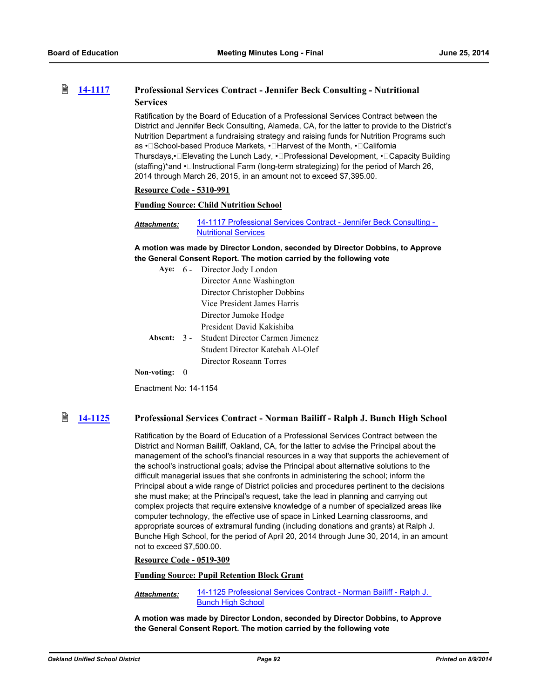### ₿ **[14-1117](http://ousd.legistar.com/gateway.aspx?m=l&id=/matter.aspx?key=32817) Professional Services Contract - Jennifer Beck Consulting - Nutritional**

# **Services**

Ratification by the Board of Education of a Professional Services Contract between the District and Jennifer Beck Consulting, Alameda, CA, for the latter to provide to the District's Nutrition Department a fundraising strategy and raising funds for Nutrition Programs such as •School-based Produce Markets, •Harvest of the Month, •California Thursdays,•□Elevating the Lunch Lady, •□Professional Development, •□Capacity Building (staffing)\*and •Instructional Farm (long-term strategizing) for the period of March 26, 2014 through March 26, 2015, in an amount not to exceed \$7,395.00.

## **Resource Code - 5310-991**

## **Funding Source: Child Nutrition School**

[14-1117 Professional Services Contract - Jennifer Beck Consulting -](http://ousd.legistar.com/gateway.aspx?M=F&ID=76519.pdf)  Nutritional Services *Attachments:*

## **A motion was made by Director London, seconded by Director Dobbins, to Approve the General Consent Report. The motion carried by the following vote**

Aye: 6 - Director Jody London Director Anne Washington Director Christopher Dobbins Vice President James Harris Director Jumoke Hodge President David Kakishiba **Absent:** Student Director Carmen Jimenez Student Director Katebah Al-Olef Director Roseann Torres Absent:  $3 -$ 

**Non-voting:** 0

Enactment No: 14-1154

#### ₿ **[14-1125](http://ousd.legistar.com/gateway.aspx?m=l&id=/matter.aspx?key=32825) Professional Services Contract - Norman Bailiff - Ralph J. Bunch High School**

Ratification by the Board of Education of a Professional Services Contract between the District and Norman Bailiff, Oakland, CA, for the latter to advise the Principal about the management of the school's financial resources in a way that supports the achievement of the school's instructional goals; advise the Principal about alternative solutions to the difficult managerial issues that she confronts in administering the school; inform the Principal about a wide range of District policies and procedures pertinent to the decisions she must make; at the Principal's request, take the lead in planning and carrying out complex projects that require extensive knowledge of a number of specialized areas like computer technology, the effective use of space in Linked Learning classrooms, and appropriate sources of extramural funding (including donations and grants) at Ralph J. Bunche High School, for the period of April 20, 2014 through June 30, 2014, in an amount not to exceed \$7,500.00.

## **Resource Code - 0519-309**

## **Funding Source: Pupil Retention Block Grant**

[14-1125 Professional Services Contract - Norman Bailiff - Ralph J.](http://ousd.legistar.com/gateway.aspx?M=F&ID=76520.pdf)  Bunch High School *Attachments:*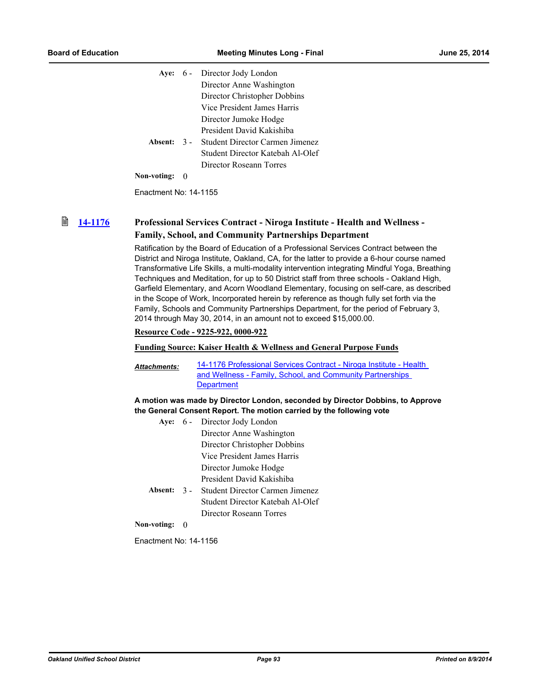|             | Aye: 6 - Director Jody London                      |
|-------------|----------------------------------------------------|
|             | Director Anne Washington                           |
|             | Director Christopher Dobbins                       |
|             | Vice President James Harris                        |
|             | Director Jumoke Hodge                              |
|             | President David Kakishiba                          |
|             | <b>Absent:</b> 3 - Student Director Carmen Jimenez |
|             | Student Director Katebah Al-Olef                   |
|             | Director Roseann Torres                            |
| Non-voting: |                                                    |

# 眥

# **[14-1176](http://ousd.legistar.com/gateway.aspx?m=l&id=/matter.aspx?key=32866) Professional Services Contract - Niroga Institute - Health and Wellness - Family, School, and Community Partnerships Department**

Ratification by the Board of Education of a Professional Services Contract between the District and Niroga Institute, Oakland, CA, for the latter to provide a 6-hour course named Transformative Life Skills, a multi-modality intervention integrating Mindful Yoga, Breathing Techniques and Meditation, for up to 50 District staff from three schools - Oakland High, Garfield Elementary, and Acorn Woodland Elementary, focusing on self-care, as described in the Scope of Work, Incorporated herein by reference as though fully set forth via the Family, Schools and Community Partnerships Department, for the period of February 3, 2014 through May 30, 2014, in an amount not to exceed \$15,000.00.

## **Resource Code - 9225-922, 0000-922**

## **Funding Source: Kaiser Health & Wellness and General Purpose Funds**

| Attachments: | 14-1176 Professional Services Contract - Niroga Institute - Health |
|--------------|--------------------------------------------------------------------|
|              | and Wellness - Family, School, and Community Partnerships          |
|              | Department                                                         |

# **A motion was made by Director London, seconded by Director Dobbins, to Approve the General Consent Report. The motion carried by the following vote**

|               |        | Aye: 6 - Director Jody London          |
|---------------|--------|----------------------------------------|
|               |        | Director Anne Washington               |
|               |        | Director Christopher Dobbins           |
|               |        | Vice President James Harris            |
|               |        | Director Jumoke Hodge                  |
|               |        | President David Kakishiba              |
| Absent: $3 -$ |        | <b>Student Director Carmen Jimenez</b> |
|               |        | Student Director Katebah Al-Olef       |
|               |        | Director Roseann Torres                |
| Non-voting:   | $_{0}$ |                                        |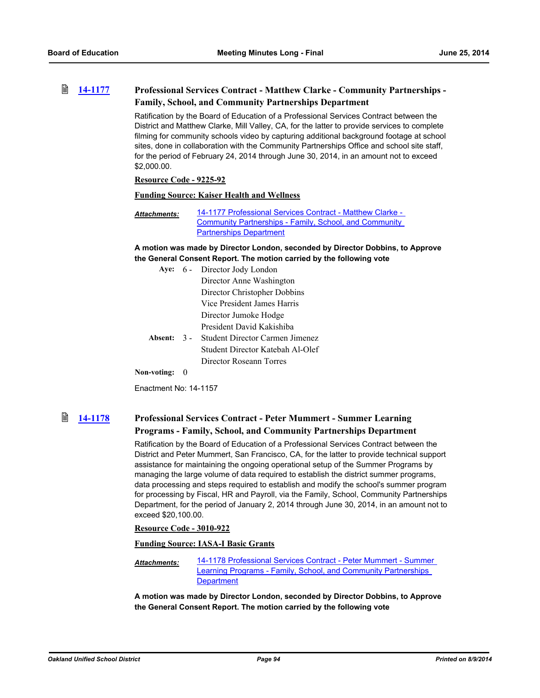### ₿ **[14-1177](http://ousd.legistar.com/gateway.aspx?m=l&id=/matter.aspx?key=32867) Professional Services Contract - Matthew Clarke - Community Partnerships - Family, School, and Community Partnerships Department**

Ratification by the Board of Education of a Professional Services Contract between the District and Matthew Clarke, Mill Valley, CA, for the latter to provide services to complete filming for community schools video by capturing additional background footage at school sites, done in collaboration with the Community Partnerships Office and school site staff, for the period of February 24, 2014 through June 30, 2014, in an amount not to exceed \$2,000.00.

## **Resource Code - 9225-92**

## **Funding Source: Kaiser Health and Wellness**

[14-1177 Professional Services Contract - Matthew Clarke -](http://ousd.legistar.com/gateway.aspx?M=F&ID=76523.pdf)  Community Partnerships - Family, School, and Community Partnerships Department *Attachments:*

## **A motion was made by Director London, seconded by Director Dobbins, to Approve the General Consent Report. The motion carried by the following vote**

|                    | Aye: 6 - Director Jody London          |
|--------------------|----------------------------------------|
|                    | Director Anne Washington               |
|                    | Director Christopher Dobbins           |
|                    | Vice President James Harris            |
|                    | Director Jumoke Hodge                  |
|                    | President David Kakishiba              |
| <b>Absent:</b> 3 - | <b>Student Director Carmen Jimenez</b> |
|                    | Student Director Katebah Al-Olef       |
|                    | Director Roseann Torres                |

**Non-voting:** 0

Enactment No: 14-1157

# **[14-1178](http://ousd.legistar.com/gateway.aspx?m=l&id=/matter.aspx?key=32868) Professional Services Contract - Peter Mummert - Summer Learning Programs - Family, School, and Community Partnerships Department**

Ratification by the Board of Education of a Professional Services Contract between the District and Peter Mummert, San Francisco, CA, for the latter to provide technical support assistance for maintaining the ongoing operational setup of the Summer Programs by managing the large volume of data required to establish the district summer programs, data processing and steps required to establish and modify the school's summer program for processing by Fiscal, HR and Payroll, via the Family, School, Community Partnerships Department, for the period of January 2, 2014 through June 30, 2014, in an amount not to exceed \$20,100.00.

## **Resource Code - 3010-922**

## **Funding Source: IASA-I Basic Grants**

[14-1178 Professional Services Contract - Peter Mummert - Summer](http://ousd.legistar.com/gateway.aspx?M=F&ID=76524.pdf)  Learning Programs - Family, School, and Community Partnerships **Department** *Attachments:*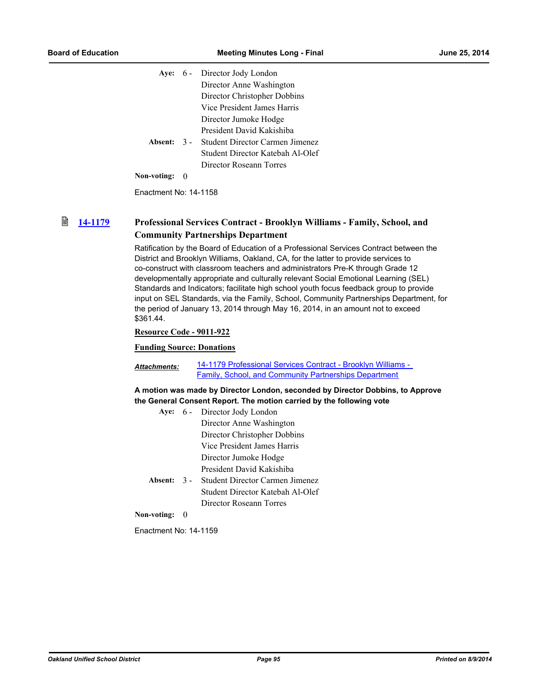|               | Aye: 6 - Director Jody London    |
|---------------|----------------------------------|
|               | Director Anne Washington         |
|               | Director Christopher Dobbins     |
|               | Vice President James Harris      |
|               | Director Jumoke Hodge            |
|               | President David Kakishiba        |
| Absent: $3 -$ | Student Director Carmen Jimenez  |
|               | Student Director Katebah Al-Olef |
|               | Director Roseann Torres          |
| Non-voting:   |                                  |

# 誾

# **[14-1179](http://ousd.legistar.com/gateway.aspx?m=l&id=/matter.aspx?key=32869) Professional Services Contract - Brooklyn Williams - Family, School, and Community Partnerships Department**

Ratification by the Board of Education of a Professional Services Contract between the District and Brooklyn Williams, Oakland, CA, for the latter to provide services to co-construct with classroom teachers and administrators Pre-K through Grade 12 developmentally appropriate and culturally relevant Social Emotional Learning (SEL) Standards and Indicators; facilitate high school youth focus feedback group to provide input on SEL Standards, via the Family, School, Community Partnerships Department, for the period of January 13, 2014 through May 16, 2014, in an amount not to exceed \$361.44.

## **Resource Code - 9011-922**

## **Funding Source: Donations**

| <b>Attachments:</b> | 14-1179 Professional Services Contract - Brooklyn Williams -<br><b>Family, School, and Community Partnerships Department</b>                           |
|---------------------|--------------------------------------------------------------------------------------------------------------------------------------------------------|
|                     | A motion was made by Director London, seconded by Director Dobbins, to Approve<br>the General Consent Report. The motion carried by the following vote |

|             | Aye: 6 - Director Jody London                      |
|-------------|----------------------------------------------------|
|             | Director Anne Washington                           |
|             | Director Christopher Dobbins                       |
|             | Vice President James Harris                        |
|             | Director Jumoke Hodge                              |
|             | President David Kakishiba                          |
|             | <b>Absent:</b> 3 - Student Director Carmen Jimenez |
|             | Student Director Katebah Al-Olef                   |
|             | Director Roseann Torres                            |
| Non-voting: |                                                    |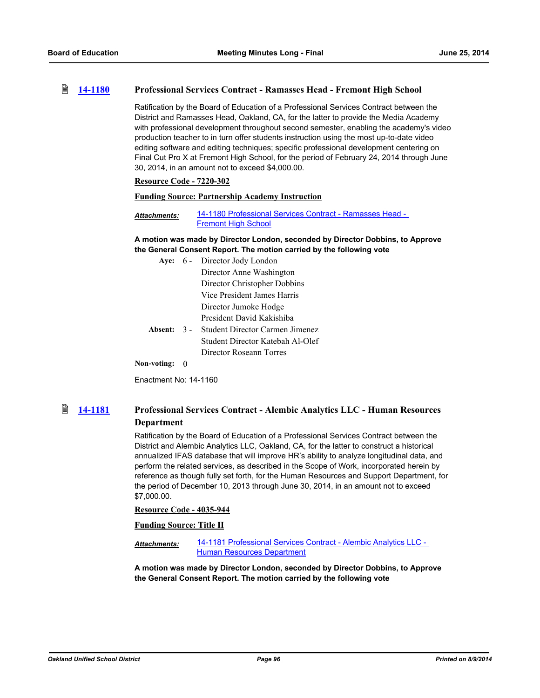#### ₿ **[14-1180](http://ousd.legistar.com/gateway.aspx?m=l&id=/matter.aspx?key=32870) Professional Services Contract - Ramasses Head - Fremont High School**

Ratification by the Board of Education of a Professional Services Contract between the District and Ramasses Head, Oakland, CA, for the latter to provide the Media Academy with professional development throughout second semester, enabling the academy's video production teacher to in turn offer students instruction using the most up-to-date video editing software and editing techniques; specific professional development centering on Final Cut Pro X at Fremont High School, for the period of February 24, 2014 through June 30, 2014, in an amount not to exceed \$4,000.00.

## **Resource Code - 7220-302**

## **Funding Source: Partnership Academy Instruction**

[14-1180 Professional Services Contract - Ramasses Head -](http://ousd.legistar.com/gateway.aspx?M=F&ID=76526.pdf)  Fremont High School *Attachments:*

## **A motion was made by Director London, seconded by Director Dobbins, to Approve the General Consent Report. The motion carried by the following vote**

|             |       | Aye: 6 - Director Jody London          |
|-------------|-------|----------------------------------------|
|             |       | Director Anne Washington               |
|             |       | Director Christopher Dobbins           |
|             |       | Vice President James Harris            |
|             |       | Director Jumoke Hodge                  |
|             |       | President David Kakishiba              |
| Absent:     | $3 -$ | <b>Student Director Carmen Jimenez</b> |
|             |       | Student Director Katebah Al-Olef       |
|             |       | Director Roseann Torres                |
| Non-voting: | -0    |                                        |
|             |       |                                        |

Enactment No: 14-1160

# **[14-1181](http://ousd.legistar.com/gateway.aspx?m=l&id=/matter.aspx?key=32871) Professional Services Contract - Alembic Analytics LLC - Human Resources Department**

Ratification by the Board of Education of a Professional Services Contract between the District and Alembic Analytics LLC, Oakland, CA, for the latter to construct a historical annualized IFAS database that will improve HR's ability to analyze longitudinal data, and perform the related services, as described in the Scope of Work, incorporated herein by reference as though fully set forth, for the Human Resources and Support Department, for the period of December 10, 2013 through June 30, 2014, in an amount not to exceed \$7,000.00.

**Resource Code - 4035-944**

## **Funding Source: Title II**

[14-1181 Professional Services Contract - Alembic Analytics LLC -](http://ousd.legistar.com/gateway.aspx?M=F&ID=76527.pdf)  Human Resources Department *Attachments:*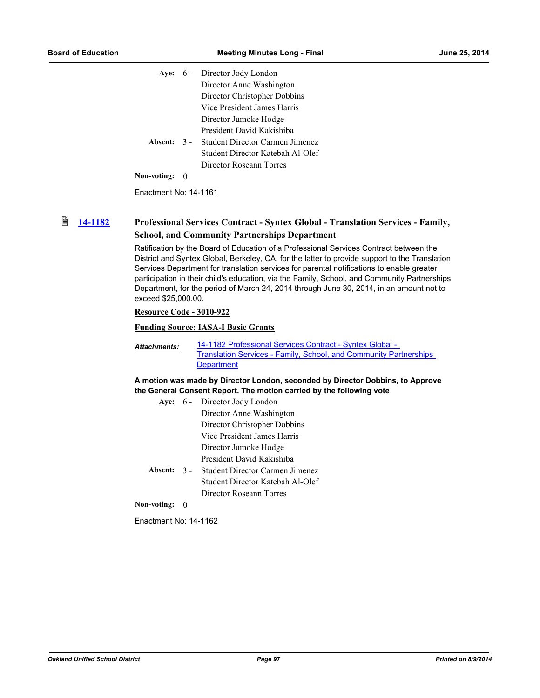|             | Aye: 6 - Director Jody London                      |
|-------------|----------------------------------------------------|
|             | Director Anne Washington                           |
|             | Director Christopher Dobbins                       |
|             | Vice President James Harris                        |
|             | Director Jumoke Hodge                              |
|             | President David Kakishiba                          |
|             | <b>Absent:</b> 3 - Student Director Carmen Jimenez |
|             | Student Director Katebah Al-Olef                   |
|             | Director Roseann Torres                            |
| Non-voting: |                                                    |

# **[14-1182](http://ousd.legistar.com/gateway.aspx?m=l&id=/matter.aspx?key=32872) Professional Services Contract - Syntex Global - Translation Services - Family, School, and Community Partnerships Department**

Ratification by the Board of Education of a Professional Services Contract between the District and Syntex Global, Berkeley, CA, for the latter to provide support to the Translation Services Department for translation services for parental notifications to enable greater participation in their child's education, via the Family, School, and Community Partnerships Department, for the period of March 24, 2014 through June 30, 2014, in an amount not to exceed \$25,000.00.

## **Resource Code - 3010-922**

## **Funding Source: IASA-I Basic Grants**

14-1182 Professional Services Contract - Syntex Global - [Translation Services - Family, School, and Community Partnerships](http://ousd.legistar.com/gateway.aspx?M=F&ID=76528.pdf)  **Department** *Attachments:*

**A motion was made by Director London, seconded by Director Dobbins, to Approve the General Consent Report. The motion carried by the following vote**

Aye: 6 - Director Jody London Director Anne Washington Director Christopher Dobbins Vice President James Harris Director Jumoke Hodge President David Kakishiba **Absent:** Student Director Carmen Jimenez Student Director Katebah Al-Olef Director Roseann Torres Absent:  $3 -$ **Non-voting:** 0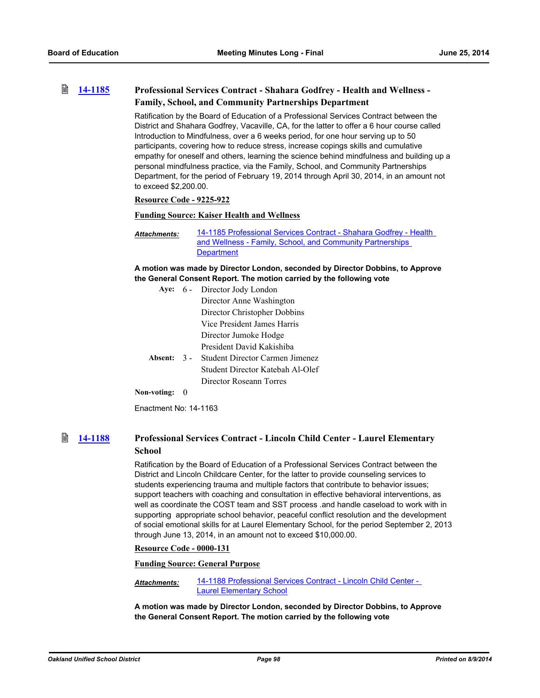#### ₿ **[14-1185](http://ousd.legistar.com/gateway.aspx?m=l&id=/matter.aspx?key=32875) Professional Services Contract - Shahara Godfrey - Health and Wellness - Family, School, and Community Partnerships Department**

Ratification by the Board of Education of a Professional Services Contract between the District and Shahara Godfrey, Vacaville, CA, for the latter to offer a 6 hour course called Introduction to Mindfulness, over a 6 weeks period, for one hour serving up to 50 participants, covering how to reduce stress, increase copings skills and cumulative empathy for oneself and others, learning the science behind mindfulness and building up a personal mindfulness practice, via the Family, School, and Community Partnerships Department, for the period of February 19, 2014 through April 30, 2014, in an amount not to exceed \$2,200.00.

## **Resource Code - 9225-922**

## **Funding Source: Kaiser Health and Wellness**

## **A motion was made by Director London, seconded by Director Dobbins, to Approve the General Consent Report. The motion carried by the following vote**

|              |          | Aye: 6 - Director Jody London          |
|--------------|----------|----------------------------------------|
|              |          | Director Anne Washington               |
|              |          | Director Christopher Dobbins           |
|              |          | Vice President James Harris            |
|              |          | Director Jumoke Hodge                  |
|              |          | President David Kakishiba              |
| Absent: $3-$ |          | <b>Student Director Carmen Jimenez</b> |
|              |          | Student Director Katebah Al-Olef       |
|              |          | Director Roseann Torres                |
| Non-voting:  | $\theta$ |                                        |

Enactment No: 14-1163

# **[14-1188](http://ousd.legistar.com/gateway.aspx?m=l&id=/matter.aspx?key=32878) Professional Services Contract - Lincoln Child Center - Laurel Elementary School**

Ratification by the Board of Education of a Professional Services Contract between the District and Lincoln Childcare Center, for the latter to provide counseling services to students experiencing trauma and multiple factors that contribute to behavior issues; support teachers with coaching and consultation in effective behavioral interventions, as well as coordinate the COST team and SST process .and handle caseload to work with in supporting appropriate school behavior, peaceful conflict resolution and the development of social emotional skills for at Laurel Elementary School, for the period September 2, 2013 through June 13, 2014, in an amount not to exceed \$10,000.00.

## **Resource Code - 0000-131**

## **Funding Source: General Purpose**

#### [14-1188 Professional Services Contract - Lincoln Child Center -](http://ousd.legistar.com/gateway.aspx?M=F&ID=76533.pdf)  Laurel Elementary School *Attachments:*

[<sup>14-1185</sup> Professional Services Contract - Shahara Godfrey - Health](http://ousd.legistar.com/gateway.aspx?M=F&ID=76531.pdf)  and Wellness - Family, School, and Community Partnerships **Department** *Attachments:*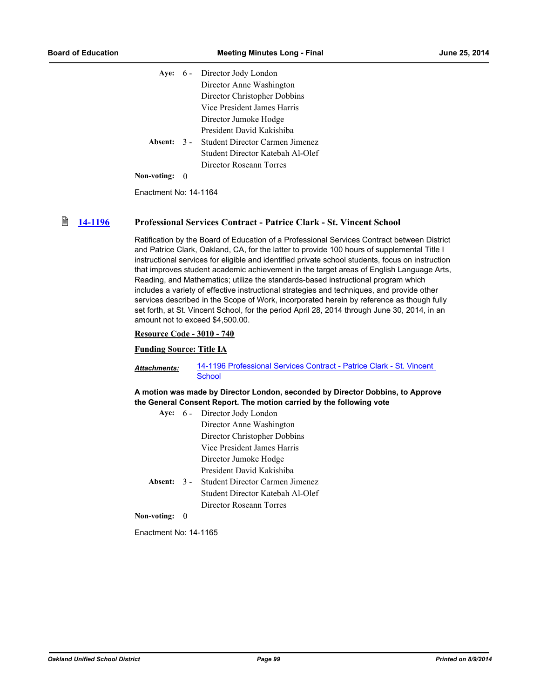|              | Aye: 6 - Director Jody London          |
|--------------|----------------------------------------|
|              | Director Anne Washington               |
|              | Director Christopher Dobbins           |
|              | Vice President James Harris            |
|              | Director Jumoke Hodge                  |
|              | President David Kakishiba              |
| Absent: $3-$ | <b>Student Director Carmen Jimenez</b> |
|              | Student Director Katebah Al-Olef       |
|              | Director Roseann Torres                |
| Non-voting:  |                                        |

## 眥

## **[14-1196](http://ousd.legistar.com/gateway.aspx?m=l&id=/matter.aspx?key=32886) Professional Services Contract - Patrice Clark - St. Vincent School**

Ratification by the Board of Education of a Professional Services Contract between District and Patrice Clark, Oakland, CA, for the latter to provide 100 hours of supplemental Title I instructional services for eligible and identified private school students, focus on instruction that improves student academic achievement in the target areas of English Language Arts, Reading, and Mathematics; utilize the standards-based instructional program which includes a variety of effective instructional strategies and techniques, and provide other services described in the Scope of Work, incorporated herein by reference as though fully set forth, at St. Vincent School, for the period April 28, 2014 through June 30, 2014, in an amount not to exceed \$4,500.00.

# **Resource Code - 3010 - 740**

## **Funding Source: Title IA**

[14-1196 Professional Services Contract - Patrice Clark - St. Vincent](http://ousd.legistar.com/gateway.aspx?M=F&ID=76730.pdf)  **School** *Attachments:*

**A motion was made by Director London, seconded by Director Dobbins, to Approve the General Consent Report. The motion carried by the following vote**

Aye: 6 - Director Jody London Director Anne Washington Director Christopher Dobbins Vice President James Harris Director Jumoke Hodge President David Kakishiba **Absent:** Student Director Carmen Jimenez Student Director Katebah Al-Olef Director Roseann Torres Absent:  $3 -$ **Non-voting:** 0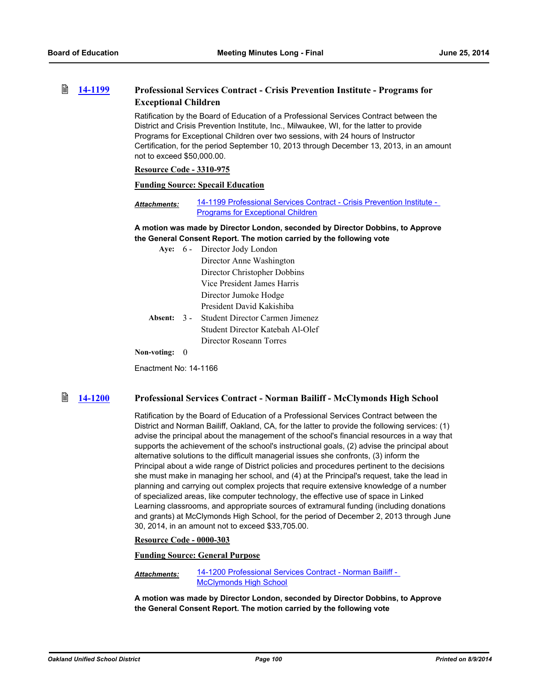#### ₿ **[14-1199](http://ousd.legistar.com/gateway.aspx?m=l&id=/matter.aspx?key=32887) Professional Services Contract - Crisis Prevention Institute - Programs for Exceptional Children**

Ratification by the Board of Education of a Professional Services Contract between the District and Crisis Prevention Institute, Inc., Milwaukee, WI, for the latter to provide Programs for Exceptional Children over two sessions, with 24 hours of Instructor Certification, for the period September 10, 2013 through December 13, 2013, in an amount not to exceed \$50,000.00.

## **Resource Code - 3310-975**

## **Funding Source: Specail Education**

#### [14-1199 Professional Services Contract - Crisis Prevention Institute -](http://ousd.legistar.com/gateway.aspx?M=F&ID=76535.pdf)  Programs for Exceptional Children *Attachments:*

## **A motion was made by Director London, seconded by Director Dobbins, to Approve the General Consent Report. The motion carried by the following vote**

Aye: 6 - Director Jody London Director Anne Washington Director Christopher Dobbins Vice President James Harris Director Jumoke Hodge President David Kakishiba **Absent:** Student Director Carmen Jimenez Student Director Katebah Al-Olef Director Roseann Torres Absent:  $3 -$ 

**Non-voting:** 0

Enactment No: 14-1166

## **[14-1200](http://ousd.legistar.com/gateway.aspx?m=l&id=/matter.aspx?key=32888) Professional Services Contract - Norman Bailiff - McClymonds High School**

Ratification by the Board of Education of a Professional Services Contract between the District and Norman Bailiff, Oakland, CA, for the latter to provide the following services: (1) advise the principal about the management of the school's financial resources in a way that supports the achievement of the school's instructional goals, (2) advise the principal about alternative solutions to the difficult managerial issues she confronts, (3) inform the Principal about a wide range of District policies and procedures pertinent to the decisions she must make in managing her school, and (4) at the Principal's request, take the lead in planning and carrying out complex projects that require extensive knowledge of a number of specialized areas, like computer technology, the effective use of space in Linked Learning classrooms, and appropriate sources of extramural funding (including donations and grants) at McClymonds High School, for the period of December 2, 2013 through June 30, 2014, in an amount not to exceed \$33,705.00.

## **Resource Code - 0000-303**

## **Funding Source: General Purpose**

[14-1200 Professional Services Contract - Norman Bailiff -](http://ousd.legistar.com/gateway.aspx?M=F&ID=76536.pdf)  McClymonds High School *Attachments:*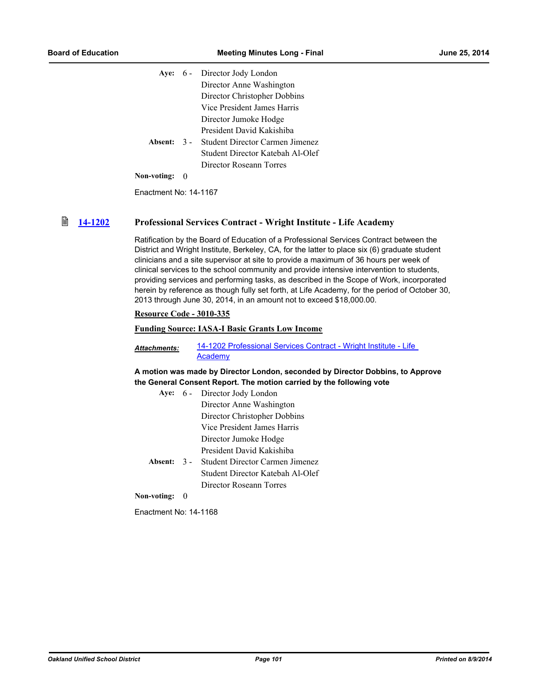|             | Aye: 6 - Director Jody London                      |
|-------------|----------------------------------------------------|
|             | Director Anne Washington                           |
|             | Director Christopher Dobbins                       |
|             | Vice President James Harris                        |
|             | Director Jumoke Hodge                              |
|             | President David Kakishiba                          |
|             | <b>Absent:</b> 3 - Student Director Carmen Jimenez |
|             | Student Director Katebah Al-Olef                   |
|             | Director Roseann Torres                            |
| Non-voting: |                                                    |

#### 誾 **[14-1202](http://ousd.legistar.com/gateway.aspx?m=l&id=/matter.aspx?key=32890) Professional Services Contract - Wright Institute - Life Academy**

Ratification by the Board of Education of a Professional Services Contract between the District and Wright Institute, Berkeley, CA, for the latter to place six (6) graduate student clinicians and a site supervisor at site to provide a maximum of 36 hours per week of clinical services to the school community and provide intensive intervention to students, providing services and performing tasks, as described in the Scope of Work, incorporated herein by reference as though fully set forth, at Life Academy, for the period of October 30, 2013 through June 30, 2014, in an amount not to exceed \$18,000.00.

## **Resource Code - 3010-335**

**Funding Source: IASA-I Basic Grants Low Income**

#### [14-1202 Professional Services Contract - Wright Institute - Life](http://ousd.legistar.com/gateway.aspx?M=F&ID=76538.pdf)  Academy *Attachments:*

## **A motion was made by Director London, seconded by Director Dobbins, to Approve the General Consent Report. The motion carried by the following vote**

|               | Aye: 6 - Director Jody London          |
|---------------|----------------------------------------|
|               | Director Anne Washington               |
|               | Director Christopher Dobbins           |
|               | Vice President James Harris            |
|               | Director Jumoke Hodge                  |
|               | President David Kakishiba              |
| Absent: $3 -$ | <b>Student Director Carmen Jimenez</b> |
|               | Student Director Katebah Al-Olef       |
|               | Director Roseann Torres                |
| Non-voting:   |                                        |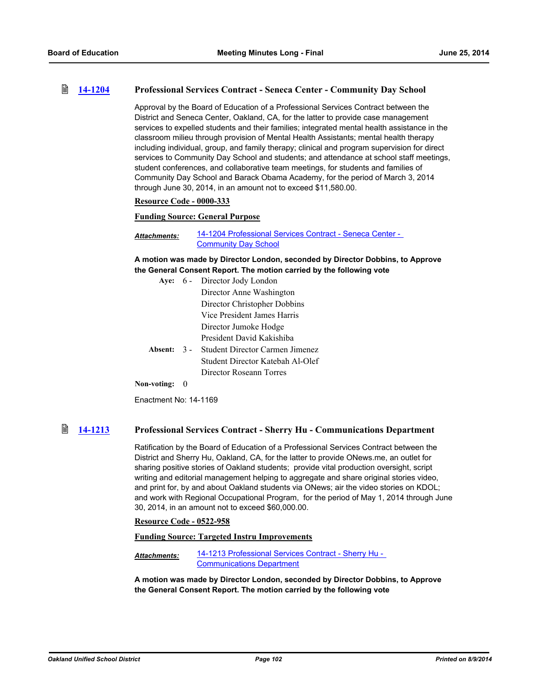#### ₿ **[14-1204](http://ousd.legistar.com/gateway.aspx?m=l&id=/matter.aspx?key=32892) Professional Services Contract - Seneca Center - Community Day School**

Approval by the Board of Education of a Professional Services Contract between the District and Seneca Center, Oakland, CA, for the latter to provide case management services to expelled students and their families; integrated mental health assistance in the classroom milieu through provision of Mental Health Assistants; mental health therapy including individual, group, and family therapy; clinical and program supervision for direct services to Community Day School and students; and attendance at school staff meetings, student conferences, and collaborative team meetings, for students and families of Community Day School and Barack Obama Academy, for the period of March 3, 2014 through June 30, 2014, in an amount not to exceed \$11,580.00.

## **Resource Code - 0000-333**

## **Funding Source: General Purpose**

[14-1204 Professional Services Contract - Seneca Center -](http://ousd.legistar.com/gateway.aspx?M=F&ID=76539.pdf)  Community Day School *Attachments:*

**A motion was made by Director London, seconded by Director Dobbins, to Approve the General Consent Report. The motion carried by the following vote**

Aye: 6 - Director Jody London Director Anne Washington Director Christopher Dobbins Vice President James Harris Director Jumoke Hodge President David Kakishiba **Absent:** Student Director Carmen Jimenez Student Director Katebah Al-Olef Director Roseann Torres Absent:  $3 -$ **Non-voting:** 0

Enactment No: 14-1169

# **[14-1213](http://ousd.legistar.com/gateway.aspx?m=l&id=/matter.aspx?key=32901) Professional Services Contract - Sherry Hu - Communications Department**

Ratification by the Board of Education of a Professional Services Contract between the District and Sherry Hu, Oakland, CA, for the latter to provide ONews.me, an outlet for sharing positive stories of Oakland students; provide vital production oversight, script writing and editorial management helping to aggregate and share original stories video, and print for, by and about Oakland students via ONews; air the video stories on KDOL; and work with Regional Occupational Program, for the period of May 1, 2014 through June 30, 2014, in an amount not to exceed \$60,000.00.

## **Resource Code - 0522-958**

## **Funding Source: Targeted Instru Improvements**

[14-1213 Professional Services Contract - Sherry Hu -](http://ousd.legistar.com/gateway.aspx?M=F&ID=76540.pdf)  Communications Department *Attachments:*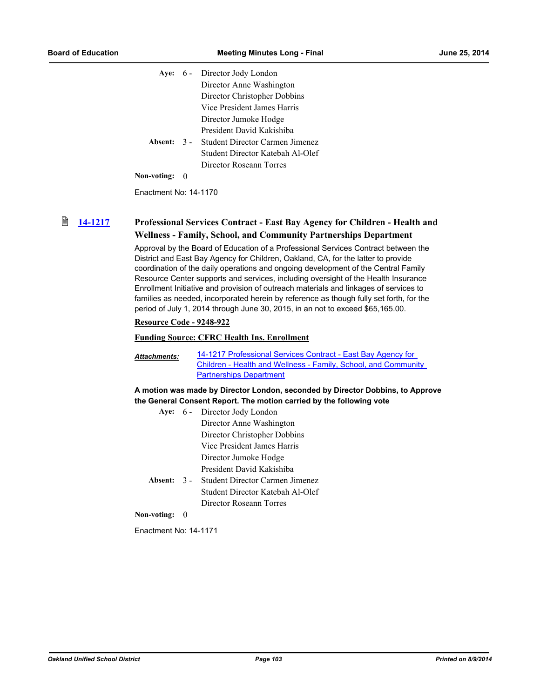|             | Aye: 6 - Director Jody London                      |
|-------------|----------------------------------------------------|
|             | Director Anne Washington                           |
|             | Director Christopher Dobbins                       |
|             | Vice President James Harris                        |
|             | Director Jumoke Hodge                              |
|             | President David Kakishiba                          |
|             | <b>Absent:</b> 3 - Student Director Carmen Jimenez |
|             | Student Director Katebah Al-Olef                   |
|             | Director Roseann Torres                            |
| Non-voting: |                                                    |

眥

# **[14-1217](http://ousd.legistar.com/gateway.aspx?m=l&id=/matter.aspx?key=32905) Professional Services Contract - East Bay Agency for Children - Health and Wellness - Family, School, and Community Partnerships Department**

Approval by the Board of Education of a Professional Services Contract between the District and East Bay Agency for Children, Oakland, CA, for the latter to provide coordination of the daily operations and ongoing development of the Central Family Resource Center supports and services, including oversight of the Health Insurance Enrollment Initiative and provision of outreach materials and linkages of services to families as needed, incorporated herein by reference as though fully set forth, for the period of July 1, 2014 through June 30, 2015, in an not to exceed \$65,165.00.

# **Resource Code - 9248-922**

## **Funding Source: CFRC Health Ins. Enrollment**

14-1217 Professional Services Contract - East Bay Agency for [Children - Health and Wellness - Family, School, and Community](http://ousd.legistar.com/gateway.aspx?M=F&ID=76569.pdf)  Partnerships Department *Attachments:*

## **A motion was made by Director London, seconded by Director Dobbins, to Approve the General Consent Report. The motion carried by the following vote**

|             |       | Aye: 6 - Director Jody London          |
|-------------|-------|----------------------------------------|
|             |       | Director Anne Washington               |
|             |       | Director Christopher Dobbins           |
|             |       | Vice President James Harris            |
|             |       | Director Jumoke Hodge                  |
|             |       | President David Kakishiba              |
| Absent:     | $3 -$ | <b>Student Director Carmen Jimenez</b> |
|             |       | Student Director Katebah Al-Olef       |
|             |       | Director Roseann Torres                |
| Non-voting: |       |                                        |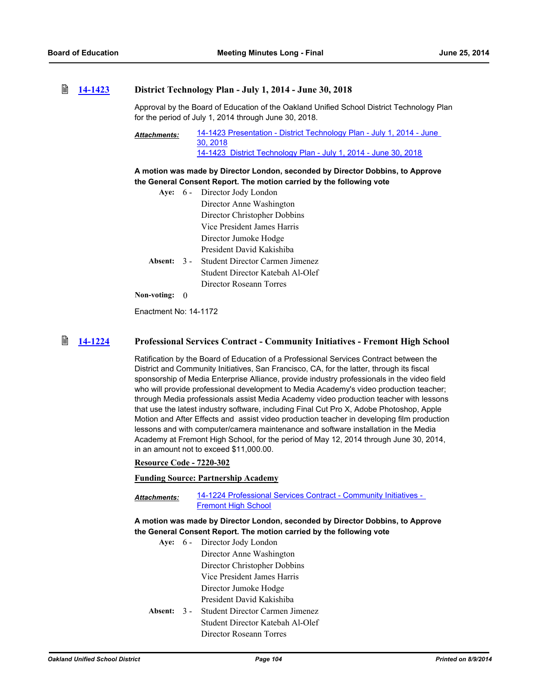#### ₿ **[14-1423](http://ousd.legistar.com/gateway.aspx?m=l&id=/matter.aspx?key=33103) District Technology Plan - July 1, 2014 - June 30, 2018**

Approval by the Board of Education of the Oakland Unified School District Technology Plan for the period of July 1, 2014 through June 30, 2018.

[14-1423 Presentation - District Technology Plan - July 1, 2014 - June](http://ousd.legistar.com/gateway.aspx?M=F&ID=76332.pptx)  30, 2018 [14-1423 District Technology Plan - July 1, 2014 - June 30, 2018](http://ousd.legistar.com/gateway.aspx?M=F&ID=76333.pdf) *Attachments:*

**A motion was made by Director London, seconded by Director Dobbins, to Approve the General Consent Report. The motion carried by the following vote**

Aye: 6 - Director Jody London Director Anne Washington Director Christopher Dobbins Vice President James Harris Director Jumoke Hodge President David Kakishiba **Absent:** Student Director Carmen Jimenez Student Director Katebah Al-Olef Director Roseann Torres Absent:  $3 -$ 

**Non-voting:** 0

Enactment No: 14-1172

# **[14-1224](http://ousd.legistar.com/gateway.aspx?m=l&id=/matter.aspx?key=32912) Professional Services Contract - Community Initiatives - Fremont High School**

Ratification by the Board of Education of a Professional Services Contract between the District and Community Initiatives, San Francisco, CA, for the latter, through its fiscal sponsorship of Media Enterprise Alliance, provide industry professionals in the video field who will provide professional development to Media Academy's video production teacher; through Media professionals assist Media Academy video production teacher with lessons that use the latest industry software, including Final Cut Pro X, Adobe Photoshop, Apple Motion and After Effects and assist video production teacher in developing film production lessons and with computer/camera maintenance and software installation in the Media Academy at Fremont High School, for the period of May 12, 2014 through June 30, 2014, in an amount not to exceed \$11,000.00.

## **Resource Code - 7220-302**

**Funding Source: Partnership Academy**

[14-1224 Professional Services Contract - Community Initiatives -](http://ousd.legistar.com/gateway.aspx?M=F&ID=76542.pdf)  Fremont High School *Attachments:*

**A motion was made by Director London, seconded by Director Dobbins, to Approve the General Consent Report. The motion carried by the following vote**

Aye: 6 - Director Jody London Director Anne Washington Director Christopher Dobbins Vice President James Harris Director Jumoke Hodge President David Kakishiba **Absent:** Student Director Carmen Jimenez Student Director Katebah Al-Olef Director Roseann Torres Absent:  $3 -$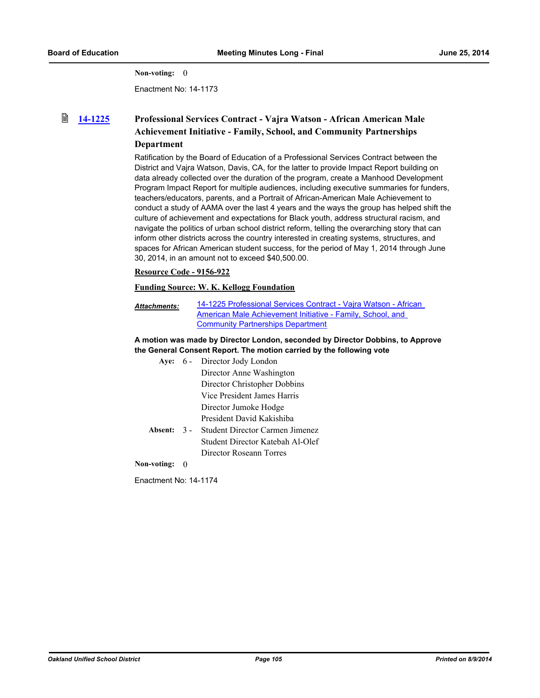**Non-voting:** 0

Enactment No: 14-1173

## 眥 **[14-1225](http://ousd.legistar.com/gateway.aspx?m=l&id=/matter.aspx?key=32913) Professional Services Contract - Vajra Watson - African American Male Achievement Initiative - Family, School, and Community Partnerships**

## **Department**

Ratification by the Board of Education of a Professional Services Contract between the District and Vajra Watson, Davis, CA, for the latter to provide Impact Report building on data already collected over the duration of the program, create a Manhood Development Program Impact Report for multiple audiences, including executive summaries for funders, teachers/educators, parents, and a Portrait of African-American Male Achievement to conduct a study of AAMA over the last 4 years and the ways the group has helped shift the culture of achievement and expectations for Black youth, address structural racism, and navigate the politics of urban school district reform, telling the overarching story that can inform other districts across the country interested in creating systems, structures, and spaces for African American student success, for the period of May 1, 2014 through June 30, 2014, in an amount not to exceed \$40,500.00.

## **Resource Code - 9156-922**

## **Funding Source: W. K. Kellogg Foundation**

| <b>Attachments:</b> | 14-1225 Professional Services Contract - Vaira Watson - African |
|---------------------|-----------------------------------------------------------------|
|                     | American Male Achievement Initiative - Family, School, and      |
|                     | <b>Community Partnerships Department</b>                        |

**A motion was made by Director London, seconded by Director Dobbins, to Approve the General Consent Report. The motion carried by the following vote**

|             | Aye: 6 - Director Jody London          |
|-------------|----------------------------------------|
|             | Director Anne Washington               |
|             | Director Christopher Dobbins           |
|             | Vice President James Harris            |
|             | Director Jumoke Hodge                  |
|             | President David Kakishiba              |
| Absent: 3 - | <b>Student Director Carmen Jimenez</b> |
|             | Student Director Katebah Al-Olef       |
|             | Director Roseann Torres                |

**Non-voting:** 0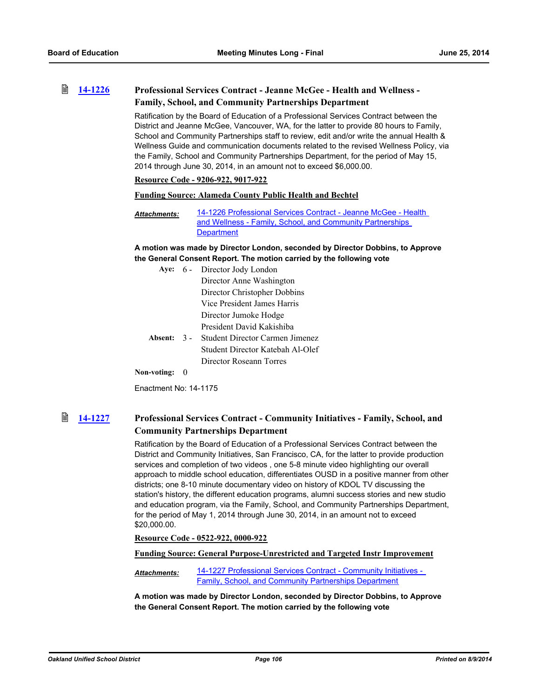#### ₿ **[14-1226](http://ousd.legistar.com/gateway.aspx?m=l&id=/matter.aspx?key=32914) Professional Services Contract - Jeanne McGee - Health and Wellness - Family, School, and Community Partnerships Department**

Ratification by the Board of Education of a Professional Services Contract between the District and Jeanne McGee, Vancouver, WA, for the latter to provide 80 hours to Family, School and Community Partnerships staff to review, edit and/or write the annual Health & Wellness Guide and communication documents related to the revised Wellness Policy, via the Family, School and Community Partnerships Department, for the period of May 15, 2014 through June 30, 2014, in an amount not to exceed \$6,000.00.

# **Resource Code - 9206-922, 9017-922**

## **Funding Source: Alameda County Public Health and Bechtel**

[14-1226 Professional Services Contract - Jeanne McGee - Health](http://ousd.legistar.com/gateway.aspx?M=F&ID=76544.pdf)  and Wellness - Family, School, and Community Partnerships **Department** *Attachments:*

## **A motion was made by Director London, seconded by Director Dobbins, to Approve the General Consent Report. The motion carried by the following vote**

|             | Aye: 6 - Director Jody London          |
|-------------|----------------------------------------|
|             | Director Anne Washington               |
|             | Director Christopher Dobbins           |
|             | Vice President James Harris            |
|             | Director Jumoke Hodge                  |
|             | President David Kakishiba              |
| Absent: 3 - | <b>Student Director Carmen Jimenez</b> |
|             | Student Director Katebah Al-Olef       |

Director Roseann Torres

# **Non-voting:** 0

Enactment No: 14-1175

# **[14-1227](http://ousd.legistar.com/gateway.aspx?m=l&id=/matter.aspx?key=32915) Professional Services Contract - Community Initiatives - Family, School, and Community Partnerships Department**

Ratification by the Board of Education of a Professional Services Contract between the District and Community Initiatives, San Francisco, CA, for the latter to provide production services and completion of two videos , one 5-8 minute video highlighting our overall approach to middle school education, differentiates OUSD in a positive manner from other districts; one 8-10 minute documentary video on history of KDOL TV discussing the station's history, the different education programs, alumni success stories and new studio and education program, via the Family, School, and Community Partnerships Department, for the period of May 1, 2014 through June 30, 2014, in an amount not to exceed \$20,000.00.

## **Resource Code - 0522-922, 0000-922**

## **Funding Source: General Purpose-Unrestricted and Targeted Instr Improvement**

[14-1227 Professional Services Contract - Community Initiatives -](http://ousd.legistar.com/gateway.aspx?M=F&ID=76545.pdf)  Family, School, and Community Partnerships Department *Attachments:*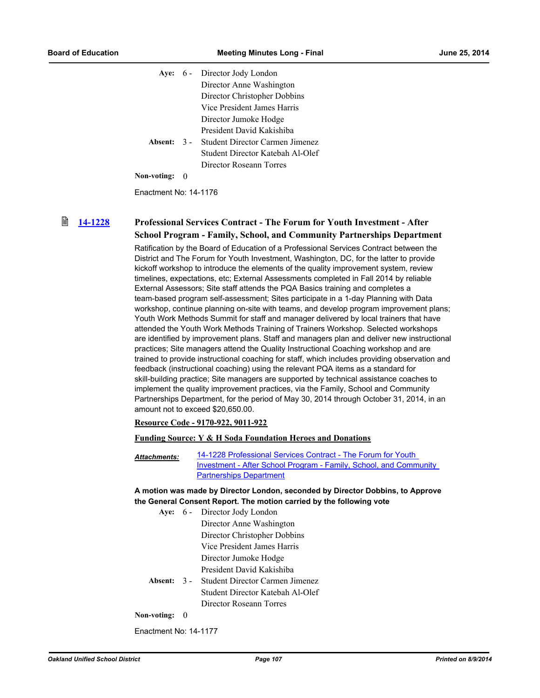|             | Aye: 6 - Director Jody London                      |
|-------------|----------------------------------------------------|
|             | Director Anne Washington                           |
|             | Director Christopher Dobbins                       |
|             | Vice President James Harris                        |
|             | Director Jumoke Hodge                              |
|             | President David Kakishiba                          |
|             | <b>Absent:</b> 3 - Student Director Carmen Jimenez |
|             | Student Director Katebah Al-Olef                   |
|             | Director Roseann Torres                            |
| Non-voting: |                                                    |

# **[14-1228](http://ousd.legistar.com/gateway.aspx?m=l&id=/matter.aspx?key=32916) Professional Services Contract - The Forum for Youth Investment - After School Program - Family, School, and Community Partnerships Department**

Ratification by the Board of Education of a Professional Services Contract between the District and The Forum for Youth Investment, Washington, DC, for the latter to provide kickoff workshop to introduce the elements of the quality improvement system, review timelines, expectations, etc; External Assessments completed in Fall 2014 by reliable External Assessors; Site staff attends the PQA Basics training and completes a team-based program self-assessment; Sites participate in a 1-day Planning with Data workshop, continue planning on-site with teams, and develop program improvement plans; Youth Work Methods Summit for staff and manager delivered by local trainers that have attended the Youth Work Methods Training of Trainers Workshop. Selected workshops are identified by improvement plans. Staff and managers plan and deliver new instructional practices; Site managers attend the Quality Instructional Coaching workshop and are trained to provide instructional coaching for staff, which includes providing observation and feedback (instructional coaching) using the relevant PQA items as a standard for skill-building practice; Site managers are supported by technical assistance coaches to implement the quality improvement practices, via the Family, School and Community Partnerships Department, for the period of May 30, 2014 through October 31, 2014, in an amount not to exceed \$20,650.00.

## **Resource Code - 9170-922, 9011-922**

## **Funding Source: Y & H Soda Foundation Heroes and Donations**

14-1228 Professional Services Contract - The Forum for Youth [Investment - After School Program - Family, School, and Community](http://ousd.legistar.com/gateway.aspx?M=F&ID=76546.pdf)  Partnerships Department *Attachments:*

## **A motion was made by Director London, seconded by Director Dobbins, to Approve the General Consent Report. The motion carried by the following vote**

Aye: 6 - Director Jody London Director Anne Washington Director Christopher Dobbins Vice President James Harris Director Jumoke Hodge President David Kakishiba **Absent:** Student Director Carmen Jimenez Student Director Katebah Al-Olef Director Roseann Torres Absent:  $3 -$ 

**Non-voting:** 0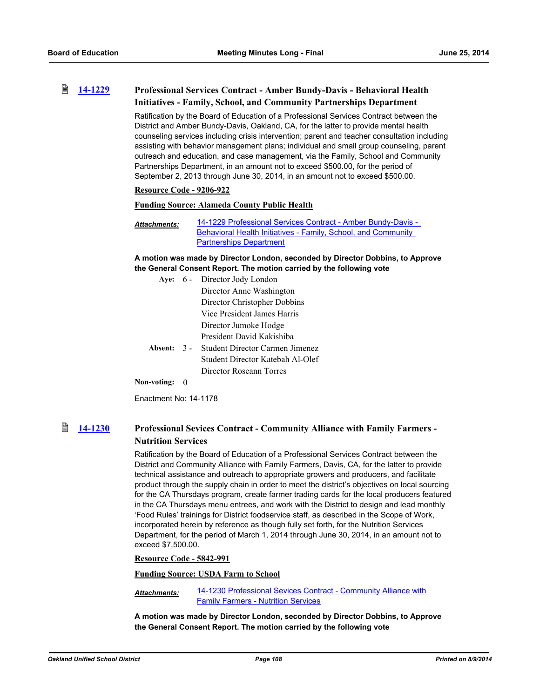#### 昏 **[14-1229](http://ousd.legistar.com/gateway.aspx?m=l&id=/matter.aspx?key=32917) Professional Services Contract - Amber Bundy-Davis - Behavioral Health Initiatives - Family, School, and Community Partnerships Department**

Ratification by the Board of Education of a Professional Services Contract between the District and Amber Bundy-Davis, Oakland, CA, for the latter to provide mental health counseling services including crisis intervention; parent and teacher consultation including assisting with behavior management plans; individual and small group counseling, parent outreach and education, and case management, via the Family, School and Community Partnerships Department, in an amount not to exceed \$500.00, for the period of September 2, 2013 through June 30, 2014, in an amount not to exceed \$500.00.

### **Resource Code - 9206-922**

#### **Funding Source: Alameda County Public Health**

[14-1229 Professional Services Contract - Amber Bundy-Davis -](http://ousd.legistar.com/gateway.aspx?M=F&ID=76547.pdf)  Behavioral Health Initiatives - Family, School, and Community Partnerships Department *Attachments:*

#### **A motion was made by Director London, seconded by Director Dobbins, to Approve the General Consent Report. The motion carried by the following vote**

|                    | Aye: 6 - Director Jody London    |
|--------------------|----------------------------------|
|                    | Director Anne Washington         |
|                    | Director Christopher Dobbins     |
|                    | Vice President James Harris      |
|                    | Director Jumoke Hodge            |
|                    | President David Kakishiba        |
| <b>Absent:</b> 3 – | Student Director Carmen Jimenez  |
|                    | Student Director Katebah Al-Olef |
|                    | Director Roseann Torres          |
| on votinge         |                                  |

**Non-voting:** 0

Enactment No: 14-1178

# **[14-1230](http://ousd.legistar.com/gateway.aspx?m=l&id=/matter.aspx?key=32918) Professional Sevices Contract - Community Alliance with Family Farmers - Nutrition Services**

Ratification by the Board of Education of a Professional Services Contract between the District and Community Alliance with Family Farmers, Davis, CA, for the latter to provide technical assistance and outreach to appropriate growers and producers, and facilitate product through the supply chain in order to meet the district's objectives on local sourcing for the CA Thursdays program, create farmer trading cards for the local producers featured in the CA Thursdays menu entrees, and work with the District to design and lead monthly 'Food Rules' trainings for District foodservice staff, as described in the Scope of Work, incorporated herein by reference as though fully set forth, for the Nutrition Services Department, for the period of March 1, 2014 through June 30, 2014, in an amount not to exceed \$7,500.00.

#### **Resource Code - 5842-991**

#### **Funding Source: USDA Farm to School**

#### [14-1230 Professional Sevices Contract - Community Alliance with](http://ousd.legistar.com/gateway.aspx?M=F&ID=76548.pdf)  Family Farmers - Nutrition Services *Attachments:*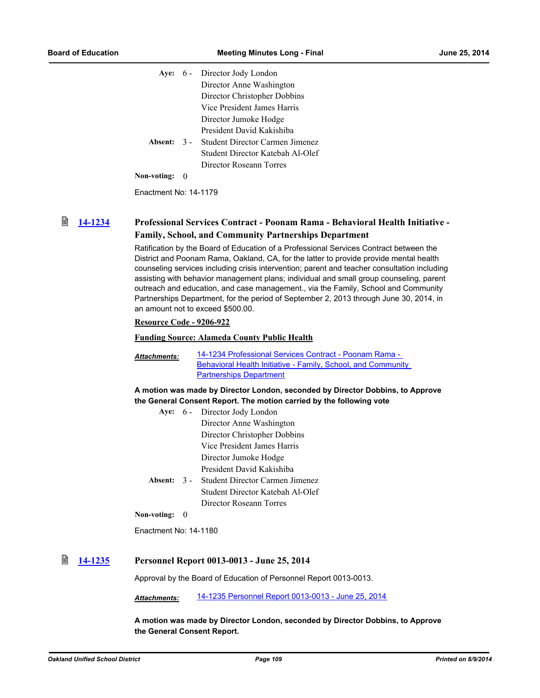|               | Aye: 6 - Director Jody London    |
|---------------|----------------------------------|
|               | Director Anne Washington         |
|               | Director Christopher Dobbins     |
|               | Vice President James Harris      |
|               | Director Jumoke Hodge            |
|               | President David Kakishiba        |
| Absent: $3 -$ | Student Director Carmen Jimenez  |
|               | Student Director Katebah Al-Olef |
|               | Director Roseann Torres          |
| Non-voting:   |                                  |

## **[14-1234](http://ousd.legistar.com/gateway.aspx?m=l&id=/matter.aspx?key=32922) Professional Services Contract - Poonam Rama - Behavioral Health Initiative - Family, School, and Community Partnerships Department**

Ratification by the Board of Education of a Professional Services Contract between the District and Poonam Rama, Oakland, CA, for the latter to provide provide mental health counseling services including crisis intervention; parent and teacher consultation including assisting with behavior management plans; individual and small group counseling, parent outreach and education, and case management., via the Family, School and Community Partnerships Department, for the period of September 2, 2013 through June 30, 2014, in an amount not to exceed \$500.00.

#### **Resource Code - 9206-922**

#### **Funding Source: Alameda County Public Health**

| <b>Attachments:</b> | 14-1234 Professional Services Contract - Poonam Rama -              |  |  |
|---------------------|---------------------------------------------------------------------|--|--|
|                     | <b>Behavioral Health Initiative - Family, School, and Community</b> |  |  |
|                     | <b>Partnerships Department</b>                                      |  |  |

**A motion was made by Director London, seconded by Director Dobbins, to Approve the General Consent Report. The motion carried by the following vote**

|               | Aye: 6 - Director Jody London          |
|---------------|----------------------------------------|
|               | Director Anne Washington               |
|               | Director Christopher Dobbins           |
|               | Vice President James Harris            |
|               | Director Jumoke Hodge                  |
|               | President David Kakishiba              |
| Absent: $3 -$ | <b>Student Director Carmen Jimenez</b> |
|               | Student Director Katebah Al-Olef       |
|               | Director Roseann Torres                |
| Non-voting:   |                                        |

Enactment No: 14-1180

## **[14-1235](http://ousd.legistar.com/gateway.aspx?m=l&id=/matter.aspx?key=32923) Personnel Report 0013-0013 - June 25, 2014**

Approval by the Board of Education of Personnel Report 0013-0013.

*Attachments:* [14-1235 Personnel Report 0013-0013 - June 25, 2014](http://ousd.legistar.com/gateway.aspx?M=F&ID=76771.pdf)

**A motion was made by Director London, seconded by Director Dobbins, to Approve the General Consent Report.**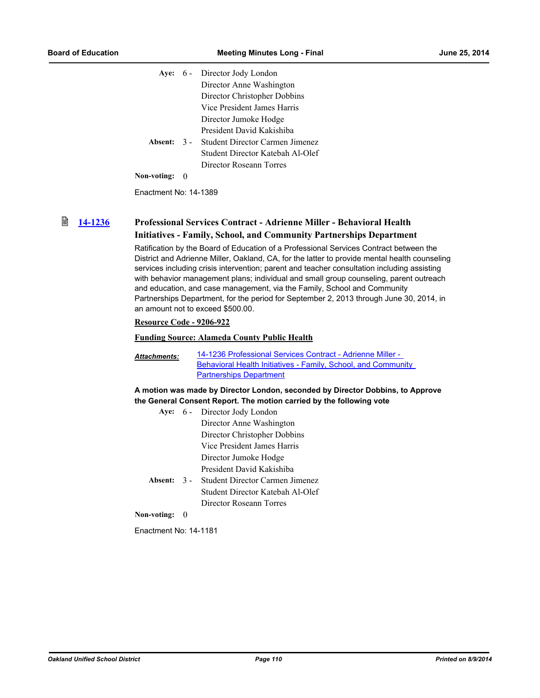|             | Aye: 6 - Director Jody London                      |
|-------------|----------------------------------------------------|
|             | Director Anne Washington                           |
|             | Director Christopher Dobbins                       |
|             | Vice President James Harris                        |
|             | Director Jumoke Hodge                              |
|             | President David Kakishiba                          |
|             | <b>Absent:</b> 3 - Student Director Carmen Jimenez |
|             | Student Director Katebah Al-Olef                   |
|             | Director Roseann Torres                            |
| Non-voting: |                                                    |

眥

# **[14-1236](http://ousd.legistar.com/gateway.aspx?m=l&id=/matter.aspx?key=32924) Professional Services Contract - Adrienne Miller - Behavioral Health Initiatives - Family, School, and Community Partnerships Department**

Ratification by the Board of Education of a Professional Services Contract between the District and Adrienne Miller, Oakland, CA, for the latter to provide mental health counseling services including crisis intervention; parent and teacher consultation including assisting with behavior management plans; individual and small group counseling, parent outreach and education, and case management, via the Family, School and Community Partnerships Department, for the period for September 2, 2013 through June 30, 2014, in an amount not to exceed \$500.00.

## **Resource Code - 9206-922**

#### **Funding Source: Alameda County Public Health**

| <b>Attachments:</b> | 14-1236 Professional Services Contract - Adrienne Miller -    |
|---------------------|---------------------------------------------------------------|
|                     | Behavioral Health Initiatives - Family, School, and Community |
|                     | <b>Partnerships Department</b>                                |

## **A motion was made by Director London, seconded by Director Dobbins, to Approve the General Consent Report. The motion carried by the following vote**

|             |          | Aye: 6 - Director Jody London                      |
|-------------|----------|----------------------------------------------------|
|             |          | Director Anne Washington                           |
|             |          | Director Christopher Dobbins                       |
|             |          | Vice President James Harris                        |
|             |          | Director Jumoke Hodge                              |
|             |          | President David Kakishiba                          |
|             |          | <b>Absent:</b> 3 - Student Director Carmen Jimenez |
|             |          | Student Director Katebah Al-Olef                   |
|             |          | Director Roseann Torres                            |
| Non-voting: | $\theta$ |                                                    |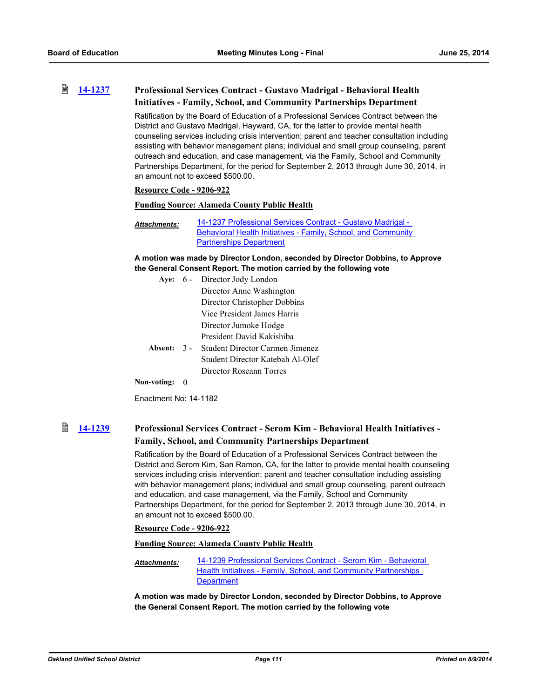#### ₿ **[14-1237](http://ousd.legistar.com/gateway.aspx?m=l&id=/matter.aspx?key=32925) Professional Services Contract - Gustavo Madrigal - Behavioral Health Initiatives - Family, School, and Community Partnerships Department**

Ratification by the Board of Education of a Professional Services Contract between the District and Gustavo Madrigal, Hayward, CA, for the latter to provide mental health counseling services including crisis intervention; parent and teacher consultation including assisting with behavior management plans; individual and small group counseling, parent outreach and education, and case management, via the Family, School and Community Partnerships Department, for the period for September 2, 2013 through June 30, 2014, in an amount not to exceed \$500.00.

#### **Resource Code - 9206-922**

#### **Funding Source: Alameda County Public Health**

14-1237 Professional Services Contract - Gustavo Madrigal - [Behavioral Health Initiatives - Family, School, and Community](http://ousd.legistar.com/gateway.aspx?M=F&ID=76555.pdf)  Partnerships Department *Attachments:*

#### **A motion was made by Director London, seconded by Director Dobbins, to Approve the General Consent Report. The motion carried by the following vote**

|            |               | Aye: 6 - Director Jody London          |
|------------|---------------|----------------------------------------|
|            |               | Director Anne Washington               |
|            |               | Director Christopher Dobbins           |
|            |               | Vice President James Harris            |
|            |               | Director Jumoke Hodge                  |
|            |               | President David Kakishiba              |
| Absent:    | $\mathcal{Z}$ | <b>Student Director Carmen Jimenez</b> |
|            |               | Student Director Katebah Al-Olef       |
|            |               | Director Roseann Torres                |
| on_votino• |               |                                        |

**Non-voting:** 0

Enactment No: 14-1182

# **[14-1239](http://ousd.legistar.com/gateway.aspx?m=l&id=/matter.aspx?key=32927) Professional Services Contract - Serom Kim - Behavioral Health Initiatives - Family, School, and Community Partnerships Department**

Ratification by the Board of Education of a Professional Services Contract between the District and Serom Kim, San Ramon, CA, for the latter to provide mental health counseling services including crisis intervention; parent and teacher consultation including assisting with behavior management plans; individual and small group counseling, parent outreach and education, and case management, via the Family, School and Community Partnerships Department, for the period for September 2, 2013 through June 30, 2014, in an amount not to exceed \$500.00.

### **Resource Code - 9206-922**

#### **Funding Source: Alameda County Public Health**

[14-1239 Professional Services Contract - Serom Kim - Behavioral](http://ousd.legistar.com/gateway.aspx?M=F&ID=76556.pdf)  Health Initiatives - Family, School, and Community Partnerships **Department** *Attachments:*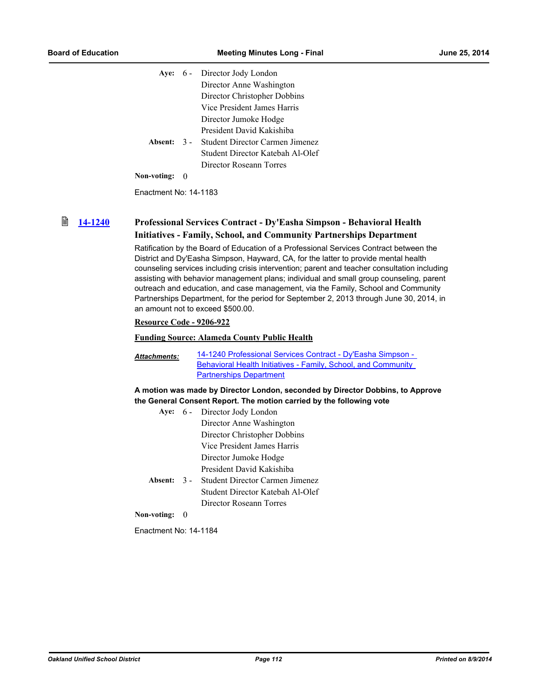|             | Aye: 6 - Director Jody London                      |
|-------------|----------------------------------------------------|
|             | Director Anne Washington                           |
|             | Director Christopher Dobbins                       |
|             | Vice President James Harris                        |
|             | Director Jumoke Hodge                              |
|             | President David Kakishiba                          |
|             | <b>Absent:</b> 3 - Student Director Carmen Jimenez |
|             | Student Director Katebah Al-Olef                   |
|             | Director Roseann Torres                            |
| Non-voting: |                                                    |

眥

# **[14-1240](http://ousd.legistar.com/gateway.aspx?m=l&id=/matter.aspx?key=32928) Professional Services Contract - Dy'Easha Simpson - Behavioral Health Initiatives - Family, School, and Community Partnerships Department**

Ratification by the Board of Education of a Professional Services Contract between the District and Dy'Easha Simpson, Hayward, CA, for the latter to provide mental health counseling services including crisis intervention; parent and teacher consultation including assisting with behavior management plans; individual and small group counseling, parent outreach and education, and case management, via the Family, School and Community Partnerships Department, for the period for September 2, 2013 through June 30, 2014, in an amount not to exceed \$500.00.

## **Resource Code - 9206-922**

#### **Funding Source: Alameda County Public Health**

| <b>Attachments:</b> | 14-1240 Professional Services Contract - Dy'Easha Simpson -   |
|---------------------|---------------------------------------------------------------|
|                     | Behavioral Health Initiatives - Family, School, and Community |
|                     | <b>Partnerships Department</b>                                |

## **A motion was made by Director London, seconded by Director Dobbins, to Approve the General Consent Report. The motion carried by the following vote**

|             |          | Aye: 6 - Director Jody London          |
|-------------|----------|----------------------------------------|
|             |          | Director Anne Washington               |
|             |          | Director Christopher Dobbins           |
|             |          | Vice President James Harris            |
|             |          | Director Jumoke Hodge                  |
|             |          | President David Kakishiba              |
| Absent:     | $-3$ -   | <b>Student Director Carmen Jimenez</b> |
|             |          | Student Director Katebah Al-Olef       |
|             |          | Director Roseann Torres                |
| Non-voting: | $\theta$ |                                        |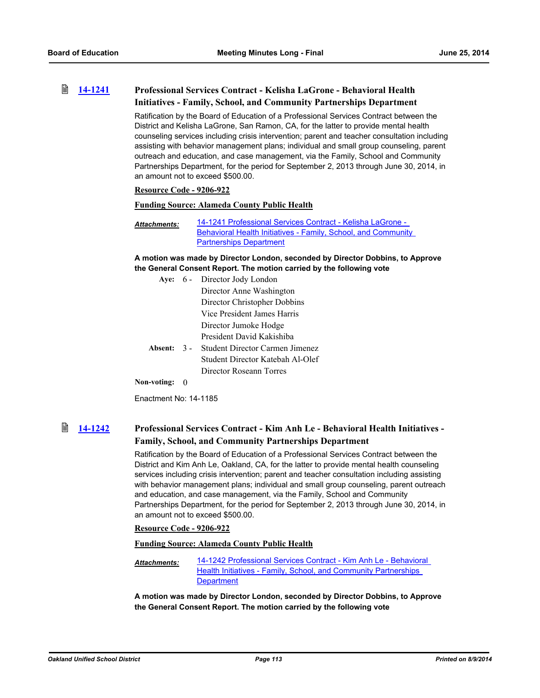#### ₿ **[14-1241](http://ousd.legistar.com/gateway.aspx?m=l&id=/matter.aspx?key=32929) Professional Services Contract - Kelisha LaGrone - Behavioral Health Initiatives - Family, School, and Community Partnerships Department**

Ratification by the Board of Education of a Professional Services Contract between the District and Kelisha LaGrone, San Ramon, CA, for the latter to provide mental health counseling services including crisis intervention; parent and teacher consultation including assisting with behavior management plans; individual and small group counseling, parent outreach and education, and case management, via the Family, School and Community Partnerships Department, for the period for September 2, 2013 through June 30, 2014, in an amount not to exceed \$500.00.

### **Resource Code - 9206-922**

#### **Funding Source: Alameda County Public Health**

14-1241 Professional Services Contract - Kelisha LaGrone - [Behavioral Health Initiatives - Family, School, and Community](http://ousd.legistar.com/gateway.aspx?M=F&ID=76558.pdf)  Partnerships Department *Attachments:*

#### **A motion was made by Director London, seconded by Director Dobbins, to Approve the General Consent Report. The motion carried by the following vote**

|            |            | Aye: 6 - Director Jody London    |
|------------|------------|----------------------------------|
|            |            | Director Anne Washington         |
|            |            | Director Christopher Dobbins     |
|            |            | Vice President James Harris      |
|            |            | Director Jumoke Hodge            |
|            |            | President David Kakishiba        |
| Absent:    | $\sim$ 3 – | Student Director Carmen Jimenez  |
|            |            | Student Director Katebah Al-Olef |
|            |            | Director Roseann Torres          |
| on_voting• |            |                                  |

**Non-voting:** 0

Enactment No: 14-1185

# **[14-1242](http://ousd.legistar.com/gateway.aspx?m=l&id=/matter.aspx?key=32930) Professional Services Contract - Kim Anh Le - Behavioral Health Initiatives - Family, School, and Community Partnerships Department**

Ratification by the Board of Education of a Professional Services Contract between the District and Kim Anh Le, Oakland, CA, for the latter to provide mental health counseling services including crisis intervention; parent and teacher consultation including assisting with behavior management plans; individual and small group counseling, parent outreach and education, and case management, via the Family, School and Community Partnerships Department, for the period for September 2, 2013 through June 30, 2014, in an amount not to exceed \$500.00.

## **Resource Code - 9206-922**

#### **Funding Source: Alameda County Public Health**

[14-1242 Professional Services Contract - Kim Anh Le - Behavioral](http://ousd.legistar.com/gateway.aspx?M=F&ID=76559.pdf)  Health Initiatives - Family, School, and Community Partnerships **Department** *Attachments:*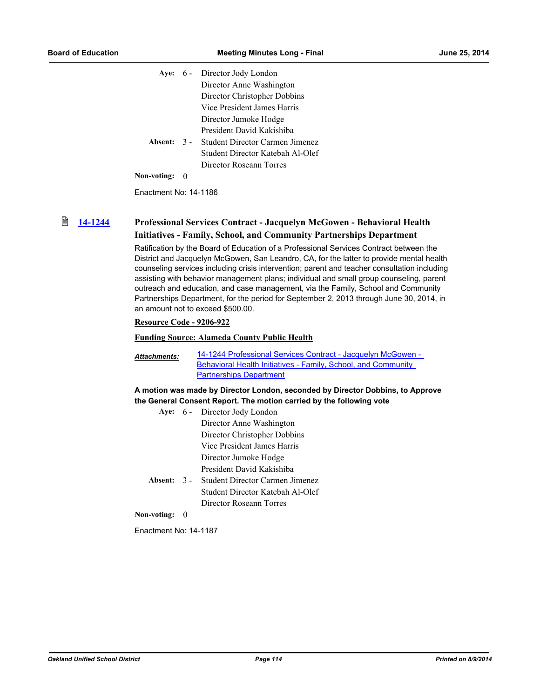|                    | Aye: 6 - Director Jody London          |
|--------------------|----------------------------------------|
|                    | Director Anne Washington               |
|                    | Director Christopher Dobbins           |
|                    | Vice President James Harris            |
|                    | Director Jumoke Hodge                  |
|                    | President David Kakishiba              |
| <b>Absent:</b> 3 - | <b>Student Director Carmen Jimenez</b> |
|                    | Student Director Katebah Al-Olef       |
|                    | Director Roseann Torres                |
| Non-voting:        |                                        |

# **[14-1244](http://ousd.legistar.com/gateway.aspx?m=l&id=/matter.aspx?key=32932) Professional Services Contract - Jacquelyn McGowen - Behavioral Health Initiatives - Family, School, and Community Partnerships Department**

Ratification by the Board of Education of a Professional Services Contract between the District and Jacquelyn McGowen, San Leandro, CA, for the latter to provide mental health counseling services including crisis intervention; parent and teacher consultation including assisting with behavior management plans; individual and small group counseling, parent outreach and education, and case management, via the Family, School and Community Partnerships Department, for the period for September 2, 2013 through June 30, 2014, in an amount not to exceed \$500.00.

#### **Resource Code - 9206-922**

#### **Funding Source: Alameda County Public Health**

[14-1244 Professional Services Contract - Jacquelyn McGowen -](http://ousd.legistar.com/gateway.aspx?M=F&ID=76561.pdf)  Behavioral Health Initiatives - Family, School, and Community Partnerships Department *Attachments:*

## **A motion was made by Director London, seconded by Director Dobbins, to Approve the General Consent Report. The motion carried by the following vote**

Aye: 6 - Director Jody London Director Anne Washington Director Christopher Dobbins Vice President James Harris Director Jumoke Hodge President David Kakishiba **Absent:** Student Director Carmen Jimenez Student Director Katebah Al-Olef Director Roseann Torres Absent:  $3 -$ **Non-voting:** 0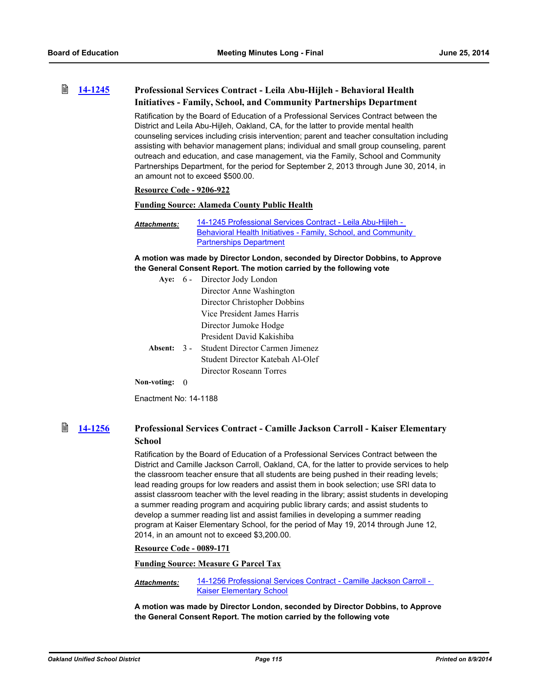#### ₿ **[14-1245](http://ousd.legistar.com/gateway.aspx?m=l&id=/matter.aspx?key=32933) Professional Services Contract - Leila Abu-Hijleh - Behavioral Health Initiatives - Family, School, and Community Partnerships Department**

Ratification by the Board of Education of a Professional Services Contract between the District and Leila Abu-Hijleh, Oakland, CA, for the latter to provide mental health counseling services including crisis intervention; parent and teacher consultation including assisting with behavior management plans; individual and small group counseling, parent outreach and education, and case management, via the Family, School and Community Partnerships Department, for the period for September 2, 2013 through June 30, 2014, in an amount not to exceed \$500.00.

### **Resource Code - 9206-922**

#### **Funding Source: Alameda County Public Health**

14-1245 Professional Services Contract - Leila Abu-Hijleh - [Behavioral Health Initiatives - Family, School, and Community](http://ousd.legistar.com/gateway.aspx?M=F&ID=76563.pdf)  Partnerships Department *Attachments:*

#### **A motion was made by Director London, seconded by Director Dobbins, to Approve the General Consent Report. The motion carried by the following vote**

|             | Aye: 6 - Director Jody London          |
|-------------|----------------------------------------|
|             | Director Anne Washington               |
|             | Director Christopher Dobbins           |
|             | Vice President James Harris            |
|             | Director Jumoke Hodge                  |
|             | President David Kakishiba              |
| Absent: 3 - | <b>Student Director Carmen Jimenez</b> |
|             | Student Director Katebah Al-Olef       |
|             | Director Roseann Torres                |
| . <b>.</b>  |                                        |

**Non-voting:** 0

Enactment No: 14-1188

# **[14-1256](http://ousd.legistar.com/gateway.aspx?m=l&id=/matter.aspx?key=32944) Professional Services Contract - Camille Jackson Carroll - Kaiser Elementary School**

Ratification by the Board of Education of a Professional Services Contract between the District and Camille Jackson Carroll, Oakland, CA, for the latter to provide services to help the classroom teacher ensure that all students are being pushed in their reading levels; lead reading groups for low readers and assist them in book selection; use SRI data to assist classroom teacher with the level reading in the library; assist students in developing a summer reading program and acquiring public library cards; and assist students to develop a summer reading list and assist families in developing a summer reading program at Kaiser Elementary School, for the period of May 19, 2014 through June 12, 2014, in an amount not to exceed \$3,200.00.

## **Resource Code - 0089-171**

#### **Funding Source: Measure G Parcel Tax**

#### [14-1256 Professional Services Contract - Camille Jackson Carroll -](http://ousd.legistar.com/gateway.aspx?M=F&ID=76577.pdf)  Kaiser Elementary School *Attachments:*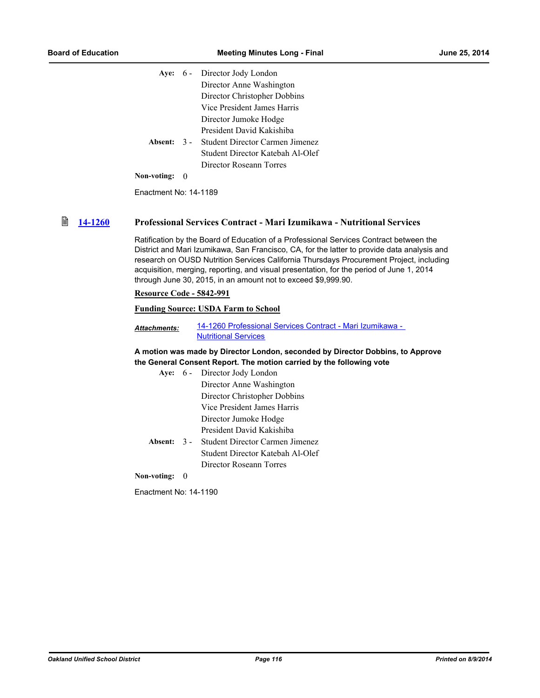|             |        | Aye: 6 - Director Jody London                      |
|-------------|--------|----------------------------------------------------|
|             |        | Director Anne Washington                           |
|             |        | Director Christopher Dobbins                       |
|             |        | Vice President James Harris                        |
|             |        | Director Jumoke Hodge                              |
|             |        | President David Kakishiba                          |
|             |        | <b>Absent:</b> 3 - Student Director Carmen Jimenez |
|             |        | Student Director Katebah Al-Olef                   |
|             |        | Director Roseann Torres                            |
| Non-voting: | $_{0}$ |                                                    |

#### 眥 **[14-1260](http://ousd.legistar.com/gateway.aspx?m=l&id=/matter.aspx?key=32948) Professional Services Contract - Mari Izumikawa - Nutritional Services**

Ratification by the Board of Education of a Professional Services Contract between the District and Mari Izumikawa, San Francisco, CA, for the latter to provide data analysis and research on OUSD Nutrition Services California Thursdays Procurement Project, including acquisition, merging, reporting, and visual presentation, for the period of June 1, 2014 through June 30, 2015, in an amount not to exceed \$9,999.90.

### **Resource Code - 5842-991**

#### **Funding Source: USDA Farm to School**

[14-1260 Professional Services Contract - Mari Izumikawa -](http://ousd.legistar.com/gateway.aspx?M=F&ID=76580.pdf)  **Nutritional Services** *Attachments:*

## **A motion was made by Director London, seconded by Director Dobbins, to Approve the General Consent Report. The motion carried by the following vote**

- Aye: 6 Director Jody London Director Anne Washington Director Christopher Dobbins Vice President James Harris Director Jumoke Hodge President David Kakishiba **Student Director Carmen Jimenez** Absent: 3 -
- Student Director Katebah Al-Olef Director Roseann Torres

**Non-voting:** 0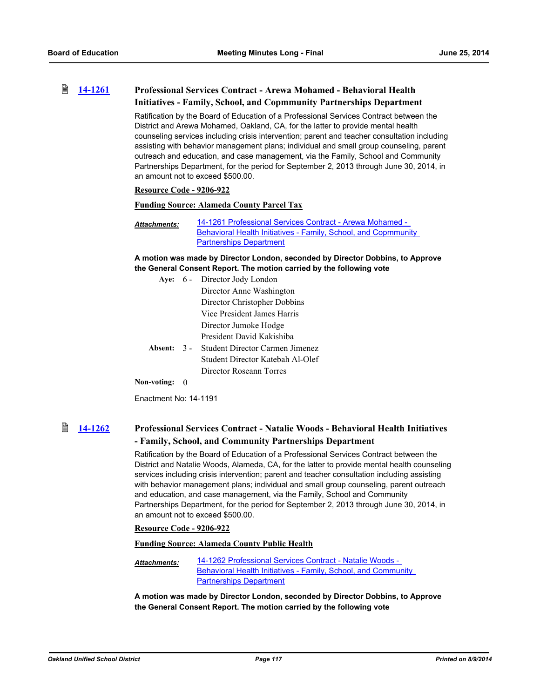#### ₿ **[14-1261](http://ousd.legistar.com/gateway.aspx?m=l&id=/matter.aspx?key=32949) Professional Services Contract - Arewa Mohamed - Behavioral Health Initiatives - Family, School, and Copmmunity Partnerships Department**

Ratification by the Board of Education of a Professional Services Contract between the District and Arewa Mohamed, Oakland, CA, for the latter to provide mental health counseling services including crisis intervention; parent and teacher consultation including assisting with behavior management plans; individual and small group counseling, parent outreach and education, and case management, via the Family, School and Community Partnerships Department, for the period for September 2, 2013 through June 30, 2014, in an amount not to exceed \$500.00.

### **Resource Code - 9206-922**

## **Funding Source: Alameda County Parcel Tax**

14-1261 Professional Services Contract - Arewa Mohamed - [Behavioral Health Initiatives - Family, School, and Copmmunity](http://ousd.legistar.com/gateway.aspx?M=F&ID=76581.pdf)  Partnerships Department *Attachments:*

#### **A motion was made by Director London, seconded by Director Dobbins, to Approve the General Consent Report. The motion carried by the following vote**

|            |       | Aye: 6 - Director Jody London          |
|------------|-------|----------------------------------------|
|            |       | Director Anne Washington               |
|            |       | Director Christopher Dobbins           |
|            |       | Vice President James Harris            |
|            |       | Director Jumoke Hodge                  |
|            |       | President David Kakishiba              |
| Absent:    | $3 -$ | <b>Student Director Carmen Jimenez</b> |
|            |       | Student Director Katebah Al-Olef       |
|            |       | Director Roseann Torres                |
| on_voting• |       |                                        |

**Non-voting:** 0

Enactment No: 14-1191

# **[14-1262](http://ousd.legistar.com/gateway.aspx?m=l&id=/matter.aspx?key=32950) Professional Services Contract - Natalie Woods - Behavioral Health Initiatives - Family, School, and Community Partnerships Department**

Ratification by the Board of Education of a Professional Services Contract between the District and Natalie Woods, Alameda, CA, for the latter to provide mental health counseling services including crisis intervention; parent and teacher consultation including assisting with behavior management plans; individual and small group counseling, parent outreach and education, and case management, via the Family, School and Community Partnerships Department, for the period for September 2, 2013 through June 30, 2014, in an amount not to exceed \$500.00.

## **Resource Code - 9206-922**

#### **Funding Source: Alameda County Public Health**

14-1262 Professional Services Contract - Natalie Woods - Behavioral Health Initiatives - Family, School, and Community Partnerships Department *Attachments:*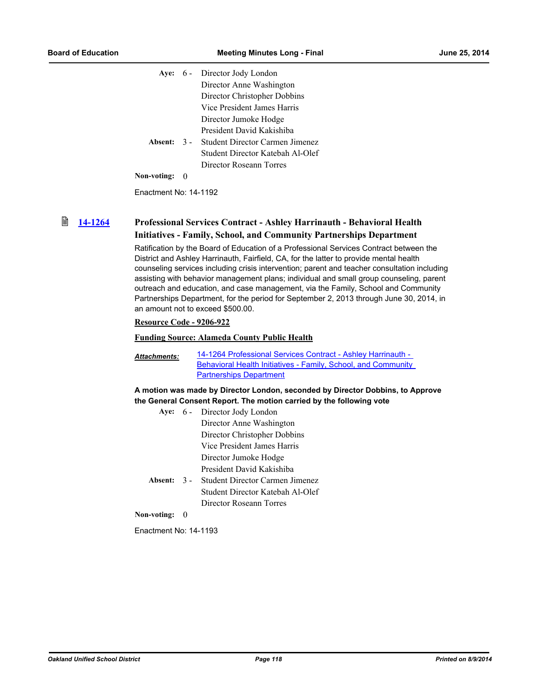|             | Aye: 6 - Director Jody London                      |
|-------------|----------------------------------------------------|
|             | Director Anne Washington                           |
|             | Director Christopher Dobbins                       |
|             | Vice President James Harris                        |
|             | Director Jumoke Hodge                              |
|             | President David Kakishiba                          |
|             | <b>Absent:</b> 3 - Student Director Carmen Jimenez |
|             | Student Director Katebah Al-Olef                   |
|             | Director Roseann Torres                            |
| Non-voting: |                                                    |

眥

# **[14-1264](http://ousd.legistar.com/gateway.aspx?m=l&id=/matter.aspx?key=32952) Professional Services Contract - Ashley Harrinauth - Behavioral Health Initiatives - Family, School, and Community Partnerships Department**

Ratification by the Board of Education of a Professional Services Contract between the District and Ashley Harrinauth, Fairfield, CA, for the latter to provide mental health counseling services including crisis intervention; parent and teacher consultation including assisting with behavior management plans; individual and small group counseling, parent outreach and education, and case management, via the Family, School and Community Partnerships Department, for the period for September 2, 2013 through June 30, 2014, in an amount not to exceed \$500.00.

## **Resource Code - 9206-922**

#### **Funding Source: Alameda County Public Health**

| <b>Attachments:</b> | 14-1264 Professional Services Contract - Ashley Harrinauth -  |
|---------------------|---------------------------------------------------------------|
|                     | Behavioral Health Initiatives - Family, School, and Community |
|                     | <b>Partnerships Department</b>                                |

## **A motion was made by Director London, seconded by Director Dobbins, to Approve the General Consent Report. The motion carried by the following vote**

|             |          | Aye: 6 - Director Jody London    |
|-------------|----------|----------------------------------|
|             |          | Director Anne Washington         |
|             |          | Director Christopher Dobbins     |
|             |          | Vice President James Harris      |
|             |          | Director Jumoke Hodge            |
|             |          | President David Kakishiba        |
| Absent:     | $-3$ -   | Student Director Carmen Jimenez  |
|             |          | Student Director Katebah Al-Olef |
|             |          | Director Roseann Torres          |
| Non-voting: | $\theta$ |                                  |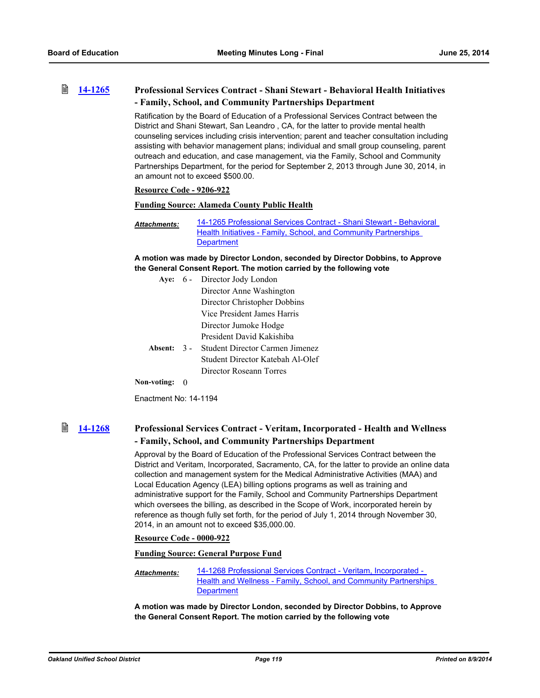#### ₿ **[14-1265](http://ousd.legistar.com/gateway.aspx?m=l&id=/matter.aspx?key=32953) Professional Services Contract - Shani Stewart - Behavioral Health Initiatives - Family, School, and Community Partnerships Department**

Ratification by the Board of Education of a Professional Services Contract between the District and Shani Stewart, San Leandro , CA, for the latter to provide mental health counseling services including crisis intervention; parent and teacher consultation including assisting with behavior management plans; individual and small group counseling, parent outreach and education, and case management, via the Family, School and Community Partnerships Department, for the period for September 2, 2013 through June 30, 2014, in an amount not to exceed \$500.00.

### **Resource Code - 9206-922**

#### **Funding Source: Alameda County Public Health**

[14-1265 Professional Services Contract - Shani Stewart - Behavioral](http://ousd.legistar.com/gateway.aspx?M=F&ID=76585.pdf)  Health Initiatives - Family, School, and Community Partnerships **Department** *Attachments:*

#### **A motion was made by Director London, seconded by Director Dobbins, to Approve the General Consent Report. The motion carried by the following vote**

|               | Aye: 6 - Director Jody London    |
|---------------|----------------------------------|
|               | Director Anne Washington         |
|               | Director Christopher Dobbins     |
|               | Vice President James Harris      |
|               | Director Jumoke Hodge            |
|               | President David Kakishiba        |
| Absent: $3 -$ | Student Director Carmen Jimenez  |
|               | Student Director Katebah Al-Olef |
|               | Director Roseann Torres          |
| Non-voting:   |                                  |

Enactment No: 14-1194

# **[14-1268](http://ousd.legistar.com/gateway.aspx?m=l&id=/matter.aspx?key=32956) Professional Services Contract - Veritam, Incorporated - Health and Wellness - Family, School, and Community Partnerships Department**

Approval by the Board of Education of the Professional Services Contract between the District and Veritam, Incorporated, Sacramento, CA, for the latter to provide an online data collection and management system for the Medical Administrative Activities (MAA) and Local Education Agency (LEA) billing options programs as well as training and administrative support for the Family, School and Community Partnerships Department which oversees the billing, as described in the Scope of Work, incorporated herein by reference as though fully set forth, for the period of July 1, 2014 through November 30, 2014, in an amount not to exceed \$35,000.00.

## **Resource Code - 0000-922**

### **Funding Source: General Purpose Fund**

14-1268 Professional Services Contract - Veritam, Incorporated - [Health and Wellness - Family, School, and Community Partnerships](http://ousd.legistar.com/gateway.aspx?M=F&ID=76568.pdf)  **Department** *Attachments:*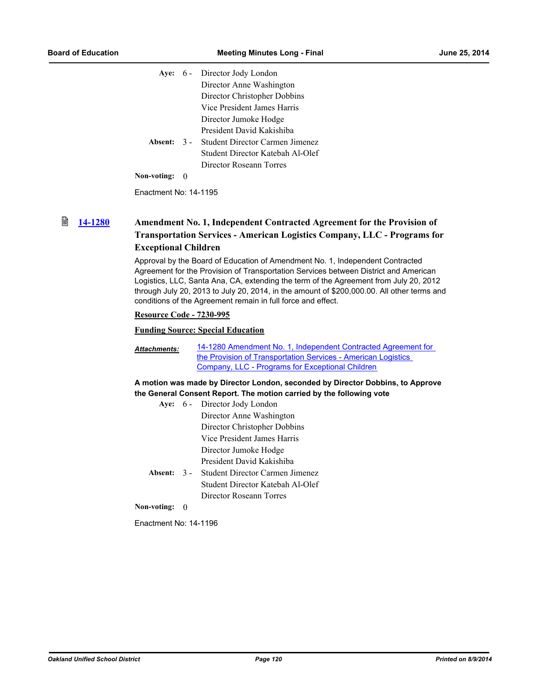|             | Aye: 6 - Director Jody London                      |
|-------------|----------------------------------------------------|
|             | Director Anne Washington                           |
|             | Director Christopher Dobbins                       |
|             | Vice President James Harris                        |
|             | Director Jumoke Hodge                              |
|             | President David Kakishiba                          |
|             | <b>Absent:</b> 3 - Student Director Carmen Jimenez |
|             | Student Director Katebah Al-Olef                   |
|             | Director Roseann Torres                            |
| Non-voting: |                                                    |

眥

# **[14-1280](http://ousd.legistar.com/gateway.aspx?m=l&id=/matter.aspx?key=32966) Amendment No. 1, Independent Contracted Agreement for the Provision of Transportation Services - American Logistics Company, LLC - Programs for Exceptional Children**

Approval by the Board of Education of Amendment No. 1, Independent Contracted Agreement for the Provision of Transportation Services between District and American Logistics, LLC, Santa Ana, CA, extending the term of the Agreement from July 20, 2012 through July 20, 2013 to July 20, 2014, in the amount of \$200,000.00. All other terms and conditions of the Agreement remain in full force and effect.

## **Resource Code - 7230-995**

**Funding Source: Special Education**

[14-1280 Amendment No. 1, Independent Contracted Agreement for](http://ousd.legistar.com/gateway.aspx?M=F&ID=76702.pdf)  the Provision of Transportation Services - American Logistics Company, LLC - Programs for Exceptional Children *Attachments:*

|                       |  | Aye: 6 - Director Jody London                      |
|-----------------------|--|----------------------------------------------------|
|                       |  | Director Anne Washington                           |
|                       |  | Director Christopher Dobbins                       |
|                       |  | Vice President James Harris                        |
|                       |  | Director Jumoke Hodge                              |
|                       |  | President David Kakishiba                          |
|                       |  | <b>Absent:</b> 3 - Student Director Carmen Jimenez |
|                       |  | Student Director Katebah Al-Olef                   |
|                       |  | Director Roseann Torres                            |
| Non-voting: 0         |  |                                                    |
| Enactment No: 14-1196 |  |                                                    |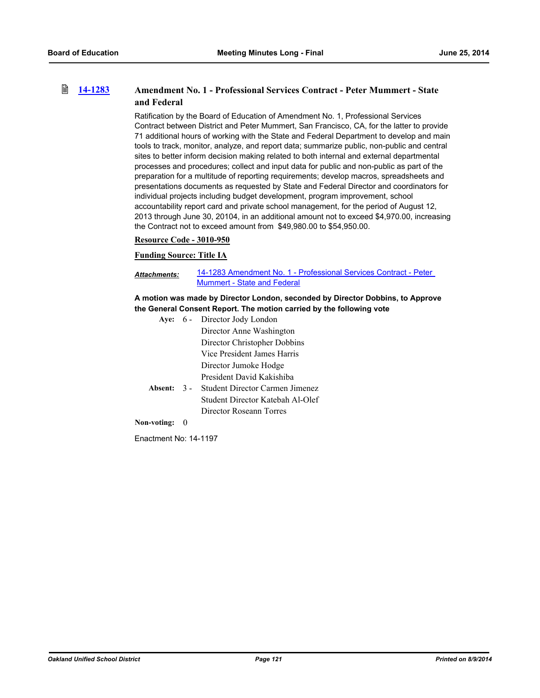# 昏

# **[14-1283](http://ousd.legistar.com/gateway.aspx?m=l&id=/matter.aspx?key=32969) Amendment No. 1 - Professional Services Contract - Peter Mummert - State and Federal**

Ratification by the Board of Education of Amendment No. 1, Professional Services Contract between District and Peter Mummert, San Francisco, CA, for the latter to provide 71 additional hours of working with the State and Federal Department to develop and main tools to track, monitor, analyze, and report data; summarize public, non-public and central sites to better inform decision making related to both internal and external departmental processes and procedures; collect and input data for public and non-public as part of the preparation for a multitude of reporting requirements; develop macros, spreadsheets and presentations documents as requested by State and Federal Director and coordinators for individual projects including budget development, program improvement, school accountability report card and private school management, for the period of August 12, 2013 through June 30, 20104, in an additional amount not to exceed \$4,970.00, increasing the Contract not to exceed amount from \$49,980.00 to \$54,950.00.

### **Resource Code - 3010-950**

### **Funding Source: Title IA**

[14-1283 Amendment No. 1 - Professional Services Contract - Peter](http://ousd.legistar.com/gateway.aspx?M=F&ID=76562.pdf)  Mummert - State and Federal *Attachments:*

**A motion was made by Director London, seconded by Director Dobbins, to Approve the General Consent Report. The motion carried by the following vote**

|               | Aye: 6 - Director Jody London    |
|---------------|----------------------------------|
|               | Director Anne Washington         |
|               | Director Christopher Dobbins     |
|               | Vice President James Harris      |
|               | Director Jumoke Hodge            |
|               | President David Kakishiba        |
| Absent: $3 -$ | Student Director Carmen Jimenez  |
|               | Student Director Katebah Al-Olef |
|               | Director Roseann Torres          |
|               |                                  |

**Non-voting:** 0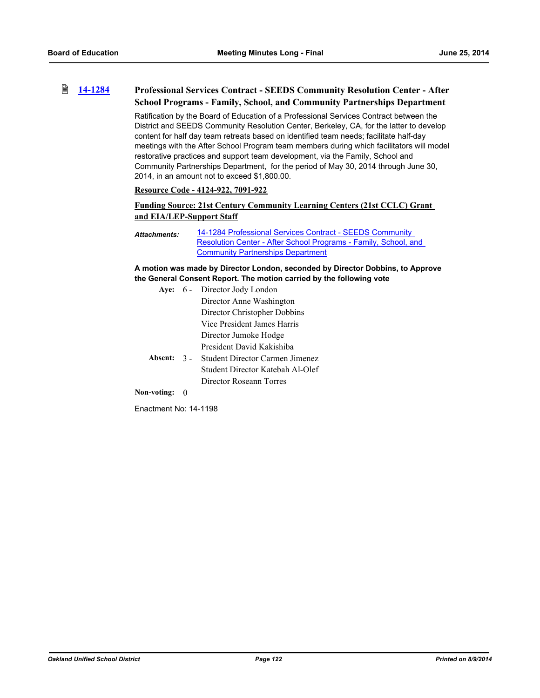#### 昏 **[14-1284](http://ousd.legistar.com/gateway.aspx?m=l&id=/matter.aspx?key=32970) Professional Services Contract - SEEDS Community Resolution Center - After School Programs - Family, School, and Community Partnerships Department**

Ratification by the Board of Education of a Professional Services Contract between the District and SEEDS Community Resolution Center, Berkeley, CA, for the latter to develop content for half day team retreats based on identified team needs; facilitate half-day meetings with the After School Program team members during which facilitators will model restorative practices and support team development, via the Family, School and Community Partnerships Department, for the period of May 30, 2014 through June 30, 2014, in an amount not to exceed \$1,800.00.

## **Resource Code - 4124-922, 7091-922**

## **Funding Source: 21st Century Community Learning Centers (21st CCLC) Grant and EIA/LEP-Support Staff**

14-1284 Professional Services Contract - SEEDS Community [Resolution Center - After School Programs - Family, School, and](http://ousd.legistar.com/gateway.aspx?M=F&ID=76588.pdf)  Community Partnerships Department *Attachments:*

## **A motion was made by Director London, seconded by Director Dobbins, to Approve the General Consent Report. The motion carried by the following vote**

|               |          | Aye: 6 - Director Jody London          |
|---------------|----------|----------------------------------------|
|               |          | Director Anne Washington               |
|               |          | Director Christopher Dobbins           |
|               |          | Vice President James Harris            |
|               |          | Director Jumoke Hodge                  |
|               |          | President David Kakishiba              |
| Absent: $3 -$ |          | <b>Student Director Carmen Jimenez</b> |
|               |          | Student Director Katebah Al-Olef       |
|               |          | Director Roseann Torres                |
| Non-voting:   | $\theta$ |                                        |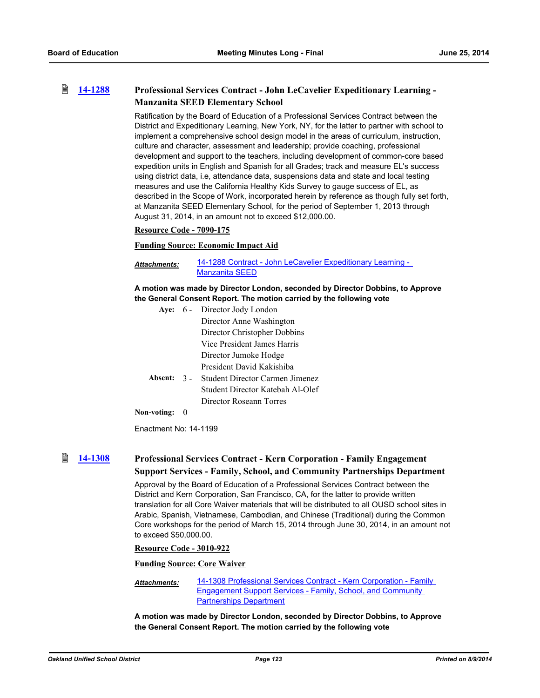#### ₿ **[14-1288](http://ousd.legistar.com/gateway.aspx?m=l&id=/matter.aspx?key=32974) Professional Services Contract - John LeCavelier Expeditionary Learning - Manzanita SEED Elementary School**

Ratification by the Board of Education of a Professional Services Contract between the District and Expeditionary Learning, New York, NY, for the latter to partner with school to implement a comprehensive school design model in the areas of curriculum, instruction, culture and character, assessment and leadership; provide coaching, professional development and support to the teachers, including development of common-core based expedition units in English and Spanish for all Grades; track and measure EL's success using district data, i.e, attendance data, suspensions data and state and local testing measures and use the California Healthy Kids Survey to gauge success of EL, as described in the Scope of Work, incorporated herein by reference as though fully set forth, at Manzanita SEED Elementary School, for the period of September 1, 2013 through August 31, 2014, in an amount not to exceed \$12,000.00.

#### **Resource Code - 7090-175**

#### **Funding Source: Economic Impact Aid**

[14-1288 Contract - John LeCavelier Expeditionary Learning -](http://ousd.legistar.com/gateway.aspx?M=F&ID=76591.pdf)  Manzanita SEED *Attachments:*

**A motion was made by Director London, seconded by Director Dobbins, to Approve the General Consent Report. The motion carried by the following vote**

|         |       | Aye: 6 - Director Jody London          |
|---------|-------|----------------------------------------|
|         |       | Director Anne Washington               |
|         |       | Director Christopher Dobbins           |
|         |       | Vice President James Harris            |
|         |       | Director Jumoke Hodge                  |
|         |       | President David Kakishiba              |
| Absent: | $3 -$ | <b>Student Director Carmen Jimenez</b> |
|         |       | Student Director Katebah Al-Olef       |
|         |       | Director Roseann Torres                |
|         |       |                                        |

#### **Non-voting:** 0

Enactment No: 14-1199

## **[14-1308](http://ousd.legistar.com/gateway.aspx?m=l&id=/matter.aspx?key=32988) Professional Services Contract - Kern Corporation - Family Engagement Support Services - Family, School, and Community Partnerships Department**

Approval by the Board of Education of a Professional Services Contract between the District and Kern Corporation, San Francisco, CA, for the latter to provide written translation for all Core Waiver materials that will be distributed to all OUSD school sites in Arabic, Spanish, Vietnamese, Cambodian, and Chinese (Traditional) during the Common Core workshops for the period of March 15, 2014 through June 30, 2014, in an amount not to exceed \$50,000.00.

#### **Resource Code - 3010-922**

#### **Funding Source: Core Waiver**

[14-1308 Professional Services Contract - Kern Corporation - Family](http://ousd.legistar.com/gateway.aspx?M=F&ID=76774.pdf)  Engagement Support Services - Family, School, and Community Partnerships Department *Attachments:*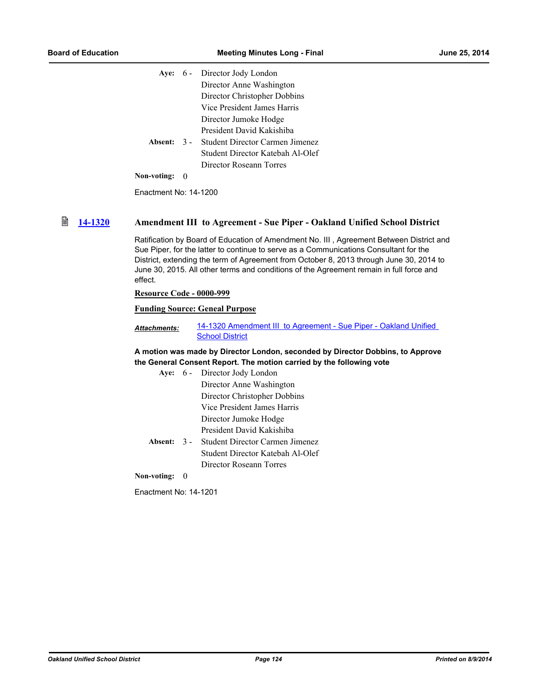|               | Aye: 6 - Director Jody London    |
|---------------|----------------------------------|
|               | Director Anne Washington         |
|               | Director Christopher Dobbins     |
|               | Vice President James Harris      |
|               | Director Jumoke Hodge            |
|               | President David Kakishiba        |
| Absent: $3 -$ | Student Director Carmen Jimenez  |
|               | Student Director Katebah Al-Olef |
|               | Director Roseann Torres          |
| Non-voting:   |                                  |

## 眥

### **[14-1320](http://ousd.legistar.com/gateway.aspx?m=l&id=/matter.aspx?key=33000) Amendment III to Agreement - Sue Piper - Oakland Unified School District**

Ratification by Board of Education of Amendment No. III , Agreement Between District and Sue Piper, for the latter to continue to serve as a Communications Consultant for the District, extending the term of Agreement from October 8, 2013 through June 30, 2014 to June 30, 2015. All other terms and conditions of the Agreement remain in full force and effect.

#### **Resource Code - 0000-999**

#### **Funding Source: Geneal Purpose**

[14-1320 Amendment III to Agreement - Sue Piper - Oakland Unified](http://ousd.legistar.com/gateway.aspx?M=F&ID=76412.pdf)  **School District** *Attachments:*

## **A motion was made by Director London, seconded by Director Dobbins, to Approve the General Consent Report. The motion carried by the following vote**

- Aye: 6 Director Jody London Director Anne Washington Director Christopher Dobbins Vice President James Harris Director Jumoke Hodge President David Kakishiba **Student Director Carmen Jimenez** Absent: 3 -
- Student Director Katebah Al-Olef Director Roseann Torres

**Non-voting:** 0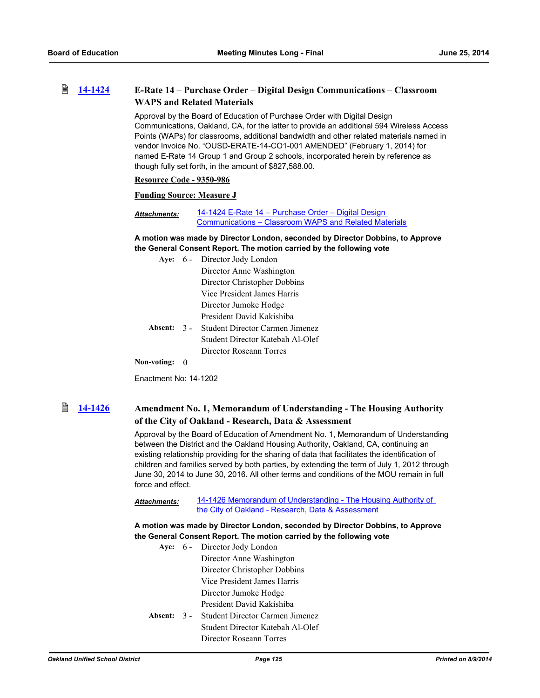#### ₿ **[14-1424](http://ousd.legistar.com/gateway.aspx?m=l&id=/matter.aspx?key=33104) E-Rate 14 – Purchase Order – Digital Design Communications – Classroom WAPS and Related Materials**

Approval by the Board of Education of Purchase Order with Digital Design Communications, Oakland, CA, for the latter to provide an additional 594 Wireless Access Points (WAPs) for classrooms, additional bandwidth and other related materials named in vendor Invoice No. "OUSD-ERATE-14-CO1-001 AMENDED" (February 1, 2014) for named E-Rate 14 Group 1 and Group 2 schools, incorporated herein by reference as though fully set forth, in the amount of \$827,588.00.

## **Resource Code - 9350-986**

#### **Funding Source: Measure J**

14-1424 E-Rate 14 – Purchase Order – Digital Design [Communications – Classroom WAPS and Related Materials](http://ousd.legistar.com/gateway.aspx?M=F&ID=76489.pdf) *Attachments:*

## **A motion was made by Director London, seconded by Director Dobbins, to Approve the General Consent Report. The motion carried by the following vote**

|             |       | Aye: 6 - Director Jody London          |
|-------------|-------|----------------------------------------|
|             |       | Director Anne Washington               |
|             |       | Director Christopher Dobbins           |
|             |       | Vice President James Harris            |
|             |       | Director Jumoke Hodge                  |
|             |       | President David Kakishiba              |
| Absent:     | $3 -$ | <b>Student Director Carmen Jimenez</b> |
|             |       | Student Director Katebah Al-Olef       |
|             |       | Director Roseann Torres                |
| Non-voting: |       |                                        |

Enactment No: 14-1202

# **[14-1426](http://ousd.legistar.com/gateway.aspx?m=l&id=/matter.aspx?key=33106) Amendment No. 1, Memorandum of Understanding - The Housing Authority of the City of Oakland - Research, Data & Assessment**

Approval by the Board of Education of Amendment No. 1, Memorandum of Understanding between the District and the Oakland Housing Authority, Oakland, CA, continuing an existing relationship providing for the sharing of data that facilitates the identification of children and families served by both parties, by extending the term of July 1, 2012 through June 30, 2014 to June 30, 2016. All other terms and conditions of the MOU remain in full force and effect.

[14-1426 Memorandum of Understanding - The Housing Authority of](http://ousd.legistar.com/gateway.aspx?M=F&ID=76411.pdf)  the City of Oakland - Research, Data & Assessment *Attachments:*

**A motion was made by Director London, seconded by Director Dobbins, to Approve the General Consent Report. The motion carried by the following vote**

Aye: 6 - Director Jody London Director Anne Washington Director Christopher Dobbins Vice President James Harris Director Jumoke Hodge President David Kakishiba **Student Director Carmen Jimenez** Student Director Katebah Al-Olef Director Roseann Torres Absent:  $3 -$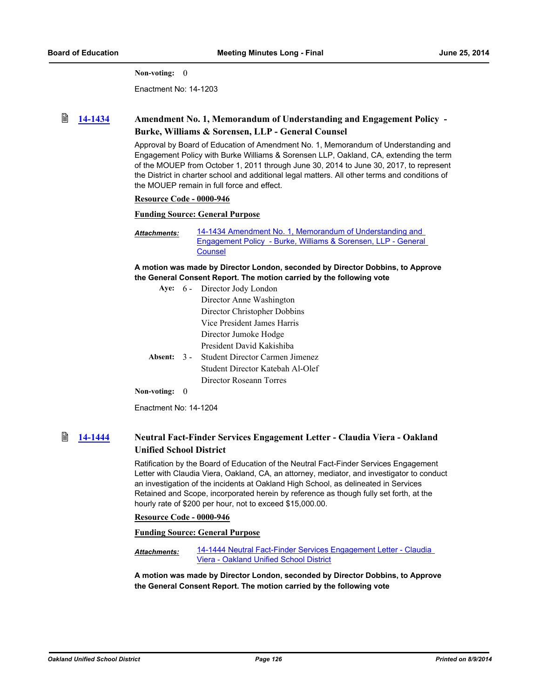#### **Non-voting:** 0

Enactment No: 14-1203

#### 眥 **[14-1434](http://ousd.legistar.com/gateway.aspx?m=l&id=/matter.aspx?key=33110) Amendment No. 1, Memorandum of Understanding and Engagement Policy - Burke, Williams & Sorensen, LLP - General Counsel**

Approval by Board of Education of Amendment No. 1, Memorandum of Understanding and Engagement Policy with Burke Williams & Sorensen LLP, Oakland, CA, extending the term of the MOUEP from October 1, 2011 through June 30, 2014 to June 30, 2017, to represent the District in charter school and additional legal matters. All other terms and conditions of the MOUEP remain in full force and effect.

## **Resource Code - 0000-946**

### **Funding Source: General Purpose**

## **A motion was made by Director London, seconded by Director Dobbins, to Approve the General Consent Report. The motion carried by the following vote**

|               |          | Aye: 6 - Director Jody London          |
|---------------|----------|----------------------------------------|
|               |          | Director Anne Washington               |
|               |          | Director Christopher Dobbins           |
|               |          | Vice President James Harris            |
|               |          | Director Jumoke Hodge                  |
|               |          | President David Kakishiba              |
| Absent: $3 -$ |          | <b>Student Director Carmen Jimenez</b> |
|               |          | Student Director Katebah Al-Olef       |
|               |          | Director Roseann Torres                |
| Non-voting:   | $\theta$ |                                        |

Enactment No: 14-1204

#### 閶 **[14-1444](http://ousd.legistar.com/gateway.aspx?m=l&id=/matter.aspx?key=33120) Neutral Fact-Finder Services Engagement Letter - Claudia Viera - Oakland Unified School District**

Ratification by the Board of Education of the Neutral Fact-Finder Services Engagement Letter with Claudia Viera, Oakland, CA, an attorney, mediator, and investigator to conduct an investigation of the incidents at Oakland High School, as delineated in Services Retained and Scope, incorporated herein by reference as though fully set forth, at the hourly rate of \$200 per hour, not to exceed \$15,000.00.

#### **Resource Code - 0000-946**

#### **Funding Source: General Purpose**

[14-1444 Neutral Fact-Finder Services Engagement Letter - Claudia](http://ousd.legistar.com/gateway.aspx?M=F&ID=76408.pdf)  Viera - Oakland Unified School District *Attachments:*

<sup>14-1434</sup> Amendment No. 1, Memorandum of Understanding and [Engagement Policy - Burke, Williams & Sorensen, LLP - General](http://ousd.legistar.com/gateway.aspx?M=F&ID=76416.pdf)  **Counsel** *Attachments:*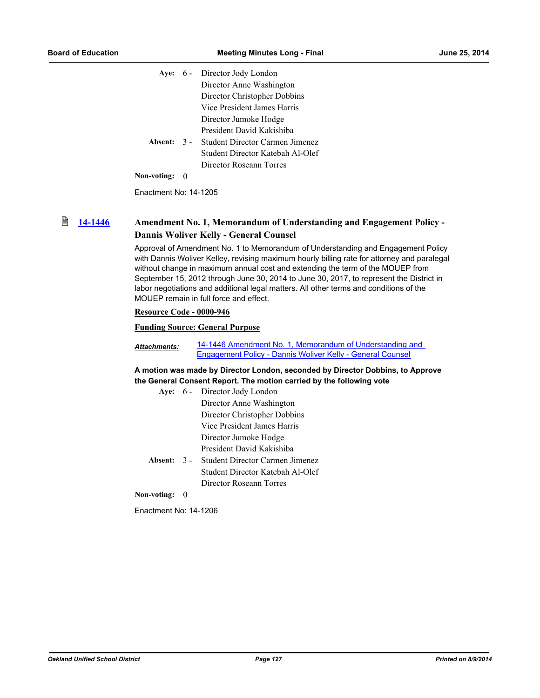|             | Aye: 6 - Director Jody London                      |
|-------------|----------------------------------------------------|
|             | Director Anne Washington                           |
|             | Director Christopher Dobbins                       |
|             | Vice President James Harris                        |
|             | Director Jumoke Hodge                              |
|             | President David Kakishiba                          |
|             | <b>Absent:</b> 3 - Student Director Carmen Jimenez |
|             | Student Director Katebah Al-Olef                   |
|             | Director Roseann Torres                            |
| Non-voting: |                                                    |

誾

## **[14-1446](http://ousd.legistar.com/gateway.aspx?m=l&id=/matter.aspx?key=33122) Amendment No. 1, Memorandum of Understanding and Engagement Policy - Dannis Woliver Kelly - General Counsel**

Approval of Amendment No. 1 to Memorandum of Understanding and Engagement Policy with Dannis Woliver Kelley, revising maximum hourly billing rate for attorney and paralegal without change in maximum annual cost and extending the term of the MOUEP from September 15, 2012 through June 30, 2014 to June 30, 2017, to represent the District in labor negotiations and additional legal matters. All other terms and conditions of the MOUEP remain in full force and effect.

#### **Resource Code - 0000-946**

#### **Funding Source: General Purpose**

[14-1446 Amendment No. 1, Memorandum of Understanding and](http://ousd.legistar.com/gateway.aspx?M=F&ID=76414.pdf)  Engagement Policy - Dannis Woliver Kelly - General Counsel *Attachments:*

## **A motion was made by Director London, seconded by Director Dobbins, to Approve the General Consent Report. The motion carried by the following vote**

|             |       | Aye: 6 - Director Jody London    |
|-------------|-------|----------------------------------|
|             |       | Director Anne Washington         |
|             |       | Director Christopher Dobbins     |
|             |       | Vice President James Harris      |
|             |       | Director Jumoke Hodge            |
|             |       | President David Kakishiba        |
| Absent:     | $3 -$ | Student Director Carmen Jimenez  |
|             |       | Student Director Katebah Al-Olef |
|             |       | Director Roseann Torres          |
| Non-voting: |       |                                  |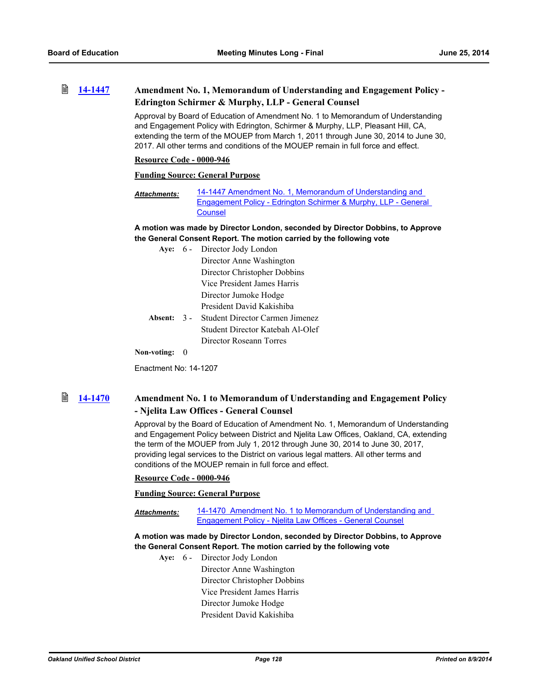#### ₿ **[14-1447](http://ousd.legistar.com/gateway.aspx?m=l&id=/matter.aspx?key=33123) Amendment No. 1, Memorandum of Understanding and Engagement Policy - Edrington Schirmer & Murphy, LLP - General Counsel**

Approval by Board of Education of Amendment No. 1 to Memorandum of Understanding and Engagement Policy with Edrington, Schirmer & Murphy, LLP, Pleasant Hill, CA, extending the term of the MOUEP from March 1, 2011 through June 30, 2014 to June 30, 2017. All other terms and conditions of the MOUEP remain in full force and effect.

## **Resource Code - 0000-946**

#### **Funding Source: General Purpose**

14-1447 Amendment No. 1, Memorandum of Understanding and [Engagement Policy - Edrington Schirmer & Murphy, LLP - General](http://ousd.legistar.com/gateway.aspx?M=F&ID=76417.pdf)  Counsel *Attachments:*

### **A motion was made by Director London, seconded by Director Dobbins, to Approve the General Consent Report. The motion carried by the following vote**

Aye: 6 - Director Jody London Director Anne Washington Director Christopher Dobbins Vice President James Harris Director Jumoke Hodge President David Kakishiba **Absent:** Student Director Carmen Jimenez Student Director Katebah Al-Olef Director Roseann Torres Absent:  $3 -$ 

**Non-voting:** 0

Enactment No: 14-1207

# **[14-1470](http://ousd.legistar.com/gateway.aspx?m=l&id=/matter.aspx?key=33146) Amendment No. 1 to Memorandum of Understanding and Engagement Policy - Njelita Law Offices - General Counsel**

Approval by the Board of Education of Amendment No. 1, Memorandum of Understanding and Engagement Policy between District and Njelita Law Offices, Oakland, CA, extending the term of the MOUEP from July 1, 2012 through June 30, 2014 to June 30, 2017, providing legal services to the District on various legal matters. All other terms and conditions of the MOUEP remain in full force and effect.

#### **Resource Code - 0000-946**

#### **Funding Source: General Purpose**

[14-1470 Amendment No. 1 to Memorandum of Understanding and](http://ousd.legistar.com/gateway.aspx?M=F&ID=76415.pdf)  Engagement Policy - Njelita Law Offices - General Counsel *Attachments:*

**A motion was made by Director London, seconded by Director Dobbins, to Approve the General Consent Report. The motion carried by the following vote**

Aye: 6 - Director Jody London Director Anne Washington Director Christopher Dobbins Vice President James Harris Director Jumoke Hodge President David Kakishiba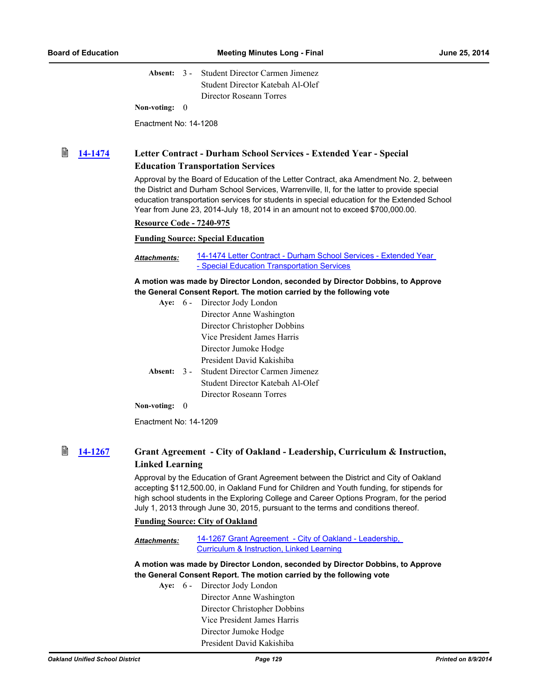|  | <b>Absent:</b> 3 - Student Director Carmen Jimenez |
|--|----------------------------------------------------|
|  | Student Director Katebah Al-Olef                   |
|  | Director Roseann Torres                            |

**Non-voting:** 0

Enactment No: 14-1208

# **[14-1474](http://ousd.legistar.com/gateway.aspx?m=l&id=/matter.aspx?key=33150) Letter Contract - Durham School Services - Extended Year - Special Education Transportation Services**

Approval by the Board of Education of the Letter Contract, aka Amendment No. 2, between the District and Durham School Services, Warrenville, Il, for the latter to provide special education transportation services for students in special education for the Extended School Year from June 23, 2014-July 18, 2014 in an amount not to exceed \$700,000.00.

### **Resource Code - 7240-975**

#### **Funding Source: Special Education**

[14-1474 Letter Contract - Durham School Services - Extended Year](http://ousd.legistar.com/gateway.aspx?M=F&ID=76363.pdf)  - Special Education Transportation Services *Attachments:*

## **A motion was made by Director London, seconded by Director Dobbins, to Approve the General Consent Report. The motion carried by the following vote**

Aye: 6 - Director Jody London Director Anne Washington Director Christopher Dobbins Vice President James Harris Director Jumoke Hodge President David Kakishiba **Absent:** Student Director Carmen Jimenez Student Director Katebah Al-Olef Director Roseann Torres Absent:  $3 -$ 

**Non-voting:** 0

Enactment No: 14-1209

# **[14-1267](http://ousd.legistar.com/gateway.aspx?m=l&id=/matter.aspx?key=32955) Grant Agreement - City of Oakland - Leadership, Curriculum & Instruction, Linked Learning**

Approval by the Education of Grant Agreement between the District and City of Oakland accepting \$112,500.00, in Oakland Fund for Children and Youth funding, for stipends for high school students in the Exploring College and Career Options Program, for the period July 1, 2013 through June 30, 2015, pursuant to the terms and conditions thereof.

### **Funding Source: City of Oakland**

[14-1267 Grant Agreement - City of Oakland - Leadership,](http://ousd.legistar.com/gateway.aspx?M=F&ID=76747.pdf)  Curriculum & Instruction, Linked Learning *Attachments:*

### **A motion was made by Director London, seconded by Director Dobbins, to Approve the General Consent Report. The motion carried by the following vote**

Aye: 6 - Director Jody London Director Anne Washington Director Christopher Dobbins Vice President James Harris Director Jumoke Hodge President David Kakishiba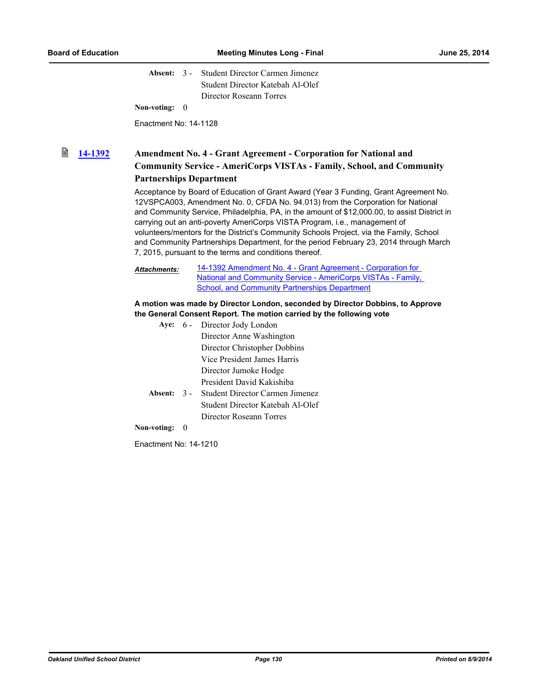**Student Director Carmen Jimenez** Student Director Katebah Al-Olef Director Roseann Torres Absent:  $3 -$ 

**Non-voting:** 0

Enactment No: 14-1128

閶

# **[14-1392](http://ousd.legistar.com/gateway.aspx?m=l&id=/matter.aspx?key=33072) Amendment No. 4 - Grant Agreement - Corporation for National and Community Service - AmeriCorps VISTAs - Family, School, and Community Partnerships Department**

Acceptance by Board of Education of Grant Award (Year 3 Funding, Grant Agreement No. 12VSPCA003, Amendment No. 0, CFDA No. 94.013) from the Corporation for National and Community Service, Philadelphia, PA, in the amount of \$12,000.00, to assist District in carrying out an anti-poverty AmeriCorps VISTA Program, i.e., management of volunteers/mentors for the District's Community Schools Project, via the Family, School and Community Partnerships Department, for the period February 23, 2014 through March 7, 2015, pursuant to the terms and conditions thereof.

14-1392 Amendment No. 4 - Grant Agreement - Corporation for [National and Community Service - AmeriCorps VISTAs - Family,](http://ousd.legistar.com/gateway.aspx?M=F&ID=76743.pdf)  School, and Community Partnerships Department *Attachments:*

**A motion was made by Director London, seconded by Director Dobbins, to Approve the General Consent Report. The motion carried by the following vote**

|               | Aye: 6 - Director Jody London          |
|---------------|----------------------------------------|
|               | Director Anne Washington               |
|               | Director Christopher Dobbins           |
|               | Vice President James Harris            |
|               | Director Jumoke Hodge                  |
|               | President David Kakishiba              |
| Absent: $3 -$ | <b>Student Director Carmen Jimenez</b> |
|               | Student Director Katebah Al-Olef       |
|               | Director Roseann Torres                |
|               |                                        |

**Non-voting:** 0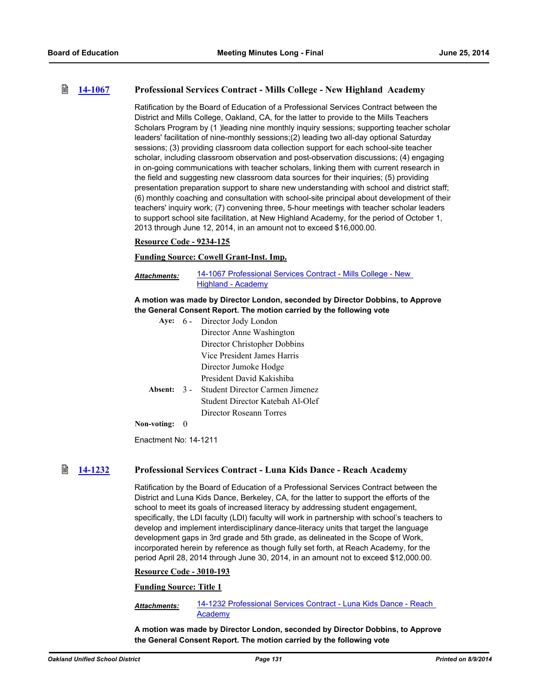#### ₿ **[14-1067](http://ousd.legistar.com/gateway.aspx?m=l&id=/matter.aspx?key=32767) Professional Services Contract - Mills College - New Highland Academy**

Ratification by the Board of Education of a Professional Services Contract between the District and Mills College, Oakland, CA, for the latter to provide to the Mills Teachers Scholars Program by (1 )leading nine monthly inquiry sessions; supporting teacher scholar leaders' facilitation of nine-monthly sessions;(2) leading two all-day optional Saturday sessions; (3) providing classroom data collection support for each school-site teacher scholar, including classroom observation and post-observation discussions; (4) engaging in on-going communications with teacher scholars, linking them with current research in the field and suggesting new classroom data sources for their inquiries; (5) providing presentation preparation support to share new understanding with school and district staff; (6) monthly coaching and consultation with school-site principal about development of their teachers' inquiry work; (7) convening three, 5-hour meetings with teacher scholar leaders to support school site facilitation, at New Highland Academy, for the period of October 1, 2013 through June 12, 2014, in an amount not to exceed \$16,000.00.

### **Resource Code - 9234-125**

#### **Funding Source: Cowell Grant-Inst. Imp.**

[14-1067 Professional Services Contract - Mills College - New](http://ousd.legistar.com/gateway.aspx?M=F&ID=76501.pdf)  Highland - Academy *Attachments:*

**A motion was made by Director London, seconded by Director Dobbins, to Approve the General Consent Report. The motion carried by the following vote**

|              | Aye: 6 - Director Jody London          |
|--------------|----------------------------------------|
|              | Director Anne Washington               |
|              | Director Christopher Dobbins           |
|              | Vice President James Harris            |
|              | Director Jumoke Hodge                  |
|              | President David Kakishiba              |
| Absent: $3-$ | <b>Student Director Carmen Jimenez</b> |
|              | Student Director Katebah Al-Olef       |
|              | Director Roseann Torres                |
|              |                                        |

**Non-voting:** 0

Enactment No: 14-1211

### **[14-1232](http://ousd.legistar.com/gateway.aspx?m=l&id=/matter.aspx?key=32920) Professional Services Contract - Luna Kids Dance - Reach Academy**

Ratification by the Board of Education of a Professional Services Contract between the District and Luna Kids Dance, Berkeley, CA, for the latter to support the efforts of the school to meet its goals of increased literacy by addressing student engagement, specifically, the LDI faculty (LDI) faculty will work in partnership with school's teachers to develop and implement interdisciplinary dance-literacy units that target the language development gaps in 3rd grade and 5th grade, as delineated in the Scope of Work, incorporated herein by reference as though fully set forth, at Reach Academy, for the period April 28, 2014 through June 30, 2014, in an amount not to exceed \$12,000.00.

### **Resource Code - 3010-193**

### **Funding Source: Title 1**

[14-1232 Professional Services Contract - Luna Kids Dance - Reach](http://ousd.legistar.com/gateway.aspx?M=F&ID=76549.pdf)  Academy *Attachments:*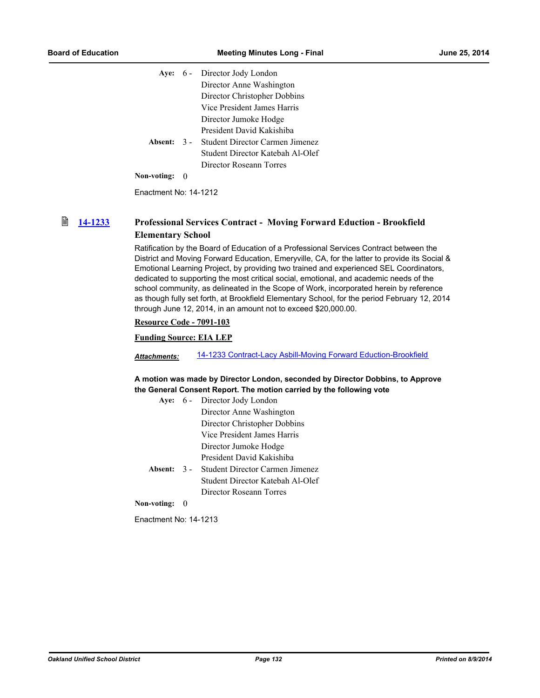|             | Aye: 6 - Director Jody London                      |
|-------------|----------------------------------------------------|
|             | Director Anne Washington                           |
|             | Director Christopher Dobbins                       |
|             | Vice President James Harris                        |
|             | Director Jumoke Hodge                              |
|             | President David Kakishiba                          |
|             | <b>Absent:</b> 3 - Student Director Carmen Jimenez |
|             | Student Director Katebah Al-Olef                   |
|             | Director Roseann Torres                            |
| Non-voting: |                                                    |

# **[14-1233](http://ousd.legistar.com/gateway.aspx?m=l&id=/matter.aspx?key=32921) Professional Services Contract - Moving Forward Eduction - Brookfield Elementary School**

Ratification by the Board of Education of a Professional Services Contract between the District and Moving Forward Education, Emeryville, CA, for the latter to provide its Social & Emotional Learning Project, by providing two trained and experienced SEL Coordinators, dedicated to supporting the most critical social, emotional, and academic needs of the school community, as delineated in the Scope of Work, incorporated herein by reference as though fully set forth, at Brookfield Elementary School, for the period February 12, 2014 through June 12, 2014, in an amount not to exceed \$20,000.00.

## **Resource Code - 7091-103**

### **Funding Source: EIA LEP**

*Attachments:* [14-1233 Contract-Lacy Asbill-Moving Forward Eduction-Brookfield](http://ousd.legistar.com/gateway.aspx?M=F&ID=76552.pdf)

### **A motion was made by Director London, seconded by Director Dobbins, to Approve the General Consent Report. The motion carried by the following vote**

Aye: 6 - Director Jody London Director Anne Washington Director Christopher Dobbins Vice President James Harris Director Jumoke Hodge President David Kakishiba **Absent:** Student Director Carmen Jimenez Student Director Katebah Al-Olef Director Roseann Torres Absent:  $3 -$ **Non-voting:** 0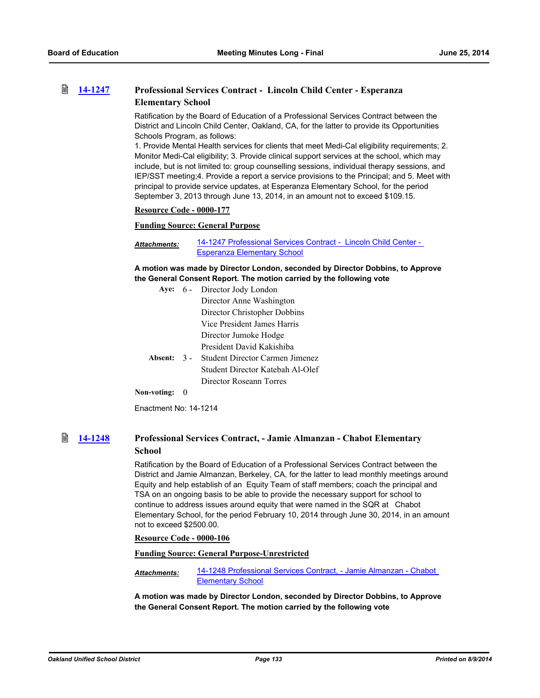#### ₿ **[14-1247](http://ousd.legistar.com/gateway.aspx?m=l&id=/matter.aspx?key=32935) Professional Services Contract - Lincoln Child Center - Esperanza Elementary School**

Ratification by the Board of Education of a Professional Services Contract between the District and Lincoln Child Center, Oakland, CA, for the latter to provide its Opportunities Schools Program, as follows:

1. Provide Mental Health services for clients that meet Medi-Cal eligibility requirements; 2. Monitor Medi-Cal eligibility; 3. Provide clinical support services at the school, which may include, but is not limited to: group counselling sessions, individual therapy sessions, and IEP/SST meeting;4. Provide a report a service provisions to the Principal; and 5. Meet with principal to provide service updates, at Esperanza Elementary School, for the period September 3, 2013 through June 13, 2014, in an amount not to exceed \$109.15.

#### **Resource Code - 0000-177**

#### **Funding Source: General Purpose**

```
14-1247 Professional Services Contract - Lincoln Child Center - 
                Esperanza Elementary School
Attachments:
```
## **A motion was made by Director London, seconded by Director Dobbins, to Approve the General Consent Report. The motion carried by the following vote**

|              |          | Aye: 6 - Director Jody London    |
|--------------|----------|----------------------------------|
|              |          | Director Anne Washington         |
|              |          | Director Christopher Dobbins     |
|              |          | Vice President James Harris      |
|              |          | Director Jumoke Hodge            |
|              |          | President David Kakishiba        |
| Absent: $3-$ |          | Student Director Carmen Jimenez  |
|              |          | Student Director Katebah Al-Olef |
|              |          | Director Roseann Torres          |
| Non-voting:  | $\theta$ |                                  |

Enactment No: 14-1214

# **[14-1248](http://ousd.legistar.com/gateway.aspx?m=l&id=/matter.aspx?key=32936) Professional Services Contract, - Jamie Almanzan - Chabot Elementary School**

Ratification by the Board of Education of a Professional Services Contract between the District and Jamie Almanzan, Berkeley, CA, for the latter to lead monthly meetings around Equity and help establish of an Equity Team of staff members; coach the principal and TSA on an ongoing basis to be able to provide the necessary support for school to continue to address issues around equity that were named in the SQR at Chabot Elementary School, for the period February 10, 2014 through June 30, 2014, in an amount not to exceed \$2500.00.

#### **Resource Code - 0000-106**

#### **Funding Source: General Purpose-Unrestricted**

[14-1248 Professional Services Contract, - Jamie Almanzan - Chabot](http://ousd.legistar.com/gateway.aspx?M=F&ID=76566.pdf)  Elementary School *Attachments:*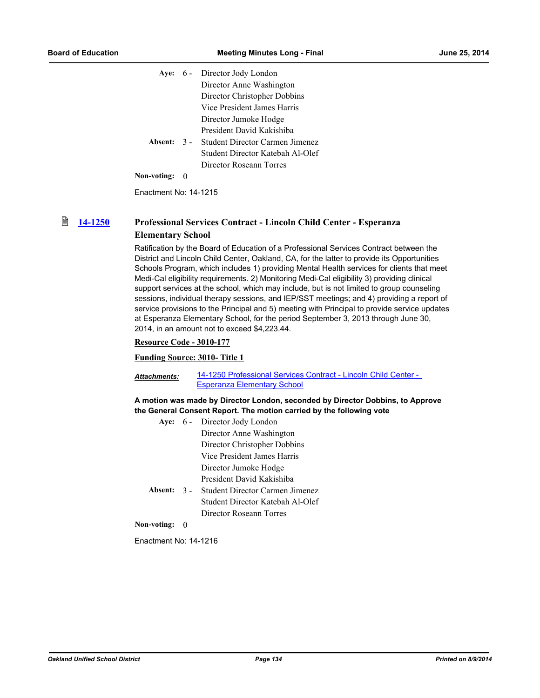|             | Aye: 6 - Director Jody London                      |
|-------------|----------------------------------------------------|
|             | Director Anne Washington                           |
|             | Director Christopher Dobbins                       |
|             | Vice President James Harris                        |
|             | Director Jumoke Hodge                              |
|             | President David Kakishiba                          |
|             | <b>Absent:</b> 3 - Student Director Carmen Jimenez |
|             | Student Director Katebah Al-Olef                   |
|             | Director Roseann Torres                            |
| Non-voting: |                                                    |

# **[14-1250](http://ousd.legistar.com/gateway.aspx?m=l&id=/matter.aspx?key=32938) Professional Services Contract - Lincoln Child Center - Esperanza Elementary School**

Ratification by the Board of Education of a Professional Services Contract between the District and Lincoln Child Center, Oakland, CA, for the latter to provide its Opportunities Schools Program, which includes 1) providing Mental Health services for clients that meet Medi-Cal eligibility requirements. 2) Monitoring Medi-Cal eligibility 3) providing clinical support services at the school, which may include, but is not limited to group counseling sessions, individual therapy sessions, and IEP/SST meetings; and 4) providing a report of service provisions to the Principal and 5) meeting with Principal to provide service updates at Esperanza Elementary School, for the period September 3, 2013 through June 30, 2014, in an amount not to exceed \$4,223.44.

### **Resource Code - 3010-177**

### **Funding Source: 3010- Title 1**

[14-1250 Professional Services Contract - Lincoln Child Center -](http://ousd.legistar.com/gateway.aspx?M=F&ID=76570.pdf)  Esperanza Elementary School *Attachments:*

**A motion was made by Director London, seconded by Director Dobbins, to Approve the General Consent Report. The motion carried by the following vote**

Aye: 6 - Director Jody London Director Anne Washington Director Christopher Dobbins Vice President James Harris Director Jumoke Hodge President David Kakishiba **Student Director Carmen Jimenez** Student Director Katebah Al-Olef Director Roseann Torres Absent: 3 -

**Non-voting:** 0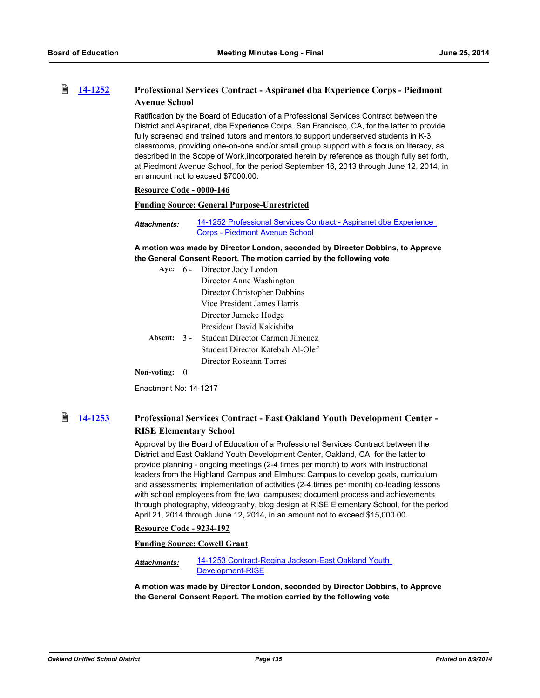#### ₿ **[14-1252](http://ousd.legistar.com/gateway.aspx?m=l&id=/matter.aspx?key=32940) Professional Services Contract - Aspiranet dba Experience Corps - Piedmont Avenue School**

Ratification by the Board of Education of a Professional Services Contract between the District and Aspiranet, dba Experience Corps, San Francisco, CA, for the latter to provide fully screened and trained tutors and mentors to support underserved students in K-3 classrooms, providing one-on-one and/or small group support with a focus on literacy, as described in the Scope of Work,iIncorporated herein by reference as though fully set forth, at Piedmont Avenue School, for the period September 16, 2013 through June 12, 2014, in an amount not to exceed \$7000.00.

#### **Resource Code - 0000-146**

## **Funding Source: General Purpose-Unrestricted**

[14-1252 Professional Services Contract - Aspiranet dba Experience](http://ousd.legistar.com/gateway.aspx?M=F&ID=76572.pdf)  Corps - Piedmont Avenue School *Attachments:*

### **A motion was made by Director London, seconded by Director Dobbins, to Approve the General Consent Report. The motion carried by the following vote**

- Aye: 6 Director Jody London Director Anne Washington Director Christopher Dobbins Vice President James Harris Director Jumoke Hodge President David Kakishiba **Absent:** Student Director Carmen Jimenez Absent:  $3 -$
- Student Director Katebah Al-Olef Director Roseann Torres

**Non-voting:** 0

Enactment No: 14-1217

# **[14-1253](http://ousd.legistar.com/gateway.aspx?m=l&id=/matter.aspx?key=32941) Professional Services Contract - East Oakland Youth Development Center - RISE Elementary School**

Approval by the Board of Education of a Professional Services Contract between the District and East Oakland Youth Development Center, Oakland, CA, for the latter to provide planning - ongoing meetings (2-4 times per month) to work with instructional leaders from the Highland Campus and Elmhurst Campus to develop goals, curriculum and assessments; implementation of activities (2-4 times per month) co-leading lessons with school employees from the two campuses; document process and achievements through photography, videography, blog design at RISE Elementary School, for the period April 21, 2014 through June 12, 2014, in an amount not to exceed \$15,000.00.

### **Resource Code - 9234-192**

#### **Funding Source: Cowell Grant**

[14-1253 Contract-Regina Jackson-East Oakland Youth](http://ousd.legistar.com/gateway.aspx?M=F&ID=76573.pdf)  Development-RISE *Attachments:*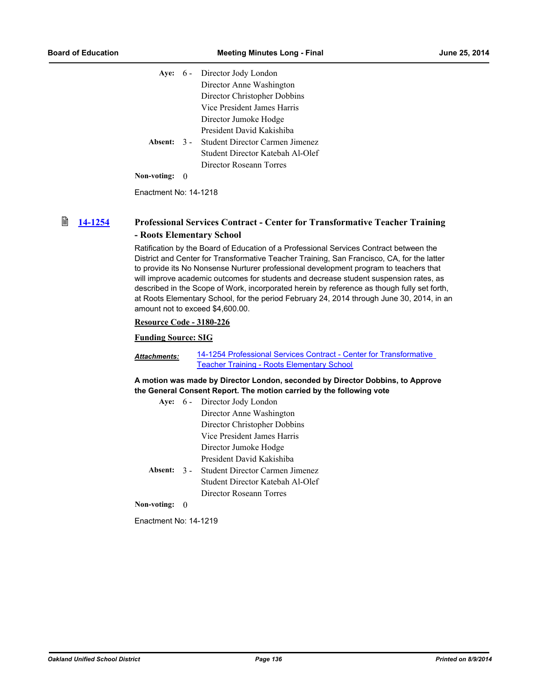|                    | Aye: 6 - Director Jody London          |
|--------------------|----------------------------------------|
|                    | Director Anne Washington               |
|                    | Director Christopher Dobbins           |
|                    | Vice President James Harris            |
|                    | Director Jumoke Hodge                  |
|                    | President David Kakishiba              |
| <b>Absent:</b> 3 - | <b>Student Director Carmen Jimenez</b> |
|                    | Student Director Katebah Al-Olef       |
|                    | Director Roseann Torres                |
| Non-voting:        |                                        |

眥

# **[14-1254](http://ousd.legistar.com/gateway.aspx?m=l&id=/matter.aspx?key=32942) Professional Services Contract - Center for Transformative Teacher Training - Roots Elementary School**

Ratification by the Board of Education of a Professional Services Contract between the District and Center for Transformative Teacher Training, San Francisco, CA, for the latter to provide its No Nonsense Nurturer professional development program to teachers that will improve academic outcomes for students and decrease student suspension rates, as described in the Scope of Work, incorporated herein by reference as though fully set forth, at Roots Elementary School, for the period February 24, 2014 through June 30, 2014, in an amount not to exceed \$4,600.00.

## **Resource Code - 3180-226**

#### **Funding Source: SIG**

[14-1254 Professional Services Contract - Center for Transformative](http://ousd.legistar.com/gateway.aspx?M=F&ID=76574.pdf)  Teacher Training - Roots Elementary School *Attachments:*

### **A motion was made by Director London, seconded by Director Dobbins, to Approve the General Consent Report. The motion carried by the following vote**

|              |     | Aye: 6 - Director Jody London          |
|--------------|-----|----------------------------------------|
|              |     | Director Anne Washington               |
|              |     | Director Christopher Dobbins           |
|              |     | Vice President James Harris            |
|              |     | Director Jumoke Hodge                  |
|              |     | President David Kakishiba              |
| Absent: $3-$ |     | <b>Student Director Carmen Jimenez</b> |
|              |     | Student Director Katebah Al-Olef       |
|              |     | Director Roseann Torres                |
| Non-voting:  | - 0 |                                        |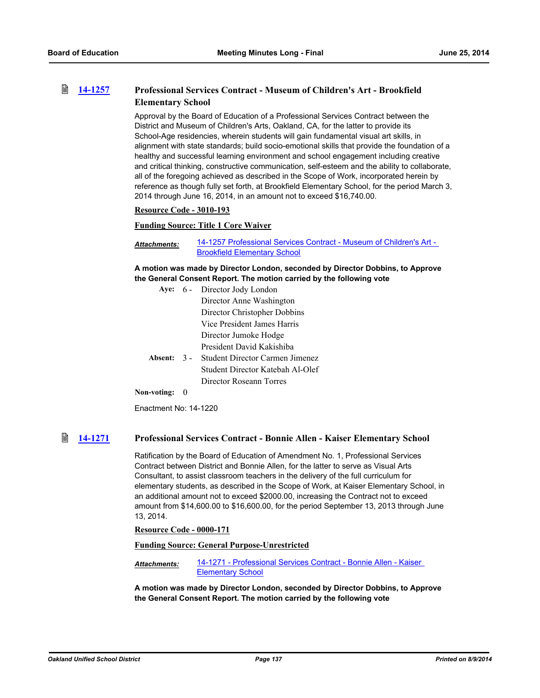#### 昏 **[14-1257](http://ousd.legistar.com/gateway.aspx?m=l&id=/matter.aspx?key=32945) Professional Services Contract - Museum of Children's Art - Brookfield Elementary School**

Approval by the Board of Education of a Professional Services Contract between the District and Museum of Children's Arts, Oakland, CA, for the latter to provide its School-Age residencies, wherein students will gain fundamental visual art skills, in alignment with state standards; build socio-emotional skills that provide the foundation of a healthy and successful learning environment and school engagement including creative and critical thinking, constructive communication, self-esteem and the ability to collaborate, all of the foregoing achieved as described in the Scope of Work, incorporated herein by reference as though fully set forth, at Brookfield Elementary School, for the period March 3, 2014 through June 16, 2014, in an amount not to exceed \$16,740.00.

#### **Resource Code - 3010-193**

**Funding Source: Title 1 Core Waiver**

```
14-1257 Professional Services Contract - Museum of Children's Art - 
                 Brookfield Elementary School
Attachments:
```
## **A motion was made by Director London, seconded by Director Dobbins, to Approve the General Consent Report. The motion carried by the following vote**

|             |          | Aye: 6 - Director Jody London                      |
|-------------|----------|----------------------------------------------------|
|             |          | Director Anne Washington                           |
|             |          | Director Christopher Dobbins                       |
|             |          | Vice President James Harris                        |
|             |          | Director Jumoke Hodge                              |
|             |          | President David Kakishiba                          |
|             |          | <b>Absent:</b> 3 - Student Director Carmen Jimenez |
|             |          | Student Director Katebah Al-Olef                   |
|             |          | Director Roseann Torres                            |
| Non-voting: | $\theta$ |                                                    |

Enactment No: 14-1220

## **[14-1271](http://ousd.legistar.com/gateway.aspx?m=l&id=/matter.aspx?key=32959) Professional Services Contract - Bonnie Allen - Kaiser Elementary School**

Ratification by the Board of Education of Amendment No. 1, Professional Services Contract between District and Bonnie Allen, for the latter to serve as Visual Arts Consultant, to assist classroom teachers in the delivery of the full curriculum for elementary students, as described in the Scope of Work, at Kaiser Elementary School, in an additional amount not to exceed \$2000.00, increasing the Contract not to exceed amount from \$14,600.00 to \$16,600.00, for the period September 13, 2013 through June 13, 2014.

**Resource Code - 0000-171**

**Funding Source: General Purpose-Unrestricted**

[14-1271 - Professional Services Contract - Bonnie Allen - Kaiser](http://ousd.legistar.com/gateway.aspx?M=F&ID=76703.pdf)  Elementary School *Attachments:*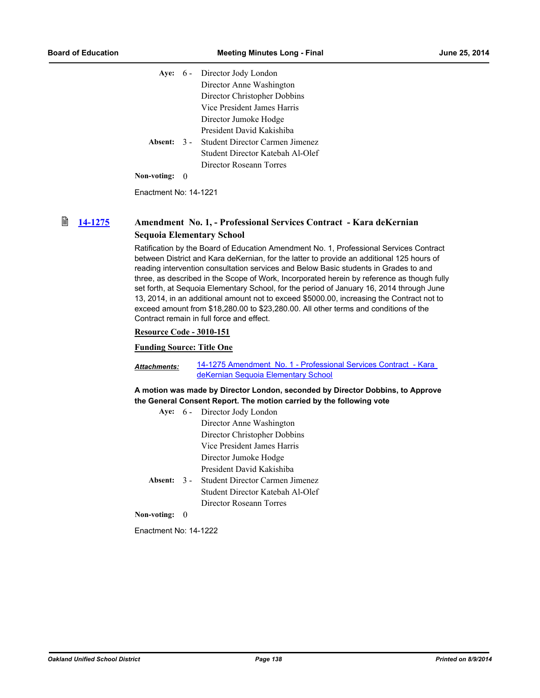|             | Aye: 6 - Director Jody London                      |
|-------------|----------------------------------------------------|
|             | Director Anne Washington                           |
|             | Director Christopher Dobbins                       |
|             | Vice President James Harris                        |
|             | Director Jumoke Hodge                              |
|             | President David Kakishiba                          |
|             | <b>Absent:</b> 3 - Student Director Carmen Jimenez |
|             | Student Director Katebah Al-Olef                   |
|             | Director Roseann Torres                            |
| Non-voting: |                                                    |

眥

# **[14-1275](http://ousd.legistar.com/gateway.aspx?m=l&id=/matter.aspx?key=32963) Amendment No. 1, - Professional Services Contract - Kara deKernian Sequoia Elementary School**

Ratification by the Board of Education Amendment No. 1, Professional Services Contract between District and Kara deKernian, for the latter to provide an additional 125 hours of reading intervention consultation services and Below Basic students in Grades to and three, as described in the Scope of Work, Incorporated herein by reference as though fully set forth, at Sequoia Elementary School, for the period of January 16, 2014 through June 13, 2014, in an additional amount not to exceed \$5000.00, increasing the Contract not to exceed amount from \$18,280.00 to \$23,280.00. All other terms and conditions of the Contract remain in full force and effect.

#### **Resource Code - 3010-151**

#### **Funding Source: Title One**

[14-1275 Amendment No. 1 - Professional Services Contract - Kara](http://ousd.legistar.com/gateway.aspx?M=F&ID=76705.pdf)  deKernian Sequoia Elementary School *Attachments:*

**A motion was made by Director London, seconded by Director Dobbins, to Approve the General Consent Report. The motion carried by the following vote**

|             |            | Aye: 6 - Director Jody London    |
|-------------|------------|----------------------------------|
|             |            | Director Anne Washington         |
|             |            | Director Christopher Dobbins     |
|             |            | Vice President James Harris      |
|             |            | Director Jumoke Hodge            |
|             |            | President David Kakishiba        |
| Absent:     | $\sim$ 3 – | Student Director Carmen Jimenez  |
|             |            | Student Director Katebah Al-Olef |
|             |            | Director Roseann Torres          |
| Non-voting: |            |                                  |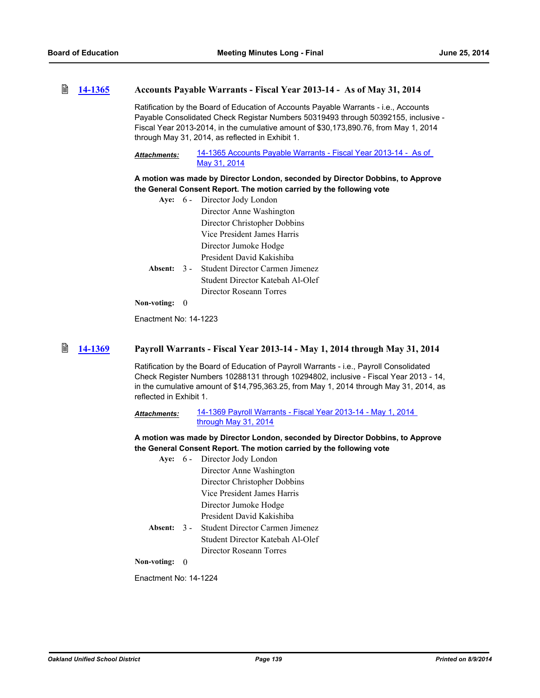#### 昏 **[14-1365](http://ousd.legistar.com/gateway.aspx?m=l&id=/matter.aspx?key=33045) Accounts Payable Warrants - Fiscal Year 2013-14 - As of May 31, 2014**

Ratification by the Board of Education of Accounts Payable Warrants - i.e., Accounts Payable Consolidated Check Registar Numbers 50319493 through 50392155, inclusive - Fiscal Year 2013-2014, in the cumulative amount of \$30,173,890.76, from May 1, 2014 through May 31, 2014, as reflected in Exhibit 1.

[14-1365 Accounts Payable Warrants - Fiscal Year 2013-14 - As of](http://ousd.legistar.com/gateway.aspx?M=F&ID=76706.pdf)  May 31, 2014 *Attachments:*

**A motion was made by Director London, seconded by Director Dobbins, to Approve the General Consent Report. The motion carried by the following vote**

|               | Aye: 6 - Director Jody London          |
|---------------|----------------------------------------|
|               | Director Anne Washington               |
|               | Director Christopher Dobbins           |
|               | Vice President James Harris            |
|               | Director Jumoke Hodge                  |
|               | President David Kakishiba              |
| Absent: $3 -$ | <b>Student Director Carmen Jimenez</b> |
|               | Student Director Katebah Al-Olef       |
|               | Director Roseann Torres                |
|               |                                        |

**Non-voting:** 0

Enactment No: 14-1223

閶 **[14-1369](http://ousd.legistar.com/gateway.aspx?m=l&id=/matter.aspx?key=33049) Payroll Warrants - Fiscal Year 2013-14 - May 1, 2014 through May 31, 2014**

> Ratification by the Board of Education of Payroll Warrants - i.e., Payroll Consolidated Check Register Numbers 10288131 through 10294802, inclusive - Fiscal Year 2013 - 14, in the cumulative amount of \$14,795,363.25, from May 1, 2014 through May 31, 2014, as reflected in Exhibit 1.

[14-1369 Payroll Warrants - Fiscal Year 2013-14 - May 1, 2014](http://ousd.legistar.com/gateway.aspx?M=F&ID=76707.pdf)  through May 31, 2014 *Attachments:*

**A motion was made by Director London, seconded by Director Dobbins, to Approve the General Consent Report. The motion carried by the following vote**

Aye: 6 - Director Jody London Director Anne Washington Director Christopher Dobbins Vice President James Harris Director Jumoke Hodge President David Kakishiba Absent: 3 - Student Director Carmen Jimenez Student Director Katebah Al-Olef Director Roseann Torres

**Non-voting:** 0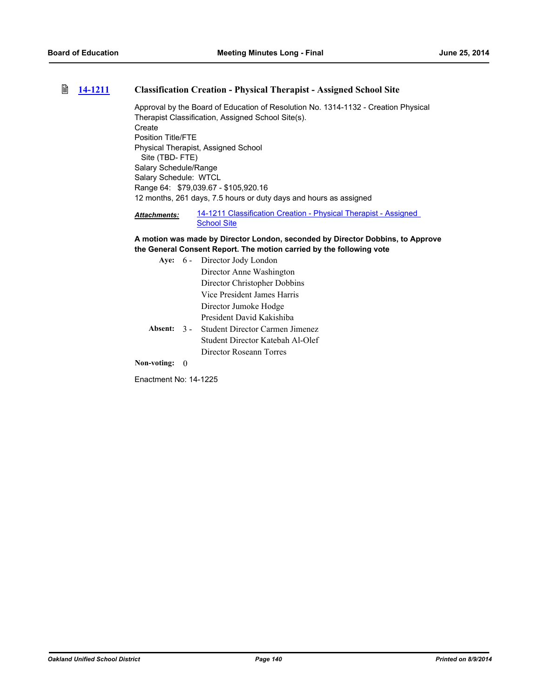#### 閶 **[14-1211](http://ousd.legistar.com/gateway.aspx?m=l&id=/matter.aspx?key=32899) Classification Creation - Physical Therapist - Assigned School Site**

Approval by the Board of Education of Resolution No. 1314-1132 - Creation Physical Therapist Classification, Assigned School Site(s). Create Position Title/FTE Physical Therapist, Assigned School Site (TBD- FTE) Salary Schedule/Range Salary Schedule: WTCL Range 64: \$79,039.67 - \$105,920.16 12 months, 261 days, 7.5 hours or duty days and hours as assigned

[14-1211 Classification Creation - Physical Therapist - Assigned](http://ousd.legistar.com/gateway.aspx?M=F&ID=76708.pdf)  School Site *Attachments:*

## **A motion was made by Director London, seconded by Director Dobbins, to Approve the General Consent Report. The motion carried by the following vote**

|                    |     | Aye: 6 - Director Jody London    |
|--------------------|-----|----------------------------------|
|                    |     | Director Anne Washington         |
|                    |     | Director Christopher Dobbins     |
|                    |     | Vice President James Harris      |
|                    |     | Director Jumoke Hodge            |
|                    |     | President David Kakishiba        |
| <b>Absent:</b> 3 – |     | Student Director Carmen Jimenez  |
|                    |     | Student Director Katebah Al-Olef |
|                    |     | Director Roseann Torres          |
| Non-voting:        | - 0 |                                  |
|                    |     |                                  |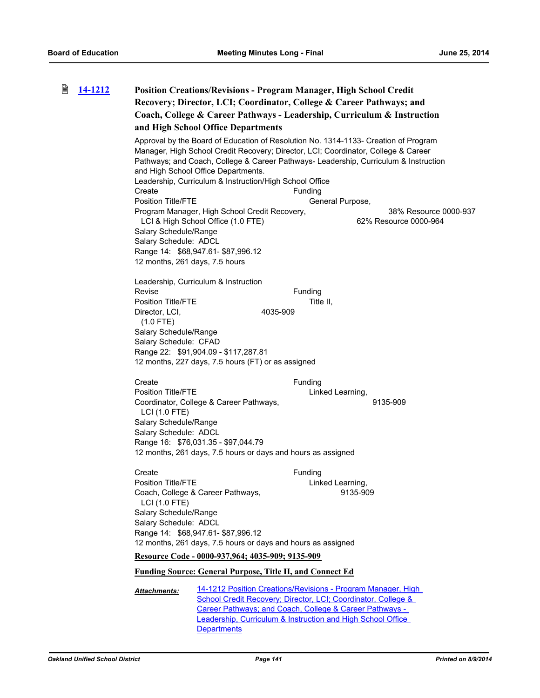### ₿ **[14-1212](http://ousd.legistar.com/gateway.aspx?m=l&id=/matter.aspx?key=32900) Position Creations/Revisions - Program Manager, High School Credit Recovery; Director, LCI; Coordinator, College & Career Pathways; and Coach, College & Career Pathways - Leadership, Curriculum & Instruction and High School Office Departments**

Approval by the Board of Education of Resolution No. 1314-1133- Creation of Program Manager, High School Credit Recovery; Director, LCI; Coordinator, College & Career Pathways; and Coach, College & Career Pathways- Leadership, Curriculum & Instruction and High School Office Departments. Leadership, Curriculum & Instruction/High School Office Create **Funding** Position Title/FTE General Purpose, Program Manager, High School Credit Recovery, 38% Resource 0000-937 LCI & High School Office (1.0 FTE) 62% Resource 0000-964 Salary Schedule/Range Salary Schedule: ADCL Range 14: \$68,947.61- \$87,996.12 12 months, 261 days, 7.5 hours

Leadership, Curriculum & Instruction Revise **Funding** Position Title/FTE Title II, Director, LCI, 4035-909 (1.0 FTE) Salary Schedule/Range Salary Schedule: CFAD Range 22: \$91,904.09 - \$117,287.81 12 months, 227 days, 7.5 hours (FT) or as assigned

Create **Funding** Position Title/FTE Linked Learning, Coordinator, College & Career Pathways, 2008 135-909 LCI (1.0 FTE) Salary Schedule/Range Salary Schedule: ADCL Range 16: \$76,031.35 - \$97,044.79 12 months, 261 days, 7.5 hours or days and hours as assigned

Create **Funding** Position Title/FTE Linked Learning, Coach, College & Career Pathways, 6135-909 LCI (1.0 FTE) Salary Schedule/Range Salary Schedule: ADCL Range 14: \$68,947.61- \$87,996.12 12 months, 261 days, 7.5 hours or days and hours as assigned

**Resource Code - 0000-937,964; 4035-909; 9135-909**

#### **Funding Source: General Purpose, Title II, and Connect Ed**

[14-1212 Position Creations/Revisions - Program Manager, High](http://ousd.legistar.com/gateway.aspx?M=F&ID=76709.pdf)  School Credit Recovery; Director, LCI; Coordinator, College & Career Pathways; and Coach, College & Career Pathways - Leadership, Curriculum & Instruction and High School Office **Departments** *Attachments:*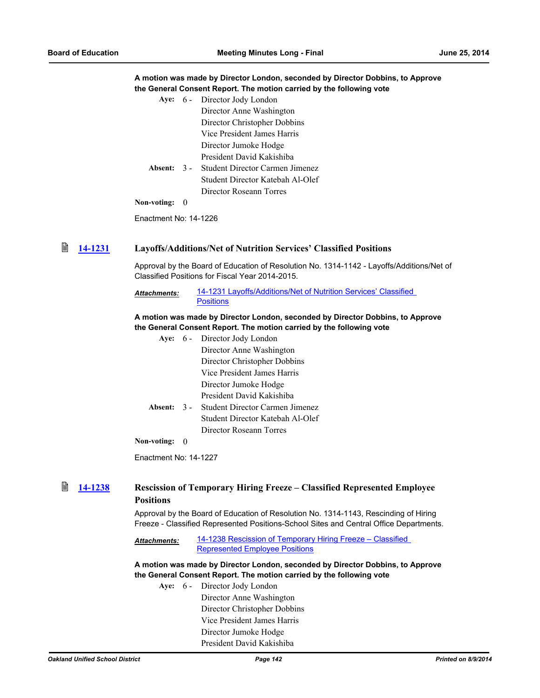## **A motion was made by Director London, seconded by Director Dobbins, to Approve the General Consent Report. The motion carried by the following vote**

|                    | Aye: 6 - Director Jody London          |
|--------------------|----------------------------------------|
|                    | Director Anne Washington               |
|                    | Director Christopher Dobbins           |
|                    | Vice President James Harris            |
|                    | Director Jumoke Hodge                  |
|                    | President David Kakishiba              |
| <b>Absent:</b> 3 - | <b>Student Director Carmen Jimenez</b> |
|                    | Student Director Katebah Al-Olef       |
|                    | Director Roseann Torres                |
|                    |                                        |

**Non-voting:** 0

Enactment No: 14-1226

#### **[14-1231](http://ousd.legistar.com/gateway.aspx?m=l&id=/matter.aspx?key=32919) Layoffs/Additions/Net of Nutrition Services' Classified Positions** 閶

Approval by the Board of Education of Resolution No. 1314-1142 - Layoffs/Additions/Net of Classified Positions for Fiscal Year 2014-2015.

[14-1231 Layoffs/Additions/Net of Nutrition Services' Classified](http://ousd.legistar.com/gateway.aspx?M=F&ID=76732.pdf)  **Positions** *Attachments:*

## **A motion was made by Director London, seconded by Director Dobbins, to Approve the General Consent Report. The motion carried by the following vote**

|               | Aye: 6 - Director Jody London          |
|---------------|----------------------------------------|
|               | Director Anne Washington               |
|               | Director Christopher Dobbins           |
|               | Vice President James Harris            |
|               | Director Jumoke Hodge                  |
|               | President David Kakishiba              |
| Absent: $3 -$ | <b>Student Director Carmen Jimenez</b> |
|               | Student Director Katebah Al-Olef       |
|               | Director Roseann Torres                |

**Non-voting:** 0

Enactment No: 14-1227

# **[14-1238](http://ousd.legistar.com/gateway.aspx?m=l&id=/matter.aspx?key=32926) Rescission of Temporary Hiring Freeze – Classified Represented Employee Positions**

Approval by the Board of Education of Resolution No. 1314-1143, Rescinding of Hiring Freeze - Classified Represented Positions-School Sites and Central Office Departments.

[14-1238 Rescission of Temporary Hiring Freeze – Classified](http://ousd.legistar.com/gateway.aspx?M=F&ID=76710.pdf)  Represented Employee Positions *Attachments:*

### **A motion was made by Director London, seconded by Director Dobbins, to Approve the General Consent Report. The motion carried by the following vote**

Aye: 6 - Director Jody London Director Anne Washington Director Christopher Dobbins Vice President James Harris Director Jumoke Hodge President David Kakishiba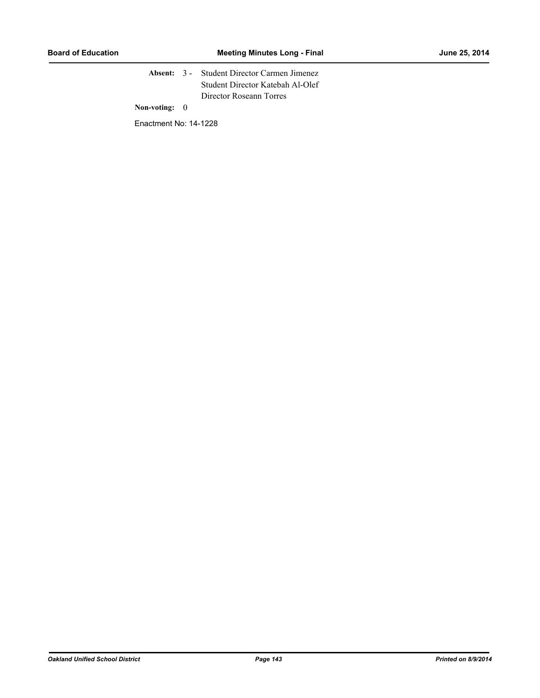|  | <b>Absent:</b> 3 - Student Director Carmen Jimenez |
|--|----------------------------------------------------|
|  | Student Director Katebah Al-Olef                   |
|  | Director Roseann Torres                            |

**Non-voting:** 0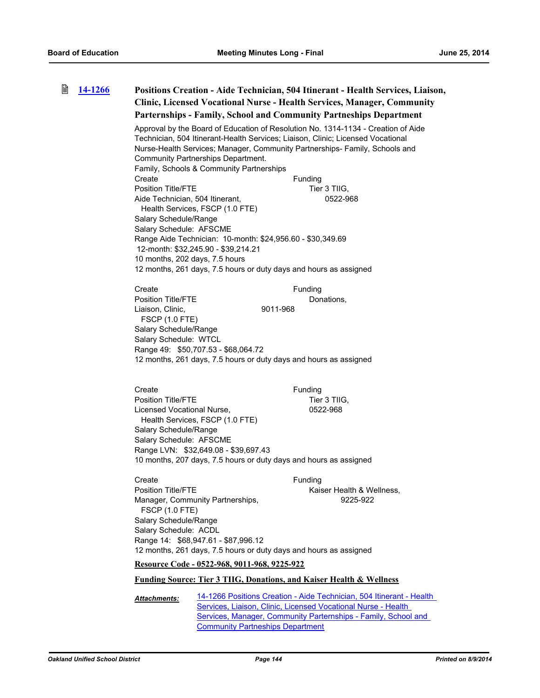### ₿ **[14-1266](http://ousd.legistar.com/gateway.aspx?m=l&id=/matter.aspx?key=32954) Positions Creation - Aide Technician, 504 Itinerant - Health Services, Liaison, Clinic, Licensed Vocational Nurse - Health Services, Manager, Community Parternships - Family, School and Community Partneships Department**

Approval by the Board of Education of Resolution No. 1314-1134 - Creation of Aide Technician, 504 Itinerant-Health Services; Liaison, Clinic; Licensed Vocational Nurse-Health Services; Manager, Community Partnerships- Family, Schools and Community Partnerships Department. Family, Schools & Community Partnerships Create **Funding** Position Title/FTE The Tier 3 TIIG. Aide Technician, 504 Itinerant, 1988 1991 1992-968 Health Services, FSCP (1.0 FTE) Salary Schedule/Range Salary Schedule: AFSCME Range Aide Technician: 10-month: \$24,956.60 - \$30,349.69 12-month: \$32,245.90 - \$39,214.21 10 months, 202 days, 7.5 hours 12 months, 261 days, 7.5 hours or duty days and hours as assigned

Create Funding Position Title/FTE Donations, Liaison, Clinic, 9011-968 FSCP (1.0 FTE) Salary Schedule/Range Salary Schedule: WTCL Range 49: \$50,707.53 - \$68,064.72 12 months, 261 days, 7.5 hours or duty days and hours as assigned

Create Funding Position Title/FTE The Tier 3 TIIG. Licensed Vocational Nurse, 0522-968 Health Services, FSCP (1.0 FTE) Salary Schedule/Range Salary Schedule: AFSCME Range LVN: \$32,649.08 - \$39,697.43 10 months, 207 days, 7.5 hours or duty days and hours as assigned

FSCP (1.0 FTE)

Create **Funding** Position Title/FTE **Kaiser Health & Wellness,** Manager, Community Partnerships, 19225-922

Salary Schedule/Range Salary Schedule: ACDL Range 14: \$68,947.61 - \$87,996.12 12 months, 261 days, 7.5 hours or duty days and hours as assigned

**Resource Code - 0522-968, 9011-968, 9225-922**

## **Funding Source: Tier 3 TIIG, Donations, and Kaiser Health & Wellness**

[14-1266 Positions Creation - Aide Technician, 504 Itinerant - Health](http://ousd.legistar.com/gateway.aspx?M=F&ID=76711.pdf)  Services, Liaison, Clinic, Licensed Vocational Nurse - Health Services, Manager, Community Parternships - Family, School and Community Partneships Department *Attachments:*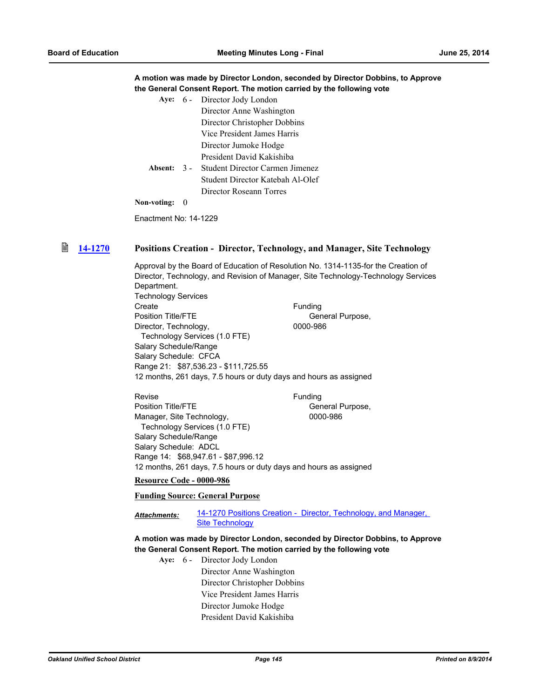# **A motion was made by Director London, seconded by Director Dobbins, to Approve the General Consent Report. The motion carried by the following vote**

Aye: 6 - Director Jody London Director Anne Washington Director Christopher Dobbins Vice President James Harris Director Jumoke Hodge President David Kakishiba **Absent:** Student Director Carmen Jimenez Student Director Katebah Al-Olef Director Roseann Torres Absent:  $3 -$ 

**Non-voting:** 0

Enactment No: 14-1229

## 窅

# **[14-1270](http://ousd.legistar.com/gateway.aspx?m=l&id=/matter.aspx?key=32958) Positions Creation - Director, Technology, and Manager, Site Technology**

Approval by the Board of Education of Resolution No. 1314-1135-for the Creation of Director, Technology, and Revision of Manager, Site Technology-Technology Services Department. Technology Services Create **Funding** Position Title/FTE General Purpose, Director, Technology, 0000-986 Technology Services (1.0 FTE) Salary Schedule/Range Salary Schedule: CFCA Range 21: \$87,536.23 - \$111,725.55 12 months, 261 days, 7.5 hours or duty days and hours as assigned

Revise **Funding** Position Title/FTE General Purpose, Manager, Site Technology, 0000-986 Technology Services (1.0 FTE) Salary Schedule/Range Salary Schedule: ADCL Range 14: \$68,947.61 - \$87,996.12 12 months, 261 days, 7.5 hours or duty days and hours as assigned

**Resource Code - 0000-986**

# **Funding Source: General Purpose**

[14-1270 Positions Creation - Director, Technology, and Manager,](http://ousd.legistar.com/gateway.aspx?M=F&ID=76712.pdf)  **Site Technology** *Attachments:*

**A motion was made by Director London, seconded by Director Dobbins, to Approve the General Consent Report. The motion carried by the following vote**

Aye: 6 - Director Jody London Director Anne Washington Director Christopher Dobbins Vice President James Harris Director Jumoke Hodge President David Kakishiba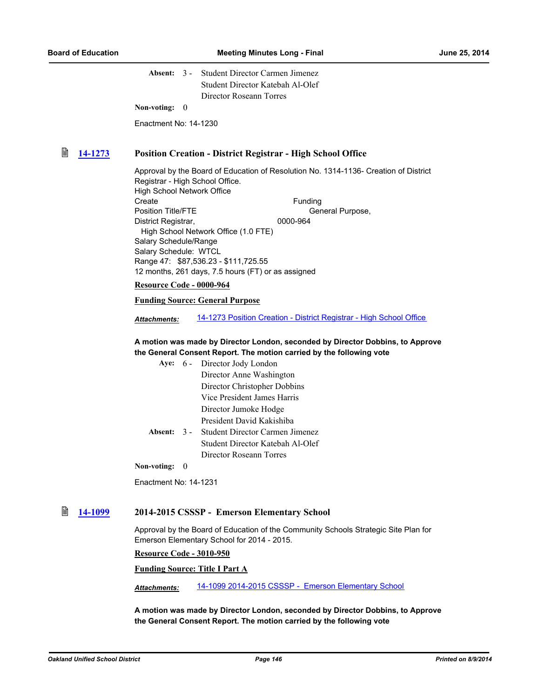**Absent:** Student Director Carmen Jimenez Student Director Katebah Al-Olef Director Roseann Torres Absent:  $3 -$ 

**Non-voting:** 0

Enactment No: 14-1230

## **[14-1273](http://ousd.legistar.com/gateway.aspx?m=l&id=/matter.aspx?key=32961) Position Creation - District Registrar - High School Office**

Approval by the Board of Education of Resolution No. 1314-1136- Creation of District Registrar - High School Office. High School Network Office Create **Funding** Position Title/FTE General Purpose, District Registrar, 0000-964 High School Network Office (1.0 FTE) Salary Schedule/Range Salary Schedule: WTCL Range 47: \$87,536.23 - \$111,725.55 12 months, 261 days, 7.5 hours (FT) or as assigned

## **Resource Code - 0000-964**

## **Funding Source: General Purpose**

*Attachments:* [14-1273 Position Creation - District Registrar - High School Office](http://ousd.legistar.com/gateway.aspx?M=F&ID=76729.pdf)

# **A motion was made by Director London, seconded by Director Dobbins, to Approve the General Consent Report. The motion carried by the following vote**

Aye: 6 - Director Jody London Director Anne Washington Director Christopher Dobbins Vice President James Harris Director Jumoke Hodge President David Kakishiba **Student Director Carmen Jimenez** Student Director Katebah Al-Olef Director Roseann Torres Absent:  $3 -$ 

**Non-voting:** 0

Enactment No: 14-1231

## **[14-1099](http://ousd.legistar.com/gateway.aspx?m=l&id=/matter.aspx?key=32799) 2014-2015 CSSSP - Emerson Elementary School**

Approval by the Board of Education of the Community Schools Strategic Site Plan for Emerson Elementary School for 2014 - 2015.

**Resource Code - 3010-950**

**Funding Source: Title I Part A**

*Attachments:* [14-1099 2014-2015 CSSSP - Emerson Elementary School](http://ousd.legistar.com/gateway.aspx?M=F&ID=76615.pdf)

**A motion was made by Director London, seconded by Director Dobbins, to Approve the General Consent Report. The motion carried by the following vote**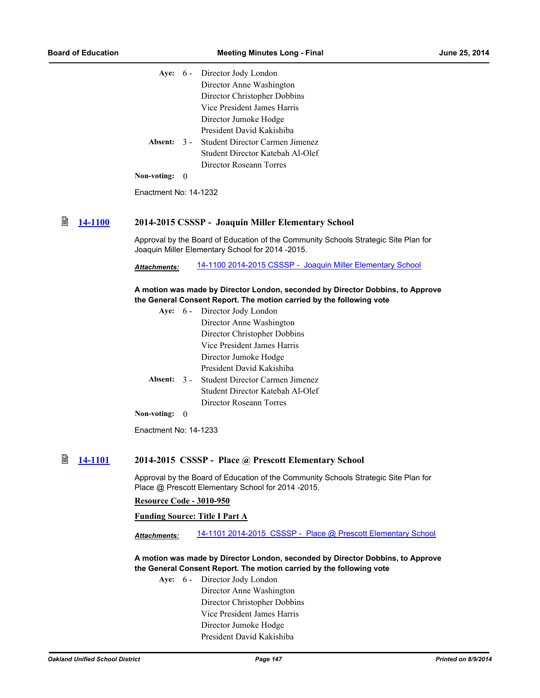|         |                                                    |  | Aye: 6 - Director Jody London                                                                                                           |  |
|---------|----------------------------------------------------|--|-----------------------------------------------------------------------------------------------------------------------------------------|--|
|         |                                                    |  | Director Anne Washington                                                                                                                |  |
|         |                                                    |  | Director Christopher Dobbins                                                                                                            |  |
|         |                                                    |  | Vice President James Harris                                                                                                             |  |
|         |                                                    |  | Director Jumoke Hodge                                                                                                                   |  |
|         |                                                    |  | President David Kakishiba                                                                                                               |  |
|         |                                                    |  | <b>Absent:</b> 3 - Student Director Carmen Jimenez                                                                                      |  |
|         |                                                    |  | Student Director Katebah Al-Olef                                                                                                        |  |
|         |                                                    |  | Director Roseann Torres                                                                                                                 |  |
|         | Non-voting: $0$                                    |  |                                                                                                                                         |  |
|         | Enactment No: 14-1232                              |  |                                                                                                                                         |  |
| 14-1100 | 2014-2015 CSSSP - Joaquin Miller Elementary School |  |                                                                                                                                         |  |
|         |                                                    |  | Approval by the Board of Education of the Community Schools Strategic Site Plan for<br>Joaquin Miller Elementary School for 2014 -2015. |  |

*Attachments:* [14-1100 2014-2015 CSSSP - Joaquin Miller Elementary School](http://ousd.legistar.com/gateway.aspx?M=F&ID=76633.pdf)

**A motion was made by Director London, seconded by Director Dobbins, to Approve the General Consent Report. The motion carried by the following vote**

Aye: 6 - Director Jody London Director Anne Washington Director Christopher Dobbins Vice President James Harris Director Jumoke Hodge President David Kakishiba Absent: 3 - Student Director Carmen Jimenez Student Director Katebah Al-Olef Director Roseann Torres

**Non-voting:** 0

Enactment No: 14-1233

#### 誾 **[14-1101](http://ousd.legistar.com/gateway.aspx?m=l&id=/matter.aspx?key=32801) 2014-2015 CSSSP - Place @ Prescott Elementary School**

Approval by the Board of Education of the Community Schools Strategic Site Plan for Place @ Prescott Elementary School for 2014 -2015.

**Resource Code - 3010-950**

**Funding Source: Title I Part A**

*Attachments:* [14-1101 2014-2015 CSSSP - Place @ Prescott Elementary School](http://ousd.legistar.com/gateway.aspx?M=F&ID=76649.pdf)

# **A motion was made by Director London, seconded by Director Dobbins, to Approve the General Consent Report. The motion carried by the following vote**

Aye: 6 - Director Jody London Director Anne Washington Director Christopher Dobbins Vice President James Harris Director Jumoke Hodge President David Kakishiba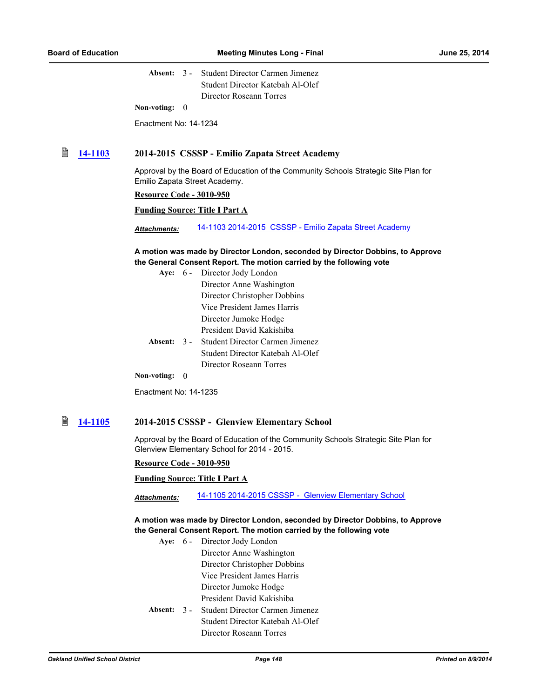|  | <b>Absent:</b> 3 - Student Director Carmen Jimenez |
|--|----------------------------------------------------|
|  | Student Director Katebah Al-Olef                   |
|  | Director Roseann Torres                            |

**Non-voting:** 0

Enactment No: 14-1234

#### 誾 **[14-1103](http://ousd.legistar.com/gateway.aspx?m=l&id=/matter.aspx?key=32803) 2014-2015 CSSSP - Emilio Zapata Street Academy**

Approval by the Board of Education of the Community Schools Strategic Site Plan for Emilio Zapata Street Academy.

### **Resource Code - 3010-950**

**Funding Source: Title I Part A**

*Attachments:* [14-1103 2014-2015 CSSSP - Emilio Zapata Street Academy](http://ousd.legistar.com/gateway.aspx?M=F&ID=76691.pdf)

# **A motion was made by Director London, seconded by Director Dobbins, to Approve the General Consent Report. The motion carried by the following vote**

|             | Aye: 6 - Director Jody London       |
|-------------|-------------------------------------|
|             | Director Anne Washington            |
|             | Director Christopher Dobbins        |
|             | Vice President James Harris         |
|             | Director Jumoke Hodge               |
|             | President David Kakishiba           |
| Absent:     | 3 - Student Director Carmen Jimenez |
|             | Student Director Katebah Al-Olef    |
|             | Director Roseann Torres             |
| Non-voting: |                                     |
|             |                                     |

Enactment No: 14-1235

#### 窅 **[14-1105](http://ousd.legistar.com/gateway.aspx?m=l&id=/matter.aspx?key=32805) 2014-2015 CSSSP - Glenview Elementary School**

Approval by the Board of Education of the Community Schools Strategic Site Plan for Glenview Elementary School for 2014 - 2015.

## **Resource Code - 3010-950**

**Funding Source: Title I Part A**

*Attachments:* [14-1105 2014-2015 CSSSP - Glenview Elementary School](http://ousd.legistar.com/gateway.aspx?M=F&ID=76624.pdf)

## **A motion was made by Director London, seconded by Director Dobbins, to Approve the General Consent Report. The motion carried by the following vote**

Aye: 6 - Director Jody London Director Anne Washington Director Christopher Dobbins Vice President James Harris Director Jumoke Hodge President David Kakishiba **Absent:** Student Director Carmen Jimenez Student Director Katebah Al-Olef Director Roseann Torres Absent:  $3 -$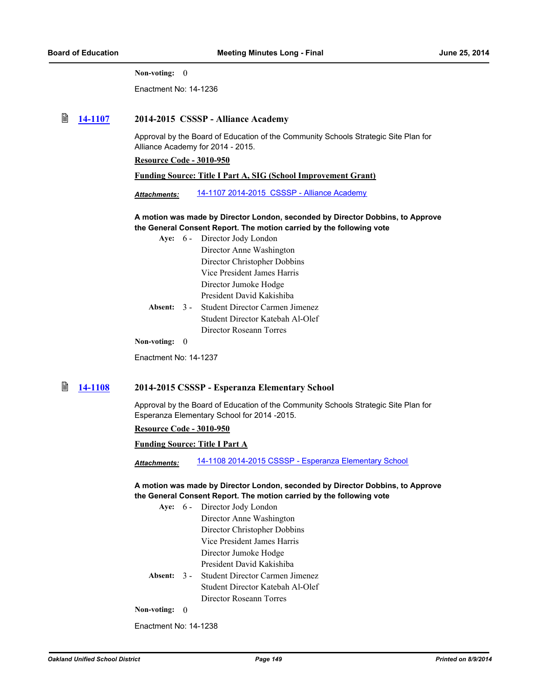**Non-voting:** 0

Enactment No: 14-1236

#### 眥 **[14-1107](http://ousd.legistar.com/gateway.aspx?m=l&id=/matter.aspx?key=32807) 2014-2015 CSSSP - Alliance Academy**

Approval by the Board of Education of the Community Schools Strategic Site Plan for Alliance Academy for 2014 - 2015.

**Resource Code - 3010-950**

### **Funding Source: Title I Part A, SIG (School Improvement Grant)**

*Attachments:* [14-1107 2014-2015 CSSSP - Alliance Academy](http://ousd.legistar.com/gateway.aspx?M=F&ID=76659.pdf)

**A motion was made by Director London, seconded by Director Dobbins, to Approve the General Consent Report. The motion carried by the following vote**

Aye: 6 - Director Jody London Director Anne Washington Director Christopher Dobbins Vice President James Harris Director Jumoke Hodge President David Kakishiba **Absent:** Student Director Carmen Jimenez Student Director Katebah Al-Olef Director Roseann Torres Absent:  $3 -$ 

**Non-voting:** 0

Enactment No: 14-1237

#### B. **[14-1108](http://ousd.legistar.com/gateway.aspx?m=l&id=/matter.aspx?key=32808) 2014-2015 CSSSP - Esperanza Elementary School**

Approval by the Board of Education of the Community Schools Strategic Site Plan for Esperanza Elementary School for 2014 -2015.

### **Resource Code - 3010-950**

**Funding Source: Title I Part A**

*Attachments:* [14-1108 2014-2015 CSSSP - Esperanza Elementary School](http://ousd.legistar.com/gateway.aspx?M=F&ID=76617.pdf)

# **A motion was made by Director London, seconded by Director Dobbins, to Approve the General Consent Report. The motion carried by the following vote**

Aye: 6 - Director Jody London Director Anne Washington Director Christopher Dobbins Vice President James Harris Director Jumoke Hodge President David Kakishiba Absent: 3 - Student Director Carmen Jimenez Student Director Katebah Al-Olef Director Roseann Torres

**Non-voting:** 0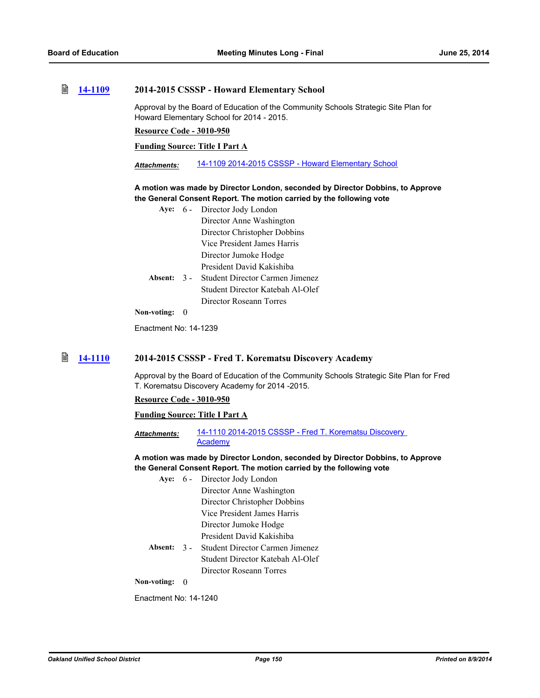#### 昏 **[14-1109](http://ousd.legistar.com/gateway.aspx?m=l&id=/matter.aspx?key=32809) 2014-2015 CSSSP - Howard Elementary School**

Approval by the Board of Education of the Community Schools Strategic Site Plan for Howard Elementary School for 2014 - 2015.

## **Resource Code - 3010-950**

**Funding Source: Title I Part A**

*Attachments:* [14-1109 2014-2015 CSSSP - Howard Elementary School](http://ousd.legistar.com/gateway.aspx?M=F&ID=76631.pdf)

**A motion was made by Director London, seconded by Director Dobbins, to Approve the General Consent Report. The motion carried by the following vote**

|                    | Aye: 6 - Director Jody London          |
|--------------------|----------------------------------------|
|                    | Director Anne Washington               |
|                    | Director Christopher Dobbins           |
|                    | Vice President James Harris            |
|                    | Director Jumoke Hodge                  |
|                    | President David Kakishiba              |
| <b>Absent:</b> 3 - | <b>Student Director Carmen Jimenez</b> |
|                    | Student Director Katebah Al-Olef       |
|                    | Director Roseann Torres                |
|                    |                                        |

**Non-voting:** 0

Enactment No: 14-1239

## **[14-1110](http://ousd.legistar.com/gateway.aspx?m=l&id=/matter.aspx?key=32810) 2014-2015 CSSSP - Fred T. Korematsu Discovery Academy**

Approval by the Board of Education of the Community Schools Strategic Site Plan for Fred T. Korematsu Discovery Academy for 2014 -2015.

### **Resource Code - 3010-950**

**Funding Source: Title I Part A**

[14-1110 2014-2015 CSSSP - Fred T. Korematsu Discovery](http://ousd.legistar.com/gateway.aspx?M=F&ID=76619.pdf)  Academy *Attachments:*

# **A motion was made by Director London, seconded by Director Dobbins, to Approve the General Consent Report. The motion carried by the following vote**

Aye: 6 - Director Jody London Director Anne Washington Director Christopher Dobbins Vice President James Harris Director Jumoke Hodge President David Kakishiba **Absent:** Student Director Carmen Jimenez Student Director Katebah Al-Olef Director Roseann Torres Absent:  $3 -$ **Non-voting:** 0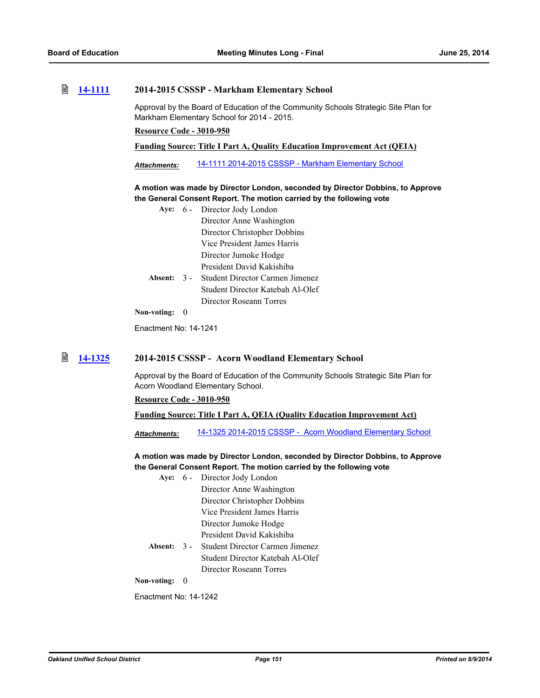#### B **[14-1111](http://ousd.legistar.com/gateway.aspx?m=l&id=/matter.aspx?key=32811) 2014-2015 CSSSP - Markham Elementary School**

Approval by the Board of Education of the Community Schools Strategic Site Plan for Markham Elementary School for 2014 - 2015.

# **Resource Code - 3010-950**

### **Funding Source: Title I Part A, Quality Education Improvement Act (QEIA)**

*Attachments:* [14-1111 2014-2015 CSSSP - Markham Elementary School](http://ousd.legistar.com/gateway.aspx?M=F&ID=76641.pdf)

## **A motion was made by Director London, seconded by Director Dobbins, to Approve the General Consent Report. The motion carried by the following vote**

|                    | Aye: 6 - Director Jody London          |
|--------------------|----------------------------------------|
|                    | Director Anne Washington               |
|                    | Director Christopher Dobbins           |
|                    | Vice President James Harris            |
|                    | Director Jumoke Hodge                  |
|                    | President David Kakishiba              |
| <b>Absent:</b> 3 - | <b>Student Director Carmen Jimenez</b> |
|                    | Student Director Katebah Al-Olef       |
|                    | Director Roseann Torres                |
|                    |                                        |

**Non-voting:** 0

Enactment No: 14-1241

## **[14-1325](http://ousd.legistar.com/gateway.aspx?m=l&id=/matter.aspx?key=33005) 2014-2015 CSSSP - Acorn Woodland Elementary School**

Approval by the Board of Education of the Community Schools Strategic Site Plan for Acorn Woodland Elementary School.

## **Resource Code - 3010-950**

### **Funding Source: Title I Part A, QEIA (Quality Education Improvement Act)**

*Attachments:* [14-1325 2014-2015 CSSSP - Acorn Woodland Elementary School](http://ousd.legistar.com/gateway.aspx?M=F&ID=76603.pdf)

## **A motion was made by Director London, seconded by Director Dobbins, to Approve the General Consent Report. The motion carried by the following vote**

Aye: 6 - Director Jody London Director Anne Washington Director Christopher Dobbins Vice President James Harris Director Jumoke Hodge President David Kakishiba Absent: 3 - Student Director Carmen Jimenez Student Director Katebah Al-Olef Director Roseann Torres

**Non-voting:** 0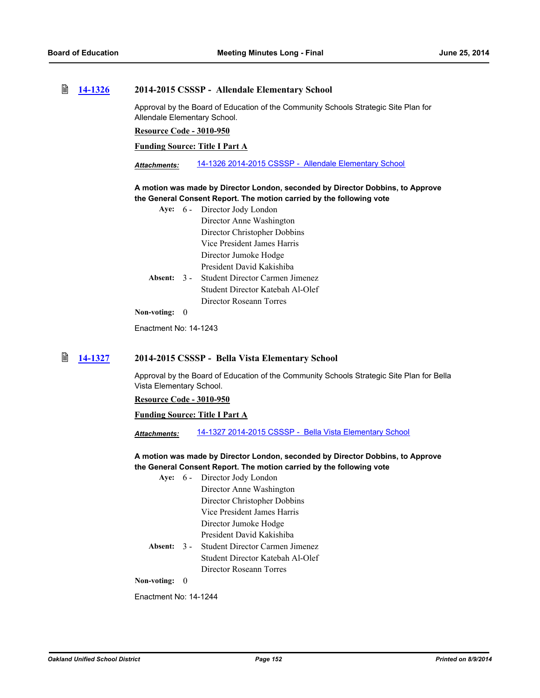#### 昏 **[14-1326](http://ousd.legistar.com/gateway.aspx?m=l&id=/matter.aspx?key=33006) 2014-2015 CSSSP - Allendale Elementary School**

Approval by the Board of Education of the Community Schools Strategic Site Plan for Allendale Elementary School.

**Resource Code - 3010-950**

**Funding Source: Title I Part A**

*Attachments:* [14-1326 2014-2015 CSSSP - Allendale Elementary School](http://ousd.legistar.com/gateway.aspx?M=F&ID=76604.pdf)

**A motion was made by Director London, seconded by Director Dobbins, to Approve the General Consent Report. The motion carried by the following vote**

|                    | Aye: 6 - Director Jody London          |
|--------------------|----------------------------------------|
|                    | Director Anne Washington               |
|                    | Director Christopher Dobbins           |
|                    | Vice President James Harris            |
|                    | Director Jumoke Hodge                  |
|                    | President David Kakishiba              |
| <b>Absent:</b> 3 - | <b>Student Director Carmen Jimenez</b> |
|                    | Student Director Katebah Al-Olef       |
|                    | Director Roseann Torres                |
|                    |                                        |

**Non-voting:** 0

Enactment No: 14-1243

# **[14-1327](http://ousd.legistar.com/gateway.aspx?m=l&id=/matter.aspx?key=33007) 2014-2015 CSSSP - Bella Vista Elementary School**

Approval by the Board of Education of the Community Schools Strategic Site Plan for Bella Vista Elementary School.

### **Resource Code - 3010-950**

**Funding Source: Title I Part A**

*Attachments:* [14-1327 2014-2015 CSSSP - Bella Vista Elementary School](http://ousd.legistar.com/gateway.aspx?M=F&ID=76605.pdf)

# **A motion was made by Director London, seconded by Director Dobbins, to Approve the General Consent Report. The motion carried by the following vote**

Aye: 6 - Director Jody London Director Anne Washington Director Christopher Dobbins Vice President James Harris Director Jumoke Hodge President David Kakishiba Absent: 3 - Student Director Carmen Jimenez Student Director Katebah Al-Olef Director Roseann Torres

**Non-voting:** 0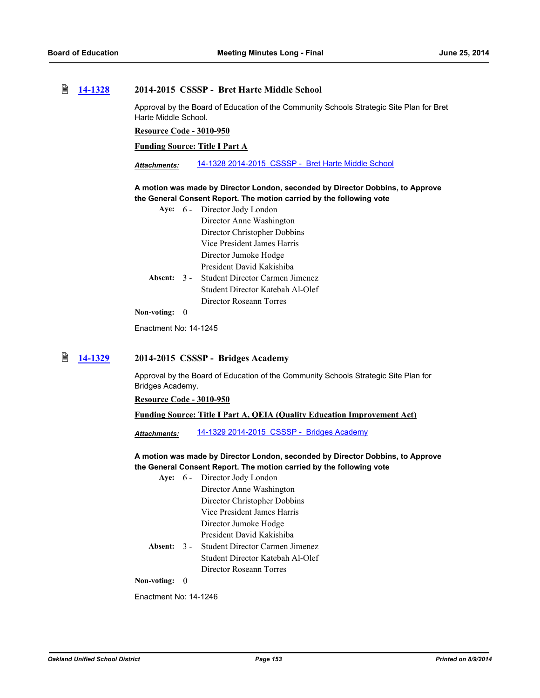#### 昏 **[14-1328](http://ousd.legistar.com/gateway.aspx?m=l&id=/matter.aspx?key=33008) 2014-2015 CSSSP - Bret Harte Middle School**

Approval by the Board of Education of the Community Schools Strategic Site Plan for Bret Harte Middle School.

### **Resource Code - 3010-950**

### **Funding Source: Title I Part A**

*Attachments:* [14-1328 2014-2015 CSSSP - Bret Harte Middle School](http://ousd.legistar.com/gateway.aspx?M=F&ID=76660.pdf)

## **A motion was made by Director London, seconded by Director Dobbins, to Approve the General Consent Report. The motion carried by the following vote**

|                    | Aye: 6 - Director Jody London          |
|--------------------|----------------------------------------|
|                    | Director Anne Washington               |
|                    | Director Christopher Dobbins           |
|                    | Vice President James Harris            |
|                    | Director Jumoke Hodge                  |
|                    | President David Kakishiba              |
| <b>Absent:</b> 3 - | <b>Student Director Carmen Jimenez</b> |
|                    | Student Director Katebah Al-Olef       |
|                    | Director Roseann Torres                |
|                    |                                        |

**Non-voting:** 0

Enactment No: 14-1245

# **[14-1329](http://ousd.legistar.com/gateway.aspx?m=l&id=/matter.aspx?key=33009) 2014-2015 CSSSP - Bridges Academy**

Approval by the Board of Education of the Community Schools Strategic Site Plan for Bridges Academy.

**Resource Code - 3010-950**

### **Funding Source: Title I Part A, QEIA (Quality Education Improvement Act)**

*Attachments:* [14-1329 2014-2015 CSSSP - Bridges Academy](http://ousd.legistar.com/gateway.aspx?M=F&ID=76606.pdf)

# **A motion was made by Director London, seconded by Director Dobbins, to Approve the General Consent Report. The motion carried by the following vote**

Aye: 6 - Director Jody London Director Anne Washington Director Christopher Dobbins Vice President James Harris Director Jumoke Hodge President David Kakishiba Absent: 3 - Student Director Carmen Jimenez Student Director Katebah Al-Olef Director Roseann Torres

**Non-voting:** 0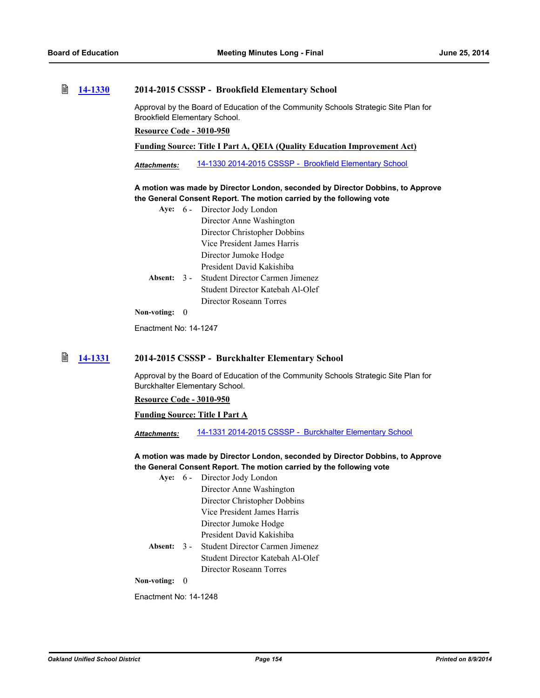#### 窅 **[14-1330](http://ousd.legistar.com/gateway.aspx?m=l&id=/matter.aspx?key=33010) 2014-2015 CSSSP - Brookfield Elementary School**

Approval by the Board of Education of the Community Schools Strategic Site Plan for Brookfield Elementary School.

# **Resource Code - 3010-950**

### **Funding Source: Title I Part A, QEIA (Quality Education Improvement Act)**

*Attachments:* [14-1330 2014-2015 CSSSP - Brookfield Elementary School](http://ousd.legistar.com/gateway.aspx?M=F&ID=76607.pdf)

## **A motion was made by Director London, seconded by Director Dobbins, to Approve the General Consent Report. The motion carried by the following vote**

|                    | Aye: 6 - Director Jody London          |
|--------------------|----------------------------------------|
|                    | Director Anne Washington               |
|                    | Director Christopher Dobbins           |
|                    | Vice President James Harris            |
|                    | Director Jumoke Hodge                  |
|                    | President David Kakishiba              |
| <b>Absent:</b> 3 - | <b>Student Director Carmen Jimenez</b> |
|                    | Student Director Katebah Al-Olef       |
|                    | Director Roseann Torres                |
|                    |                                        |

**Non-voting:** 0

Enactment No: 14-1247

# **[14-1331](http://ousd.legistar.com/gateway.aspx?m=l&id=/matter.aspx?key=33011) 2014-2015 CSSSP - Burckhalter Elementary School**

Approval by the Board of Education of the Community Schools Strategic Site Plan for Burckhalter Elementary School.

## **Resource Code - 3010-950**

**Funding Source: Title I Part A**

*Attachments:* [14-1331 2014-2015 CSSSP - Burckhalter Elementary School](http://ousd.legistar.com/gateway.aspx?M=F&ID=76608.pdf)

## **A motion was made by Director London, seconded by Director Dobbins, to Approve the General Consent Report. The motion carried by the following vote**

|         |       | Aye: 6 - Director Jody London          |
|---------|-------|----------------------------------------|
|         |       | Director Anne Washington               |
|         |       | Director Christopher Dobbins           |
|         |       | Vice President James Harris            |
|         |       | Director Jumoke Hodge                  |
|         |       | President David Kakishiba              |
| Absent: | $3 -$ | <b>Student Director Carmen Jimenez</b> |
|         |       | Student Director Katebah Al-Olef       |
|         |       | Director Roseann Torres                |
|         |       |                                        |

**Non-voting:** 0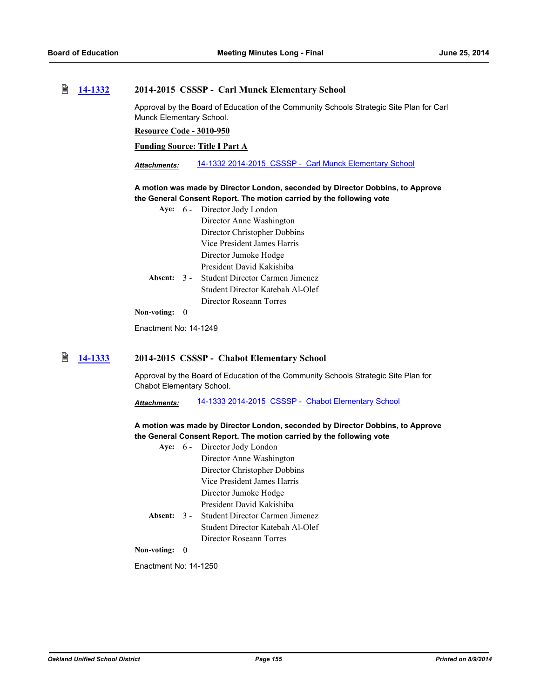#### 窅 **[14-1332](http://ousd.legistar.com/gateway.aspx?m=l&id=/matter.aspx?key=33012) 2014-2015 CSSSP - Carl Munck Elementary School**

Approval by the Board of Education of the Community Schools Strategic Site Plan for Carl Munck Elementary School.

**Resource Code - 3010-950**

**Funding Source: Title I Part A**

*Attachments:* [14-1332 2014-2015 CSSSP - Carl Munck Elementary School](http://ousd.legistar.com/gateway.aspx?M=F&ID=76609.pdf)

**A motion was made by Director London, seconded by Director Dobbins, to Approve the General Consent Report. The motion carried by the following vote**

|                |       | Aye: 6 - Director Jody London          |
|----------------|-------|----------------------------------------|
|                |       | Director Anne Washington               |
|                |       | Director Christopher Dobbins           |
|                |       | Vice President James Harris            |
|                |       | Director Jumoke Hodge                  |
|                |       | President David Kakishiba              |
| <b>Absent:</b> | $3 -$ | <b>Student Director Carmen Jimenez</b> |
|                |       | Student Director Katebah Al-Olef       |
|                |       | Director Roseann Torres                |
|                |       |                                        |

**Non-voting:** 0

Enactment No: 14-1249

#### 閶 **[14-1333](http://ousd.legistar.com/gateway.aspx?m=l&id=/matter.aspx?key=33013) 2014-2015 CSSSP - Chabot Elementary School**

Approval by the Board of Education of the Community Schools Strategic Site Plan for Chabot Elementary School.

*Attachments:* [14-1333 2014-2015 CSSSP - Chabot Elementary School](http://ousd.legistar.com/gateway.aspx?M=F&ID=76610.pdf)

# **A motion was made by Director London, seconded by Director Dobbins, to Approve the General Consent Report. The motion carried by the following vote**

|                    | Aye: 6 - Director Jody London          |
|--------------------|----------------------------------------|
|                    | Director Anne Washington               |
|                    | Director Christopher Dobbins           |
|                    | Vice President James Harris            |
|                    | Director Jumoke Hodge                  |
|                    | President David Kakishiba              |
| <b>Absent:</b> 3 - | <b>Student Director Carmen Jimenez</b> |
|                    | Student Director Katebah Al-Olef       |
|                    | Director Roseann Torres                |

### **Non-voting:** 0

Enactment No: 14-1250

*Oakland Unified School District Page 155 Printed on 8/9/2014*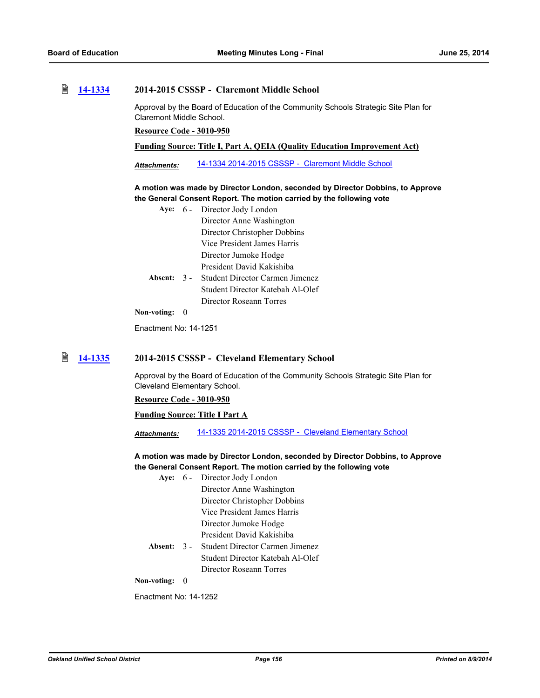#### 昏 **[14-1334](http://ousd.legistar.com/gateway.aspx?m=l&id=/matter.aspx?key=33014) 2014-2015 CSSSP - Claremont Middle School**

Approval by the Board of Education of the Community Schools Strategic Site Plan for Claremont Middle School.

### **Resource Code - 3010-950**

### **Funding Source: Title I, Part A, QEIA (Quality Education Improvement Act)**

*Attachments:* [14-1334 2014-2015 CSSSP - Claremont Middle School](http://ousd.legistar.com/gateway.aspx?M=F&ID=76661.pdf)

## **A motion was made by Director London, seconded by Director Dobbins, to Approve the General Consent Report. The motion carried by the following vote**

|                    | Aye: 6 - Director Jody London          |
|--------------------|----------------------------------------|
|                    | Director Anne Washington               |
|                    | Director Christopher Dobbins           |
|                    | Vice President James Harris            |
|                    | Director Jumoke Hodge                  |
|                    | President David Kakishiba              |
| <b>Absent:</b> 3 - | <b>Student Director Carmen Jimenez</b> |
|                    | Student Director Katebah Al-Olef       |
|                    | Director Roseann Torres                |
|                    |                                        |

**Non-voting:** 0

Enactment No: 14-1251

# **[14-1335](http://ousd.legistar.com/gateway.aspx?m=l&id=/matter.aspx?key=33015) 2014-2015 CSSSP - Cleveland Elementary School**

Approval by the Board of Education of the Community Schools Strategic Site Plan for Cleveland Elementary School.

## **Resource Code - 3010-950**

**Funding Source: Title I Part A**

*Attachments:* [14-1335 2014-2015 CSSSP - Cleveland Elementary School](http://ousd.legistar.com/gateway.aspx?M=F&ID=76611.pdf)

# **A motion was made by Director London, seconded by Director Dobbins, to Approve the General Consent Report. The motion carried by the following vote**

Aye: 6 - Director Jody London Director Anne Washington Director Christopher Dobbins Vice President James Harris Director Jumoke Hodge President David Kakishiba Absent: 3 - Student Director Carmen Jimenez Student Director Katebah Al-Olef Director Roseann Torres

**Non-voting:** 0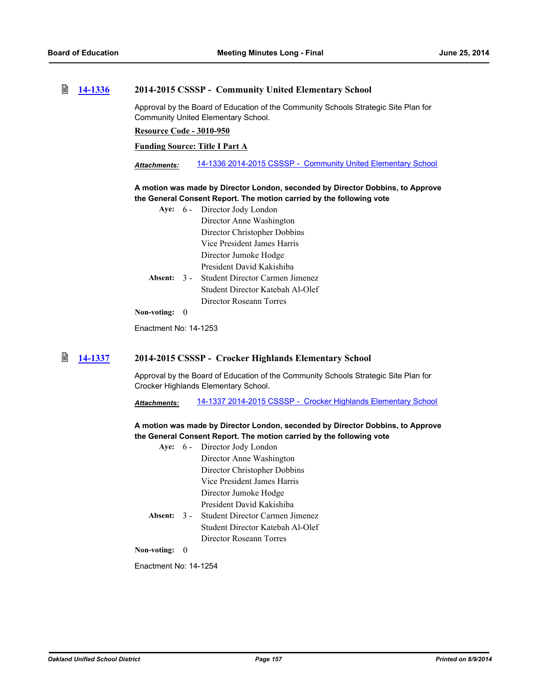#### 窅 **[14-1336](http://ousd.legistar.com/gateway.aspx?m=l&id=/matter.aspx?key=33016) 2014-2015 CSSSP - Community United Elementary School**

Approval by the Board of Education of the Community Schools Strategic Site Plan for Community United Elementary School.

## **Resource Code - 3010-950**

**Funding Source: Title I Part A**

*Attachments:* [14-1336 2014-2015 CSSSP - Community United Elementary School](http://ousd.legistar.com/gateway.aspx?M=F&ID=76612.pdf)

**A motion was made by Director London, seconded by Director Dobbins, to Approve the General Consent Report. The motion carried by the following vote**

|               | Aye: 6 - Director Jody London          |
|---------------|----------------------------------------|
|               | Director Anne Washington               |
|               | Director Christopher Dobbins           |
|               | Vice President James Harris            |
|               | Director Jumoke Hodge                  |
|               | President David Kakishiba              |
| Absent: $3 -$ | <b>Student Director Carmen Jimenez</b> |
|               | Student Director Katebah Al-Olef       |
|               | Director Roseann Torres                |
|               |                                        |

**Non-voting:** 0

Enactment No: 14-1253

#### 閶 **[14-1337](http://ousd.legistar.com/gateway.aspx?m=l&id=/matter.aspx?key=33017) 2014-2015 CSSSP - Crocker Highlands Elementary School**

Approval by the Board of Education of the Community Schools Strategic Site Plan for Crocker Highlands Elementary School.

*Attachments:* [14-1337 2014-2015 CSSSP - Crocker Highlands Elementary School](http://ousd.legistar.com/gateway.aspx?M=F&ID=76613.pdf)

# **A motion was made by Director London, seconded by Director Dobbins, to Approve the General Consent Report. The motion carried by the following vote**

|                    | Aye: 6 - Director Jody London          |
|--------------------|----------------------------------------|
|                    | Director Anne Washington               |
|                    | Director Christopher Dobbins           |
|                    | Vice President James Harris            |
|                    | Director Jumoke Hodge                  |
|                    | President David Kakishiba              |
| <b>Absent:</b> 3 - | <b>Student Director Carmen Jimenez</b> |
|                    | Student Director Katebah Al-Olef       |
|                    | Director Roseann Torres                |

### **Non-voting:** 0

Enactment No: 14-1254

*Oakland Unified School District Page 157 Printed on 8/9/2014*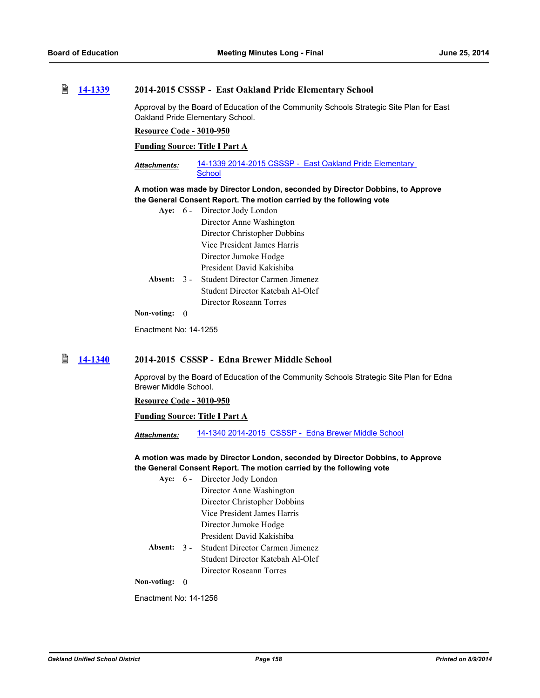#### 窅 **[14-1339](http://ousd.legistar.com/gateway.aspx?m=l&id=/matter.aspx?key=33019) 2014-2015 CSSSP - East Oakland Pride Elementary School**

Approval by the Board of Education of the Community Schools Strategic Site Plan for East Oakland Pride Elementary School.

## **Resource Code - 3010-950**

### **Funding Source: Title I Part A**

[14-1339 2014-2015 CSSSP - East Oakland Pride Elementary](http://ousd.legistar.com/gateway.aspx?M=F&ID=76614.pdf)  **School** *Attachments:*

**A motion was made by Director London, seconded by Director Dobbins, to Approve the General Consent Report. The motion carried by the following vote**

|                    | Aye: 6 - Director Jody London          |
|--------------------|----------------------------------------|
|                    | Director Anne Washington               |
|                    | Director Christopher Dobbins           |
|                    | Vice President James Harris            |
|                    | Director Jumoke Hodge                  |
|                    | President David Kakishiba              |
| <b>Absent:</b> 3 - | <b>Student Director Carmen Jimenez</b> |
|                    | Student Director Katebah Al-Olef       |
|                    | Director Roseann Torres                |

**Non-voting:** 0

Enactment No: 14-1255

#### 窅 **[14-1340](http://ousd.legistar.com/gateway.aspx?m=l&id=/matter.aspx?key=33020) 2014-2015 CSSSP - Edna Brewer Middle School**

Approval by the Board of Education of the Community Schools Strategic Site Plan for Edna Brewer Middle School.

**Resource Code - 3010-950**

**Funding Source: Title I Part A**

*Attachments:* [14-1340 2014-2015 CSSSP - Edna Brewer Middle School](http://ousd.legistar.com/gateway.aspx?M=F&ID=76664.pdf)

# **A motion was made by Director London, seconded by Director Dobbins, to Approve the General Consent Report. The motion carried by the following vote**

|               | Aye: 6 - Director Jody London          |
|---------------|----------------------------------------|
|               | Director Anne Washington               |
|               | Director Christopher Dobbins           |
|               | Vice President James Harris            |
|               | Director Jumoke Hodge                  |
|               | President David Kakishiba              |
| Absent: $3 -$ | <b>Student Director Carmen Jimenez</b> |
|               | Student Director Katebah Al-Olef       |
|               | Director Roseann Torres                |
| Non-voting:   |                                        |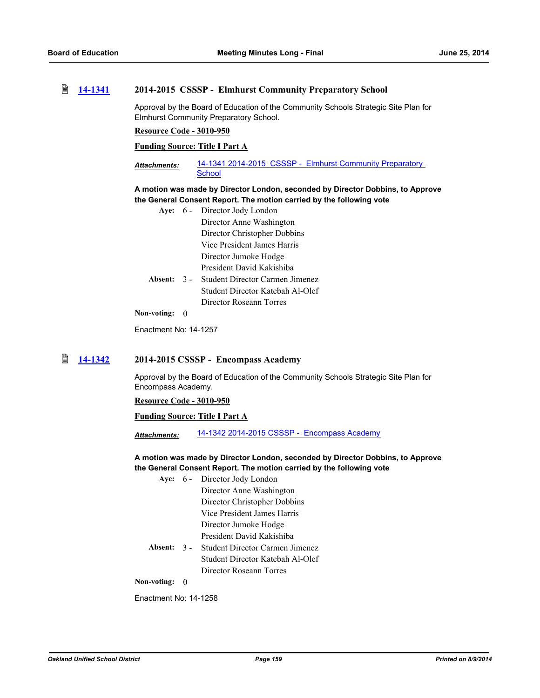#### 窅 **[14-1341](http://ousd.legistar.com/gateway.aspx?m=l&id=/matter.aspx?key=33021) 2014-2015 CSSSP - Elmhurst Community Preparatory School**

Approval by the Board of Education of the Community Schools Strategic Site Plan for Elmhurst Community Preparatory School.

# **Resource Code - 3010-950**

### **Funding Source: Title I Part A**

[14-1341 2014-2015 CSSSP - Elmhurst Community Preparatory](http://ousd.legistar.com/gateway.aspx?M=F&ID=76665.pdf)  **School** *Attachments:*

**A motion was made by Director London, seconded by Director Dobbins, to Approve the General Consent Report. The motion carried by the following vote**

|                    | Aye: 6 - Director Jody London          |
|--------------------|----------------------------------------|
|                    | Director Anne Washington               |
|                    | Director Christopher Dobbins           |
|                    | Vice President James Harris            |
|                    | Director Jumoke Hodge                  |
|                    | President David Kakishiba              |
| <b>Absent:</b> 3 - | <b>Student Director Carmen Jimenez</b> |
|                    | Student Director Katebah Al-Olef       |
|                    | Director Roseann Torres                |

**Non-voting:** 0

Enactment No: 14-1257

#### 窅 **[14-1342](http://ousd.legistar.com/gateway.aspx?m=l&id=/matter.aspx?key=33022) 2014-2015 CSSSP - Encompass Academy**

Approval by the Board of Education of the Community Schools Strategic Site Plan for Encompass Academy.

**Resource Code - 3010-950**

**Funding Source: Title I Part A**

*Attachments:* [14-1342 2014-2015 CSSSP - Encompass Academy](http://ousd.legistar.com/gateway.aspx?M=F&ID=76616.pdf)

# **A motion was made by Director London, seconded by Director Dobbins, to Approve the General Consent Report. The motion carried by the following vote**

|               | Aye: 6 - Director Jody London          |
|---------------|----------------------------------------|
|               | Director Anne Washington               |
|               | Director Christopher Dobbins           |
|               | Vice President James Harris            |
|               | Director Jumoke Hodge                  |
|               | President David Kakishiba              |
| Absent: $3 -$ | <b>Student Director Carmen Jimenez</b> |
|               | Student Director Katebah Al-Olef       |
|               | Director Roseann Torres                |
| Non-voting:   |                                        |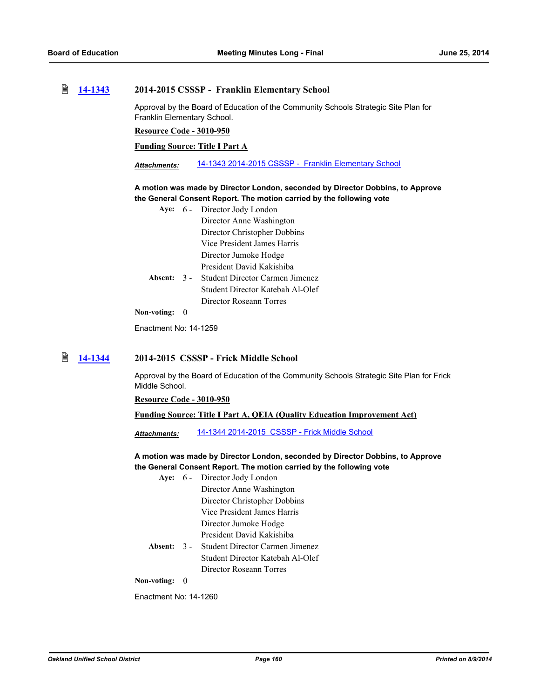#### 昏 **[14-1343](http://ousd.legistar.com/gateway.aspx?m=l&id=/matter.aspx?key=33023) 2014-2015 CSSSP - Franklin Elementary School**

Approval by the Board of Education of the Community Schools Strategic Site Plan for Franklin Elementary School.

## **Resource Code - 3010-950**

**Funding Source: Title I Part A**

*Attachments:* [14-1343 2014-2015 CSSSP - Franklin Elementary School](http://ousd.legistar.com/gateway.aspx?M=F&ID=76618.pdf)

**A motion was made by Director London, seconded by Director Dobbins, to Approve the General Consent Report. The motion carried by the following vote**

|                    | Aye: 6 - Director Jody London          |
|--------------------|----------------------------------------|
|                    | Director Anne Washington               |
|                    | Director Christopher Dobbins           |
|                    | Vice President James Harris            |
|                    | Director Jumoke Hodge                  |
|                    | President David Kakishiba              |
| <b>Absent:</b> 3 - | <b>Student Director Carmen Jimenez</b> |
|                    | Student Director Katebah Al-Olef       |
|                    | Director Roseann Torres                |
|                    |                                        |

**Non-voting:** 0

Enactment No: 14-1259

# **[14-1344](http://ousd.legistar.com/gateway.aspx?m=l&id=/matter.aspx?key=33024) 2014-2015 CSSSP - Frick Middle School**

Approval by the Board of Education of the Community Schools Strategic Site Plan for Frick Middle School.

**Resource Code - 3010-950**

**Funding Source: Title I Part A, QEIA (Quality Education Improvement Act)**

*Attachments:* [14-1344 2014-2015 CSSSP - Frick Middle School](http://ousd.legistar.com/gateway.aspx?M=F&ID=76620.pdf)

# **A motion was made by Director London, seconded by Director Dobbins, to Approve the General Consent Report. The motion carried by the following vote**

Aye: 6 - Director Jody London Director Anne Washington Director Christopher Dobbins Vice President James Harris Director Jumoke Hodge President David Kakishiba Absent: 3 - Student Director Carmen Jimenez Student Director Katebah Al-Olef Director Roseann Torres

**Non-voting:** 0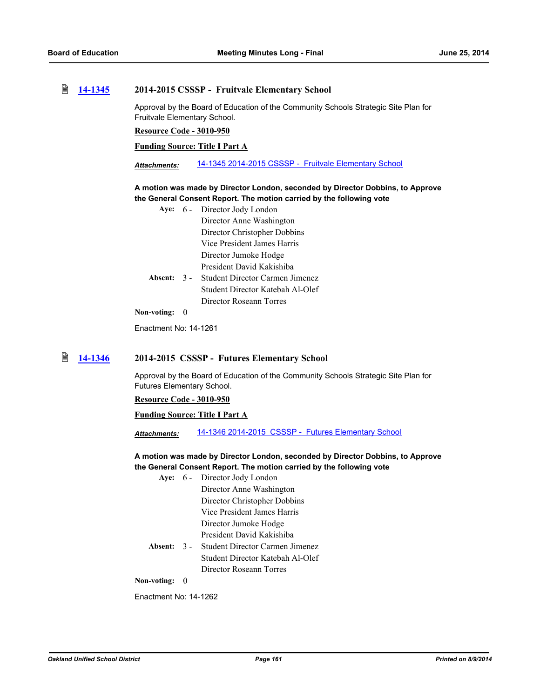#### 昏 **[14-1345](http://ousd.legistar.com/gateway.aspx?m=l&id=/matter.aspx?key=33025) 2014-2015 CSSSP - Fruitvale Elementary School**

Approval by the Board of Education of the Community Schools Strategic Site Plan for Fruitvale Elementary School.

**Resource Code - 3010-950**

**Funding Source: Title I Part A**

*Attachments:* [14-1345 2014-2015 CSSSP - Fruitvale Elementary School](http://ousd.legistar.com/gateway.aspx?M=F&ID=76621.pdf)

**A motion was made by Director London, seconded by Director Dobbins, to Approve the General Consent Report. The motion carried by the following vote**

|             | Aye: 6 - Director Jody London          |
|-------------|----------------------------------------|
|             | Director Anne Washington               |
|             | Director Christopher Dobbins           |
|             | Vice President James Harris            |
|             | Director Jumoke Hodge                  |
|             | President David Kakishiba              |
| Absent: 3 - | <b>Student Director Carmen Jimenez</b> |
|             | Student Director Katebah Al-Olef       |
|             | Director Roseann Torres                |
|             |                                        |

**Non-voting:** 0

Enactment No: 14-1261

## **[14-1346](http://ousd.legistar.com/gateway.aspx?m=l&id=/matter.aspx?key=33026) 2014-2015 CSSSP - Futures Elementary School**

Approval by the Board of Education of the Community Schools Strategic Site Plan for Futures Elementary School.

**Resource Code - 3010-950**

**Funding Source: Title I Part A**

*Attachments:* [14-1346 2014-2015 CSSSP - Futures Elementary School](http://ousd.legistar.com/gateway.aspx?M=F&ID=76622.pdf)

# **A motion was made by Director London, seconded by Director Dobbins, to Approve the General Consent Report. The motion carried by the following vote**

Aye: 6 - Director Jody London Director Anne Washington Director Christopher Dobbins Vice President James Harris Director Jumoke Hodge President David Kakishiba Absent: 3 - Student Director Carmen Jimenez Student Director Katebah Al-Olef Director Roseann Torres

**Non-voting:** 0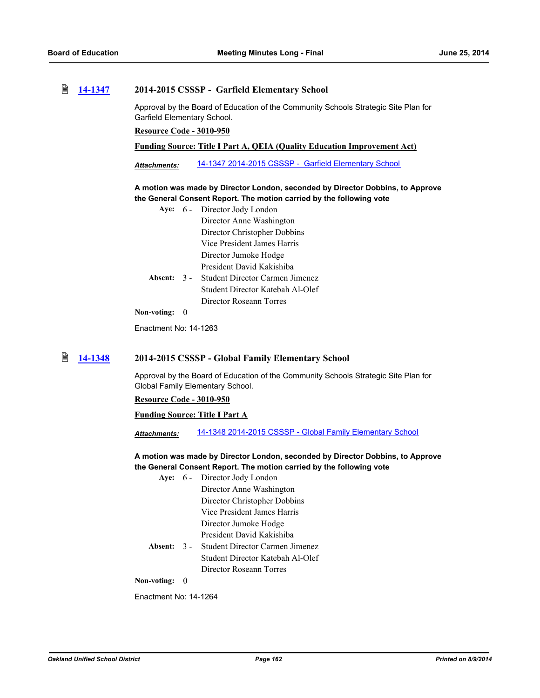#### 昏 **[14-1347](http://ousd.legistar.com/gateway.aspx?m=l&id=/matter.aspx?key=33027) 2014-2015 CSSSP - Garfield Elementary School**

Approval by the Board of Education of the Community Schools Strategic Site Plan for Garfield Elementary School.

# **Resource Code - 3010-950**

## **Funding Source: Title I Part A, QEIA (Quality Education Improvement Act)**

*Attachments:* [14-1347 2014-2015 CSSSP - Garfield Elementary School](http://ousd.legistar.com/gateway.aspx?M=F&ID=76623.pdf)

**A motion was made by Director London, seconded by Director Dobbins, to Approve the General Consent Report. The motion carried by the following vote**

|             | Aye: 6 - Director Jody London          |
|-------------|----------------------------------------|
|             | Director Anne Washington               |
|             | Director Christopher Dobbins           |
|             | Vice President James Harris            |
|             | Director Jumoke Hodge                  |
|             | President David Kakishiba              |
| Absent: 3 - | <b>Student Director Carmen Jimenez</b> |
|             | Student Director Katebah Al-Olef       |
|             | Director Roseann Torres                |
|             |                                        |

**Non-voting:** 0

Enactment No: 14-1263

## **[14-1348](http://ousd.legistar.com/gateway.aspx?m=l&id=/matter.aspx?key=33028) 2014-2015 CSSSP - Global Family Elementary School**

Approval by the Board of Education of the Community Schools Strategic Site Plan for Global Family Elementary School.

## **Resource Code - 3010-950**

**Funding Source: Title I Part A**

*Attachments:* [14-1348 2014-2015 CSSSP - Global Family Elementary School](http://ousd.legistar.com/gateway.aspx?M=F&ID=76625.pdf)

# **A motion was made by Director London, seconded by Director Dobbins, to Approve the General Consent Report. The motion carried by the following vote**

Aye: 6 - Director Jody London Director Anne Washington Director Christopher Dobbins Vice President James Harris Director Jumoke Hodge President David Kakishiba Absent: 3 - Student Director Carmen Jimenez Student Director Katebah Al-Olef Director Roseann Torres

**Non-voting:** 0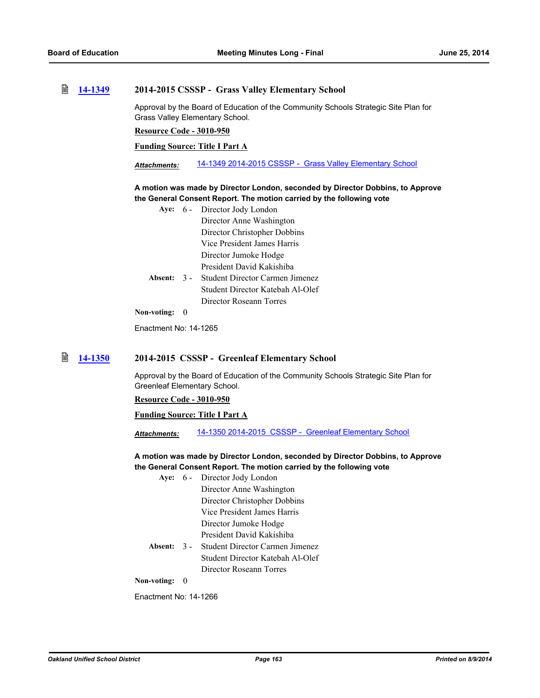#### 昏 **[14-1349](http://ousd.legistar.com/gateway.aspx?m=l&id=/matter.aspx?key=33029) 2014-2015 CSSSP - Grass Valley Elementary School**

Approval by the Board of Education of the Community Schools Strategic Site Plan for Grass Valley Elementary School.

**Resource Code - 3010-950**

**Funding Source: Title I Part A**

*Attachments:* [14-1349 2014-2015 CSSSP - Grass Valley Elementary School](http://ousd.legistar.com/gateway.aspx?M=F&ID=76626.pdf)

**A motion was made by Director London, seconded by Director Dobbins, to Approve the General Consent Report. The motion carried by the following vote**

|                    | Aye: 6 - Director Jody London          |
|--------------------|----------------------------------------|
|                    | Director Anne Washington               |
|                    | Director Christopher Dobbins           |
|                    | Vice President James Harris            |
|                    | Director Jumoke Hodge                  |
|                    | President David Kakishiba              |
| <b>Absent:</b> 3 - | <b>Student Director Carmen Jimenez</b> |
|                    | Student Director Katebah Al-Olef       |
|                    | Director Roseann Torres                |
|                    |                                        |

**Non-voting:** 0

Enactment No: 14-1265

# **[14-1350](http://ousd.legistar.com/gateway.aspx?m=l&id=/matter.aspx?key=33030) 2014-2015 CSSSP - Greenleaf Elementary School**

Approval by the Board of Education of the Community Schools Strategic Site Plan for Greenleaf Elementary School.

**Resource Code - 3010-950**

**Funding Source: Title I Part A**

*Attachments:* [14-1350 2014-2015 CSSSP - Greenleaf Elementary School](http://ousd.legistar.com/gateway.aspx?M=F&ID=76627.pdf)

# **A motion was made by Director London, seconded by Director Dobbins, to Approve the General Consent Report. The motion carried by the following vote**

Aye: 6 - Director Jody London Director Anne Washington Director Christopher Dobbins Vice President James Harris Director Jumoke Hodge President David Kakishiba Absent: 3 - Student Director Carmen Jimenez Student Director Katebah Al-Olef Director Roseann Torres

**Non-voting:** 0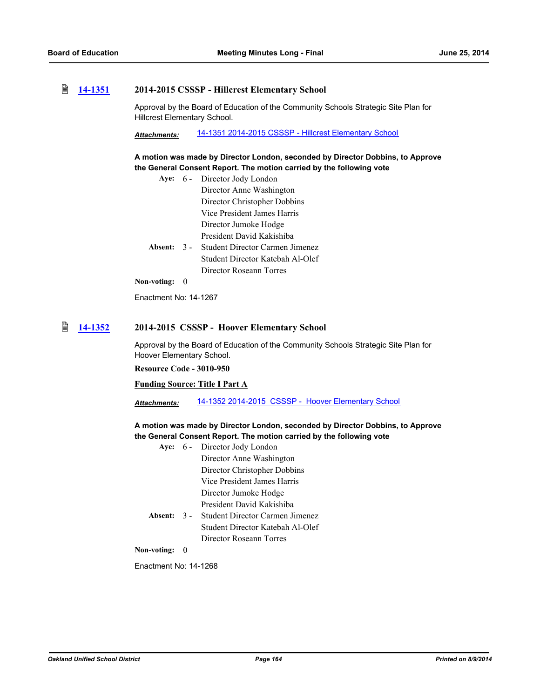#### 昏 **[14-1351](http://ousd.legistar.com/gateway.aspx?m=l&id=/matter.aspx?key=33031) 2014-2015 CSSSP - Hillcrest Elementary School**

Approval by the Board of Education of the Community Schools Strategic Site Plan for Hillcrest Elementary School.

*Attachments:* [14-1351 2014-2015 CSSSP - Hillcrest Elementary School](http://ousd.legistar.com/gateway.aspx?M=F&ID=76628.pdf)

## **A motion was made by Director London, seconded by Director Dobbins, to Approve the General Consent Report. The motion carried by the following vote**

Aye: 6 - Director Jody London Director Anne Washington Director Christopher Dobbins Vice President James Harris Director Jumoke Hodge President David Kakishiba Absent: 3 - Student Director Carmen Jimenez Student Director Katebah Al-Olef Director Roseann Torres

**Non-voting:** 0

Enactment No: 14-1267

#### ₿ **[14-1352](http://ousd.legistar.com/gateway.aspx?m=l&id=/matter.aspx?key=33032) 2014-2015 CSSSP - Hoover Elementary School**

Approval by the Board of Education of the Community Schools Strategic Site Plan for Hoover Elementary School.

# **Resource Code - 3010-950**

### **Funding Source: Title I Part A**

*Attachments:* [14-1352 2014-2015 CSSSP - Hoover Elementary School](http://ousd.legistar.com/gateway.aspx?M=F&ID=76629.pdf)

## **A motion was made by Director London, seconded by Director Dobbins, to Approve the General Consent Report. The motion carried by the following vote**

|               | Aye: 6 - Director Jody London    |
|---------------|----------------------------------|
|               | Director Anne Washington         |
|               | Director Christopher Dobbins     |
|               | Vice President James Harris      |
|               | Director Jumoke Hodge            |
|               | President David Kakishiba        |
| Absent: $3 -$ | Student Director Carmen Jimenez  |
|               | Student Director Katebah Al-Olef |
|               | Director Roseann Torres          |
|               |                                  |

### **Non-voting:** 0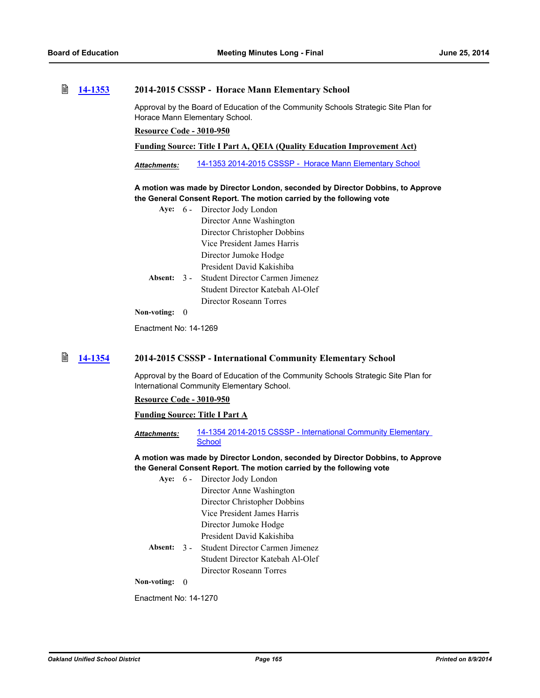#### 窅 **[14-1353](http://ousd.legistar.com/gateway.aspx?m=l&id=/matter.aspx?key=33033) 2014-2015 CSSSP - Horace Mann Elementary School**

Approval by the Board of Education of the Community Schools Strategic Site Plan for Horace Mann Elementary School.

# **Resource Code - 3010-950**

### **Funding Source: Title I Part A, QEIA (Quality Education Improvement Act)**

*Attachments:* [14-1353 2014-2015 CSSSP - Horace Mann Elementary School](http://ousd.legistar.com/gateway.aspx?M=F&ID=76630.pdf)

## **A motion was made by Director London, seconded by Director Dobbins, to Approve the General Consent Report. The motion carried by the following vote**

|                    | Aye: 6 - Director Jody London          |
|--------------------|----------------------------------------|
|                    | Director Anne Washington               |
|                    | Director Christopher Dobbins           |
|                    | Vice President James Harris            |
|                    | Director Jumoke Hodge                  |
|                    | President David Kakishiba              |
| <b>Absent:</b> 3 - | <b>Student Director Carmen Jimenez</b> |
|                    | Student Director Katebah Al-Olef       |
|                    | Director Roseann Torres                |
|                    |                                        |

**Non-voting:** 0

Enactment No: 14-1269

## **[14-1354](http://ousd.legistar.com/gateway.aspx?m=l&id=/matter.aspx?key=33034) 2014-2015 CSSSP - International Community Elementary School**

Approval by the Board of Education of the Community Schools Strategic Site Plan for International Community Elementary School.

### **Resource Code - 3010-950**

### **Funding Source: Title I Part A**

[14-1354 2014-2015 CSSSP - International Community Elementary](http://ousd.legistar.com/gateway.aspx?M=F&ID=76632.pdf)  **School** *Attachments:*

# **A motion was made by Director London, seconded by Director Dobbins, to Approve the General Consent Report. The motion carried by the following vote**

|             | Aye: 6 - Director Jody London          |
|-------------|----------------------------------------|
|             | Director Anne Washington               |
|             | Director Christopher Dobbins           |
|             | Vice President James Harris            |
|             | Director Jumoke Hodge                  |
|             | President David Kakishiba              |
| Absent: 3 - | <b>Student Director Carmen Jimenez</b> |
|             | Student Director Katebah Al-Olef       |
|             | Director Roseann Torres                |
| Non-voting: |                                        |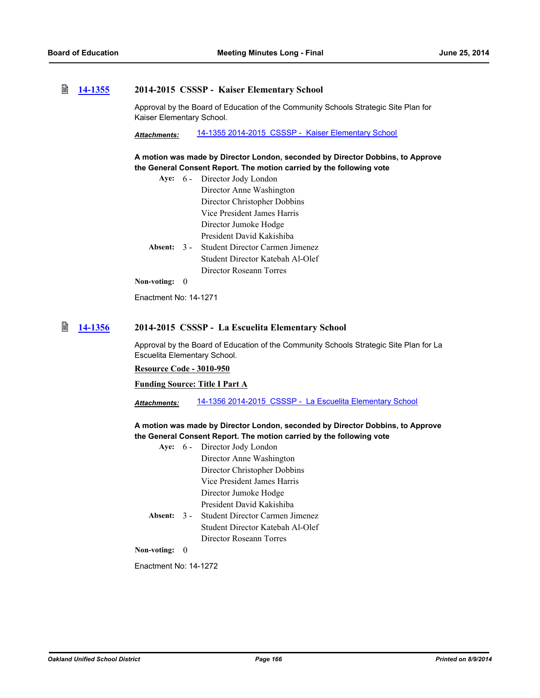#### 昏 **[14-1355](http://ousd.legistar.com/gateway.aspx?m=l&id=/matter.aspx?key=33035) 2014-2015 CSSSP - Kaiser Elementary School**

Approval by the Board of Education of the Community Schools Strategic Site Plan for Kaiser Elementary School.

*Attachments:* [14-1355 2014-2015 CSSSP - Kaiser Elementary School](http://ousd.legistar.com/gateway.aspx?M=F&ID=76634.pdf)

## **A motion was made by Director London, seconded by Director Dobbins, to Approve the General Consent Report. The motion carried by the following vote**

Aye: 6 - Director Jody London Director Anne Washington Director Christopher Dobbins Vice President James Harris Director Jumoke Hodge President David Kakishiba Absent: 3 - Student Director Carmen Jimenez Student Director Katebah Al-Olef Director Roseann Torres **Non-voting:** 0

Enactment No: 14-1271

#### ₿ **[14-1356](http://ousd.legistar.com/gateway.aspx?m=l&id=/matter.aspx?key=33036) 2014-2015 CSSSP - La Escuelita Elementary School**

Approval by the Board of Education of the Community Schools Strategic Site Plan for La Escuelita Elementary School.

# **Resource Code - 3010-950**

### **Funding Source: Title I Part A**

*Attachments:* [14-1356 2014-2015 CSSSP - La Escuelita Elementary School](http://ousd.legistar.com/gateway.aspx?M=F&ID=76635.pdf)

## **A motion was made by Director London, seconded by Director Dobbins, to Approve the General Consent Report. The motion carried by the following vote**

|  | Aye: 6 - Director Jody London                      |
|--|----------------------------------------------------|
|  | Director Anne Washington                           |
|  | Director Christopher Dobbins                       |
|  | Vice President James Harris                        |
|  | Director Jumoke Hodge                              |
|  | President David Kakishiba                          |
|  | <b>Absent:</b> 3 - Student Director Carmen Jimenez |
|  | Student Director Katebah Al-Olef                   |
|  | Director Roseann Torres                            |
|  |                                                    |

### **Non-voting:** 0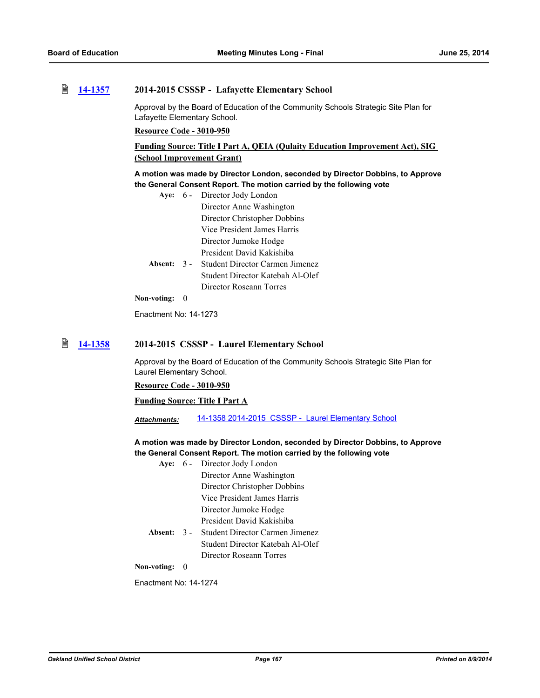#### 昏 **[14-1357](http://ousd.legistar.com/gateway.aspx?m=l&id=/matter.aspx?key=33037) 2014-2015 CSSSP - Lafayette Elementary School**

Approval by the Board of Education of the Community Schools Strategic Site Plan for Lafayette Elementary School.

## **Resource Code - 3010-950**

# **Funding Source: Title I Part A, QEIA (Qulaity Education Improvement Act), SIG (School Improvement Grant)**

# **A motion was made by Director London, seconded by Director Dobbins, to Approve the General Consent Report. The motion carried by the following vote**

Aye: 6 - Director Jody London Director Anne Washington Director Christopher Dobbins Vice President James Harris Director Jumoke Hodge President David Kakishiba **Absent:** Student Director Carmen Jimenez Student Director Katebah Al-Olef Director Roseann Torres Absent:  $3 -$ 

**Non-voting:** 0

Enactment No: 14-1273

#### 窅 **[14-1358](http://ousd.legistar.com/gateway.aspx?m=l&id=/matter.aspx?key=33038) 2014-2015 CSSSP - Laurel Elementary School**

Approval by the Board of Education of the Community Schools Strategic Site Plan for Laurel Elementary School.

### **Resource Code - 3010-950**

**Funding Source: Title I Part A**

*Attachments:* [14-1358 2014-2015 CSSSP - Laurel Elementary School](http://ousd.legistar.com/gateway.aspx?M=F&ID=76637.pdf)

# **A motion was made by Director London, seconded by Director Dobbins, to Approve the General Consent Report. The motion carried by the following vote**

|             |       | Aye: 6 - Director Jody London          |
|-------------|-------|----------------------------------------|
|             |       | Director Anne Washington               |
|             |       | Director Christopher Dobbins           |
|             |       | Vice President James Harris            |
|             |       | Director Jumoke Hodge                  |
|             |       | President David Kakishiba              |
| Absent:     | $3 -$ | <b>Student Director Carmen Jimenez</b> |
|             |       | Student Director Katebah Al-Olef       |
|             |       | Director Roseann Torres                |
| Non-votino: |       |                                        |

Non-voting: 0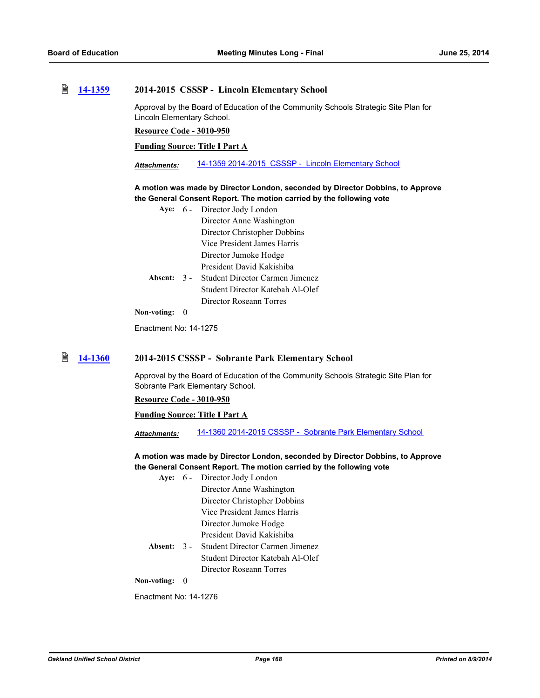#### 昏 **[14-1359](http://ousd.legistar.com/gateway.aspx?m=l&id=/matter.aspx?key=33039) 2014-2015 CSSSP - Lincoln Elementary School**

Approval by the Board of Education of the Community Schools Strategic Site Plan for Lincoln Elementary School.

**Resource Code - 3010-950**

**Funding Source: Title I Part A**

*Attachments:* [14-1359 2014-2015 CSSSP - Lincoln Elementary School](http://ousd.legistar.com/gateway.aspx?M=F&ID=76638.pdf)

**A motion was made by Director London, seconded by Director Dobbins, to Approve the General Consent Report. The motion carried by the following vote**

|                    | Aye: 6 - Director Jody London          |
|--------------------|----------------------------------------|
|                    | Director Anne Washington               |
|                    | Director Christopher Dobbins           |
|                    | Vice President James Harris            |
|                    | Director Jumoke Hodge                  |
|                    | President David Kakishiba              |
| <b>Absent:</b> 3 - | <b>Student Director Carmen Jimenez</b> |
|                    | Student Director Katebah Al-Olef       |
|                    | Director Roseann Torres                |
|                    |                                        |

**Non-voting:** 0

Enactment No: 14-1275

## **[14-1360](http://ousd.legistar.com/gateway.aspx?m=l&id=/matter.aspx?key=33040) 2014-2015 CSSSP - Sobrante Park Elementary School**

Approval by the Board of Education of the Community Schools Strategic Site Plan for Sobrante Park Elementary School.

**Resource Code - 3010-950**

**Funding Source: Title I Part A**

*Attachments:* [14-1360 2014-2015 CSSSP - Sobrante Park Elementary School](http://ousd.legistar.com/gateway.aspx?M=F&ID=76656.pdf)

# **A motion was made by Director London, seconded by Director Dobbins, to Approve the General Consent Report. The motion carried by the following vote**

Aye: 6 - Director Jody London Director Anne Washington Director Christopher Dobbins Vice President James Harris Director Jumoke Hodge President David Kakishiba Absent: 3 - Student Director Carmen Jimenez Student Director Katebah Al-Olef Director Roseann Torres

**Non-voting:** 0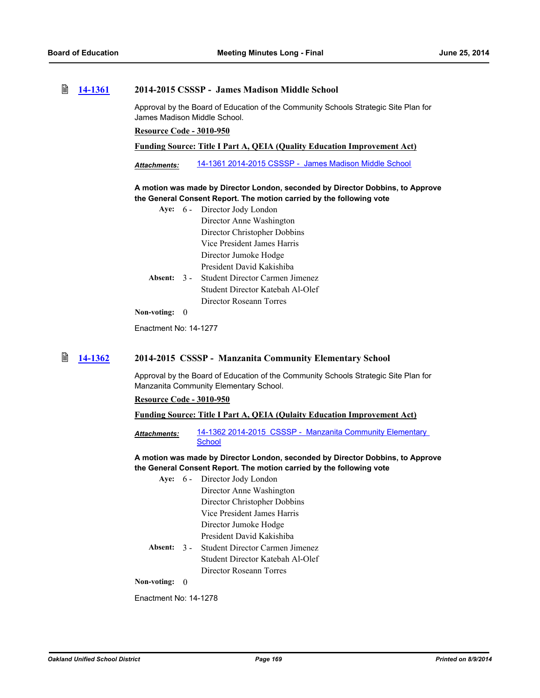#### 窅 **[14-1361](http://ousd.legistar.com/gateway.aspx?m=l&id=/matter.aspx?key=33041) 2014-2015 CSSSP - James Madison Middle School**

Approval by the Board of Education of the Community Schools Strategic Site Plan for James Madison Middle School.

## **Resource Code - 3010-950**

## **Funding Source: Title I Part A, QEIA (Quality Education Improvement Act)**

*Attachments:* [14-1361 2014-2015 CSSSP - James Madison Middle School](http://ousd.legistar.com/gateway.aspx?M=F&ID=76668.pdf)

## **A motion was made by Director London, seconded by Director Dobbins, to Approve the General Consent Report. The motion carried by the following vote**

|                    | Aye: 6 - Director Jody London          |
|--------------------|----------------------------------------|
|                    | Director Anne Washington               |
|                    | Director Christopher Dobbins           |
|                    | Vice President James Harris            |
|                    | Director Jumoke Hodge                  |
|                    | President David Kakishiba              |
| <b>Absent:</b> 3 - | <b>Student Director Carmen Jimenez</b> |
|                    | Student Director Katebah Al-Olef       |
|                    | Director Roseann Torres                |
|                    |                                        |

**Non-voting:** 0

Enactment No: 14-1277

## **[14-1362](http://ousd.legistar.com/gateway.aspx?m=l&id=/matter.aspx?key=33042) 2014-2015 CSSSP - Manzanita Community Elementary School**

Approval by the Board of Education of the Community Schools Strategic Site Plan for Manzanita Community Elementary School.

### **Resource Code - 3010-950**

### **Funding Source: Title I Part A, QEIA (Qulaity Education Improvement Act)**

[14-1362 2014-2015 CSSSP - Manzanita Community Elementary](http://ousd.legistar.com/gateway.aspx?M=F&ID=76639.pdf)  **School** *Attachments:*

# **A motion was made by Director London, seconded by Director Dobbins, to Approve the General Consent Report. The motion carried by the following vote**

|               | Aye: 6 - Director Jody London          |
|---------------|----------------------------------------|
|               | Director Anne Washington               |
|               | Director Christopher Dobbins           |
|               | Vice President James Harris            |
|               | Director Jumoke Hodge                  |
|               | President David Kakishiba              |
| Absent: $3 -$ | <b>Student Director Carmen Jimenez</b> |
|               | Student Director Katebah Al-Olef       |
|               | Director Roseann Torres                |
| Non-voting:   |                                        |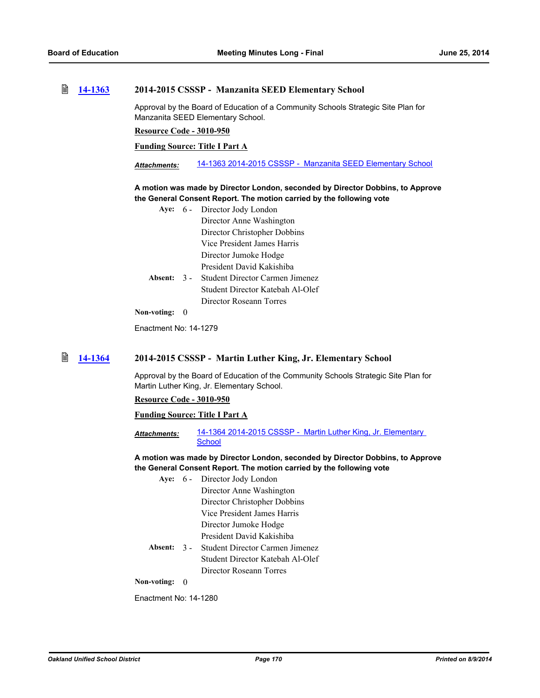#### 窅 **[14-1363](http://ousd.legistar.com/gateway.aspx?m=l&id=/matter.aspx?key=33043) 2014-2015 CSSSP - Manzanita SEED Elementary School**

Approval by the Board of Education of a Community Schools Strategic Site Plan for Manzanita SEED Elementary School.

### **Resource Code - 3010-950**

### **Funding Source: Title I Part A**

*Attachments:* [14-1363 2014-2015 CSSSP - Manzanita SEED Elementary School](http://ousd.legistar.com/gateway.aspx?M=F&ID=76640.pdf)

## **A motion was made by Director London, seconded by Director Dobbins, to Approve the General Consent Report. The motion carried by the following vote**

|                    | Aye: 6 - Director Jody London          |
|--------------------|----------------------------------------|
|                    | Director Anne Washington               |
|                    | Director Christopher Dobbins           |
|                    | Vice President James Harris            |
|                    | Director Jumoke Hodge                  |
|                    | President David Kakishiba              |
| <b>Absent:</b> 3 - | <b>Student Director Carmen Jimenez</b> |
|                    | Student Director Katebah Al-Olef       |
|                    | Director Roseann Torres                |
|                    |                                        |

**Non-voting:** 0

Enactment No: 14-1279

#### 閶 **[14-1364](http://ousd.legistar.com/gateway.aspx?m=l&id=/matter.aspx?key=33044) 2014-2015 CSSSP - Martin Luther King, Jr. Elementary School**

Approval by the Board of Education of the Community Schools Strategic Site Plan for Martin Luther King, Jr. Elementary School.

### **Resource Code - 3010-950**

### **Funding Source: Title I Part A**

[14-1364 2014-2015 CSSSP - Martin Luther King, Jr. Elementary](http://ousd.legistar.com/gateway.aspx?M=F&ID=76642.pdf)  **School** *Attachments:*

# **A motion was made by Director London, seconded by Director Dobbins, to Approve the General Consent Report. The motion carried by the following vote**

|             | Aye: 6 - Director Jody London          |
|-------------|----------------------------------------|
|             | Director Anne Washington               |
|             | Director Christopher Dobbins           |
|             | Vice President James Harris            |
|             | Director Jumoke Hodge                  |
|             | President David Kakishiba              |
| Absent: 3 - | <b>Student Director Carmen Jimenez</b> |
|             | Student Director Katebah Al-Olef       |
|             | Director Roseann Torres                |
| Non-voting: |                                        |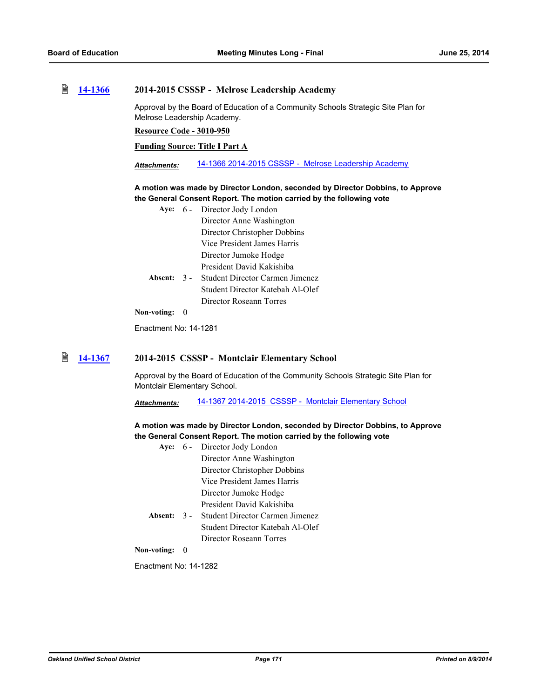#### 窅 **[14-1366](http://ousd.legistar.com/gateway.aspx?m=l&id=/matter.aspx?key=33046) 2014-2015 CSSSP - Melrose Leadership Academy**

Approval by the Board of Education of a Community Schools Strategic Site Plan for Melrose Leadership Academy.

**Resource Code - 3010-950**

**Funding Source: Title I Part A**

*Attachments:* [14-1366 2014-2015 CSSSP - Melrose Leadership Academy](http://ousd.legistar.com/gateway.aspx?M=F&ID=76643.pdf)

**A motion was made by Director London, seconded by Director Dobbins, to Approve the General Consent Report. The motion carried by the following vote**

|                |       | Aye: 6 - Director Jody London          |
|----------------|-------|----------------------------------------|
|                |       | Director Anne Washington               |
|                |       | Director Christopher Dobbins           |
|                |       | Vice President James Harris            |
|                |       | Director Jumoke Hodge                  |
|                |       | President David Kakishiba              |
| <b>Absent:</b> | $3 -$ | <b>Student Director Carmen Jimenez</b> |
|                |       | Student Director Katebah Al-Olef       |
|                |       | Director Roseann Torres                |
|                |       |                                        |

**Non-voting:** 0

Enactment No: 14-1281

# **[14-1367](http://ousd.legistar.com/gateway.aspx?m=l&id=/matter.aspx?key=33047) 2014-2015 CSSSP - Montclair Elementary School**

Approval by the Board of Education of the Community Schools Strategic Site Plan for Montclair Elementary School.

*Attachments:* [14-1367 2014-2015 CSSSP - Montclair Elementary School](http://ousd.legistar.com/gateway.aspx?M=F&ID=76644.pdf)

# **A motion was made by Director London, seconded by Director Dobbins, to Approve the General Consent Report. The motion carried by the following vote**

|                    | Aye: 6 - Director Jody London          |
|--------------------|----------------------------------------|
|                    | Director Anne Washington               |
|                    | Director Christopher Dobbins           |
|                    | Vice President James Harris            |
|                    | Director Jumoke Hodge                  |
|                    | President David Kakishiba              |
| <b>Absent:</b> 3 - | <b>Student Director Carmen Jimenez</b> |
|                    | Student Director Katebah Al-Olef       |
|                    | Director Roseann Torres                |

### **Non-voting:** 0

Enactment No: 14-1282

*Oakland Unified School District Page 171 Printed on 8/9/2014*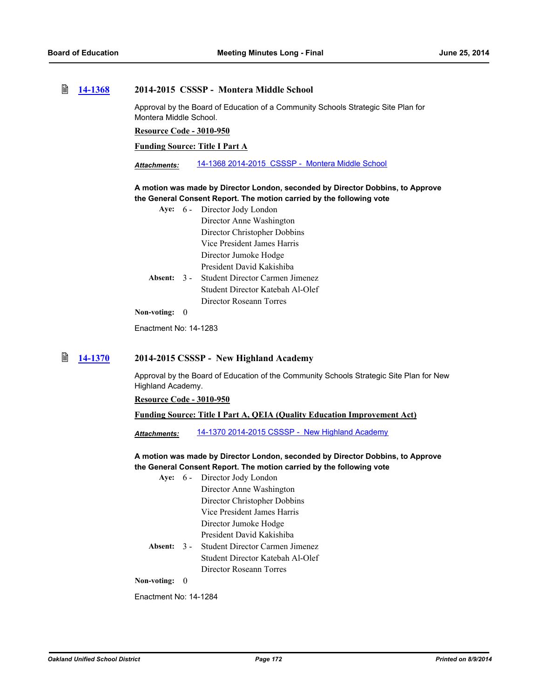#### 昏 **[14-1368](http://ousd.legistar.com/gateway.aspx?m=l&id=/matter.aspx?key=33048) 2014-2015 CSSSP - Montera Middle School**

Approval by the Board of Education of a Community Schools Strategic Site Plan for Montera Middle School.

**Resource Code - 3010-950**

### **Funding Source: Title I Part A**

*Attachments:* [14-1368 2014-2015 CSSSP - Montera Middle School](http://ousd.legistar.com/gateway.aspx?M=F&ID=76669.pdf)

**A motion was made by Director London, seconded by Director Dobbins, to Approve the General Consent Report. The motion carried by the following vote**

|                    | Aye: 6 - Director Jody London          |
|--------------------|----------------------------------------|
|                    | Director Anne Washington               |
|                    | Director Christopher Dobbins           |
|                    | Vice President James Harris            |
|                    | Director Jumoke Hodge                  |
|                    | President David Kakishiba              |
| <b>Absent:</b> 3 - | <b>Student Director Carmen Jimenez</b> |
|                    | Student Director Katebah Al-Olef       |
|                    | Director Roseann Torres                |
|                    |                                        |

**Non-voting:** 0

Enactment No: 14-1283

# **[14-1370](http://ousd.legistar.com/gateway.aspx?m=l&id=/matter.aspx?key=33050) 2014-2015 CSSSP - New Highland Academy**

Approval by the Board of Education of the Community Schools Strategic Site Plan for New Highland Academy.

**Resource Code - 3010-950**

**Funding Source: Title I Part A, QEIA (Quality Education Improvement Act)**

*Attachments:* [14-1370 2014-2015 CSSSP - New Highland Academy](http://ousd.legistar.com/gateway.aspx?M=F&ID=76645.pdf)

# **A motion was made by Director London, seconded by Director Dobbins, to Approve the General Consent Report. The motion carried by the following vote**

Aye: 6 - Director Jody London Director Anne Washington Director Christopher Dobbins Vice President James Harris Director Jumoke Hodge President David Kakishiba Absent: 3 - Student Director Carmen Jimenez Student Director Katebah Al-Olef Director Roseann Torres

**Non-voting:** 0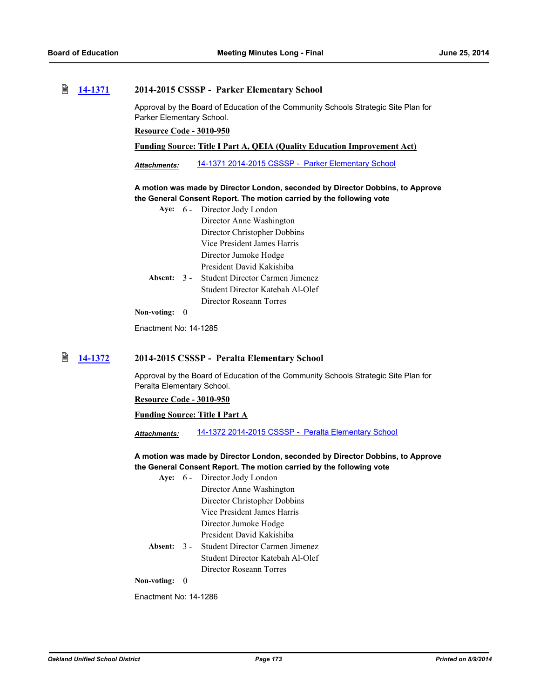#### 窅 **[14-1371](http://ousd.legistar.com/gateway.aspx?m=l&id=/matter.aspx?key=33051) 2014-2015 CSSSP - Parker Elementary School**

Approval by the Board of Education of the Community Schools Strategic Site Plan for Parker Elementary School.

## **Resource Code - 3010-950**

### **Funding Source: Title I Part A, QEIA (Quality Education Improvement Act)**

*Attachments:* [14-1371 2014-2015 CSSSP - Parker Elementary School](http://ousd.legistar.com/gateway.aspx?M=F&ID=76646.pdf)

## **A motion was made by Director London, seconded by Director Dobbins, to Approve the General Consent Report. The motion carried by the following vote**

|                    | Aye: 6 - Director Jody London          |
|--------------------|----------------------------------------|
|                    | Director Anne Washington               |
|                    | Director Christopher Dobbins           |
|                    | Vice President James Harris            |
|                    | Director Jumoke Hodge                  |
|                    | President David Kakishiba              |
| <b>Absent:</b> 3 - | <b>Student Director Carmen Jimenez</b> |
|                    | Student Director Katebah Al-Olef       |
|                    | Director Roseann Torres                |
|                    |                                        |

**Non-voting:** 0

Enactment No: 14-1285

# **[14-1372](http://ousd.legistar.com/gateway.aspx?m=l&id=/matter.aspx?key=33052) 2014-2015 CSSSP - Peralta Elementary School**

Approval by the Board of Education of the Community Schools Strategic Site Plan for Peralta Elementary School.

## **Resource Code - 3010-950**

**Funding Source: Title I Part A**

*Attachments:* [14-1372 2014-2015 CSSSP - Peralta Elementary School](http://ousd.legistar.com/gateway.aspx?M=F&ID=76647.pdf)

# **A motion was made by Director London, seconded by Director Dobbins, to Approve the General Consent Report. The motion carried by the following vote**

|               | Aye: 6 - Director Jody London          |
|---------------|----------------------------------------|
|               | Director Anne Washington               |
|               | Director Christopher Dobbins           |
|               | Vice President James Harris            |
|               | Director Jumoke Hodge                  |
|               | President David Kakishiba              |
| Absent: $3 -$ | <b>Student Director Carmen Jimenez</b> |
|               | Student Director Katebah Al-Olef       |
|               | Director Roseann Torres                |
| watina:       |                                        |

**Non-voting:** 0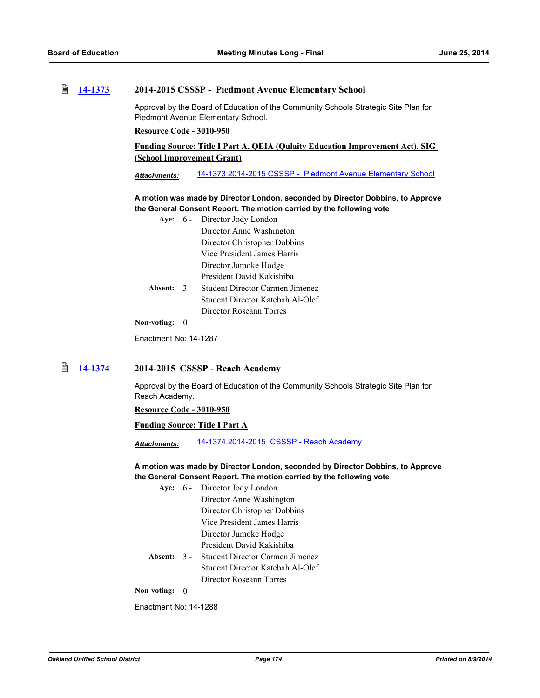#### 昏 **[14-1373](http://ousd.legistar.com/gateway.aspx?m=l&id=/matter.aspx?key=33053) 2014-2015 CSSSP - Piedmont Avenue Elementary School**

Approval by the Board of Education of the Community Schools Strategic Site Plan for Piedmont Avenue Elementary School.

## **Resource Code - 3010-950**

**Funding Source: Title I Part A, QEIA (Qulaity Education Improvement Act), SIG (School Improvement Grant)**

*Attachments:* [14-1373 2014-2015 CSSSP - Piedmont Avenue Elementary School](http://ousd.legistar.com/gateway.aspx?M=F&ID=76648.pdf)

# **A motion was made by Director London, seconded by Director Dobbins, to Approve the General Consent Report. The motion carried by the following vote**

|               | Aye: 6 - Director Jody London          |
|---------------|----------------------------------------|
|               | Director Anne Washington               |
|               | Director Christopher Dobbins           |
|               | Vice President James Harris            |
|               | Director Jumoke Hodge                  |
|               | President David Kakishiba              |
| Absent: $3 -$ | <b>Student Director Carmen Jimenez</b> |
|               | Student Director Katebah Al-Olef       |
|               | Director Roseann Torres                |
|               |                                        |

**Non-voting:** 0

Enactment No: 14-1287

#### 誾 **[14-1374](http://ousd.legistar.com/gateway.aspx?m=l&id=/matter.aspx?key=33054) 2014-2015 CSSSP - Reach Academy**

Approval by the Board of Education of the Community Schools Strategic Site Plan for Reach Academy.

## **Resource Code - 3010-950**

### **Funding Source: Title I Part A**

*Attachments:* [14-1374 2014-2015 CSSSP - Reach Academy](http://ousd.legistar.com/gateway.aspx?M=F&ID=76650.pdf)

## **A motion was made by Director London, seconded by Director Dobbins, to Approve the General Consent Report. The motion carried by the following vote**

Aye: 6 - Director Jody London Director Anne Washington Director Christopher Dobbins Vice President James Harris Director Jumoke Hodge President David Kakishiba **Absent:** Student Director Carmen Jimenez Student Director Katebah Al-Olef Director Roseann Torres Absent:  $3 -$ 

**Non-voting:** 0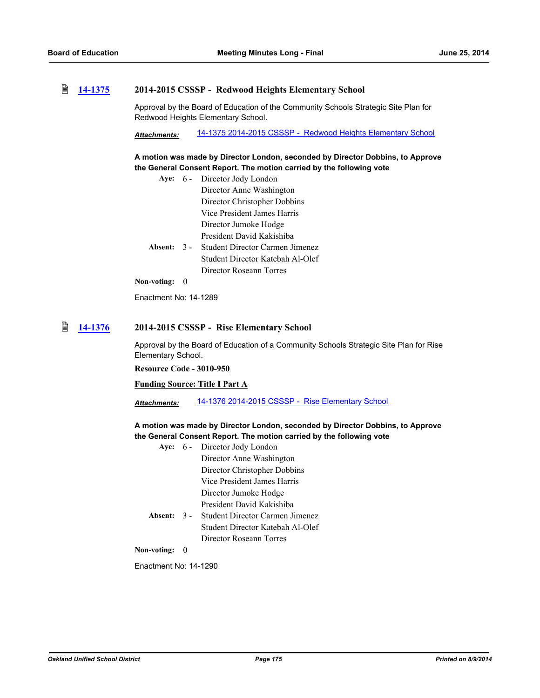#### 昏 **[14-1375](http://ousd.legistar.com/gateway.aspx?m=l&id=/matter.aspx?key=33055) 2014-2015 CSSSP - Redwood Heights Elementary School**

Approval by the Board of Education of the Community Schools Strategic Site Plan for Redwood Heights Elementary School.

*Attachments:* [14-1375 2014-2015 CSSSP - Redwood Heights Elementary School](http://ousd.legistar.com/gateway.aspx?M=F&ID=76651.pdf)

## **A motion was made by Director London, seconded by Director Dobbins, to Approve the General Consent Report. The motion carried by the following vote**

- Aye: 6 Director Jody London Director Anne Washington Director Christopher Dobbins Vice President James Harris Director Jumoke Hodge President David Kakishiba Absent: 3 - Student Director Carmen Jimenez Student Director Katebah Al-Olef Director Roseann Torres
- **Non-voting:** 0

Enactment No: 14-1289

#### ₿ **[14-1376](http://ousd.legistar.com/gateway.aspx?m=l&id=/matter.aspx?key=33056) 2014-2015 CSSSP - Rise Elementary School**

Approval by the Board of Education of a Community Schools Strategic Site Plan for Rise Elementary School.

# **Resource Code - 3010-950**

### **Funding Source: Title I Part A**

*Attachments:* [14-1376 2014-2015 CSSSP - Rise Elementary School](http://ousd.legistar.com/gateway.aspx?M=F&ID=76652.pdf)

## **A motion was made by Director London, seconded by Director Dobbins, to Approve the General Consent Report. The motion carried by the following vote**

|                    | Aye: 6 - Director Jody London          |
|--------------------|----------------------------------------|
|                    | Director Anne Washington               |
|                    | Director Christopher Dobbins           |
|                    | Vice President James Harris            |
|                    | Director Jumoke Hodge                  |
|                    | President David Kakishiba              |
| <b>Absent:</b> 3 - | <b>Student Director Carmen Jimenez</b> |
|                    | Student Director Katebah Al-Olef       |
|                    | Director Roseann Torres                |
|                    |                                        |

### **Non-voting:** 0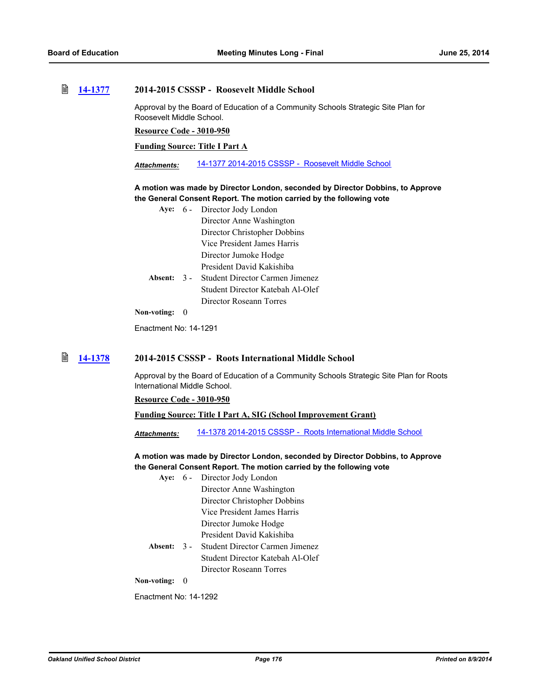#### 昏 **[14-1377](http://ousd.legistar.com/gateway.aspx?m=l&id=/matter.aspx?key=33057) 2014-2015 CSSSP - Roosevelt Middle School**

Approval by the Board of Education of a Community Schools Strategic Site Plan for Roosevelt Middle School.

### **Resource Code - 3010-950**

**Funding Source: Title I Part A**

*Attachments:* [14-1377 2014-2015 CSSSP - Roosevelt Middle School](http://ousd.legistar.com/gateway.aspx?M=F&ID=76671.pdf)

**A motion was made by Director London, seconded by Director Dobbins, to Approve the General Consent Report. The motion carried by the following vote**

|                    | Aye: 6 - Director Jody London          |
|--------------------|----------------------------------------|
|                    | Director Anne Washington               |
|                    | Director Christopher Dobbins           |
|                    | Vice President James Harris            |
|                    | Director Jumoke Hodge                  |
|                    | President David Kakishiba              |
| <b>Absent:</b> 3 - | <b>Student Director Carmen Jimenez</b> |
|                    | Student Director Katebah Al-Olef       |
|                    | Director Roseann Torres                |
|                    |                                        |

**Non-voting:** 0

Enactment No: 14-1291

## **[14-1378](http://ousd.legistar.com/gateway.aspx?m=l&id=/matter.aspx?key=33058) 2014-2015 CSSSP - Roots International Middle School**

Approval by the Board of Education of a Community Schools Strategic Site Plan for Roots International Middle School.

**Resource Code - 3010-950**

### **Funding Source: Title I Part A, SIG (School Improvement Grant)**

*Attachments:* [14-1378 2014-2015 CSSSP - Roots International Middle School](http://ousd.legistar.com/gateway.aspx?M=F&ID=76673.pdf)

# **A motion was made by Director London, seconded by Director Dobbins, to Approve the General Consent Report. The motion carried by the following vote**

Aye: 6 - Director Jody London Director Anne Washington Director Christopher Dobbins Vice President James Harris Director Jumoke Hodge President David Kakishiba Absent: 3 - Student Director Carmen Jimenez Student Director Katebah Al-Olef Director Roseann Torres

**Non-voting:** 0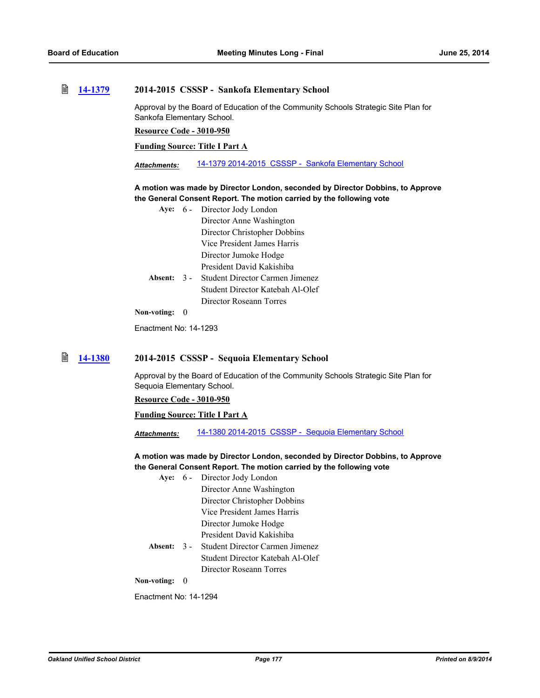#### 昏 **[14-1379](http://ousd.legistar.com/gateway.aspx?m=l&id=/matter.aspx?key=33059) 2014-2015 CSSSP - Sankofa Elementary School**

Approval by the Board of Education of the Community Schools Strategic Site Plan for Sankofa Elementary School.

**Resource Code - 3010-950**

**Funding Source: Title I Part A**

*Attachments:* [14-1379 2014-2015 CSSSP - Sankofa Elementary School](http://ousd.legistar.com/gateway.aspx?M=F&ID=76653.pdf)

**A motion was made by Director London, seconded by Director Dobbins, to Approve the General Consent Report. The motion carried by the following vote**

|                    | Aye: 6 - Director Jody London          |
|--------------------|----------------------------------------|
|                    | Director Anne Washington               |
|                    | Director Christopher Dobbins           |
|                    | Vice President James Harris            |
|                    | Director Jumoke Hodge                  |
|                    | President David Kakishiba              |
| <b>Absent:</b> 3 - | <b>Student Director Carmen Jimenez</b> |
|                    | Student Director Katebah Al-Olef       |
|                    | Director Roseann Torres                |
|                    |                                        |

**Non-voting:** 0

Enactment No: 14-1293

## **[14-1380](http://ousd.legistar.com/gateway.aspx?m=l&id=/matter.aspx?key=33060) 2014-2015 CSSSP - Sequoia Elementary School**

Approval by the Board of Education of the Community Schools Strategic Site Plan for Sequoia Elementary School.

**Resource Code - 3010-950**

**Funding Source: Title I Part A**

*Attachments:* [14-1380 2014-2015 CSSSP - Sequoia Elementary School](http://ousd.legistar.com/gateway.aspx?M=F&ID=76655.pdf)

# **A motion was made by Director London, seconded by Director Dobbins, to Approve the General Consent Report. The motion carried by the following vote**

Aye: 6 - Director Jody London Director Anne Washington Director Christopher Dobbins Vice President James Harris Director Jumoke Hodge President David Kakishiba Absent: 3 - Student Director Carmen Jimenez Student Director Katebah Al-Olef Director Roseann Torres

**Non-voting:** 0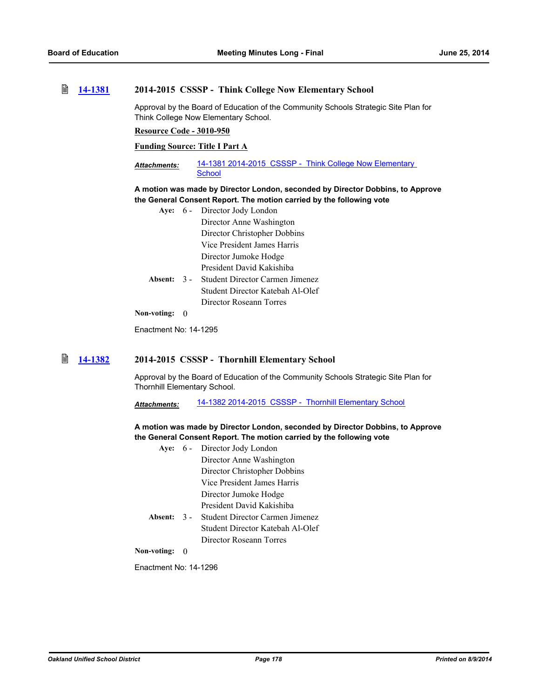#### 窅 **[14-1381](http://ousd.legistar.com/gateway.aspx?m=l&id=/matter.aspx?key=33061) 2014-2015 CSSSP - Think College Now Elementary School**

Approval by the Board of Education of the Community Schools Strategic Site Plan for Think College Now Elementary School.

## **Resource Code - 3010-950**

### **Funding Source: Title I Part A**

[14-1381 2014-2015 CSSSP - Think College Now Elementary](http://ousd.legistar.com/gateway.aspx?M=F&ID=76657.pdf)  **School** *Attachments:*

**A motion was made by Director London, seconded by Director Dobbins, to Approve the General Consent Report. The motion carried by the following vote**

|                    | Aye: 6 - Director Jody London    |
|--------------------|----------------------------------|
|                    | Director Anne Washington         |
|                    | Director Christopher Dobbins     |
|                    | Vice President James Harris      |
|                    | Director Jumoke Hodge            |
|                    | President David Kakishiba        |
| <b>Absent: 3 -</b> | Student Director Carmen Jimenez  |
|                    | Student Director Katebah Al-Olef |
|                    | Director Roseann Torres          |
|                    |                                  |

**Non-voting:** 0

Enactment No: 14-1295

#### 窅 **[14-1382](http://ousd.legistar.com/gateway.aspx?m=l&id=/matter.aspx?key=33062) 2014-2015 CSSSP - Thornhill Elementary School**

Approval by the Board of Education of the Community Schools Strategic Site Plan for Thornhill Elementary School.

*Attachments:* [14-1382 2014-2015 CSSSP - Thornhill Elementary School](http://ousd.legistar.com/gateway.aspx?M=F&ID=76658.pdf)

# **A motion was made by Director London, seconded by Director Dobbins, to Approve the General Consent Report. The motion carried by the following vote**

|                      | Aye: 6 - Director Jody London          |
|----------------------|----------------------------------------|
|                      | Director Anne Washington               |
|                      | Director Christopher Dobbins           |
|                      | Vice President James Harris            |
|                      | Director Jumoke Hodge                  |
|                      | President David Kakishiba              |
| <b>Absent:</b> 3 -   | <b>Student Director Carmen Jimenez</b> |
|                      | Student Director Katebah Al-Olef       |
|                      | Director Roseann Torres                |
| $\ddot{\phantom{a}}$ |                                        |

Non-voting: 0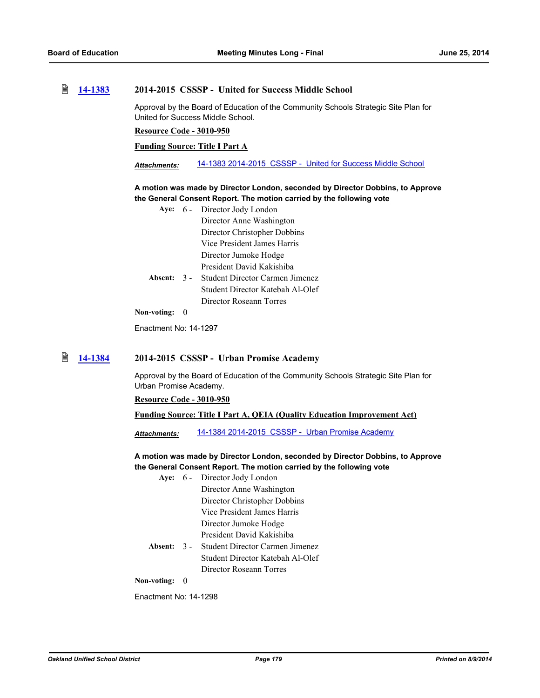#### 昏 **[14-1383](http://ousd.legistar.com/gateway.aspx?m=l&id=/matter.aspx?key=33063) 2014-2015 CSSSP - United for Success Middle School**

Approval by the Board of Education of the Community Schools Strategic Site Plan for United for Success Middle School.

**Resource Code - 3010-950**

**Funding Source: Title I Part A**

*Attachments:* [14-1383 2014-2015 CSSSP - United for Success Middle School](http://ousd.legistar.com/gateway.aspx?M=F&ID=76675.pdf)

**A motion was made by Director London, seconded by Director Dobbins, to Approve the General Consent Report. The motion carried by the following vote**

|             | Aye: 6 - Director Jody London          |
|-------------|----------------------------------------|
|             | Director Anne Washington               |
|             | Director Christopher Dobbins           |
|             | Vice President James Harris            |
|             | Director Jumoke Hodge                  |
|             | President David Kakishiba              |
| Absent: 3 - | <b>Student Director Carmen Jimenez</b> |
|             | Student Director Katebah Al-Olef       |
|             | Director Roseann Torres                |
|             |                                        |

**Non-voting:** 0

Enactment No: 14-1297

# **[14-1384](http://ousd.legistar.com/gateway.aspx?m=l&id=/matter.aspx?key=33064) 2014-2015 CSSSP - Urban Promise Academy**

Approval by the Board of Education of the Community Schools Strategic Site Plan for Urban Promise Academy.

**Resource Code - 3010-950**

**Funding Source: Title I Part A, QEIA (Quality Education Improvement Act)**

*Attachments:* [14-1384 2014-2015 CSSSP - Urban Promise Academy](http://ousd.legistar.com/gateway.aspx?M=F&ID=76677.pdf)

# **A motion was made by Director London, seconded by Director Dobbins, to Approve the General Consent Report. The motion carried by the following vote**

Aye: 6 - Director Jody London Director Anne Washington Director Christopher Dobbins Vice President James Harris Director Jumoke Hodge President David Kakishiba Absent: 3 - Student Director Carmen Jimenez Student Director Katebah Al-Olef Director Roseann Torres

**Non-voting:** 0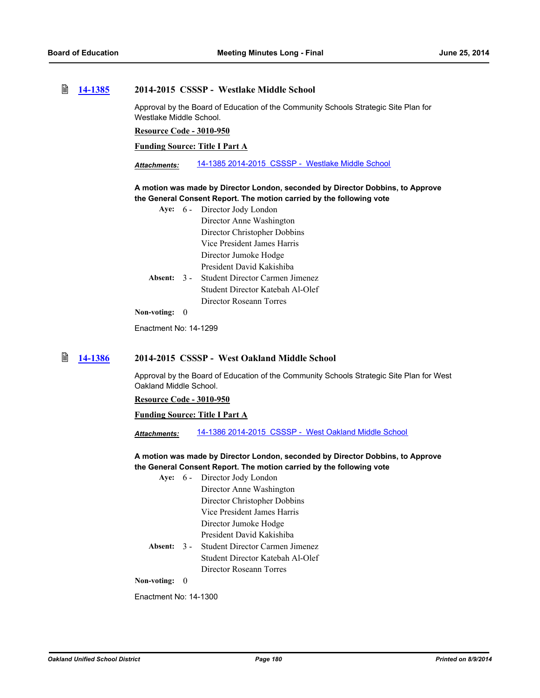#### 昏 **[14-1385](http://ousd.legistar.com/gateway.aspx?m=l&id=/matter.aspx?key=33065) 2014-2015 CSSSP - Westlake Middle School**

Approval by the Board of Education of the Community Schools Strategic Site Plan for Westlake Middle School.

### **Resource Code - 3010-950**

### **Funding Source: Title I Part A**

*Attachments:* [14-1385 2014-2015 CSSSP - Westlake Middle School](http://ousd.legistar.com/gateway.aspx?M=F&ID=76678.pdf)

**A motion was made by Director London, seconded by Director Dobbins, to Approve the General Consent Report. The motion carried by the following vote**

|                    | Aye: 6 - Director Jody London          |
|--------------------|----------------------------------------|
|                    | Director Anne Washington               |
|                    | Director Christopher Dobbins           |
|                    | Vice President James Harris            |
|                    | Director Jumoke Hodge                  |
|                    | President David Kakishiba              |
| <b>Absent:</b> 3 - | <b>Student Director Carmen Jimenez</b> |
|                    | Student Director Katebah Al-Olef       |
|                    | Director Roseann Torres                |
|                    |                                        |

**Non-voting:** 0

Enactment No: 14-1299

# **[14-1386](http://ousd.legistar.com/gateway.aspx?m=l&id=/matter.aspx?key=33066) 2014-2015 CSSSP - West Oakland Middle School**

Approval by the Board of Education of the Community Schools Strategic Site Plan for West Oakland Middle School.

### **Resource Code - 3010-950**

**Funding Source: Title I Part A**

*Attachments:* [14-1386 2014-2015 CSSSP - West Oakland Middle School](http://ousd.legistar.com/gateway.aspx?M=F&ID=76680.pdf)

# **A motion was made by Director London, seconded by Director Dobbins, to Approve the General Consent Report. The motion carried by the following vote**

Aye: 6 - Director Jody London Director Anne Washington Director Christopher Dobbins Vice President James Harris Director Jumoke Hodge President David Kakishiba Absent: 3 - Student Director Carmen Jimenez Student Director Katebah Al-Olef Director Roseann Torres

**Non-voting:** 0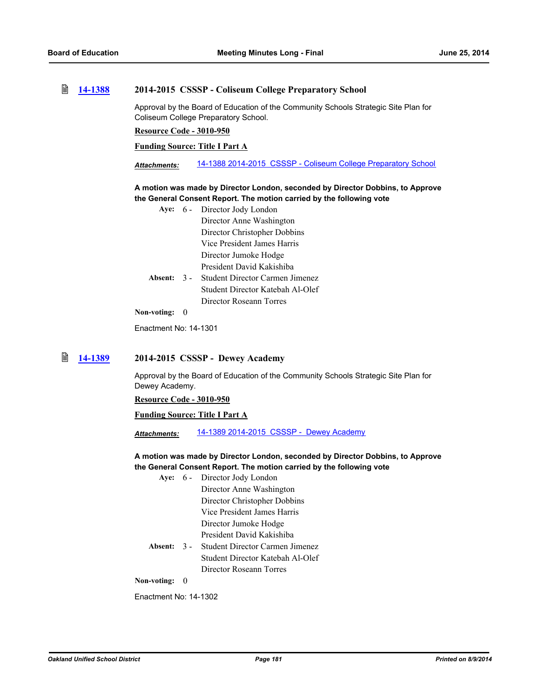#### 昏 **[14-1388](http://ousd.legistar.com/gateway.aspx?m=l&id=/matter.aspx?key=33068) 2014-2015 CSSSP - Coliseum College Preparatory School**

Approval by the Board of Education of the Community Schools Strategic Site Plan for Coliseum College Preparatory School.

# **Resource Code - 3010-950**

**Funding Source: Title I Part A**

*Attachments:* [14-1388 2014-2015 CSSSP - Coliseum College Preparatory School](http://ousd.legistar.com/gateway.aspx?M=F&ID=76662.pdf)

**A motion was made by Director London, seconded by Director Dobbins, to Approve the General Consent Report. The motion carried by the following vote**

|                    | Aye: 6 - Director Jody London          |
|--------------------|----------------------------------------|
|                    | Director Anne Washington               |
|                    | Director Christopher Dobbins           |
|                    | Vice President James Harris            |
|                    | Director Jumoke Hodge                  |
|                    | President David Kakishiba              |
| <b>Absent:</b> 3 - | <b>Student Director Carmen Jimenez</b> |
|                    | Student Director Katebah Al-Olef       |
|                    | Director Roseann Torres                |
|                    |                                        |

**Non-voting:** 0

Enactment No: 14-1301

# **[14-1389](http://ousd.legistar.com/gateway.aspx?m=l&id=/matter.aspx?key=33069) 2014-2015 CSSSP - Dewey Academy**

Approval by the Board of Education of the Community Schools Strategic Site Plan for Dewey Academy.

**Resource Code - 3010-950**

**Funding Source: Title I Part A**

*Attachments:* [14-1389 2014-2015 CSSSP - Dewey Academy](http://ousd.legistar.com/gateway.aspx?M=F&ID=76682.pdf)

# **A motion was made by Director London, seconded by Director Dobbins, to Approve the General Consent Report. The motion carried by the following vote**

Aye: 6 - Director Jody London Director Anne Washington Director Christopher Dobbins Vice President James Harris Director Jumoke Hodge President David Kakishiba Absent: 3 - Student Director Carmen Jimenez Student Director Katebah Al-Olef Director Roseann Torres

**Non-voting:** 0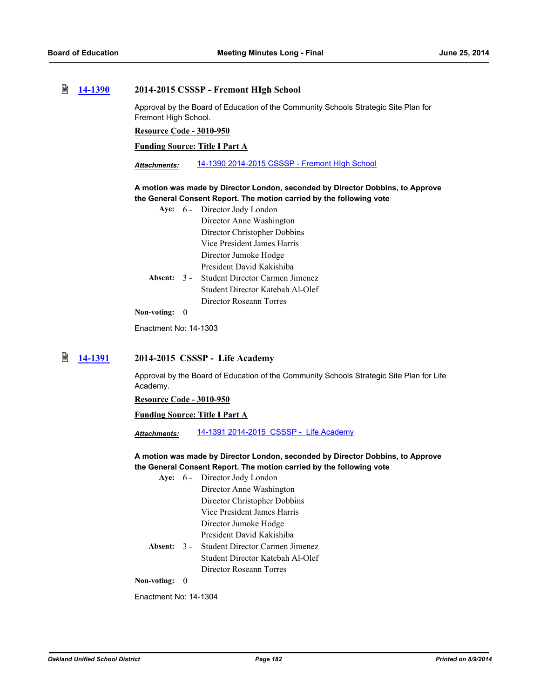#### 昏 **[14-1390](http://ousd.legistar.com/gateway.aspx?m=l&id=/matter.aspx?key=33070) 2014-2015 CSSSP - Fremont HIgh School**

Approval by the Board of Education of the Community Schools Strategic Site Plan for Fremont High School.

### **Resource Code - 3010-950**

### **Funding Source: Title I Part A**

*Attachments:* [14-1390 2014-2015 CSSSP - Fremont HIgh School](http://ousd.legistar.com/gateway.aspx?M=F&ID=76683.pdf)

**A motion was made by Director London, seconded by Director Dobbins, to Approve the General Consent Report. The motion carried by the following vote**

|                    | Aye: 6 - Director Jody London          |
|--------------------|----------------------------------------|
|                    | Director Anne Washington               |
|                    | Director Christopher Dobbins           |
|                    | Vice President James Harris            |
|                    | Director Jumoke Hodge                  |
|                    | President David Kakishiba              |
| <b>Absent:</b> 3 - | <b>Student Director Carmen Jimenez</b> |
|                    | Student Director Katebah Al-Olef       |
|                    | Director Roseann Torres                |
|                    |                                        |

**Non-voting:** 0

Enactment No: 14-1303

# **[14-1391](http://ousd.legistar.com/gateway.aspx?m=l&id=/matter.aspx?key=33071) 2014-2015 CSSSP - Life Academy**

Approval by the Board of Education of the Community Schools Strategic Site Plan for Life Academy.

**Resource Code - 3010-950**

**Funding Source: Title I Part A**

*Attachments:* [14-1391 2014-2015 CSSSP - Life Academy](http://ousd.legistar.com/gateway.aspx?M=F&ID=76684.pdf)

# **A motion was made by Director London, seconded by Director Dobbins, to Approve the General Consent Report. The motion carried by the following vote**

Aye: 6 - Director Jody London Director Anne Washington Director Christopher Dobbins Vice President James Harris Director Jumoke Hodge President David Kakishiba Absent: 3 - Student Director Carmen Jimenez Student Director Katebah Al-Olef Director Roseann Torres

**Non-voting:** 0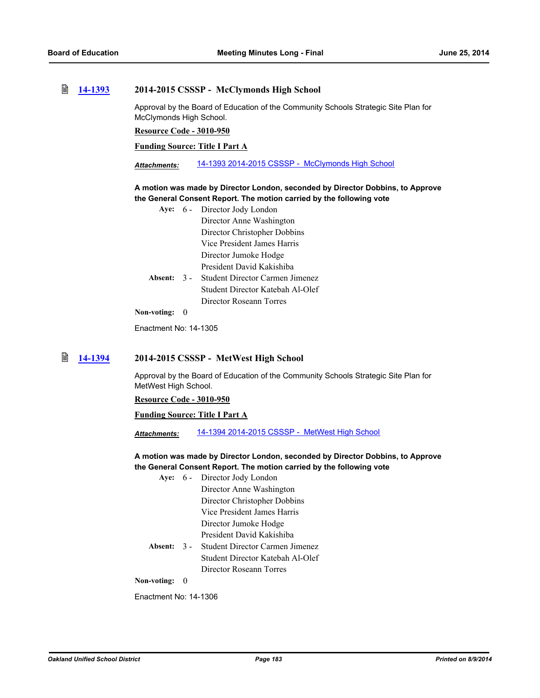#### 昏 **[14-1393](http://ousd.legistar.com/gateway.aspx?m=l&id=/matter.aspx?key=33073) 2014-2015 CSSSP - McClymonds High School**

Approval by the Board of Education of the Community Schools Strategic Site Plan for McClymonds High School.

### **Resource Code - 3010-950**

### **Funding Source: Title I Part A**

*Attachments:* [14-1393 2014-2015 CSSSP - McClymonds High School](http://ousd.legistar.com/gateway.aspx?M=F&ID=76685.pdf)

**A motion was made by Director London, seconded by Director Dobbins, to Approve the General Consent Report. The motion carried by the following vote**

|                    | Aye: 6 - Director Jody London          |
|--------------------|----------------------------------------|
|                    | Director Anne Washington               |
|                    | Director Christopher Dobbins           |
|                    | Vice President James Harris            |
|                    | Director Jumoke Hodge                  |
|                    | President David Kakishiba              |
| <b>Absent:</b> 3 - | <b>Student Director Carmen Jimenez</b> |
|                    | Student Director Katebah Al-Olef       |
|                    | Director Roseann Torres                |
|                    |                                        |

**Non-voting:** 0

Enactment No: 14-1305

# **[14-1394](http://ousd.legistar.com/gateway.aspx?m=l&id=/matter.aspx?key=33074) 2014-2015 CSSSP - MetWest High School**

Approval by the Board of Education of the Community Schools Strategic Site Plan for MetWest High School.

### **Resource Code - 3010-950**

**Funding Source: Title I Part A**

*Attachments:* [14-1394 2014-2015 CSSSP - MetWest High School](http://ousd.legistar.com/gateway.aspx?M=F&ID=76686.pdf)

# **A motion was made by Director London, seconded by Director Dobbins, to Approve the General Consent Report. The motion carried by the following vote**

Aye: 6 - Director Jody London Director Anne Washington Director Christopher Dobbins Vice President James Harris Director Jumoke Hodge President David Kakishiba Absent: 3 - Student Director Carmen Jimenez Student Director Katebah Al-Olef Director Roseann Torres

**Non-voting:** 0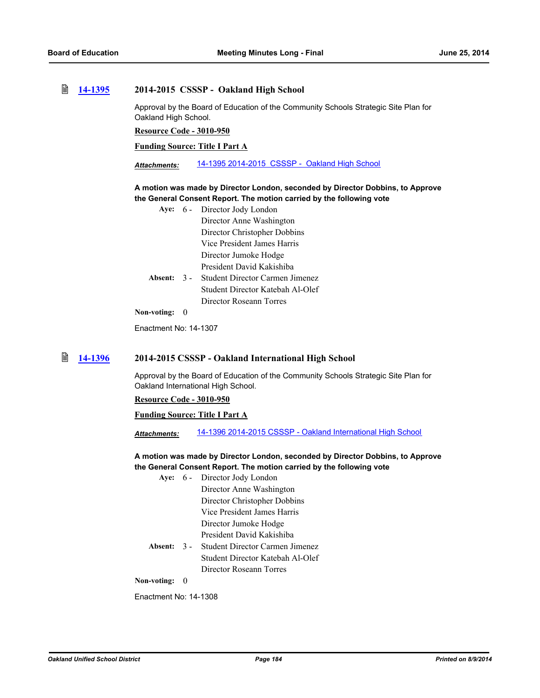#### 昏 **[14-1395](http://ousd.legistar.com/gateway.aspx?m=l&id=/matter.aspx?key=33075) 2014-2015 CSSSP - Oakland High School**

Approval by the Board of Education of the Community Schools Strategic Site Plan for Oakland High School.

### **Resource Code - 3010-950**

### **Funding Source: Title I Part A**

*Attachments:* [14-1395 2014-2015 CSSSP - Oakland High School](http://ousd.legistar.com/gateway.aspx?M=F&ID=76687.pdf)

**A motion was made by Director London, seconded by Director Dobbins, to Approve the General Consent Report. The motion carried by the following vote**

|                    | Aye: 6 - Director Jody London          |
|--------------------|----------------------------------------|
|                    | Director Anne Washington               |
|                    | Director Christopher Dobbins           |
|                    | Vice President James Harris            |
|                    | Director Jumoke Hodge                  |
|                    | President David Kakishiba              |
| <b>Absent:</b> 3 - | <b>Student Director Carmen Jimenez</b> |
|                    | Student Director Katebah Al-Olef       |
|                    | Director Roseann Torres                |
|                    |                                        |

**Non-voting:** 0

Enactment No: 14-1307

# **[14-1396](http://ousd.legistar.com/gateway.aspx?m=l&id=/matter.aspx?key=33076) 2014-2015 CSSSP - Oakland International High School**

Approval by the Board of Education of the Community Schools Strategic Site Plan for Oakland International High School.

## **Resource Code - 3010-950**

**Funding Source: Title I Part A**

*Attachments:* [14-1396 2014-2015 CSSSP - Oakland International High School](http://ousd.legistar.com/gateway.aspx?M=F&ID=76688.pdf)

# **A motion was made by Director London, seconded by Director Dobbins, to Approve the General Consent Report. The motion carried by the following vote**

Aye: 6 - Director Jody London Director Anne Washington Director Christopher Dobbins Vice President James Harris Director Jumoke Hodge President David Kakishiba Absent: 3 - Student Director Carmen Jimenez Student Director Katebah Al-Olef Director Roseann Torres

**Non-voting:** 0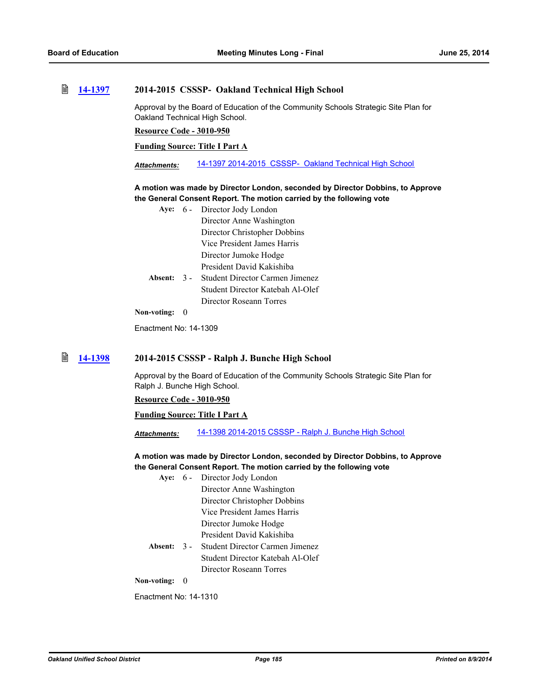#### 昏 **[14-1397](http://ousd.legistar.com/gateway.aspx?m=l&id=/matter.aspx?key=33077) 2014-2015 CSSSP- Oakland Technical High School**

Approval by the Board of Education of the Community Schools Strategic Site Plan for Oakland Technical High School.

**Resource Code - 3010-950**

**Funding Source: Title I Part A**

*Attachments:* [14-1397 2014-2015 CSSSP- Oakland Technical High School](http://ousd.legistar.com/gateway.aspx?M=F&ID=76689.pdf)

**A motion was made by Director London, seconded by Director Dobbins, to Approve the General Consent Report. The motion carried by the following vote**

|             | Aye: 6 - Director Jody London          |
|-------------|----------------------------------------|
|             | Director Anne Washington               |
|             | Director Christopher Dobbins           |
|             | Vice President James Harris            |
|             | Director Jumoke Hodge                  |
|             | President David Kakishiba              |
| Absent: 3 - | <b>Student Director Carmen Jimenez</b> |
|             | Student Director Katebah Al-Olef       |
|             | Director Roseann Torres                |
|             |                                        |

**Non-voting:** 0

Enactment No: 14-1309

# **[14-1398](http://ousd.legistar.com/gateway.aspx?m=l&id=/matter.aspx?key=33078) 2014-2015 CSSSP - Ralph J. Bunche High School**

Approval by the Board of Education of the Community Schools Strategic Site Plan for Ralph J. Bunche High School.

## **Resource Code - 3010-950**

**Funding Source: Title I Part A**

*Attachments:* [14-1398 2014-2015 CSSSP - Ralph J. Bunche High School](http://ousd.legistar.com/gateway.aspx?M=F&ID=76681.pdf)

# **A motion was made by Director London, seconded by Director Dobbins, to Approve the General Consent Report. The motion carried by the following vote**

Aye: 6 - Director Jody London Director Anne Washington Director Christopher Dobbins Vice President James Harris Director Jumoke Hodge President David Kakishiba Absent: 3 - Student Director Carmen Jimenez Student Director Katebah Al-Olef Director Roseann Torres

**Non-voting:** 0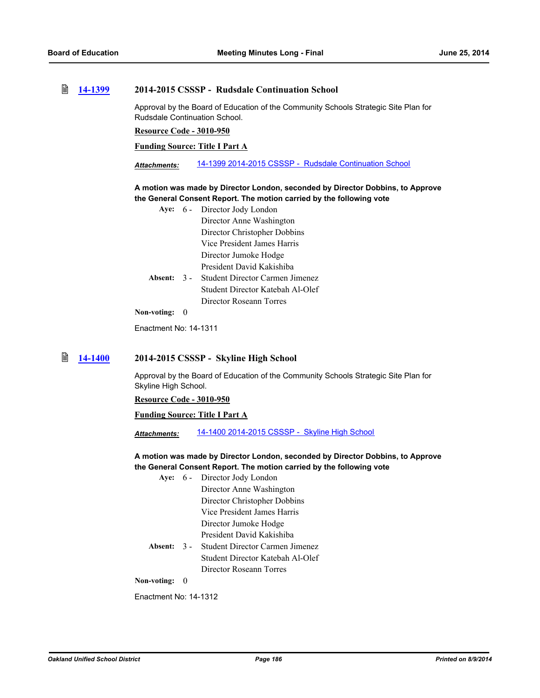#### 昏 **[14-1399](http://ousd.legistar.com/gateway.aspx?m=l&id=/matter.aspx?key=33079) 2014-2015 CSSSP - Rudsdale Continuation School**

Approval by the Board of Education of the Community Schools Strategic Site Plan for Rudsdale Continuation School.

**Resource Code - 3010-950**

**Funding Source: Title I Part A**

*Attachments:* [14-1399 2014-2015 CSSSP - Rudsdale Continuation School](http://ousd.legistar.com/gateway.aspx?M=F&ID=76692.pdf)

**A motion was made by Director London, seconded by Director Dobbins, to Approve the General Consent Report. The motion carried by the following vote**

|                    | Aye: 6 - Director Jody London          |
|--------------------|----------------------------------------|
|                    | Director Anne Washington               |
|                    | Director Christopher Dobbins           |
|                    | Vice President James Harris            |
|                    | Director Jumoke Hodge                  |
|                    | President David Kakishiba              |
| <b>Absent:</b> 3 - | <b>Student Director Carmen Jimenez</b> |
|                    | Student Director Katebah Al-Olef       |
|                    | Director Roseann Torres                |
|                    |                                        |

**Non-voting:** 0

Enactment No: 14-1311

# **[14-1400](http://ousd.legistar.com/gateway.aspx?m=l&id=/matter.aspx?key=33080) 2014-2015 CSSSP - Skyline High School**

Approval by the Board of Education of the Community Schools Strategic Site Plan for Skyline High School.

**Resource Code - 3010-950**

**Funding Source: Title I Part A**

*Attachments:* [14-1400 2014-2015 CSSSP - Skyline High School](http://ousd.legistar.com/gateway.aspx?M=F&ID=76693.pdf)

# **A motion was made by Director London, seconded by Director Dobbins, to Approve the General Consent Report. The motion carried by the following vote**

Aye: 6 - Director Jody London Director Anne Washington Director Christopher Dobbins Vice President James Harris Director Jumoke Hodge President David Kakishiba Absent: 3 - Student Director Carmen Jimenez Student Director Katebah Al-Olef Director Roseann Torres

**Non-voting:** 0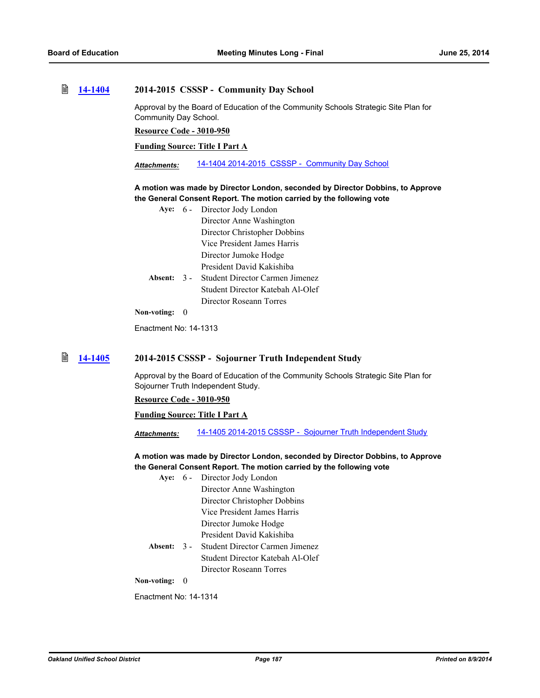#### 昏 **[14-1404](http://ousd.legistar.com/gateway.aspx?m=l&id=/matter.aspx?key=33084) 2014-2015 CSSSP - Community Day School**

Approval by the Board of Education of the Community Schools Strategic Site Plan for Community Day School.

# **Resource Code - 3010-950**

**Funding Source: Title I Part A**

*Attachments:* [14-1404 2014-2015 CSSSP - Community Day School](http://ousd.legistar.com/gateway.aspx?M=F&ID=76694.pdf)

**A motion was made by Director London, seconded by Director Dobbins, to Approve the General Consent Report. The motion carried by the following vote**

|                    | Aye: 6 - Director Jody London          |
|--------------------|----------------------------------------|
|                    | Director Anne Washington               |
|                    | Director Christopher Dobbins           |
|                    | Vice President James Harris            |
|                    | Director Jumoke Hodge                  |
|                    | President David Kakishiba              |
| <b>Absent:</b> 3 - | <b>Student Director Carmen Jimenez</b> |
|                    | Student Director Katebah Al-Olef       |
|                    | Director Roseann Torres                |
|                    |                                        |

**Non-voting:** 0

Enactment No: 14-1313

# **[14-1405](http://ousd.legistar.com/gateway.aspx?m=l&id=/matter.aspx?key=33085) 2014-2015 CSSSP - Sojourner Truth Independent Study**

Approval by the Board of Education of the Community Schools Strategic Site Plan for Sojourner Truth Independent Study.

## **Resource Code - 3010-950**

**Funding Source: Title I Part A**

*Attachments:* [14-1405 2014-2015 CSSSP - Sojourner Truth Independent Study](http://ousd.legistar.com/gateway.aspx?M=F&ID=76695.pdf)

# **A motion was made by Director London, seconded by Director Dobbins, to Approve the General Consent Report. The motion carried by the following vote**

Aye: 6 - Director Jody London Director Anne Washington Director Christopher Dobbins Vice President James Harris Director Jumoke Hodge President David Kakishiba Absent: 3 - Student Director Carmen Jimenez Student Director Katebah Al-Olef Director Roseann Torres

**Non-voting:** 0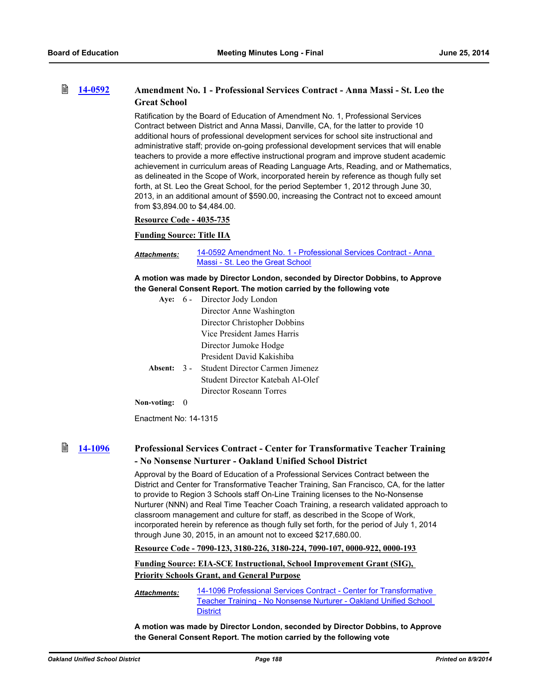# ₿

# **[14-0592](http://ousd.legistar.com/gateway.aspx?m=l&id=/matter.aspx?key=32297) Amendment No. 1 - Professional Services Contract - Anna Massi - St. Leo the Great School**

Ratification by the Board of Education of Amendment No. 1, Professional Services Contract between District and Anna Massi, Danville, CA, for the latter to provide 10 additional hours of professional development services for school site instructional and administrative staff; provide on-going professional development services that will enable teachers to provide a more effective instructional program and improve student academic achievement in curriculum areas of Reading Language Arts, Reading, and or Mathematics, as delineated in the Scope of Work, incorporated herein by reference as though fully set forth, at St. Leo the Great School, for the period September 1, 2012 through June 30, 2013, in an additional amount of \$590.00, increasing the Contract not to exceed amount from \$3,894.00 to \$4,484.00.

## **Resource Code - 4035-735**

# **Funding Source: Title IIA**

[14-0592 Amendment No. 1 - Professional Services Contract - Anna](http://ousd.legistar.com/gateway.aspx?M=F&ID=76497.pdf)  Massi - St. Leo the Great School *Attachments:*

**A motion was made by Director London, seconded by Director Dobbins, to Approve the General Consent Report. The motion carried by the following vote**

Aye: 6 - Director Jody London

|                    | Director Anne Washington               |
|--------------------|----------------------------------------|
|                    | Director Christopher Dobbins           |
|                    | Vice President James Harris            |
|                    | Director Jumoke Hodge                  |
|                    | President David Kakishiba              |
| <b>Absent:</b> 3 - | <b>Student Director Carmen Jimenez</b> |
|                    | Student Director Katebah Al-Olef       |
|                    | Director Roseann Torres                |

**Non-voting:** 0

Enactment No: 14-1315

# **[14-1096](http://ousd.legistar.com/gateway.aspx?m=l&id=/matter.aspx?key=32796) Professional Services Contract - Center for Transformative Teacher Training - No Nonsense Nurturer - Oakland Unified School District**

Approval by the Board of Education of a Professional Services Contract between the District and Center for Transformative Teacher Training, San Francisco, CA, for the latter to provide to Region 3 Schools staff On-Line Training licenses to the No-Nonsense Nurturer (NNN) and Real Time Teacher Coach Training, a research validated approach to classroom management and culture for staff, as described in the Scope of Work, incorporated herein by reference as though fully set forth, for the period of July 1, 2014 through June 30, 2015, in an amount not to exceed \$217,680.00.

# **Resource Code - 7090-123, 3180-226, 3180-224, 7090-107, 0000-922, 0000-193**

# **Funding Source: EIA-SCE Instructional, School Improvement Grant (SIG), Priority Schools Grant, and General Purpose**

[14-1096 Professional Services Contract - Center for Transformative](http://ousd.legistar.com/gateway.aspx?M=F&ID=76488.pdf)  Teacher Training - No Nonsense Nurturer - Oakland Unified School **District** *Attachments:*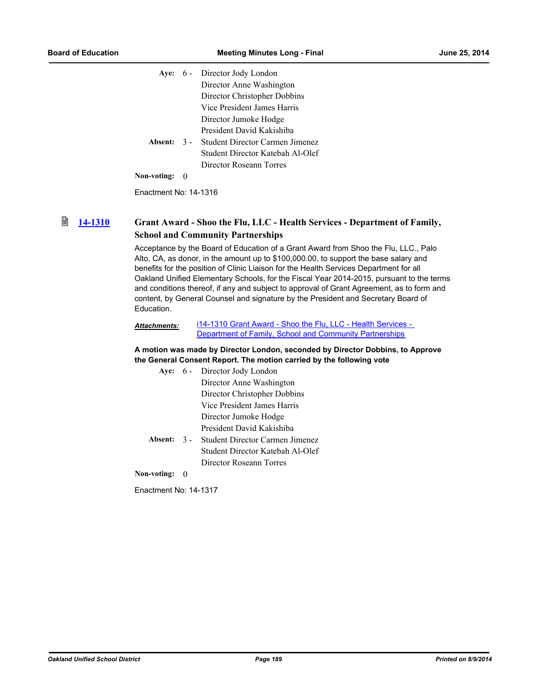|             |        | Aye: 6 - Director Jody London                      |
|-------------|--------|----------------------------------------------------|
|             |        | Director Anne Washington                           |
|             |        | Director Christopher Dobbins                       |
|             |        | Vice President James Harris                        |
|             |        | Director Jumoke Hodge                              |
|             |        | President David Kakishiba                          |
|             |        | <b>Absent:</b> 3 - Student Director Carmen Jimenez |
|             |        | Student Director Katebah Al-Olef                   |
|             |        | Director Roseann Torres                            |
| Non-voting: | $_{0}$ |                                                    |

眥

# **[14-1310](http://ousd.legistar.com/gateway.aspx?m=l&id=/matter.aspx?key=32990) Grant Award - Shoo the Flu, LLC - Health Services - Department of Family, School and Community Partnerships**

Acceptance by the Board of Education of a Grant Award from Shoo the Flu, LLC., Palo Alto, CA, as donor, in the amount up to \$100,000.00, to support the base salary and benefits for the position of Clinic Liaison for the Health Services Department for all Oakland Unified Elementary Schools, for the Fiscal Year 2014-2015, pursuant to the terms and conditions thereof, if any and subject to approval of Grant Agreement, as to form and content, by General Counsel and signature by the President and Secretary Board of Education.

[i14-1310 Grant Award - Shoo the Flu, LLC - Health Services -](http://ousd.legistar.com/gateway.aspx?M=F&ID=76487.pdf)  Department of Family, School and Community Partnerships *Attachments:*

# **A motion was made by Director London, seconded by Director Dobbins, to Approve the General Consent Report. The motion carried by the following vote**

|                    | Aye: 6 - Director Jody London                                                         |
|--------------------|---------------------------------------------------------------------------------------|
|                    | Director Anne Washington                                                              |
|                    | Director Christopher Dobbins                                                          |
|                    | Vice President James Harris                                                           |
|                    | Director Jumoke Hodge                                                                 |
|                    | President David Kakishiba                                                             |
| <b>Absent: 3 -</b> | Student Director Carmen Jimenez                                                       |
|                    | $\alpha$ , $\alpha$ , $\alpha$ , $\alpha$ , $\alpha$ , $\alpha$ , $\alpha$ , $\alpha$ |

Student Director Katebah Al-Olef Director Roseann Torres

**Non-voting:** 0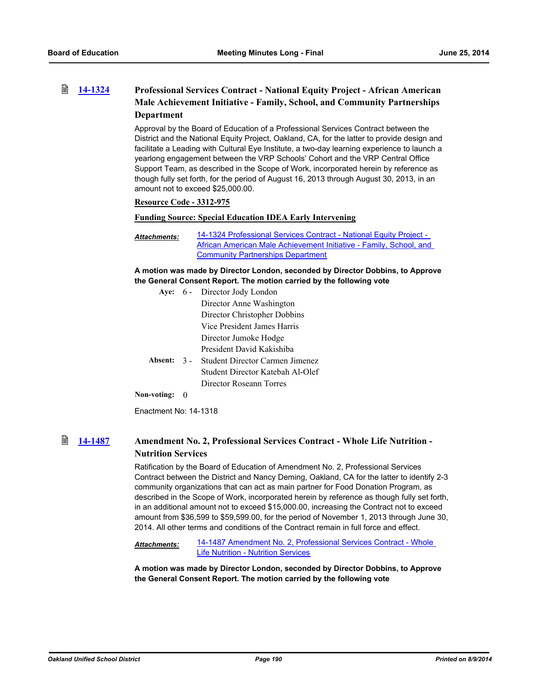### ₿ **[14-1324](http://ousd.legistar.com/gateway.aspx?m=l&id=/matter.aspx?key=33004) Professional Services Contract - National Equity Project - African American Male Achievement Initiative - Family, School, and Community Partnerships Department**

Approval by the Board of Education of a Professional Services Contract between the District and the National Equity Project, Oakland, CA, for the latter to provide design and facilitate a Leading with Cultural Eye Institute, a two-day learning experience to launch a yearlong engagement between the VRP Schools' Cohort and the VRP Central Office Support Team, as described in the Scope of Work, incorporated herein by reference as though fully set forth, for the period of August 16, 2013 through August 30, 2013, in an amount not to exceed \$25,000.00.

## **Resource Code - 3312-975**

**Funding Source: Special Education IDEA Early Intervening**

```
14-1324 Professional Services Contract - National Equity Project - 
                 African American Male Achievement Initiative - Family, School, and 
                 Community Partnerships Department
Attachments:
```
# **A motion was made by Director London, seconded by Director Dobbins, to Approve the General Consent Report. The motion carried by the following vote**

|             |          | Aye: 6 - Director Jody London                      |
|-------------|----------|----------------------------------------------------|
|             |          | Director Anne Washington                           |
|             |          | Director Christopher Dobbins                       |
|             |          | Vice President James Harris                        |
|             |          | Director Jumoke Hodge                              |
|             |          | President David Kakishiba                          |
|             |          | <b>Absent:</b> 3 - Student Director Carmen Jimenez |
|             |          | Student Director Katebah Al-Olef                   |
|             |          | Director Roseann Torres                            |
| Non-voting: | $\theta$ |                                                    |
|             |          |                                                    |

Enactment No: 14-1318

# ₿

# **[14-1487](http://ousd.legistar.com/gateway.aspx?m=l&id=/matter.aspx?key=33163) Amendment No. 2, Professional Services Contract - Whole Life Nutrition - Nutrition Services**

Ratification by the Board of Education of Amendment No. 2, Professional Services Contract between the District and Nancy Deming, Oakland, CA for the latter to identify 2-3 community organizations that can act as main partner for Food Donation Program, as described in the Scope of Work, incorporated herein by reference as though fully set forth, in an additional amount not to exceed \$15,000.00, increasing the Contract not to exceed amount from \$36,599 to \$59,599.00, for the period of November 1, 2013 through June 30, 2014. All other terms and conditions of the Contract remain in full force and effect.

[14-1487 Amendment No. 2, Professional Services Contract - Whole](http://ousd.legistar.com/gateway.aspx?M=F&ID=76748.pdf)  Life Nutrition - Nutrition Services *Attachments:*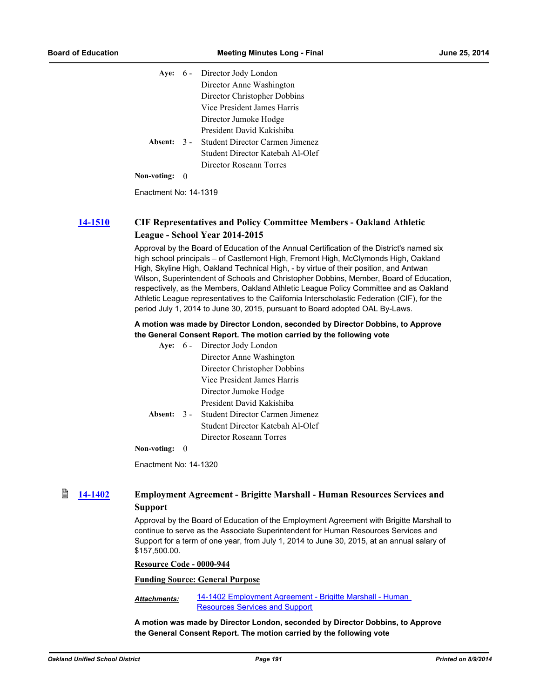|             | Aye: 6 - Director Jody London                      |
|-------------|----------------------------------------------------|
|             | Director Anne Washington                           |
|             | Director Christopher Dobbins                       |
|             | Vice President James Harris                        |
|             | Director Jumoke Hodge                              |
|             | President David Kakishiba                          |
|             | <b>Absent:</b> 3 - Student Director Carmen Jimenez |
|             | Student Director Katebah Al-Olef                   |
|             | Director Roseann Torres                            |
| Non-voting: |                                                    |

# **[14-1510](http://ousd.legistar.com/gateway.aspx?m=l&id=/matter.aspx?key=33186) CIF Representatives and Policy Committee Members - Oakland Athletic League - School Year 2014-2015**

Approval by the Board of Education of the Annual Certification of the District's named six high school principals – of Castlemont High, Fremont High, McClymonds High, Oakland High, Skyline High, Oakland Technical High, - by virtue of their position, and Antwan Wilson, Superintendent of Schools and Christopher Dobbins, Member, Board of Education, respectively, as the Members, Oakland Athletic League Policy Committee and as Oakland Athletic League representatives to the California Interscholastic Federation (CIF), for the period July 1, 2014 to June 30, 2015, pursuant to Board adopted OAL By-Laws.

# **A motion was made by Director London, seconded by Director Dobbins, to Approve the General Consent Report. The motion carried by the following vote**

|               | Aye: 6 - Director Jody London          |
|---------------|----------------------------------------|
|               | Director Anne Washington               |
|               | Director Christopher Dobbins           |
|               | Vice President James Harris            |
|               | Director Jumoke Hodge                  |
|               | President David Kakishiba              |
| Absent: $3 -$ | <b>Student Director Carmen Jimenez</b> |
|               | Student Director Katebah Al-Olef       |
|               | Director Roseann Torres                |

**Non-voting:** 0

Enactment No: 14-1320

### 窅 **[14-1402](http://ousd.legistar.com/gateway.aspx?m=l&id=/matter.aspx?key=33082) Employment Agreement - Brigitte Marshall - Human Resources Services and Support**

Approval by the Board of Education of the Employment Agreement with Brigitte Marshall to continue to serve as the Associate Superintendent for Human Resources Services and Support for a term of one year, from July 1, 2014 to June 30, 2015, at an annual salary of \$157,500.00.

**Resource Code - 0000-944**

# **Funding Source: General Purpose**

[14-1402 Employment Agreement - Brigitte Marshall - Human](http://ousd.legistar.com/gateway.aspx?M=F&ID=76322.pdf)  Resources Services and Support *Attachments:*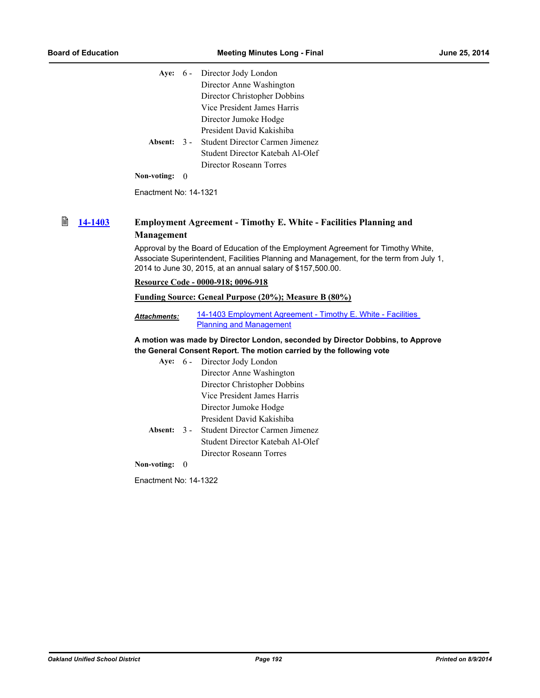|             | Aye: 6 - Director Jody London                      |
|-------------|----------------------------------------------------|
|             | Director Anne Washington                           |
|             | Director Christopher Dobbins                       |
|             | Vice President James Harris                        |
|             | Director Jumoke Hodge                              |
|             | President David Kakishiba                          |
|             | <b>Absent:</b> 3 - Student Director Carmen Jimenez |
|             | Student Director Katebah Al-Olef                   |
|             | Director Roseann Torres                            |
| Non-voting: |                                                    |

# 窅

# **[14-1403](http://ousd.legistar.com/gateway.aspx?m=l&id=/matter.aspx?key=33083) Employment Agreement - Timothy E. White - Facilities Planning and Management**

Approval by the Board of Education of the Employment Agreement for Timothy White, Associate Superintendent, Facilities Planning and Management, for the term from July 1, 2014 to June 30, 2015, at an annual salary of \$157,500.00.

# **Resource Code - 0000-918; 0096-918**

### **Funding Source: Geneal Purpose (20%); Measure B (80%)**

[14-1403 Employment Agreement - Timothy E. White - Facilities](http://ousd.legistar.com/gateway.aspx?M=F&ID=76440.pdf)  Planning and Management *Attachments:*

# **A motion was made by Director London, seconded by Director Dobbins, to Approve the General Consent Report. The motion carried by the following vote**

|                    | Aye: 6 - Director Jody London          |
|--------------------|----------------------------------------|
|                    | Director Anne Washington               |
|                    | Director Christopher Dobbins           |
|                    | Vice President James Harris            |
|                    | Director Jumoke Hodge                  |
|                    | President David Kakishiba              |
| <b>Absent:</b> 3 - | <b>Student Director Carmen Jimenez</b> |
|                    | Student Director Katebah Al-Olef       |
|                    | Director Roseann Torres                |

**Non-voting:** 0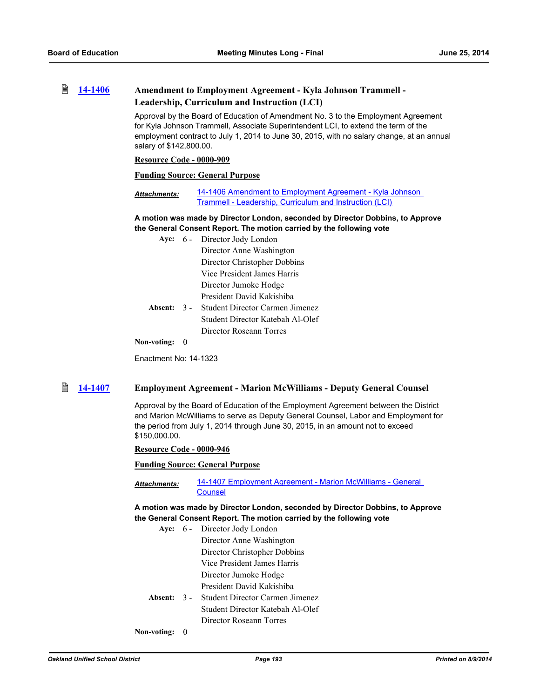### ₿ **[14-1406](http://ousd.legistar.com/gateway.aspx?m=l&id=/matter.aspx?key=33086) Amendment to Employment Agreement - Kyla Johnson Trammell - Leadership, Curriculum and Instruction (LCI)**

Approval by the Board of Education of Amendment No. 3 to the Employment Agreement for Kyla Johnson Trammell, Associate Superintendent LCI, to extend the term of the employment contract to July 1, 2014 to June 30, 2015, with no salary change, at an annual salary of \$142,800.00.

### **Resource Code - 0000-909**

# **Funding Source: General Purpose**

[14-1406 Amendment to Employment Agreement - Kyla Johnson](http://ousd.legistar.com/gateway.aspx?M=F&ID=76323.pdf)  Trammell - Leadership, Curriculum and Instruction (LCI) *Attachments:*

**A motion was made by Director London, seconded by Director Dobbins, to Approve the General Consent Report. The motion carried by the following vote**

- Aye: 6 Director Jody London
	- Director Anne Washington Director Christopher Dobbins Vice President James Harris Director Jumoke Hodge President David Kakishiba
- **Absent:** Student Director Carmen Jimenez Student Director Katebah Al-Olef Director Roseann Torres Absent:  $3 -$

**Non-voting:** 0

Enactment No: 14-1323

#### 誾 **[14-1407](http://ousd.legistar.com/gateway.aspx?m=l&id=/matter.aspx?key=33087) Employment Agreement - Marion McWilliams - Deputy General Counsel**

Approval by the Board of Education of the Employment Agreement between the District and Marion McWilliams to serve as Deputy General Counsel, Labor and Employment for the period from July 1, 2014 through June 30, 2015, in an amount not to exceed \$150,000.00.

### **Resource Code - 0000-946**

**Funding Source: General Purpose**

[14-1407 Employment Agreement - Marion McWilliams - General](http://ousd.legistar.com/gateway.aspx?M=F&ID=76324.pdf)  Counsel *Attachments:*

- Aye: 6 Director Jody London Director Anne Washington Director Christopher Dobbins Vice President James Harris Director Jumoke Hodge President David Kakishiba **Student Director Carmen Jimenez** Student Director Katebah Al-Olef Director Roseann Torres Absent: 3 -
- **Non-voting:** 0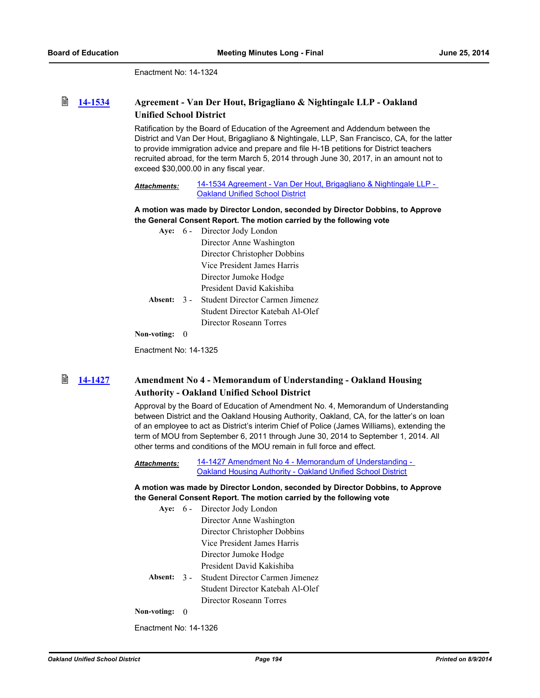### 窅 **[14-1534](http://ousd.legistar.com/gateway.aspx?m=l&id=/matter.aspx?key=33210) Agreement - Van Der Hout, Brigagliano & Nightingale LLP - Oakland Unified School District**

Ratification by the Board of Education of the Agreement and Addendum between the District and Van Der Hout, Brigagliano & Nightingale, LLP, San Francisco, CA, for the latter to provide immigration advice and prepare and file H-1B petitions for District teachers recruited abroad, for the term March 5, 2014 through June 30, 2017, in an amount not to exceed \$30,000.00 in any fiscal year.

[14-1534 Agreement - Van Der Hout, Brigagliano & Nightingale LLP -](http://ousd.legistar.com/gateway.aspx?M=F&ID=76602.pdf)  Oakland Unified School District *Attachments:*

# **A motion was made by Director London, seconded by Director Dobbins, to Approve the General Consent Report. The motion carried by the following vote**

|               | Aye: 6 - Director Jody London          |
|---------------|----------------------------------------|
|               | Director Anne Washington               |
|               | Director Christopher Dobbins           |
|               | Vice President James Harris            |
|               | Director Jumoke Hodge                  |
|               | President David Kakishiba              |
| Absent: $3 -$ | <b>Student Director Carmen Jimenez</b> |
|               | Student Director Katebah Al-Olef       |
|               | Director Roseann Torres                |
| Non-voting:   |                                        |

Enactment No: 14-1325

### ₿ **[14-1427](http://ousd.legistar.com/gateway.aspx?m=l&id=/matter.aspx?key=33107) Amendment No 4 - Memorandum of Understanding - Oakland Housing Authority - Oakland Unified School District**

Approval by the Board of Education of Amendment No. 4, Memorandum of Understanding between District and the Oakland Housing Authority, Oakland, CA, for the latter's on loan of an employee to act as District's interim Chief of Police (James Williams), extending the term of MOU from September 6, 2011 through June 30, 2014 to September 1, 2014. All other terms and conditions of the MOU remain in full force and effect.

[14-1427 Amendment No 4 - Memorandum of Understanding -](http://ousd.legistar.com/gateway.aspx?M=F&ID=76509.pdf)  Oakland Housing Authority - Oakland Unified School District *Attachments:*

**A motion was made by Director London, seconded by Director Dobbins, to Approve the General Consent Report. The motion carried by the following vote**

|             | Aye: 6 - Director Jody London                      |
|-------------|----------------------------------------------------|
|             | Director Anne Washington                           |
|             | Director Christopher Dobbins                       |
|             | Vice President James Harris                        |
|             | Director Jumoke Hodge                              |
|             | President David Kakishiba                          |
|             | <b>Absent:</b> 3 - Student Director Carmen Jimenez |
|             | Student Director Katebah Al-Olef                   |
|             | Director Roseann Torres                            |
| Non-voting: |                                                    |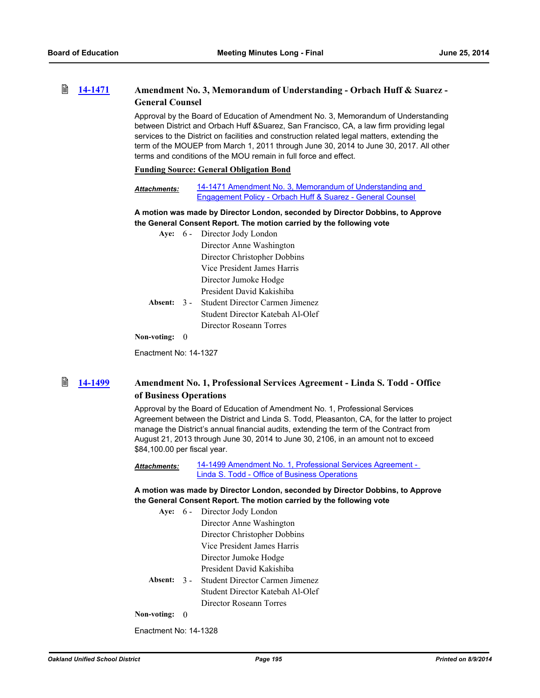### 昏 **[14-1471](http://ousd.legistar.com/gateway.aspx?m=l&id=/matter.aspx?key=33147) Amendment No. 3, Memorandum of Understanding - Orbach Huff & Suarez - General Counsel**

Approval by the Board of Education of Amendment No. 3, Memorandum of Understanding between District and Orbach Huff &Suarez, San Francisco, CA, a law firm providing legal services to the District on facilities and construction related legal matters, extending the term of the MOUEP from March 1, 2011 through June 30, 2014 to June 30, 2017. All other terms and conditions of the MOU remain in full force and effect.

**Funding Source: General Obligation Bond**

| <b>Attachments:</b> | 14-1471 Amendment No. 3, Memorandum of Understanding and   |
|---------------------|------------------------------------------------------------|
|                     | Engagement Policy - Orbach Huff & Suarez - General Counsel |

**A motion was made by Director London, seconded by Director Dobbins, to Approve the General Consent Report. The motion carried by the following vote**

|               | Aye: 6 - Director Jody London          |
|---------------|----------------------------------------|
|               | Director Anne Washington               |
|               | Director Christopher Dobbins           |
|               | Vice President James Harris            |
|               | Director Jumoke Hodge                  |
|               | President David Kakishiba              |
| Absent: $3 -$ | <b>Student Director Carmen Jimenez</b> |
|               | Student Director Katebah Al-Olef       |
|               | Director Roseann Torres                |
|               |                                        |

**Non-voting:** 0

Enactment No: 14-1327

# **[14-1499](http://ousd.legistar.com/gateway.aspx?m=l&id=/matter.aspx?key=33175) Amendment No. 1, Professional Services Agreement - Linda S. Todd - Office of Business Operations**

Approval by the Board of Education of Amendment No. 1, Professional Services Agreement between the District and Linda S. Todd, Pleasanton, CA, for the latter to project manage the District's annual financial audits, extending the term of the Contract from August 21, 2013 through June 30, 2014 to June 30, 2106, in an amount not to exceed \$84,100.00 per fiscal year.

[14-1499 Amendment No. 1, Professional Services Agreement -](http://ousd.legistar.com/gateway.aspx?M=F&ID=76716.pdf)  Linda S. Todd - Office of Business Operations *Attachments:*

**A motion was made by Director London, seconded by Director Dobbins, to Approve the General Consent Report. The motion carried by the following vote**

Aye: 6 - Director Jody London Director Anne Washington Director Christopher Dobbins Vice President James Harris Director Jumoke Hodge President David Kakishiba **Absent:** Student Director Carmen Jimenez Student Director Katebah Al-Olef Director Roseann Torres Absent:  $3 -$ **Non-voting:** 0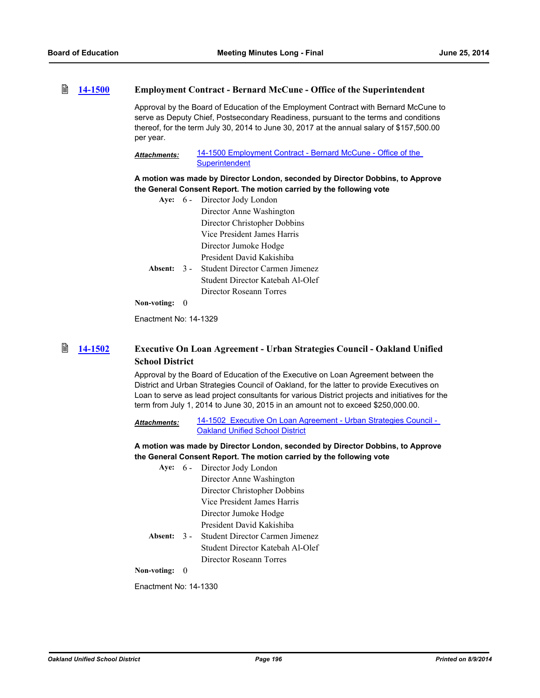#### 昏 **[14-1500](http://ousd.legistar.com/gateway.aspx?m=l&id=/matter.aspx?key=33176) Employment Contract - Bernard McCune - Office of the Superintendent**

Approval by the Board of Education of the Employment Contract with Bernard McCune to serve as Deputy Chief, Postsecondary Readiness, pursuant to the terms and conditions thereof, for the term July 30, 2014 to June 30, 2017 at the annual salary of \$157,500.00 per year.

[14-1500 Employment Contract - Bernard McCune - Office of the](http://ousd.legistar.com/gateway.aspx?M=F&ID=76717.pdf)  **Superintendent** *Attachments:*

**A motion was made by Director London, seconded by Director Dobbins, to Approve the General Consent Report. The motion carried by the following vote**

|               | Aye: 6 - Director Jody London    |
|---------------|----------------------------------|
|               | Director Anne Washington         |
|               | Director Christopher Dobbins     |
|               | Vice President James Harris      |
|               | Director Jumoke Hodge            |
|               | President David Kakishiba        |
| Absent: $3 -$ | Student Director Carmen Jimenez  |
|               | Student Director Katebah Al-Olef |
|               | Director Roseann Torres          |
|               |                                  |

**Non-voting:** 0

Enactment No: 14-1329

### 閶 **[14-1502](http://ousd.legistar.com/gateway.aspx?m=l&id=/matter.aspx?key=33178) Executive On Loan Agreement - Urban Strategies Council - Oakland Unified School District**

Approval by the Board of Education of the Executive on Loan Agreement between the District and Urban Strategies Council of Oakland, for the latter to provide Executives on Loan to serve as lead project consultants for various District projects and initiatives for the term from July 1, 2014 to June 30, 2015 in an amount not to exceed \$250,000.00.

[14-1502 Executive On Loan Agreement - Urban Strategies Council -](http://ousd.legistar.com/gateway.aspx?M=F&ID=76504.pdf)  Oakland Unified School District *Attachments:*

# **A motion was made by Director London, seconded by Director Dobbins, to Approve the General Consent Report. The motion carried by the following vote**

|               | Aye: 6 - Director Jody London          |
|---------------|----------------------------------------|
|               | Director Anne Washington               |
|               | Director Christopher Dobbins           |
|               | Vice President James Harris            |
|               | Director Jumoke Hodge                  |
|               | President David Kakishiba              |
| Absent: $3 -$ | <b>Student Director Carmen Jimenez</b> |
|               | Student Director Katebah Al-Olef       |
|               | Director Roseann Torres                |

**Non-voting:** 0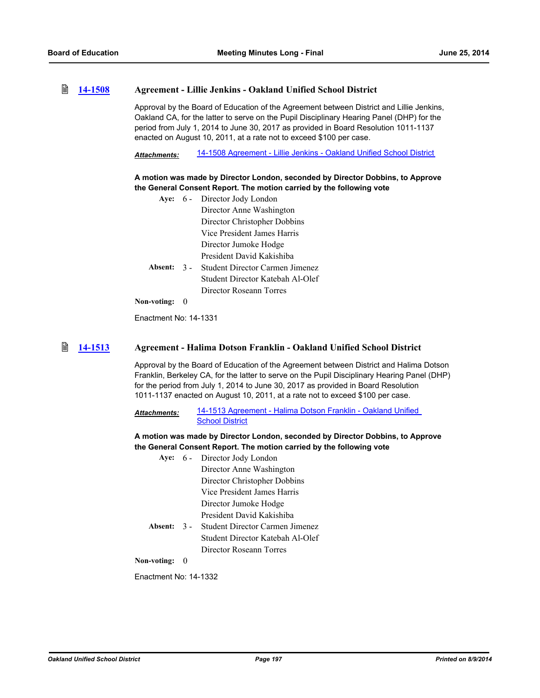#### ₿ **[14-1508](http://ousd.legistar.com/gateway.aspx?m=l&id=/matter.aspx?key=33184) Agreement - Lillie Jenkins - Oakland Unified School District**

Approval by the Board of Education of the Agreement between District and Lillie Jenkins, Oakland CA, for the latter to serve on the Pupil Disciplinary Hearing Panel (DHP) for the period from July 1, 2014 to June 30, 2017 as provided in Board Resolution 1011-1137 enacted on August 10, 2011, at a rate not to exceed \$100 per case.

*Attachments:* [14-1508 Agreement - Lillie Jenkins - Oakland Unified School District](http://ousd.legistar.com/gateway.aspx?M=F&ID=76466.pdf)

**A motion was made by Director London, seconded by Director Dobbins, to Approve the General Consent Report. The motion carried by the following vote**

|               | Aye: 6 - Director Jody London          |
|---------------|----------------------------------------|
|               | Director Anne Washington               |
|               | Director Christopher Dobbins           |
|               | Vice President James Harris            |
|               | Director Jumoke Hodge                  |
|               | President David Kakishiba              |
| Absent: $3 -$ | <b>Student Director Carmen Jimenez</b> |
|               | Student Director Katebah Al-Olef       |
|               | Director Roseann Torres                |
|               |                                        |

**Non-voting:** 0

Enactment No: 14-1331

# **[14-1513](http://ousd.legistar.com/gateway.aspx?m=l&id=/matter.aspx?key=33189) Agreement - Halima Dotson Franklin - Oakland Unified School District**

Approval by the Board of Education of the Agreement between District and Halima Dotson Franklin, Berkeley CA, for the latter to serve on the Pupil Disciplinary Hearing Panel (DHP) for the period from July 1, 2014 to June 30, 2017 as provided in Board Resolution 1011-1137 enacted on August 10, 2011, at a rate not to exceed \$100 per case.

[14-1513 Agreement - Halima Dotson Franklin - Oakland Unified](http://ousd.legistar.com/gateway.aspx?M=F&ID=76468.pdf)  School District *Attachments:*

**A motion was made by Director London, seconded by Director Dobbins, to Approve the General Consent Report. The motion carried by the following vote**

Aye: 6 - Director Jody London Director Anne Washington Director Christopher Dobbins Vice President James Harris Director Jumoke Hodge President David Kakishiba **Absent:** Student Director Carmen Jimenez Student Director Katebah Al-Olef Director Roseann Torres Absent:  $3 -$ 

**Non-voting:** 0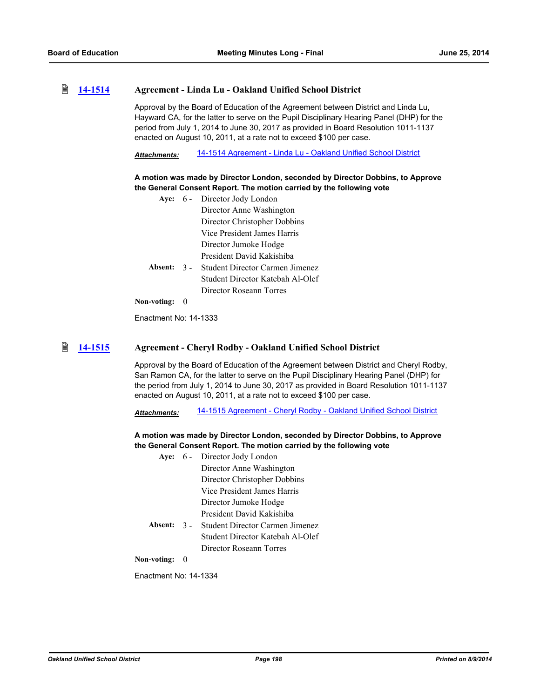#### 昏 **[14-1514](http://ousd.legistar.com/gateway.aspx?m=l&id=/matter.aspx?key=33190) Agreement - Linda Lu - Oakland Unified School District**

Approval by the Board of Education of the Agreement between District and Linda Lu, Hayward CA, for the latter to serve on the Pupil Disciplinary Hearing Panel (DHP) for the period from July 1, 2014 to June 30, 2017 as provided in Board Resolution 1011-1137 enacted on August 10, 2011, at a rate not to exceed \$100 per case.

*Attachments:* [14-1514 Agreement - Linda Lu - Oakland Unified School District](http://ousd.legistar.com/gateway.aspx?M=F&ID=76471.pdf)

**A motion was made by Director London, seconded by Director Dobbins, to Approve the General Consent Report. The motion carried by the following vote**

|               | Aye: 6 - Director Jody London          |
|---------------|----------------------------------------|
|               | Director Anne Washington               |
|               | Director Christopher Dobbins           |
|               | Vice President James Harris            |
|               | Director Jumoke Hodge                  |
|               | President David Kakishiba              |
| Absent: $3 -$ | <b>Student Director Carmen Jimenez</b> |
|               | Student Director Katebah Al-Olef       |
|               | Director Roseann Torres                |
|               |                                        |

**Non-voting:** 0

Enactment No: 14-1333

#### 眥 **[14-1515](http://ousd.legistar.com/gateway.aspx?m=l&id=/matter.aspx?key=33191) Agreement - Cheryl Rodby - Oakland Unified School District**

Approval by the Board of Education of the Agreement between District and Cheryl Rodby, San Ramon CA, for the latter to serve on the Pupil Disciplinary Hearing Panel (DHP) for the period from July 1, 2014 to June 30, 2017 as provided in Board Resolution 1011-1137 enacted on August 10, 2011, at a rate not to exceed \$100 per case.

*Attachments:* [14-1515 Agreement - Cheryl Rodby - Oakland Unified School District](http://ousd.legistar.com/gateway.aspx?M=F&ID=76470.pdf)

**A motion was made by Director London, seconded by Director Dobbins, to Approve the General Consent Report. The motion carried by the following vote**

|             | Aye: 6 - Director Jody London          |
|-------------|----------------------------------------|
|             | Director Anne Washington               |
|             | Director Christopher Dobbins           |
|             | Vice President James Harris            |
|             | Director Jumoke Hodge                  |
|             | President David Kakishiba              |
| Absent: 3 - | <b>Student Director Carmen Jimenez</b> |
|             | Student Director Katebah Al-Olef       |
|             | Director Roseann Torres                |

**Non-voting:** 0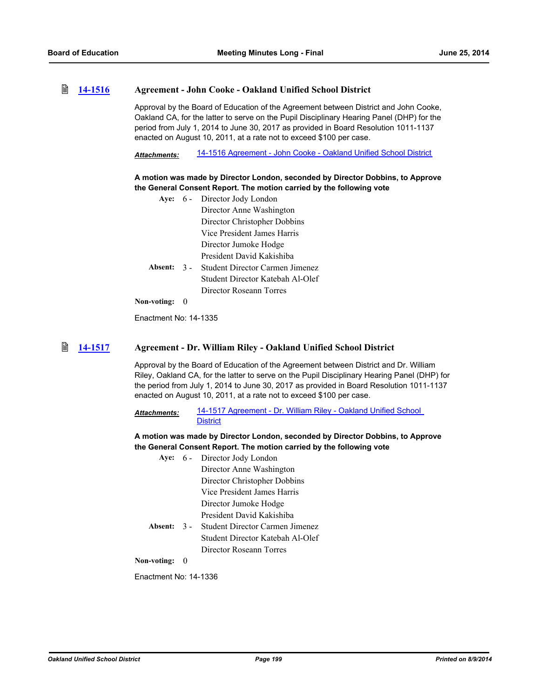#### 昏 **[14-1516](http://ousd.legistar.com/gateway.aspx?m=l&id=/matter.aspx?key=33192) Agreement - John Cooke - Oakland Unified School District**

Approval by the Board of Education of the Agreement between District and John Cooke, Oakland CA, for the latter to serve on the Pupil Disciplinary Hearing Panel (DHP) for the period from July 1, 2014 to June 30, 2017 as provided in Board Resolution 1011-1137 enacted on August 10, 2011, at a rate not to exceed \$100 per case.

*Attachments:* [14-1516 Agreement - John Cooke - Oakland Unified School District](http://ousd.legistar.com/gateway.aspx?M=F&ID=76718.pdf)

**A motion was made by Director London, seconded by Director Dobbins, to Approve the General Consent Report. The motion carried by the following vote**

|               | Aye: 6 - Director Jody London          |
|---------------|----------------------------------------|
|               | Director Anne Washington               |
|               | Director Christopher Dobbins           |
|               | Vice President James Harris            |
|               | Director Jumoke Hodge                  |
|               | President David Kakishiba              |
| Absent: $3 -$ | <b>Student Director Carmen Jimenez</b> |
|               | Student Director Katebah Al-Olef       |
|               | Director Roseann Torres                |
|               |                                        |

**Non-voting:** 0

Enactment No: 14-1335

眥 **[14-1517](http://ousd.legistar.com/gateway.aspx?m=l&id=/matter.aspx?key=33193) Agreement - Dr. William Riley - Oakland Unified School District**

> Approval by the Board of Education of the Agreement between District and Dr. William Riley, Oakland CA, for the latter to serve on the Pupil Disciplinary Hearing Panel (DHP) for the period from July 1, 2014 to June 30, 2017 as provided in Board Resolution 1011-1137 enacted on August 10, 2011, at a rate not to exceed \$100 per case.

[14-1517 Agreement - Dr. William Riley - Oakland Unified School](http://ousd.legistar.com/gateway.aspx?M=F&ID=76472.pdf)  **District** *Attachments:*

**A motion was made by Director London, seconded by Director Dobbins, to Approve the General Consent Report. The motion carried by the following vote**

|               | Aye: 6 - Director Jody London          |
|---------------|----------------------------------------|
|               | Director Anne Washington               |
|               | Director Christopher Dobbins           |
|               | Vice President James Harris            |
|               | Director Jumoke Hodge                  |
|               | President David Kakishiba              |
| Absent: $3 -$ | <b>Student Director Carmen Jimenez</b> |
|               | Student Director Katebah Al-Olef       |
|               | Director Roseann Torres                |

**Non-voting:** 0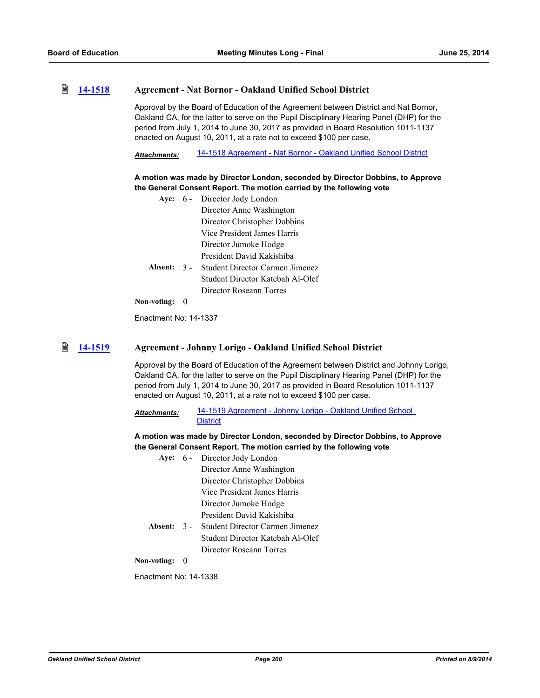#### 昏 **[14-1518](http://ousd.legistar.com/gateway.aspx?m=l&id=/matter.aspx?key=33194) Agreement - Nat Bornor - Oakland Unified School District**

Approval by the Board of Education of the Agreement between District and Nat Bornor, Oakland CA, for the latter to serve on the Pupil Disciplinary Hearing Panel (DHP) for the period from July 1, 2014 to June 30, 2017 as provided in Board Resolution 1011-1137 enacted on August 10, 2011, at a rate not to exceed \$100 per case.

*Attachments:* [14-1518 Agreement - Nat Bornor - Oakland Unified School District](http://ousd.legistar.com/gateway.aspx?M=F&ID=76473.pdf)

**A motion was made by Director London, seconded by Director Dobbins, to Approve the General Consent Report. The motion carried by the following vote**

|               | Aye: 6 - Director Jody London          |
|---------------|----------------------------------------|
|               | Director Anne Washington               |
|               | Director Christopher Dobbins           |
|               | Vice President James Harris            |
|               | Director Jumoke Hodge                  |
|               | President David Kakishiba              |
| Absent: $3 -$ | <b>Student Director Carmen Jimenez</b> |
|               | Student Director Katebah Al-Olef       |
|               | Director Roseann Torres                |
|               |                                        |

**Non-voting:** 0

Enactment No: 14-1337

# **[14-1519](http://ousd.legistar.com/gateway.aspx?m=l&id=/matter.aspx?key=33195) Agreement - Johnny Lorigo - Oakland Unified School District**

Approval by the Board of Education of the Agreement between District and Johnny Lorigo, Oakland CA, for the latter to serve on the Pupil Disciplinary Hearing Panel (DHP) for the period from July 1, 2014 to June 30, 2017 as provided in Board Resolution 1011-1137 enacted on August 10, 2011, at a rate not to exceed \$100 per case.

[14-1519 Agreement - Johnny Lorigo - Oakland Unified School](http://ousd.legistar.com/gateway.aspx?M=F&ID=76475.pdf)  **District** *Attachments:*

**A motion was made by Director London, seconded by Director Dobbins, to Approve the General Consent Report. The motion carried by the following vote**

Aye: 6 - Director Jody London Director Anne Washington Director Christopher Dobbins Vice President James Harris Director Jumoke Hodge President David Kakishiba **Absent:** Student Director Carmen Jimenez Student Director Katebah Al-Olef Director Roseann Torres Absent:  $3 -$ 

**Non-voting:** 0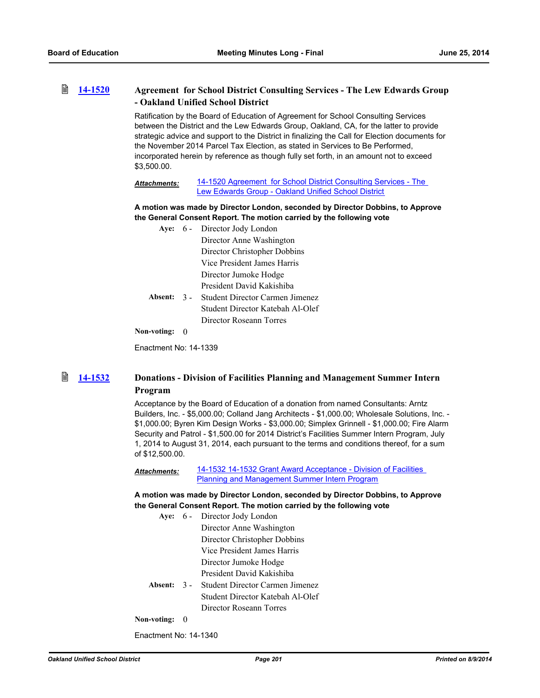### ₿ **[14-1520](http://ousd.legistar.com/gateway.aspx?m=l&id=/matter.aspx?key=33196) Agreement for School District Consulting Services - The Lew Edwards Group - Oakland Unified School District**

Ratification by the Board of Education of Agreement for School Consulting Services between the District and the Lew Edwards Group, Oakland, CA, for the latter to provide strategic advice and support to the District in finalizing the Call for Election documents for the November 2014 Parcel Tax Election, as stated in Services to Be Performed, incorporated herein by reference as though fully set forth, in an amount not to exceed \$3,500.00.

[14-1520 Agreement for School District Consulting Services - The](http://ousd.legistar.com/gateway.aspx?M=F&ID=76484.pdf)  Lew Edwards Group - Oakland Unified School District *Attachments:*

# **A motion was made by Director London, seconded by Director Dobbins, to Approve the General Consent Report. The motion carried by the following vote**

|         |       | Aye: 6 - Director Jody London          |
|---------|-------|----------------------------------------|
|         |       | Director Anne Washington               |
|         |       | Director Christopher Dobbins           |
|         |       | Vice President James Harris            |
|         |       | Director Jumoke Hodge                  |
|         |       | President David Kakishiba              |
| Absent: | $-3-$ | <b>Student Director Carmen Jimenez</b> |
|         |       | Student Director Katebah Al-Olef       |
|         |       | Director Roseann Torres                |
|         |       |                                        |

**Non-voting:** 0

Enactment No: 14-1339

# **[14-1532](http://ousd.legistar.com/gateway.aspx?m=l&id=/matter.aspx?key=33208) Donations - Division of Facilities Planning and Management Summer Intern Program**

Acceptance by the Board of Education of a donation from named Consultants: Arntz Builders, Inc. - \$5,000.00; Colland Jang Architects - \$1,000.00; Wholesale Solutions, Inc. - \$1,000.00; Byren Kim Design Works - \$3,000.00; Simplex Grinnell - \$1,000.00; Fire Alarm Security and Patrol - \$1,500.00 for 2014 District's Facilities Summer Intern Program, July 1, 2014 to August 31, 2014, each pursuant to the terms and conditions thereof, for a sum of \$12,500.00.

[14-1532 14-1532 Grant Award Acceptance - Division of Facilities](http://ousd.legistar.com/gateway.aspx?M=F&ID=76719.pdf)  Planning and Management Summer Intern Program *Attachments:*

**A motion was made by Director London, seconded by Director Dobbins, to Approve the General Consent Report. The motion carried by the following vote**

- Aye: 6 Director Jody London Director Anne Washington Director Christopher Dobbins Vice President James Harris Director Jumoke Hodge President David Kakishiba **Student Director Carmen Jimenez** Absent: 3 -
- Student Director Katebah Al-Olef Director Roseann Torres

**Non-voting:** 0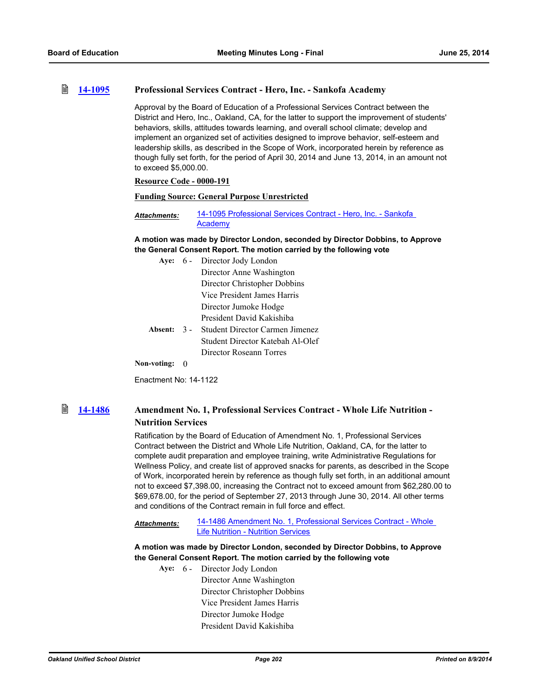#### ₿ **[14-1095](http://ousd.legistar.com/gateway.aspx?m=l&id=/matter.aspx?key=32795) Professional Services Contract - Hero, Inc. - Sankofa Academy**

Approval by the Board of Education of a Professional Services Contract between the District and Hero, Inc., Oakland, CA, for the latter to support the improvement of students' behaviors, skills, attitudes towards learning, and overall school climate; develop and implement an organized set of activities designed to improve behavior, self-esteem and leadership skills, as described in the Scope of Work, incorporated herein by reference as though fully set forth, for the period of April 30, 2014 and June 13, 2014, in an amount not to exceed \$5,000.00.

## **Resource Code - 0000-191**

### **Funding Source: General Purpose Unrestricted**

[14-1095 Professional Services Contract - Hero, Inc. - Sankofa](http://ousd.legistar.com/gateway.aspx?M=F&ID=76517.pdf)  **Academy** *Attachments:*

# **A motion was made by Director London, seconded by Director Dobbins, to Approve the General Consent Report. The motion carried by the following vote**

|               |          | Aye: 6 - Director Jody London    |
|---------------|----------|----------------------------------|
|               |          | Director Anne Washington         |
|               |          | Director Christopher Dobbins     |
|               |          | Vice President James Harris      |
|               |          | Director Jumoke Hodge            |
|               |          | President David Kakishiba        |
| Absent: $3 -$ |          | Student Director Carmen Jimenez  |
|               |          | Student Director Katebah Al-Olef |
|               |          | Director Roseann Torres          |
| Non-voting:   | $\theta$ |                                  |
|               |          |                                  |

Enactment No: 14-1122

# **[14-1486](http://ousd.legistar.com/gateway.aspx?m=l&id=/matter.aspx?key=33162) Amendment No. 1, Professional Services Contract - Whole Life Nutrition - Nutrition Services**

Ratification by the Board of Education of Amendment No. 1, Professional Services Contract between the District and Whole Life Nutrition, Oakland, CA, for the latter to complete audit preparation and employee training, write Administrative Regulations for Wellness Policy, and create list of approved snacks for parents, as described in the Scope of Work, incorporated herein by reference as though fully set forth, in an additional amount not to exceed \$7,398.00, increasing the Contract not to exceed amount from \$62,280.00 to \$69,678.00, for the period of September 27, 2013 through June 30, 2014. All other terms and conditions of the Contract remain in full force and effect.

#### [14-1486 Amendment No. 1, Professional Services Contract - Whole](http://ousd.legistar.com/gateway.aspx?M=F&ID=76775.pdf)  Life Nutrition - Nutrition Services *Attachments:*

# **A motion was made by Director London, seconded by Director Dobbins, to Approve the General Consent Report. The motion carried by the following vote**

Aye: 6 - Director Jody London Director Anne Washington Director Christopher Dobbins Vice President James Harris Director Jumoke Hodge President David Kakishiba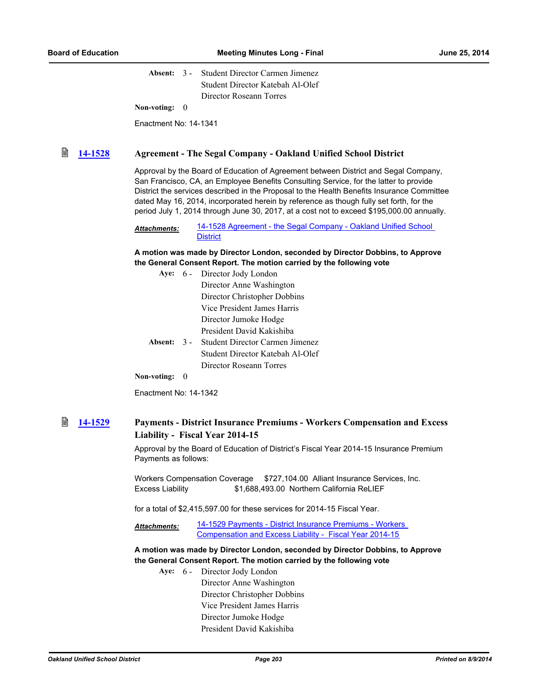|  | <b>Absent:</b> 3 - Student Director Carmen Jimenez |
|--|----------------------------------------------------|
|  | Student Director Katebah Al-Olef                   |
|  | Director Roseann Torres                            |

Enactment No: 14-1341

# **[14-1528](http://ousd.legistar.com/gateway.aspx?m=l&id=/matter.aspx?key=33204) Agreement - The Segal Company - Oakland Unified School District**

Approval by the Board of Education of Agreement between District and Segal Company, San Francisco, CA, an Employee Benefits Consulting Service, for the latter to provide District the services described in the Proposal to the Health Benefits Insurance Committee dated May 16, 2014, incorporated herein by reference as though fully set forth, for the period July 1, 2014 through June 30, 2017, at a cost not to exceed \$195,000.00 annually.

#### [14-1528 Agreement - the Segal Company - Oakland Unified School](http://ousd.legistar.com/gateway.aspx?M=F&ID=76739.pdf)  **District** *Attachments:*

# **A motion was made by Director London, seconded by Director Dobbins, to Approve the General Consent Report. The motion carried by the following vote**

|             | Aye: 6 - Director Jody London                      |
|-------------|----------------------------------------------------|
|             | Director Anne Washington                           |
|             | Director Christopher Dobbins                       |
|             | Vice President James Harris                        |
|             | Director Jumoke Hodge                              |
|             | President David Kakishiba                          |
|             | <b>Absent:</b> 3 - Student Director Carmen Jimenez |
|             | Student Director Katebah Al-Olef                   |
|             | Director Roseann Torres                            |
| ™an_votino≀ |                                                    |

**Non-voting:** 0

Enactment No: 14-1342

# **[14-1529](http://ousd.legistar.com/gateway.aspx?m=l&id=/matter.aspx?key=33205) Payments - District Insurance Premiums - Workers Compensation and Excess Liability - Fiscal Year 2014-15**

Approval by the Board of Education of District's Fiscal Year 2014-15 Insurance Premium Payments as follows:

Workers Compensation Coverage \$727,104.00 Alliant Insurance Services, Inc. Excess Liability \$1,688,493.00 Northern California ReLIEF

for a total of \$2,415,597.00 for these services for 2014-15 Fiscal Year.

[14-1529 Payments - District Insurance Premiums - Workers](http://ousd.legistar.com/gateway.aspx?M=F&ID=76741.pdf)  Compensation and Excess Liability - Fiscal Year 2014-15 *Attachments:*

# **A motion was made by Director London, seconded by Director Dobbins, to Approve the General Consent Report. The motion carried by the following vote**

Aye: 6 - Director Jody London Director Anne Washington Director Christopher Dobbins Vice President James Harris Director Jumoke Hodge President David Kakishiba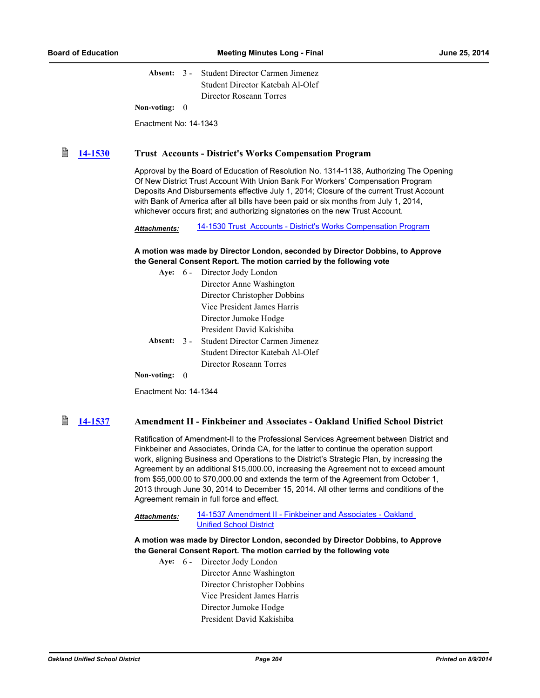|  | <b>Absent:</b> 3 - Student Director Carmen Jimenez |
|--|----------------------------------------------------|
|  | Student Director Katebah Al-Olef                   |
|  | Director Roseann Torres                            |

Enactment No: 14-1343

# **[14-1530](http://ousd.legistar.com/gateway.aspx?m=l&id=/matter.aspx?key=33206) Trust Accounts - District's Works Compensation Program**

Approval by the Board of Education of Resolution No. 1314-1138, Authorizing The Opening Of New District Trust Account With Union Bank For Workers' Compensation Program Deposits And Disbursements effective July 1, 2014; Closure of the current Trust Account with Bank of America after all bills have been paid or six months from July 1, 2014, whichever occurs first; and authorizing signatories on the new Trust Account.

*Attachments:* [14-1530 Trust Accounts - District's Works Compensation Program](http://ousd.legistar.com/gateway.aspx?M=F&ID=76776.pdf)

# **A motion was made by Director London, seconded by Director Dobbins, to Approve the General Consent Report. The motion carried by the following vote**

|              | Aye: 6 - Director Jody London    |
|--------------|----------------------------------|
|              | Director Anne Washington         |
|              | Director Christopher Dobbins     |
|              | Vice President James Harris      |
|              | Director Jumoke Hodge            |
|              | President David Kakishiba        |
| Absent: $3-$ | Student Director Carmen Jimenez  |
|              | Student Director Katebah Al-Olef |
|              | Director Roseann Torres          |
| on-voting:   |                                  |

**Non-voting:** 0

Enactment No: 14-1344

# **[14-1537](http://ousd.legistar.com/gateway.aspx?m=l&id=/matter.aspx?key=33213) Amendment II - Finkbeiner and Associates - Oakland Unified School District**

Ratification of Amendment-II to the Professional Services Agreement between District and Finkbeiner and Associates, Orinda CA, for the latter to continue the operation support work, aligning Business and Operations to the District's Strategic Plan, by increasing the Agreement by an additional \$15,000.00, increasing the Agreement not to exceed amount from \$55,000.00 to \$70,000.00 and extends the term of the Agreement from October 1, 2013 through June 30, 2014 to December 15, 2014. All other terms and conditions of the Agreement remain in full force and effect.

[14-1537 Amendment II - Finkbeiner and Associates - Oakland](http://ousd.legistar.com/gateway.aspx?M=F&ID=76742.pdf)  Unified School District *Attachments:*

**A motion was made by Director London, seconded by Director Dobbins, to Approve the General Consent Report. The motion carried by the following vote**

Aye: 6 - Director Jody London Director Anne Washington Director Christopher Dobbins Vice President James Harris Director Jumoke Hodge President David Kakishiba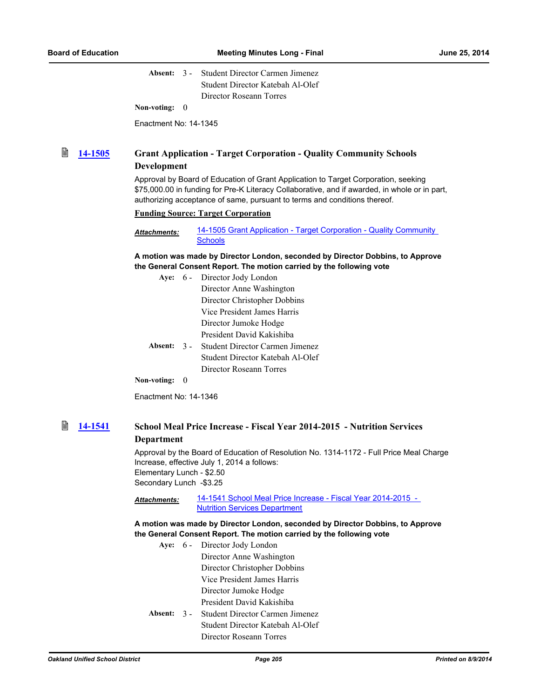|  | <b>Absent:</b> 3 - Student Director Carmen Jimenez |
|--|----------------------------------------------------|
|  | Student Director Katebah Al-Olef                   |
|  | Director Roseann Torres                            |

Enactment No: 14-1345

# **[14-1505](http://ousd.legistar.com/gateway.aspx?m=l&id=/matter.aspx?key=33181) Grant Application - Target Corporation - Quality Community Schools Development**

Approval by Board of Education of Grant Application to Target Corporation, seeking \$75,000.00 in funding for Pre-K Literacy Collaborative, and if awarded, in whole or in part, authorizing acceptance of same, pursuant to terms and conditions thereof.

# **Funding Source: Target Corporation**

```
14-1505 Grant Application - Target Corporation - Quality Community
                Schools
Attachments:
```
# **A motion was made by Director London, seconded by Director Dobbins, to Approve the General Consent Report. The motion carried by the following vote**

|                    |     | Aye: 6 - Director Jody London          |
|--------------------|-----|----------------------------------------|
|                    |     | Director Anne Washington               |
|                    |     | Director Christopher Dobbins           |
|                    |     | Vice President James Harris            |
|                    |     | Director Jumoke Hodge                  |
|                    |     | President David Kakishiba              |
| <b>Absent:</b> 3 – |     | <b>Student Director Carmen Jimenez</b> |
|                    |     | Student Director Katebah Al-Olef       |
|                    |     | Director Roseann Torres                |
| Non-voting:        | - 0 |                                        |

Enactment No: 14-1346

# **[14-1541](http://ousd.legistar.com/gateway.aspx?m=l&id=/matter.aspx?key=33217) School Meal Price Increase - Fiscal Year 2014-2015 - Nutrition Services Department**

Approval by the Board of Education of Resolution No. 1314-1172 - Full Price Meal Charge Increase, effective July 1, 2014 a follows: Elementary Lunch - \$2.50 Secondary Lunch -\$3.25

[14-1541 School Meal Price Increase - Fiscal Year 2014-2015 -](http://ousd.legistar.com/gateway.aspx?M=F&ID=76751.pdf)  **Nutrition Services Department** *Attachments:*

**A motion was made by Director London, seconded by Director Dobbins, to Approve the General Consent Report. The motion carried by the following vote**

Aye: 6 - Director Jody London Director Anne Washington Director Christopher Dobbins Vice President James Harris Director Jumoke Hodge President David Kakishiba **Absent:** Student Director Carmen Jimenez Student Director Katebah Al-Olef Director Roseann Torres **Absent:** 3 -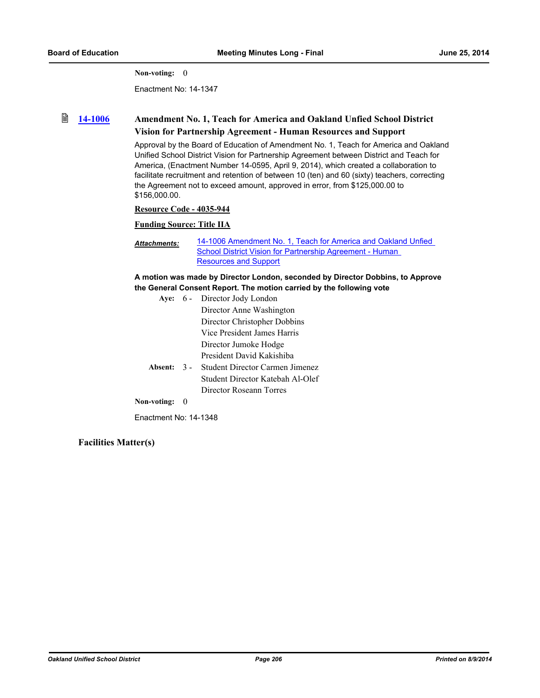Enactment No: 14-1347

### 窅 **[14-1006](http://ousd.legistar.com/gateway.aspx?m=l&id=/matter.aspx?key=32706) Amendment No. 1, Teach for America and Oakland Unfied School District Vision for Partnership Agreement - Human Resources and Support**

Approval by the Board of Education of Amendment No. 1, Teach for America and Oakland Unified School District Vision for Partnership Agreement between District and Teach for America, (Enactment Number 14-0595, April 9, 2014), which created a collaboration to facilitate recruitment and retention of between 10 (ten) and 60 (sixty) teachers, correcting the Agreement not to exceed amount, approved in error, from \$125,000.00 to \$156,000.00.

# **Resource Code - 4035-944**

## **Funding Source: Title IIA**

| <b>Attachments:</b> | 14-1006 Amendment No. 1, Teach for America and Oakland Unfied |
|---------------------|---------------------------------------------------------------|
|                     | School District Vision for Partnership Agreement - Human      |
|                     | <b>Resources and Support</b>                                  |

# **A motion was made by Director London, seconded by Director Dobbins, to Approve the General Consent Report. The motion carried by the following vote**

|               | Aye: 6 - Director Jody London          |
|---------------|----------------------------------------|
|               | Director Anne Washington               |
|               | Director Christopher Dobbins           |
|               | Vice President James Harris            |
|               | Director Jumoke Hodge                  |
|               | President David Kakishiba              |
| Absent: $3 -$ | <b>Student Director Carmen Jimenez</b> |
|               | Student Director Katebah Al-Olef       |
|               | Director Roseann Torres                |
| Non-voting:   |                                        |

Enactment No: 14-1348

# **Facilities Matter(s)**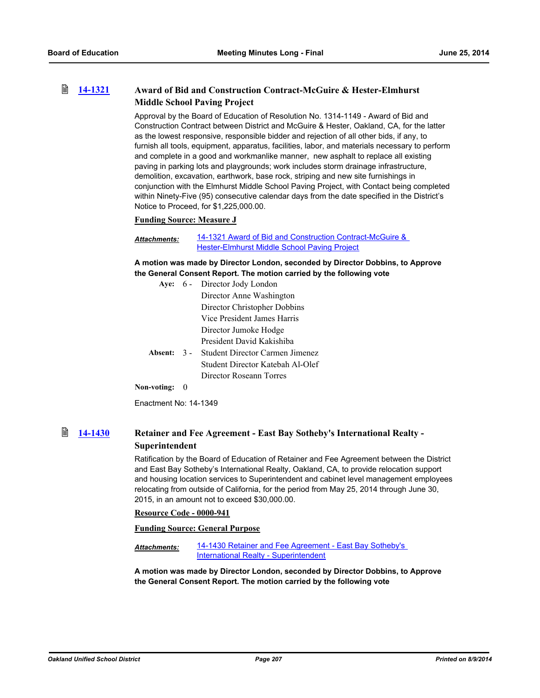### 昏 **[14-1321](http://ousd.legistar.com/gateway.aspx?m=l&id=/matter.aspx?key=33001) Award of Bid and Construction Contract-McGuire & Hester-Elmhurst Middle School Paving Project**

Approval by the Board of Education of Resolution No. 1314-1149 - Award of Bid and Construction Contract between District and McGuire & Hester, Oakland, CA, for the latter as the lowest responsive, responsible bidder and rejection of all other bids, if any, to furnish all tools, equipment, apparatus, facilities, labor, and materials necessary to perform and complete in a good and workmanlike manner, new asphalt to replace all existing paving in parking lots and playgrounds; work includes storm drainage infrastructure, demolition, excavation, earthwork, base rock, striping and new site furnishings in conjunction with the Elmhurst Middle School Paving Project, with Contact being completed within Ninety-Five (95) consecutive calendar days from the date specified in the District's Notice to Proceed, for \$1,225,000.00.

### **Funding Source: Measure J**

```
14-1321 Award of Bid and Construction Contract-McGuire & 
                Hester-Elmhurst Middle School Paving Project
Attachments:
```
**A motion was made by Director London, seconded by Director Dobbins, to Approve the General Consent Report. The motion carried by the following vote**

Aye: 6 - Director Jody London Director Anne Washington Director Christopher Dobbins Vice President James Harris Director Jumoke Hodge President David Kakishiba **Absent:** Student Director Carmen Jimenez Student Director Katebah Al-Olef Director Roseann Torres Absent:  $3 -$ **Non-voting:** 0

Enactment No: 14-1349

# **[14-1430](http://ousd.legistar.com/gateway.aspx?m=l&id=/matter.aspx?key=33108) Retainer and Fee Agreement - East Bay Sotheby's International Realty - Superintendent**

Ratification by the Board of Education of Retainer and Fee Agreement between the District and East Bay Sotheby's International Realty, Oakland, CA, to provide relocation support and housing location services to Superintendent and cabinet level management employees relocating from outside of California, for the period from May 25, 2014 through June 30, 2015, in an amount not to exceed \$30,000.00.

### **Resource Code - 0000-941**

### **Funding Source: General Purpose**

[14-1430 Retainer and Fee Agreement - East Bay Sotheby's](http://ousd.legistar.com/gateway.aspx?M=F&ID=76445.pdf)  **International Realty - Superintendent** *Attachments:*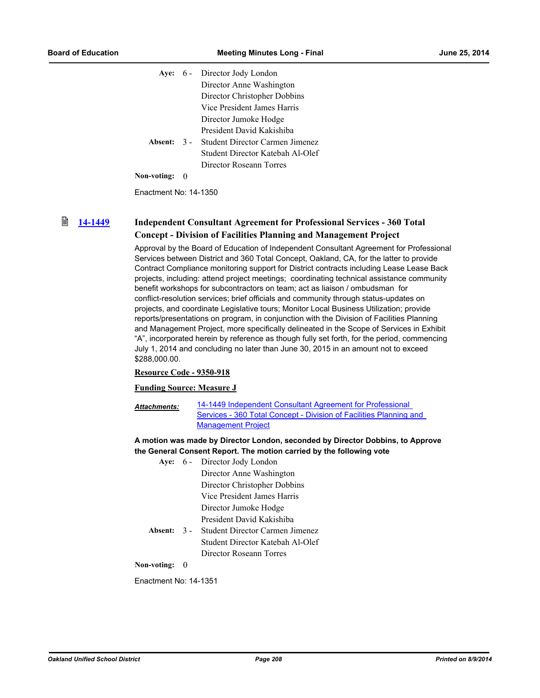|             | Aye: 6 - Director Jody London                      |
|-------------|----------------------------------------------------|
|             | Director Anne Washington                           |
|             | Director Christopher Dobbins                       |
|             | Vice President James Harris                        |
|             | Director Jumoke Hodge                              |
|             | President David Kakishiba                          |
|             | <b>Absent:</b> 3 - Student Director Carmen Jimenez |
|             | Student Director Katebah Al-Olef                   |
|             | Director Roseann Torres                            |
| Non-voting: |                                                    |

# **[14-1449](http://ousd.legistar.com/gateway.aspx?m=l&id=/matter.aspx?key=33125) Independent Consultant Agreement for Professional Services - 360 Total Concept - Division of Facilities Planning and Management Project**

Approval by the Board of Education of Independent Consultant Agreement for Professional Services between District and 360 Total Concept, Oakland, CA, for the latter to provide Contract Compliance monitoring support for District contracts including Lease Lease Back projects, including: attend project meetings; coordinating technical assistance community benefit workshops for subcontractors on team; act as liaison / ombudsman for conflict-resolution services; brief officials and community through status-updates on projects, and coordinate Legislative tours; Monitor Local Business Utilization; provide reports/presentations on program, in conjunction with the Division of Facilities Planning and Management Project, more specifically delineated in the Scope of Services in Exhibit "A", incorporated herein by reference as though fully set forth, for the period, commencing July 1, 2014 and concluding no later than June 30, 2015 in an amount not to exceed \$288,000.00.

# **Resource Code - 9350-918**

# **Funding Source: Measure J**

14-1449 Independent Consultant Agreement for Professional [Services - 360 Total Concept - Division of Facilities Planning and](http://ousd.legistar.com/gateway.aspx?M=F&ID=76420.pdf)  Management Project *Attachments:*

# **A motion was made by Director London, seconded by Director Dobbins, to Approve the General Consent Report. The motion carried by the following vote**

# Aye: 6 - Director Jody London Director Anne Washington Director Christopher Dobbins Vice President James Harris Director Jumoke Hodge President David Kakishiba **Absent:** Student Director Carmen Jimenez Student Director Katebah Al-Olef Director Roseann Torres Absent:  $3 -$

## **Non-voting:** 0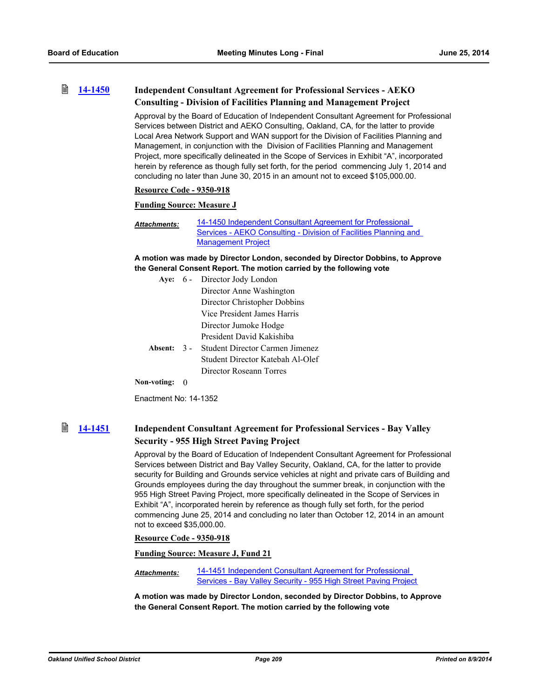### ₿ **[14-1450](http://ousd.legistar.com/gateway.aspx?m=l&id=/matter.aspx?key=33126) Independent Consultant Agreement for Professional Services - AEKO Consulting - Division of Facilities Planning and Management Project**

Approval by the Board of Education of Independent Consultant Agreement for Professional Services between District and AEKO Consulting, Oakland, CA, for the latter to provide Local Area Network Support and WAN support for the Division of Facilities Planning and Management, in conjunction with the Division of Facilities Planning and Management Project, more specifically delineated in the Scope of Services in Exhibit "A", incorporated herein by reference as though fully set forth, for the period commencing July 1, 2014 and concluding no later than June 30, 2015 in an amount not to exceed \$105,000.00.

### **Resource Code - 9350-918**

### **Funding Source: Measure J**

14-1450 Independent Consultant Agreement for Professional [Services - AEKO Consulting - Division of Facilities Planning and](http://ousd.legistar.com/gateway.aspx?M=F&ID=76457.pdf)  **Management Project** *Attachments:*

## **A motion was made by Director London, seconded by Director Dobbins, to Approve the General Consent Report. The motion carried by the following vote**

|               | Aye: 6 - Director Jody London          |
|---------------|----------------------------------------|
|               | Director Anne Washington               |
|               | Director Christopher Dobbins           |
|               | Vice President James Harris            |
|               | Director Jumoke Hodge                  |
|               | President David Kakishiba              |
| Absent: $3 -$ | <b>Student Director Carmen Jimenez</b> |
|               | Student Director Katebah Al-Olef       |
|               | Director Roseann Torres                |
| Non-voting:   |                                        |

Enactment No: 14-1352

# **[14-1451](http://ousd.legistar.com/gateway.aspx?m=l&id=/matter.aspx?key=33127) Independent Consultant Agreement for Professional Services - Bay Valley Security - 955 High Street Paving Project**

Approval by the Board of Education of Independent Consultant Agreement for Professional Services between District and Bay Valley Security, Oakland, CA, for the latter to provide security for Building and Grounds service vehicles at night and private cars of Building and Grounds employees during the day throughout the summer break, in conjunction with the 955 High Street Paving Project, more specifically delineated in the Scope of Services in Exhibit "A", incorporated herein by reference as though fully set forth, for the period commencing June 25, 2014 and concluding no later than October 12, 2014 in an amount not to exceed \$35,000.00.

# **Resource Code - 9350-918**

# **Funding Source: Measure J, Fund 21**

14-1451 Independent Consultant Agreement for Professional [Services - Bay Valley Security - 955 High Street Paving Project](http://ousd.legistar.com/gateway.aspx?M=F&ID=76453.pdf) *Attachments:*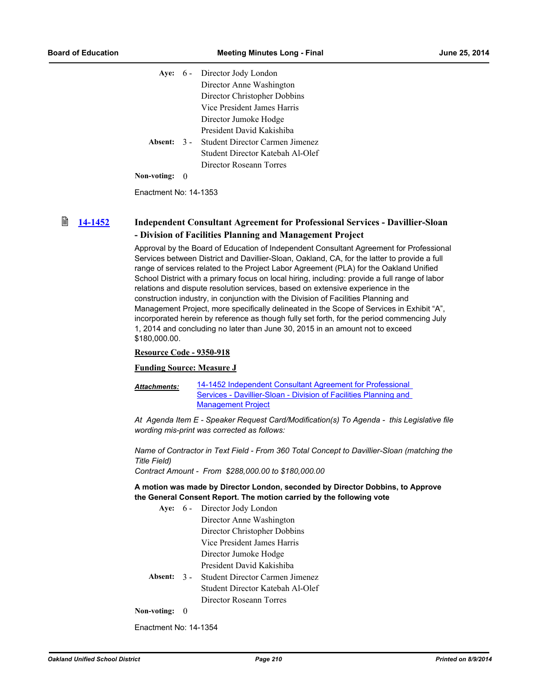|             | Aye: 6 - Director Jody London                      |
|-------------|----------------------------------------------------|
|             | Director Anne Washington                           |
|             | Director Christopher Dobbins                       |
|             | Vice President James Harris                        |
|             | Director Jumoke Hodge                              |
|             | President David Kakishiba                          |
|             | <b>Absent:</b> 3 - Student Director Carmen Jimenez |
|             | Student Director Katebah Al-Olef                   |
|             | Director Roseann Torres                            |
| Non-voting: |                                                    |

# **[14-1452](http://ousd.legistar.com/gateway.aspx?m=l&id=/matter.aspx?key=33128) Independent Consultant Agreement for Professional Services - Davillier-Sloan - Division of Facilities Planning and Management Project**

Approval by the Board of Education of Independent Consultant Agreement for Professional Services between District and Davillier-Sloan, Oakland, CA, for the latter to provide a full range of services related to the Project Labor Agreement (PLA) for the Oakland Unified School District with a primary focus on local hiring, including: provide a full range of labor relations and dispute resolution services, based on extensive experience in the construction industry, in conjunction with the Division of Facilities Planning and Management Project, more specifically delineated in the Scope of Services in Exhibit "A", incorporated herein by reference as though fully set forth, for the period commencing July 1, 2014 and concluding no later than June 30, 2015 in an amount not to exceed \$180,000.00.

# **Resource Code - 9350-918**

# **Funding Source: Measure J**

[14-1452 Independent Consultant Agreement for Professional](http://ousd.legistar.com/gateway.aspx?M=F&ID=76421.pdf)  Services - Davillier-Sloan - Division of Facilities Planning and Management Project *Attachments:*

*At Agenda Item E - Speaker Request Card/Modification(s) To Agenda - this Legislative file wording mis-print was corrected as follows:*

*Name of Contractor in Text Field - From 360 Total Concept to Davillier-Sloan (matching the Title Field)*

*Contract Amount - From \$288,000.00 to \$180,000.00*

# **A motion was made by Director London, seconded by Director Dobbins, to Approve the General Consent Report. The motion carried by the following vote**

Aye: 6 - Director Jody London Director Anne Washington Director Christopher Dobbins Vice President James Harris Director Jumoke Hodge President David Kakishiba **Absent:** Student Director Carmen Jimenez Student Director Katebah Al-Olef Director Roseann Torres Absent:  $3 -$ 

**Non-voting:** 0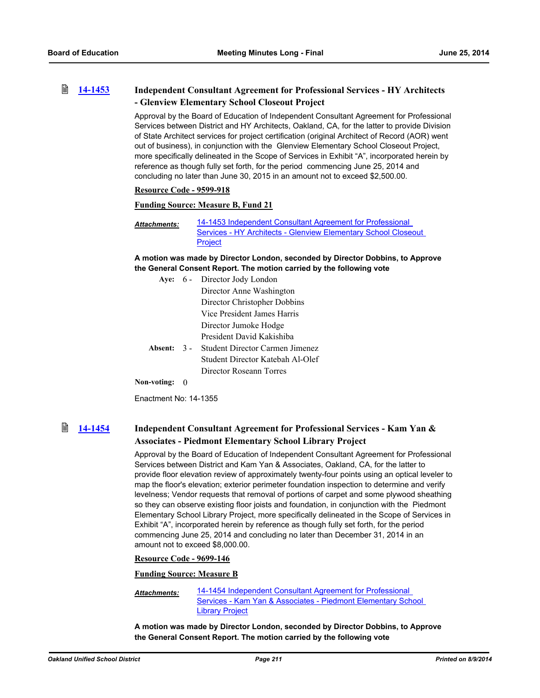### ₿ **[14-1453](http://ousd.legistar.com/gateway.aspx?m=l&id=/matter.aspx?key=33129) Independent Consultant Agreement for Professional Services - HY Architects - Glenview Elementary School Closeout Project**

Approval by the Board of Education of Independent Consultant Agreement for Professional Services between District and HY Architects, Oakland, CA, for the latter to provide Division of State Architect services for project certification (original Architect of Record (AOR) went out of business), in conjunction with the Glenview Elementary School Closeout Project, more specifically delineated in the Scope of Services in Exhibit "A", incorporated herein by reference as though fully set forth, for the period commencing June 25, 2014 and concluding no later than June 30, 2015 in an amount not to exceed \$2,500.00.

# **Resource Code - 9599-918**

### **Funding Source: Measure B, Fund 21**

14-1453 Independent Consultant Agreement for Professional Services - HY Architects - Glenview Elementary School Closeout Project *Attachments:*

# **A motion was made by Director London, seconded by Director Dobbins, to Approve the General Consent Report. The motion carried by the following vote**

|               | Aye: 6 - Director Jody London          |
|---------------|----------------------------------------|
|               | Director Anne Washington               |
|               | Director Christopher Dobbins           |
|               | Vice President James Harris            |
|               | Director Jumoke Hodge                  |
|               | President David Kakishiba              |
| Absent: $3 -$ | <b>Student Director Carmen Jimenez</b> |
|               | Student Director Katebah Al-Olef       |
|               | Director Roseann Torres                |
| Non-voting:   |                                        |

Enactment No: 14-1355

# **[14-1454](http://ousd.legistar.com/gateway.aspx?m=l&id=/matter.aspx?key=33130) Independent Consultant Agreement for Professional Services - Kam Yan & Associates - Piedmont Elementary School Library Project**

Approval by the Board of Education of Independent Consultant Agreement for Professional Services between District and Kam Yan & Associates, Oakland, CA, for the latter to provide floor elevation review of approximately twenty-four points using an optical leveler to map the floor's elevation; exterior perimeter foundation inspection to determine and verify levelness; Vendor requests that removal of portions of carpet and some plywood sheathing so they can observe existing floor joists and foundation, in conjunction with the Piedmont Elementary School Library Project, more specifically delineated in the Scope of Services in Exhibit "A", incorporated herein by reference as though fully set forth, for the period commencing June 25, 2014 and concluding no later than December 31, 2014 in an amount not to exceed \$8,000.00.

### **Resource Code - 9699-146**

### **Funding Source: Measure B**

14-1454 Independent Consultant Agreement for Professional [Services - Kam Yan & Associates - Piedmont Elementary School](http://ousd.legistar.com/gateway.aspx?M=F&ID=76425.pdf)  Library Project *Attachments:*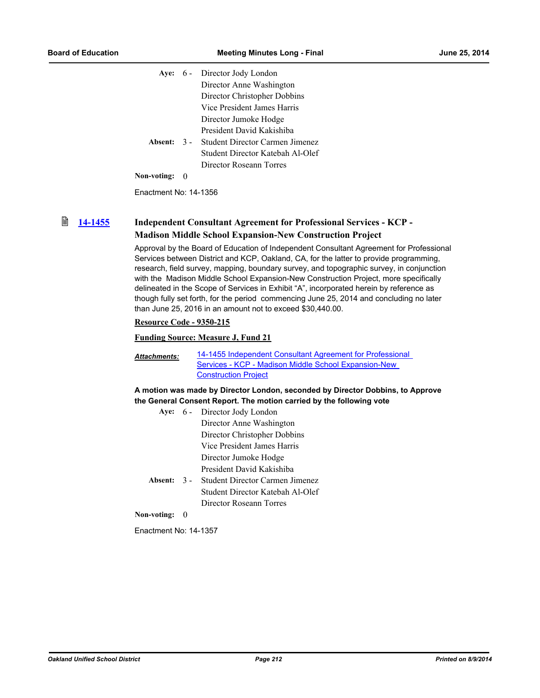|             | Aye: 6 - Director Jody London                      |
|-------------|----------------------------------------------------|
|             | Director Anne Washington                           |
|             | Director Christopher Dobbins                       |
|             | Vice President James Harris                        |
|             | Director Jumoke Hodge                              |
|             | President David Kakishiba                          |
|             | <b>Absent:</b> 3 - Student Director Carmen Jimenez |
|             | Student Director Katebah Al-Olef                   |
|             | Director Roseann Torres                            |
| Non-voting: |                                                    |

# 眥

# **[14-1455](http://ousd.legistar.com/gateway.aspx?m=l&id=/matter.aspx?key=33131) Independent Consultant Agreement for Professional Services - KCP - Madison Middle School Expansion-New Construction Project**

Approval by the Board of Education of Independent Consultant Agreement for Professional Services between District and KCP, Oakland, CA, for the latter to provide programming, research, field survey, mapping, boundary survey, and topographic survey, in conjunction with the Madison Middle School Expansion-New Construction Project, more specifically delineated in the Scope of Services in Exhibit "A", incorporated herein by reference as though fully set forth, for the period commencing June 25, 2014 and concluding no later than June 25, 2016 in an amount not to exceed \$30,440.00.

# **Resource Code - 9350-215**

## **Funding Source: Measure J, Fund 21**

[14-1455 Independent Consultant Agreement for Professional](http://ousd.legistar.com/gateway.aspx?M=F&ID=76426.pdf)  Services - KCP - Madison Middle School Expansion-New Construction Project *Attachments:*

# **A motion was made by Director London, seconded by Director Dobbins, to Approve the General Consent Report. The motion carried by the following vote**

|             | Aye: 6 - Director Jody London                      |
|-------------|----------------------------------------------------|
|             | Director Anne Washington                           |
|             | Director Christopher Dobbins                       |
|             | Vice President James Harris                        |
|             | Director Jumoke Hodge                              |
|             | President David Kakishiba                          |
|             | <b>Absent:</b> 3 - Student Director Carmen Jimenez |
|             | Student Director Katebah Al-Olef                   |
|             | Director Roseann Torres                            |
| Non-voting: |                                                    |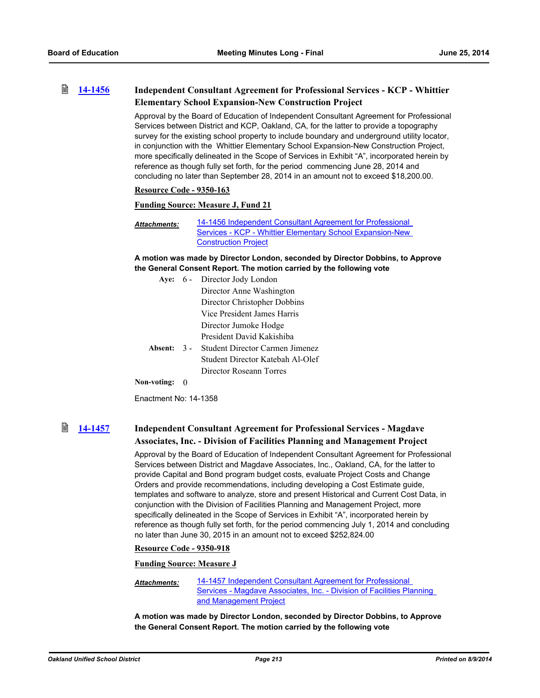### ₿ **[14-1456](http://ousd.legistar.com/gateway.aspx?m=l&id=/matter.aspx?key=33132) Independent Consultant Agreement for Professional Services - KCP - Whittier Elementary School Expansion-New Construction Project**

Approval by the Board of Education of Independent Consultant Agreement for Professional Services between District and KCP, Oakland, CA, for the latter to provide a topography survey for the existing school property to include boundary and underground utility locator, in conjunction with the Whittier Elementary School Expansion-New Construction Project, more specifically delineated in the Scope of Services in Exhibit "A", incorporated herein by reference as though fully set forth, for the period commencing June 28, 2014 and concluding no later than September 28, 2014 in an amount not to exceed \$18,200.00.

### **Resource Code - 9350-163**

### **Funding Source: Measure J, Fund 21**

14-1456 Independent Consultant Agreement for Professional [Services - KCP - Whittier Elementary School Expansion-New](http://ousd.legistar.com/gateway.aspx?M=F&ID=76427.pdf)  Construction Project *Attachments:*

## **A motion was made by Director London, seconded by Director Dobbins, to Approve the General Consent Report. The motion carried by the following vote**

|               | Aye: 6 - Director Jody London          |
|---------------|----------------------------------------|
|               | Director Anne Washington               |
|               | Director Christopher Dobbins           |
|               | Vice President James Harris            |
|               | Director Jumoke Hodge                  |
|               | President David Kakishiba              |
| Absent: $3 -$ | <b>Student Director Carmen Jimenez</b> |
|               | Student Director Katebah Al-Olef       |
|               | Director Roseann Torres                |
| Non-voting:   |                                        |

Enactment No: 14-1358

# **[14-1457](http://ousd.legistar.com/gateway.aspx?m=l&id=/matter.aspx?key=33133) Independent Consultant Agreement for Professional Services - Magdave Associates, Inc. - Division of Facilities Planning and Management Project**

Approval by the Board of Education of Independent Consultant Agreement for Professional Services between District and Magdave Associates, Inc., Oakland, CA, for the latter to provide Capital and Bond program budget costs, evaluate Project Costs and Change Orders and provide recommendations, including developing a Cost Estimate guide, templates and software to analyze, store and present Historical and Current Cost Data, in conjunction with the Division of Facilities Planning and Management Project, more specifically delineated in the Scope of Services in Exhibit "A", incorporated herein by reference as though fully set forth, for the period commencing July 1, 2014 and concluding no later than June 30, 2015 in an amount not to exceed \$252,824.00

# **Resource Code - 9350-918**

### **Funding Source: Measure J**

14-1457 Independent Consultant Agreement for Professional [Services - Magdave Associates, Inc. - Division of Facilities Planning](http://ousd.legistar.com/gateway.aspx?M=F&ID=76428.pdf)  and Management Project *Attachments:*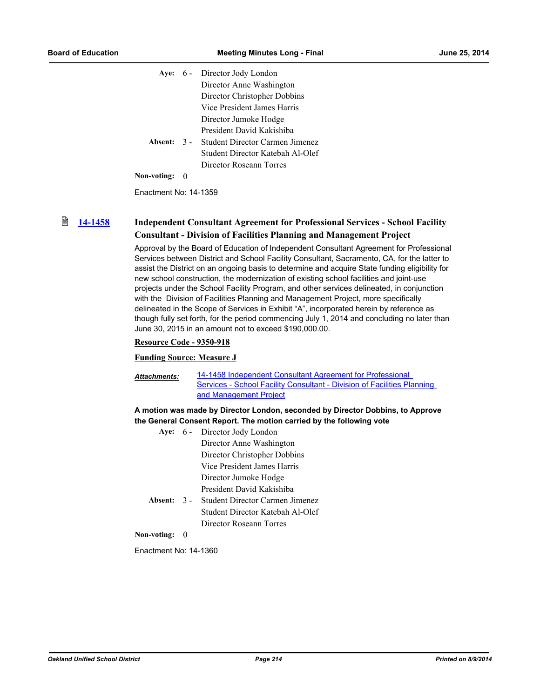|             | Aye: 6 - Director Jody London                      |
|-------------|----------------------------------------------------|
|             | Director Anne Washington                           |
|             | Director Christopher Dobbins                       |
|             | Vice President James Harris                        |
|             | Director Jumoke Hodge                              |
|             | President David Kakishiba                          |
|             | <b>Absent:</b> 3 - Student Director Carmen Jimenez |
|             | Student Director Katebah Al-Olef                   |
|             | Director Roseann Torres                            |
| Non-voting: |                                                    |

# **[14-1458](http://ousd.legistar.com/gateway.aspx?m=l&id=/matter.aspx?key=33134) Independent Consultant Agreement for Professional Services - School Facility Consultant - Division of Facilities Planning and Management Project**

Approval by the Board of Education of Independent Consultant Agreement for Professional Services between District and School Facility Consultant, Sacramento, CA, for the latter to assist the District on an ongoing basis to determine and acquire State funding eligibility for new school construction, the modernization of existing school facilities and joint-use projects under the School Facility Program, and other services delineated, in conjunction with the Division of Facilities Planning and Management Project, more specifically delineated in the Scope of Services in Exhibit "A", incorporated herein by reference as though fully set forth, for the period commencing July 1, 2014 and concluding no later than June 30, 2015 in an amount not to exceed \$190,000.00.

# **Resource Code - 9350-918**

# **Funding Source: Measure J**

14-1458 Independent Consultant Agreement for Professional [Services - School Facility Consultant - Division of Facilities Planning](http://ousd.legistar.com/gateway.aspx?M=F&ID=76422.pdf)  and Management Project *Attachments:*

**A motion was made by Director London, seconded by Director Dobbins, to Approve the General Consent Report. The motion carried by the following vote**

Aye: 6 - Director Jody London Director Anne Washington Director Christopher Dobbins Vice President James Harris Director Jumoke Hodge President David Kakishiba **Student Director Carmen Jimenez** Student Director Katebah Al-Olef Director Roseann Torres Absent: 3 -

### **Non-voting:** 0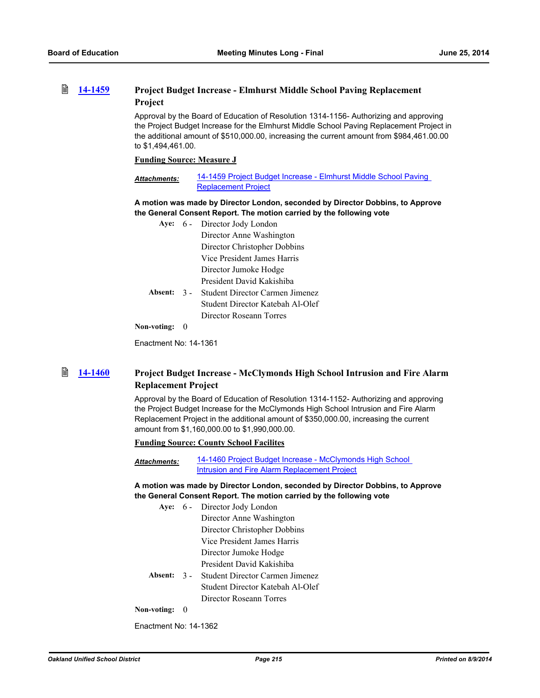### 昏 **[14-1459](http://ousd.legistar.com/gateway.aspx?m=l&id=/matter.aspx?key=33135) Project Budget Increase - Elmhurst Middle School Paving Replacement Project**

Approval by the Board of Education of Resolution 1314-1156- Authorizing and approving the Project Budget Increase for the Elmhurst Middle School Paving Replacement Project in the additional amount of \$510,000.00, increasing the current amount from \$984,461.00.00 to \$1,494,461.00.

# **Funding Source: Measure J**

[14-1459 Project Budget Increase - Elmhurst Middle School Paving](http://ousd.legistar.com/gateway.aspx?M=F&ID=76423.pdf)  Replacement Project *Attachments:*

**A motion was made by Director London, seconded by Director Dobbins, to Approve the General Consent Report. The motion carried by the following vote**

|               | Aye: 6 - Director Jody London          |
|---------------|----------------------------------------|
|               | Director Anne Washington               |
|               | Director Christopher Dobbins           |
|               | Vice President James Harris            |
|               | Director Jumoke Hodge                  |
|               | President David Kakishiba              |
| Absent: $3 -$ | <b>Student Director Carmen Jimenez</b> |
|               | Student Director Katebah Al-Olef       |

Director Roseann Torres

**Non-voting:** 0

Enactment No: 14-1361

# **[14-1460](http://ousd.legistar.com/gateway.aspx?m=l&id=/matter.aspx?key=33136) Project Budget Increase - McClymonds High School Intrusion and Fire Alarm Replacement Project**

Approval by the Board of Education of Resolution 1314-1152- Authorizing and approving the Project Budget Increase for the McClymonds High School Intrusion and Fire Alarm Replacement Project in the additional amount of \$350,000.00, increasing the current amount from \$1,160,000.00 to \$1,990,000.00.

**Funding Source: County School Facilites**

[14-1460 Project Budget Increase - McClymonds High School](http://ousd.legistar.com/gateway.aspx?M=F&ID=76419.pdf)  Intrusion and Fire Alarm Replacement Project *Attachments:*

# **A motion was made by Director London, seconded by Director Dobbins, to Approve the General Consent Report. The motion carried by the following vote**

|                    | Aye: 6 - Director Jody London          |
|--------------------|----------------------------------------|
|                    | Director Anne Washington               |
|                    | Director Christopher Dobbins           |
|                    | Vice President James Harris            |
|                    | Director Jumoke Hodge                  |
|                    | President David Kakishiba              |
| <b>Absent:</b> 3 - | <b>Student Director Carmen Jimenez</b> |
|                    | Student Director Katebah Al-Olef       |
|                    | Director Roseann Torres                |

**Non-voting:** 0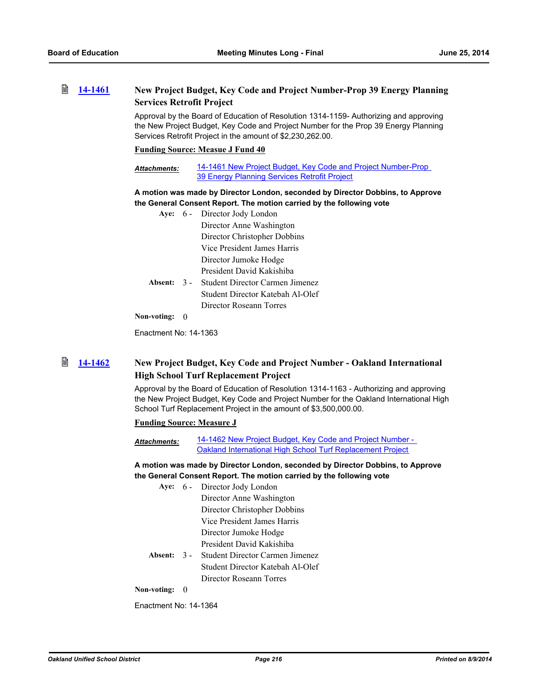#### ₿ **[14-1461](http://ousd.legistar.com/gateway.aspx?m=l&id=/matter.aspx?key=33137) New Project Budget, Key Code and Project Number-Prop 39 Energy Planning Services Retrofit Project**

Approval by the Board of Education of Resolution 1314-1159- Authorizing and approving the New Project Budget, Key Code and Project Number for the Prop 39 Energy Planning Services Retrofit Project in the amount of \$2,230,262.00.

### **Funding Source: Measue J Fund 40**

[14-1461 New Project Budget, Key Code and Project Number-Prop](http://ousd.legistar.com/gateway.aspx?M=F&ID=76430.pdf)  39 Energy Planning Services Retrofit Project *Attachments:*

### **A motion was made by Director London, seconded by Director Dobbins, to Approve the General Consent Report. The motion carried by the following vote**

|                    | Aye: 6 - Director Jody London          |
|--------------------|----------------------------------------|
|                    | Director Anne Washington               |
|                    | Director Christopher Dobbins           |
|                    | Vice President James Harris            |
|                    | Director Jumoke Hodge                  |
|                    | President David Kakishiba              |
| <b>Absent:</b> 3 - | <b>Student Director Carmen Jimenez</b> |
|                    | Student Director Katebah Al-Olef       |
|                    | Director Roseann Torres                |
|                    |                                        |

**Non-voting:** 0

Enactment No: 14-1363

# **[14-1462](http://ousd.legistar.com/gateway.aspx?m=l&id=/matter.aspx?key=33138) New Project Budget, Key Code and Project Number - Oakland International High School Turf Replacement Project**

Approval by the Board of Education of Resolution 1314-1163 - Authorizing and approving the New Project Budget, Key Code and Project Number for the Oakland International High School Turf Replacement Project in the amount of \$3,500,000.00.

### **Funding Source: Measure J**

[14-1462 New Project Budget, Key Code and Project Number -](http://ousd.legistar.com/gateway.aspx?M=F&ID=76431.pdf)  Oakland International High School Turf Replacement Project *Attachments:*

**A motion was made by Director London, seconded by Director Dobbins, to Approve the General Consent Report. The motion carried by the following vote**

- Aye: 6 Director Jody London Director Anne Washington Director Christopher Dobbins Vice President James Harris Director Jumoke Hodge President David Kakishiba
- **Absent:** Student Director Carmen Jimenez Student Director Katebah Al-Olef Director Roseann Torres Absent:  $3 -$

**Non-voting:** 0

Enactment No: 14-1364

*Oakland Unified School District Page 216 Printed on 8/9/2014*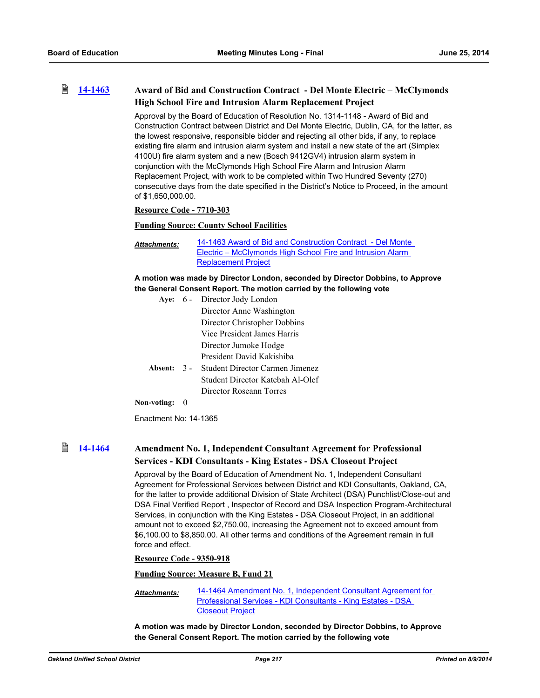#### ₿ **[14-1463](http://ousd.legistar.com/gateway.aspx?m=l&id=/matter.aspx?key=33139) Award of Bid and Construction Contract - Del Monte Electric – McClymonds High School Fire and Intrusion Alarm Replacement Project**

Approval by the Board of Education of Resolution No. 1314-1148 - Award of Bid and Construction Contract between District and Del Monte Electric, Dublin, CA, for the latter, as the lowest responsive, responsible bidder and rejecting all other bids, if any, to replace existing fire alarm and intrusion alarm system and install a new state of the art (Simplex 4100U) fire alarm system and a new (Bosch 9412GV4) intrusion alarm system in conjunction with the McClymonds High School Fire Alarm and Intrusion Alarm Replacement Project, with work to be completed within Two Hundred Seventy (270) consecutive days from the date specified in the District's Notice to Proceed, in the amount of \$1,650,000.00.

### **Resource Code - 7710-303**

**Funding Source: County School Facilities**

```
14-1463 Award of Bid and Construction Contract - Del Monte 
                 Electric – McClymonds High School Fire and Intrusion Alarm 
                Replacement Project
Attachments:
```
**A motion was made by Director London, seconded by Director Dobbins, to Approve the General Consent Report. The motion carried by the following vote**

Aye: 6 - Director Jody London Director Anne Washington Director Christopher Dobbins Vice President James Harris Director Jumoke Hodge President David Kakishiba **Absent:** Student Director Carmen Jimenez Student Director Katebah Al-Olef Director Roseann Torres Absent:  $3 -$ 

**Non-voting:** 0

Enactment No: 14-1365

# **[14-1464](http://ousd.legistar.com/gateway.aspx?m=l&id=/matter.aspx?key=33140) Amendment No. 1, Independent Consultant Agreement for Professional Services - KDI Consultants - King Estates - DSA Closeout Project**

Approval by the Board of Education of Amendment No. 1, Independent Consultant Agreement for Professional Services between District and KDI Consultants, Oakland, CA, for the latter to provide additional Division of State Architect (DSA) Punchlist/Close-out and DSA Final Verified Report , Inspector of Record and DSA Inspection Program-Architectural Services, in conjunction with the King Estates - DSA Closeout Project, in an additional amount not to exceed \$2,750.00, increasing the Agreement not to exceed amount from \$6,100.00 to \$8,850.00. All other terms and conditions of the Agreement remain in full force and effect.

### **Resource Code - 9350-918**

**Funding Source: Measure B, Fund 21**

[14-1464 Amendment No. 1, Independent Consultant Agreement for](http://ousd.legistar.com/gateway.aspx?M=F&ID=76447.pdf)  Professional Services - KDI Consultants - King Estates - DSA Closeout Project *Attachments:*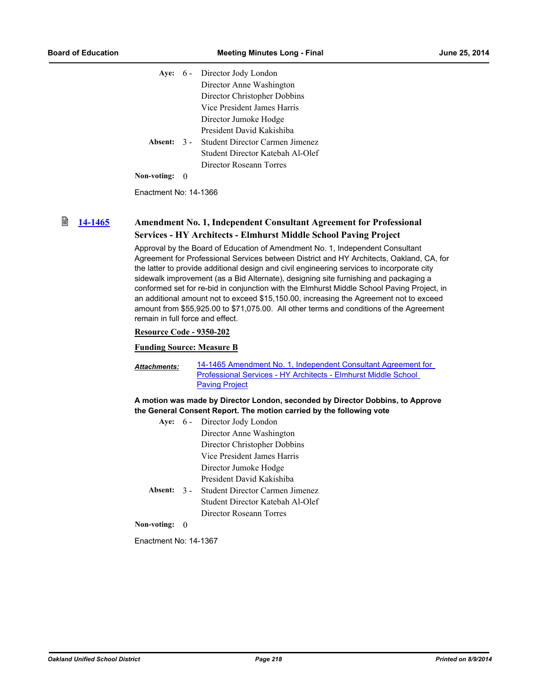|             |        | Aye: 6 - Director Jody London                      |
|-------------|--------|----------------------------------------------------|
|             |        | Director Anne Washington                           |
|             |        | Director Christopher Dobbins                       |
|             |        | Vice President James Harris                        |
|             |        | Director Jumoke Hodge                              |
|             |        | President David Kakishiba                          |
|             |        | <b>Absent:</b> 3 - Student Director Carmen Jimenez |
|             |        | Student Director Katebah Al-Olef                   |
|             |        | Director Roseann Torres                            |
| Non-voting: | $_{0}$ |                                                    |

# **[14-1465](http://ousd.legistar.com/gateway.aspx?m=l&id=/matter.aspx?key=33141) Amendment No. 1, Independent Consultant Agreement for Professional Services - HY Architects - Elmhurst Middle School Paving Project**

Approval by the Board of Education of Amendment No. 1, Independent Consultant Agreement for Professional Services between District and HY Architects, Oakland, CA, for the latter to provide additional design and civil engineering services to incorporate city sidewalk improvement (as a Bid Alternate), designing site furnishing and packaging a conformed set for re-bid in conjunction with the Elmhurst Middle School Paving Project, in an additional amount not to exceed \$15,150.00, increasing the Agreement not to exceed amount from \$55,925.00 to \$71,075.00. All other terms and conditions of the Agreement remain in full force and effect.

### **Resource Code - 9350-202**

### **Funding Source: Measure B**

[14-1465 Amendment No. 1, Independent Consultant Agreement for](http://ousd.legistar.com/gateway.aspx?M=F&ID=76448.pdf)  Professional Services - HY Architects - Elmhurst Middle School Paving Project *Attachments:*

**A motion was made by Director London, seconded by Director Dobbins, to Approve the General Consent Report. The motion carried by the following vote**

Aye: 6 - Director Jody London Director Anne Washington Director Christopher Dobbins Vice President James Harris Director Jumoke Hodge President David Kakishiba **Student Director Carmen Jimenez** Student Director Katebah Al-Olef Director Roseann Torres Absent: 3 -**Non-voting:** 0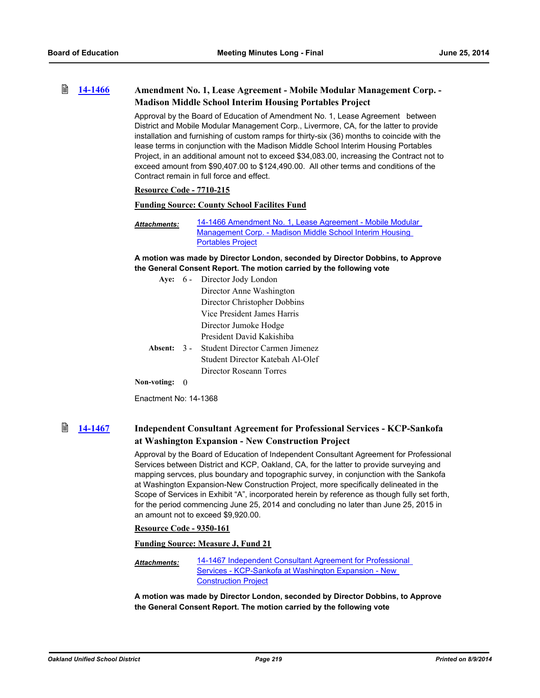#### ₿ **[14-1466](http://ousd.legistar.com/gateway.aspx?m=l&id=/matter.aspx?key=33142) Amendment No. 1, Lease Agreement - Mobile Modular Management Corp. - Madison Middle School Interim Housing Portables Project**

Approval by the Board of Education of Amendment No. 1, Lease Agreement between District and Mobile Modular Management Corp., Livermore, CA, for the latter to provide installation and furnishing of custom ramps for thirty-six (36) months to coincide with the lease terms in conjunction with the Madison Middle School Interim Housing Portables Project, in an additional amount not to exceed \$34,083.00, increasing the Contract not to exceed amount from \$90,407.00 to \$124,490.00. All other terms and conditions of the Contract remain in full force and effect.

### **Resource Code - 7710-215**

### **Funding Source: County School Facilites Fund**

[14-1466 Amendment No. 1, Lease Agreement - Mobile Modular](http://ousd.legistar.com/gateway.aspx?M=F&ID=76449.pdf)  Management Corp. - Madison Middle School Interim Housing Portables Project *Attachments:*

### **A motion was made by Director London, seconded by Director Dobbins, to Approve the General Consent Report. The motion carried by the following vote**

|               | Aye: 6 - Director Jody London          |
|---------------|----------------------------------------|
|               | Director Anne Washington               |
|               | Director Christopher Dobbins           |
|               | Vice President James Harris            |
|               | Director Jumoke Hodge                  |
|               | President David Kakishiba              |
| Absent: $3 -$ | <b>Student Director Carmen Jimenez</b> |
|               | Student Director Katebah Al-Olef       |
|               | Director Roseann Torres                |
| Non-voting:   |                                        |

Enactment No: 14-1368

# **[14-1467](http://ousd.legistar.com/gateway.aspx?m=l&id=/matter.aspx?key=33143) Independent Consultant Agreement for Professional Services - KCP-Sankofa at Washington Expansion - New Construction Project**

Approval by the Board of Education of Independent Consultant Agreement for Professional Services between District and KCP, Oakland, CA, for the latter to provide surveying and mapping servces, plus boundary and topographic survey, in conjunction with the Sankofa at Washington Expansion-New Construction Project, more specifically delineated in the Scope of Services in Exhibit "A", incorporated herein by reference as though fully set forth, for the period commencing June 25, 2014 and concluding no later than June 25, 2015 in an amount not to exceed \$9,920.00.

### **Resource Code - 9350-161**

### **Funding Source: Measure J, Fund 21**

[14-1467 Independent Consultant Agreement for Professional](http://ousd.legistar.com/gateway.aspx?M=F&ID=76450.pdf)  Services - KCP-Sankofa at Washington Expansion - New Construction Project *Attachments:*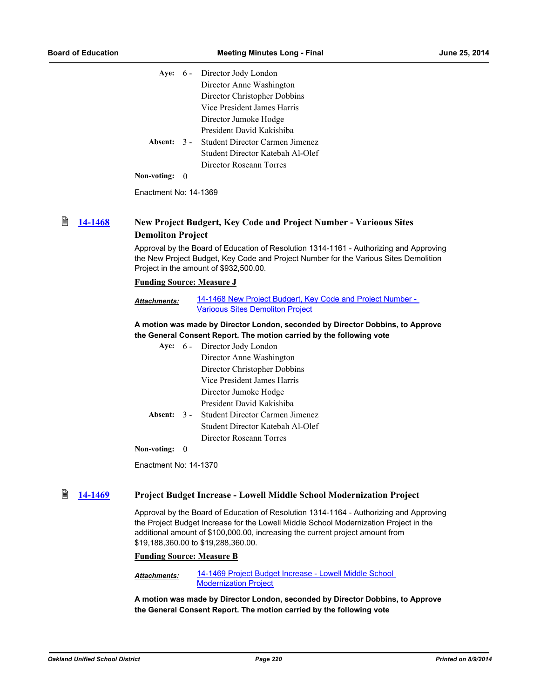|              |          | Aye: 6 - Director Jody London          |
|--------------|----------|----------------------------------------|
|              |          | Director Anne Washington               |
|              |          | Director Christopher Dobbins           |
|              |          | Vice President James Harris            |
|              |          | Director Jumoke Hodge                  |
|              |          | President David Kakishiba              |
| Absent: $3-$ |          | <b>Student Director Carmen Jimenez</b> |
|              |          | Student Director Katebah Al-Olef       |
|              |          | Director Roseann Torres                |
| Non-voting:  | $\theta$ |                                        |

### 眥 **[14-1468](http://ousd.legistar.com/gateway.aspx?m=l&id=/matter.aspx?key=33144) New Project Budgert, Key Code and Project Number - Varioous Sites Demoliton Project**

Approval by the Board of Education of Resolution 1314-1161 - Authorizing and Approving the New Project Budget, Key Code and Project Number for the Various Sites Demolition Project in the amount of \$932,500.00.

### **Funding Source: Measure J**

[14-1468 New Project Budgert, Key Code and Project Number -](http://ousd.legistar.com/gateway.aspx?M=F&ID=76451.pdf)  Varioous Sites Demoliton Project *Attachments:*

### **A motion was made by Director London, seconded by Director Dobbins, to Approve the General Consent Report. The motion carried by the following vote**

|              | Aye: 6 - Director Jody London          |
|--------------|----------------------------------------|
|              | Director Anne Washington               |
|              | Director Christopher Dobbins           |
|              | Vice President James Harris            |
|              | Director Jumoke Hodge                  |
|              | President David Kakishiba              |
| Absent: $3-$ | <b>Student Director Carmen Jimenez</b> |
|              | Student Director Katebah Al-Olef       |
|              | Director Roseann Torres                |

**Non-voting:** 0

Enactment No: 14-1370

### 閶

### **[14-1469](http://ousd.legistar.com/gateway.aspx?m=l&id=/matter.aspx?key=33145) Project Budget Increase - Lowell Middle School Modernization Project**

Approval by the Board of Education of Resolution 1314-1164 - Authorizing and Approving the Project Budget Increase for the Lowell Middle School Modernization Project in the additional amount of \$100,000.00, increasing the current project amount from \$19,188,360.00 to \$19,288,360.00.

### **Funding Source: Measure B**

[14-1469 Project Budget Increase - Lowell Middle School](http://ousd.legistar.com/gateway.aspx?M=F&ID=76452.pdf)  **Modernization Project** *Attachments:*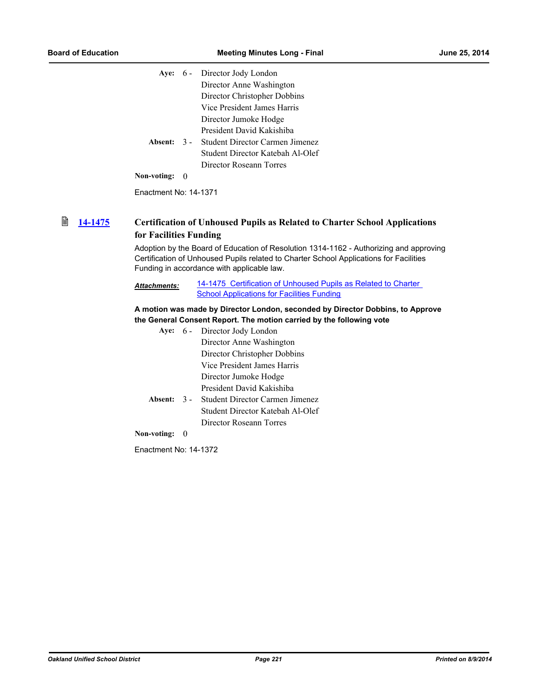|             | Aye: 6 - Director Jody London                      |
|-------------|----------------------------------------------------|
|             | Director Anne Washington                           |
|             | Director Christopher Dobbins                       |
|             | Vice President James Harris                        |
|             | Director Jumoke Hodge                              |
|             | President David Kakishiba                          |
|             | <b>Absent:</b> 3 - Student Director Carmen Jimenez |
|             | Student Director Katebah Al-Olef                   |
|             | Director Roseann Torres                            |
| Non-voting: |                                                    |

窅

# **[14-1475](http://ousd.legistar.com/gateway.aspx?m=l&id=/matter.aspx?key=33151) Certification of Unhoused Pupils as Related to Charter School Applications for Facilities Funding**

Adoption by the Board of Education of Resolution 1314-1162 - Authorizing and approving Certification of Unhoused Pupils related to Charter School Applications for Facilities Funding in accordance with applicable law.

[14-1475 Certification of Unhoused Pupils as Related to Charter](http://ousd.legistar.com/gateway.aspx?M=F&ID=76407.pdf)  **School Applications for Facilities Funding** *Attachments:*

### **A motion was made by Director London, seconded by Director Dobbins, to Approve the General Consent Report. The motion carried by the following vote**

|               | Aye: 6 - Director Jody London    |
|---------------|----------------------------------|
|               | Director Anne Washington         |
|               | Director Christopher Dobbins     |
|               | Vice President James Harris      |
|               | Director Jumoke Hodge            |
|               | President David Kakishiba        |
| Absent: $3 -$ | Student Director Carmen Jimenez  |
|               | Student Director Katebah Al-Olef |
|               | Director Roseann Torres          |
| $\cdots$      |                                  |

**Non-voting:** 0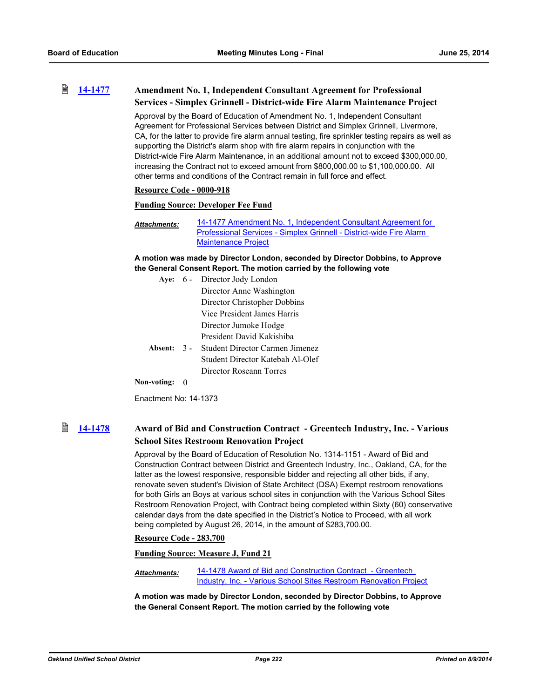#### ₿ **[14-1477](http://ousd.legistar.com/gateway.aspx?m=l&id=/matter.aspx?key=33153) Amendment No. 1, Independent Consultant Agreement for Professional Services - Simplex Grinnell - District-wide Fire Alarm Maintenance Project**

Approval by the Board of Education of Amendment No. 1, Independent Consultant Agreement for Professional Services between District and Simplex Grinnell, Livermore, CA, for the latter to provide fire alarm annual testing, fire sprinkler testing repairs as well as supporting the District's alarm shop with fire alarm repairs in conjunction with the District-wide Fire Alarm Maintenance, in an additional amount not to exceed \$300,000.00, increasing the Contract not to exceed amount from \$800,000.00 to \$1,100,000.00. All other terms and conditions of the Contract remain in full force and effect.

### **Resource Code - 0000-918**

### **Funding Source: Developer Fee Fund**

[14-1477 Amendment No. 1, Independent Consultant Agreement for](http://ousd.legistar.com/gateway.aspx?M=F&ID=76465.pdf)  Professional Services - Simplex Grinnell - District-wide Fire Alarm **Maintenance Project** *Attachments:*

### **A motion was made by Director London, seconded by Director Dobbins, to Approve the General Consent Report. The motion carried by the following vote**

|            |       | Aye: 6 - Director Jody London    |
|------------|-------|----------------------------------|
|            |       | Director Anne Washington         |
|            |       | Director Christopher Dobbins     |
|            |       | Vice President James Harris      |
|            |       | Director Jumoke Hodge            |
|            |       | President David Kakishiba        |
| Absent:    | $-3-$ | Student Director Carmen Jimenez  |
|            |       | Student Director Katebah Al-Olef |
|            |       | Director Roseann Torres          |
| on_voting• |       |                                  |

**Non-voting:** 0

Enactment No: 14-1373

# **[14-1478](http://ousd.legistar.com/gateway.aspx?m=l&id=/matter.aspx?key=33154) Award of Bid and Construction Contract - Greentech Industry, Inc. - Various School Sites Restroom Renovation Project**

Approval by the Board of Education of Resolution No. 1314-1151 - Award of Bid and Construction Contract between District and Greentech Industry, Inc., Oakland, CA, for the latter as the lowest responsive, responsible bidder and rejecting all other bids, if any, renovate seven student's Division of State Architect (DSA) Exempt restroom renovations for both Girls an Boys at various school sites in conjunction with the Various School Sites Restroom Renovation Project, with Contract being completed within Sixty (60) conservative calendar days from the date specified in the District's Notice to Proceed, with all work being completed by August 26, 2014, in the amount of \$283,700.00.

### **Resource Code - 283,700**

### **Funding Source: Measure J, Fund 21**

14-1478 Award of Bid and Construction Contract - Greentech [Industry, Inc. - Various School Sites Restroom Renovation Project](http://ousd.legistar.com/gateway.aspx?M=F&ID=76469.pdf) *Attachments:*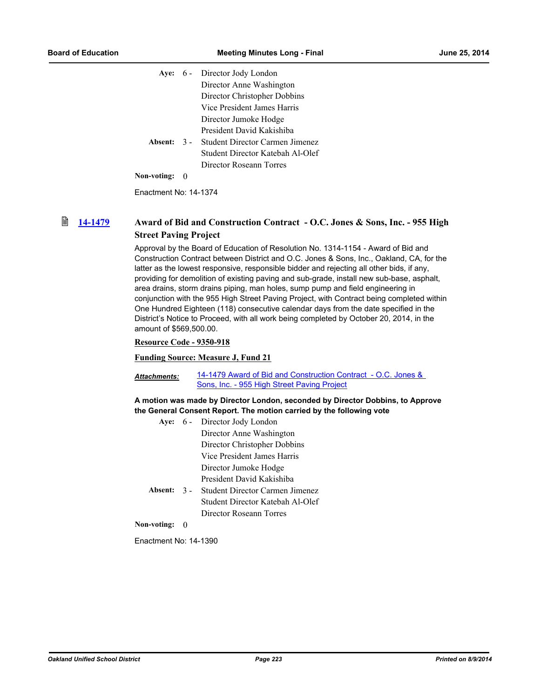|             | Aye: 6 - Director Jody London                      |
|-------------|----------------------------------------------------|
|             | Director Anne Washington                           |
|             | Director Christopher Dobbins                       |
|             | Vice President James Harris                        |
|             | Director Jumoke Hodge                              |
|             | President David Kakishiba                          |
|             | <b>Absent:</b> 3 - Student Director Carmen Jimenez |
|             | Student Director Katebah Al-Olef                   |
|             | Director Roseann Torres                            |
| Non-voting: |                                                    |

# **[14-1479](http://ousd.legistar.com/gateway.aspx?m=l&id=/matter.aspx?key=33155) Award of Bid and Construction Contract - O.C. Jones & Sons, Inc. - 955 High Street Paving Project**

Approval by the Board of Education of Resolution No. 1314-1154 - Award of Bid and Construction Contract between District and O.C. Jones & Sons, Inc., Oakland, CA, for the latter as the lowest responsive, responsible bidder and rejecting all other bids, if any, providing for demolition of existing paving and sub-grade, install new sub-base, asphalt, area drains, storm drains piping, man holes, sump pump and field engineering in conjunction with the 955 High Street Paving Project, with Contract being completed within One Hundred Eighteen (118) consecutive calendar days from the date specified in the District's Notice to Proceed, with all work being completed by October 20, 2014, in the amount of \$569,500.00.

### **Resource Code - 9350-918**

### **Funding Source: Measure J, Fund 21**

#### [14-1479 Award of Bid and Construction Contract - O.C. Jones &](http://ousd.legistar.com/gateway.aspx?M=F&ID=76467.pdf)  Sons, Inc. - 955 High Street Paving Project *Attachments:*

### **A motion was made by Director London, seconded by Director Dobbins, to Approve the General Consent Report. The motion carried by the following vote**

Aye: 6 - Director Jody London Director Anne Washington Director Christopher Dobbins Vice President James Harris Director Jumoke Hodge President David Kakishiba **Student Director Carmen Jimenez** Student Director Katebah Al-Olef Director Roseann Torres Absent: 3 -

### **Non-voting:** 0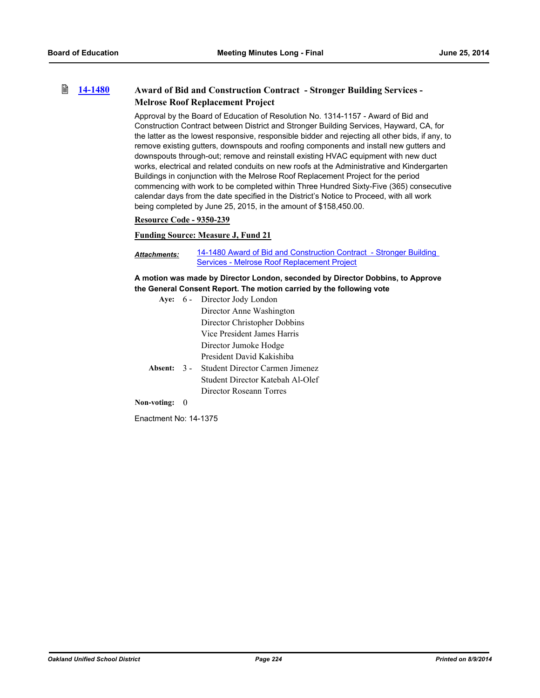### 昏 **[14-1480](http://ousd.legistar.com/gateway.aspx?m=l&id=/matter.aspx?key=33156) Award of Bid and Construction Contract - Stronger Building Services - Melrose Roof Replacement Project**

Approval by the Board of Education of Resolution No. 1314-1157 - Award of Bid and Construction Contract between District and Stronger Building Services, Hayward, CA, for the latter as the lowest responsive, responsible bidder and rejecting all other bids, if any, to remove existing gutters, downspouts and roofing components and install new gutters and downspouts through-out; remove and reinstall existing HVAC equipment with new duct works, electrical and related conduits on new roofs at the Administrative and Kindergarten Buildings in conjunction with the Melrose Roof Replacement Project for the period commencing with work to be completed within Three Hundred Sixty-Five (365) consecutive calendar days from the date specified in the District's Notice to Proceed, with all work being completed by June 25, 2015, in the amount of \$158,450.00.

### **Resource Code - 9350-239**

### **Funding Source: Measure J, Fund 21**

[14-1480 Award of Bid and Construction Contract - Stronger Building](http://ousd.legistar.com/gateway.aspx?M=F&ID=76454.pdf)  Services - Melrose Roof Replacement Project *Attachments:*

### **A motion was made by Director London, seconded by Director Dobbins, to Approve the General Consent Report. The motion carried by the following vote**

Aye: 6 - Director Jody London Director Anne Washington Director Christopher Dobbins Vice President James Harris Director Jumoke Hodge President David Kakishiba **Absent:** Student Director Carmen Jimenez Student Director Katebah Al-Olef Director Roseann Torres Absent:  $3 -$ **Non-voting:** 0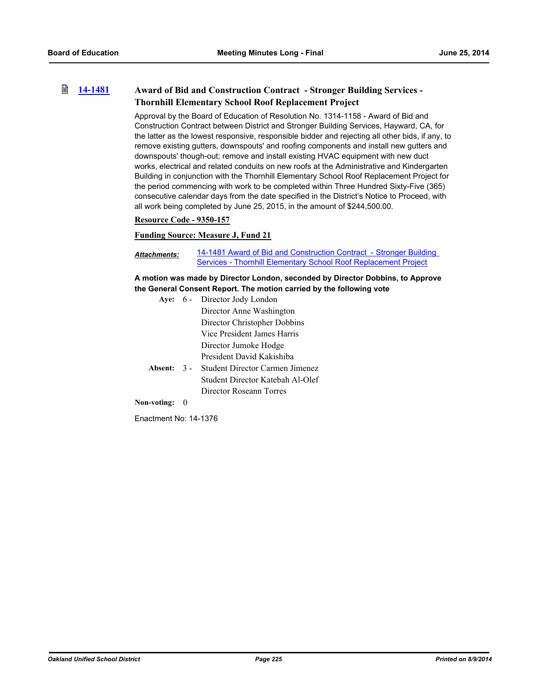### 昏 **[14-1481](http://ousd.legistar.com/gateway.aspx?m=l&id=/matter.aspx?key=33157) Award of Bid and Construction Contract - Stronger Building Services - Thornhill Elementary School Roof Replacement Project**

Approval by the Board of Education of Resolution No. 1314-1158 - Award of Bid and Construction Contract between District and Stronger Building Services, Hayward, CA, for the latter as the lowest responsive, responsible bidder and rejecting all other bids, if any, to remove existing gutters, downspouts' and roofing components and install new gutters and downspouts' though-out; remove and install existing HVAC equipment with new duct works, electrical and related conduits on new roofs at the Administrative and Kindergarten Building in conjunction with the Thornhill Elementary School Roof Replacement Project for the period commencing with work to be completed within Three Hundred Sixty-Five (365) consecutive calendar days from the date specified in the District's Notice to Proceed, with all work being completed by June 25, 2015, in the amount of \$244,500.00.

### **Resource Code - 9350-157**

### **Funding Source: Measure J, Fund 21**

[14-1481 Award of Bid and Construction Contract - Stronger Building](http://ousd.legistar.com/gateway.aspx?M=F&ID=76455.pdf)  Services - Thornhill Elementary School Roof Replacement Project *Attachments:*

### **A motion was made by Director London, seconded by Director Dobbins, to Approve the General Consent Report. The motion carried by the following vote**

Aye: 6 - Director Jody London Director Anne Washington Director Christopher Dobbins Vice President James Harris Director Jumoke Hodge President David Kakishiba **Absent:** Student Director Carmen Jimenez Student Director Katebah Al-Olef Director Roseann Torres Absent:  $3 -$ **Non-voting:** 0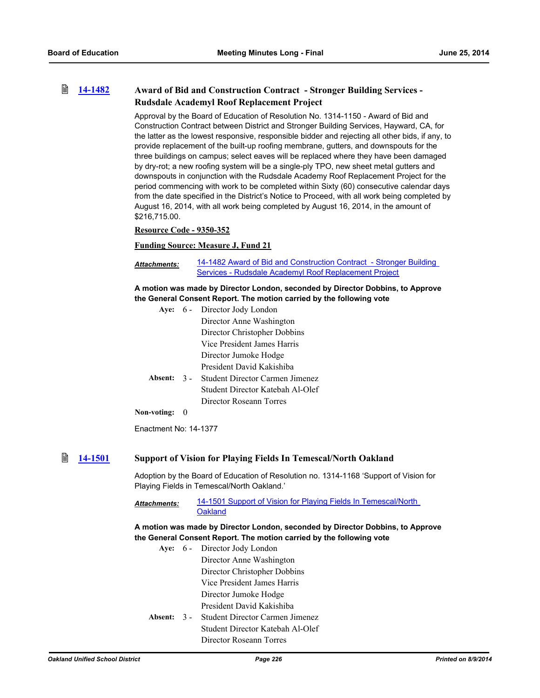### 窅 **[14-1482](http://ousd.legistar.com/gateway.aspx?m=l&id=/matter.aspx?key=33158) Award of Bid and Construction Contract - Stronger Building Services - Rudsdale Academyl Roof Replacement Project**

Approval by the Board of Education of Resolution No. 1314-1150 - Award of Bid and Construction Contract between District and Stronger Building Services, Hayward, CA, for the latter as the lowest responsive, responsible bidder and rejecting all other bids, if any, to provide replacement of the built-up roofing membrane, gutters, and downspouts for the three buildings on campus; select eaves will be replaced where they have been damaged by dry-rot; a new roofing system will be a single-ply TPO, new sheet metal gutters and downspouts in conjunction with the Rudsdale Academy Roof Replacement Project for the period commencing with work to be completed within Sixty (60) consecutive calendar days from the date specified in the District's Notice to Proceed, with all work being completed by August 16, 2014, with all work being completed by August 16, 2014, in the amount of \$216,715.00.

### **Resource Code - 9350-352**

### **Funding Source: Measure J, Fund 21**

[14-1482 Award of Bid and Construction Contract - Stronger Building](http://ousd.legistar.com/gateway.aspx?M=F&ID=76456.pdf)  Services - Rudsdale Academyl Roof Replacement Project *Attachments:*

**A motion was made by Director London, seconded by Director Dobbins, to Approve the General Consent Report. The motion carried by the following vote**

|              | Aye: 6 - Director Jody London          |
|--------------|----------------------------------------|
|              | Director Anne Washington               |
|              | Director Christopher Dobbins           |
|              | Vice President James Harris            |
|              | Director Jumoke Hodge                  |
|              | President David Kakishiba              |
| Absent: $3-$ | <b>Student Director Carmen Jimenez</b> |
|              | Student Director Katebah Al-Olef       |
|              | Director Roseann Torres                |
|              |                                        |

### **Non-voting:** 0

Enactment No: 14-1377

眥

### **[14-1501](http://ousd.legistar.com/gateway.aspx?m=l&id=/matter.aspx?key=33177) Support of Vision for Playing Fields In Temescal/North Oakland**

Adoption by the Board of Education of Resolution no. 1314-1168 'Support of Vision for Playing Fields in Temescal/North Oakland.'

14-1501 Support of Vision for Playing Fields In Temescal/North **Oakland** *Attachments:*

**A motion was made by Director London, seconded by Director Dobbins, to Approve the General Consent Report. The motion carried by the following vote**

Aye: 6 - Director Jody London Director Anne Washington Director Christopher Dobbins Vice President James Harris Director Jumoke Hodge President David Kakishiba **Absent:** Student Director Carmen Jimenez Student Director Katebah Al-Olef Director Roseann Torres Absent:  $3 -$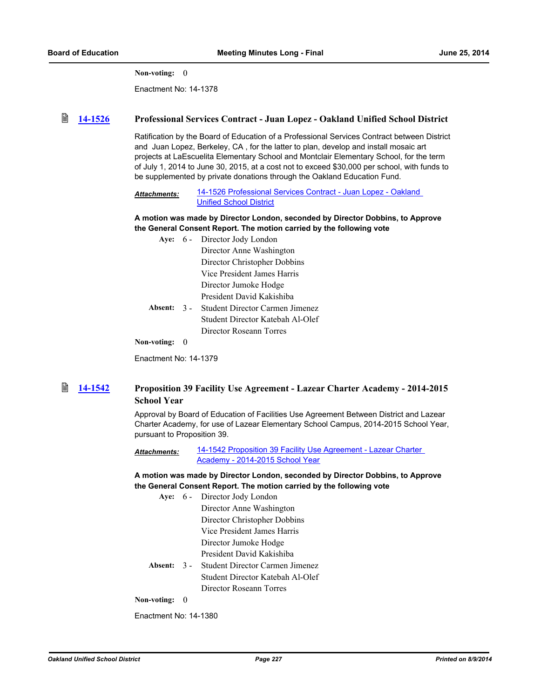**Non-voting:** 0

Enactment No: 14-1378

#### 眥 **[14-1526](http://ousd.legistar.com/gateway.aspx?m=l&id=/matter.aspx?key=33202) Professional Services Contract - Juan Lopez - Oakland Unified School District**

Ratification by the Board of Education of a Professional Services Contract between District and Juan Lopez, Berkeley, CA , for the latter to plan, develop and install mosaic art projects at LaEscuelita Elementary School and Montclair Elementary School, for the term of July 1, 2014 to June 30, 2015, at a cost not to exceed \$30,000 per school, with funds to be supplemented by private donations through the Oakland Education Fund.

[14-1526 Professional Services Contract - Juan Lopez - Oakland](http://ousd.legistar.com/gateway.aspx?M=F&ID=76737.pdf)  Unified School District *Attachments:*

### **A motion was made by Director London, seconded by Director Dobbins, to Approve the General Consent Report. The motion carried by the following vote**

Aye: 6 - Director Jody London

Director Anne Washington Director Christopher Dobbins Vice President James Harris Director Jumoke Hodge President David Kakishiba

**Absent:** Student Director Carmen Jimenez Student Director Katebah Al-Olef Director Roseann Torres Absent:  $3 -$ 

**Non-voting:** 0

Enactment No: 14-1379

#### 誾 **[14-1542](http://ousd.legistar.com/gateway.aspx?m=l&id=/matter.aspx?key=33218) Proposition 39 Facility Use Agreement - Lazear Charter Academy - 2014-2015 School Year**

Approval by Board of Education of Facilities Use Agreement Between District and Lazear Charter Academy, for use of Lazear Elementary School Campus, 2014-2015 School Year, pursuant to Proposition 39.

[14-1542 Proposition 39 Facility Use Agreement - Lazear Charter](http://ousd.legistar.com/gateway.aspx?M=F&ID=76763.pdf)  Academy - 2014-2015 School Year *Attachments:*

**A motion was made by Director London, seconded by Director Dobbins, to Approve the General Consent Report. The motion carried by the following vote**

|             |            | Aye: 6 - Director Jody London          |
|-------------|------------|----------------------------------------|
|             |            | Director Anne Washington               |
|             |            | Director Christopher Dobbins           |
|             |            | Vice President James Harris            |
|             |            | Director Jumoke Hodge                  |
|             |            | President David Kakishiba              |
| Absent:     | $\sim$ 3 – | <b>Student Director Carmen Jimenez</b> |
|             |            | Student Director Katebah Al-Olef       |
|             |            | Director Roseann Torres                |
| Non-voting: |            |                                        |

Enactment No: 14-1380

*Oakland Unified School District Page 227 Printed on 8/9/2014*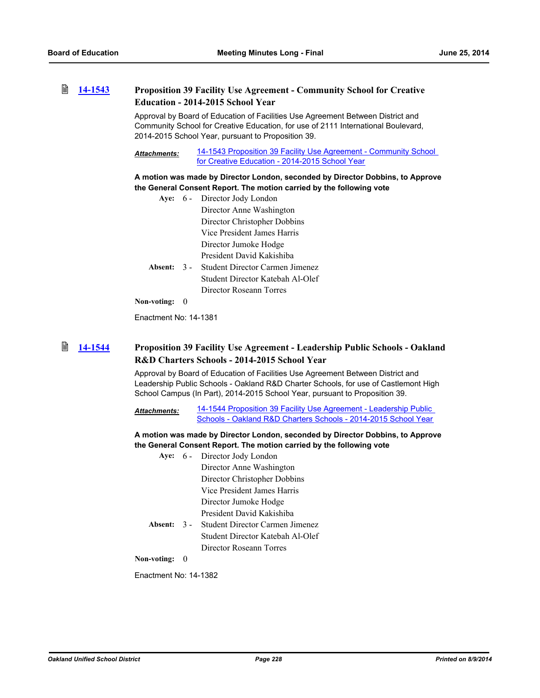### 昏 **[14-1543](http://ousd.legistar.com/gateway.aspx?m=l&id=/matter.aspx?key=33219) Proposition 39 Facility Use Agreement - Community School for Creative Education - 2014-2015 School Year**

Approval by Board of Education of Facilities Use Agreement Between District and Community School for Creative Education, for use of 2111 International Boulevard, 2014-2015 School Year, pursuant to Proposition 39.

[14-1543 Proposition 39 Facility Use Agreement - Community School](http://ousd.legistar.com/gateway.aspx?M=F&ID=76764.pdf)  for Creative Education - 2014-2015 School Year *Attachments:*

**A motion was made by Director London, seconded by Director Dobbins, to Approve the General Consent Report. The motion carried by the following vote**

|             | Aye: 6 - Director Jody London          |
|-------------|----------------------------------------|
|             | Director Anne Washington               |
|             | Director Christopher Dobbins           |
|             | Vice President James Harris            |
|             | Director Jumoke Hodge                  |
|             | President David Kakishiba              |
| Absent: 3 - | <b>Student Director Carmen Jimenez</b> |
|             | Student Director Katebah Al-Olef       |
|             | Director Roseann Torres                |
|             |                                        |

Non-voting: 0

Enactment No: 14-1381

**[14-1544](http://ousd.legistar.com/gateway.aspx?m=l&id=/matter.aspx?key=33220) Proposition 39 Facility Use Agreement - Leadership Public Schools - Oakland R&D Charters Schools - 2014-2015 School Year**

> Approval by Board of Education of Facilities Use Agreement Between District and Leadership Public Schools - Oakland R&D Charter Schools, for use of Castlemont High School Campus (In Part), 2014-2015 School Year, pursuant to Proposition 39.

[14-1544 Proposition 39 Facility Use Agreement - Leadership Public](http://ousd.legistar.com/gateway.aspx?M=F&ID=76765.pdf)  Schools - Oakland R&D Charters Schools - 2014-2015 School Year *Attachments:*

**A motion was made by Director London, seconded by Director Dobbins, to Approve the General Consent Report. The motion carried by the following vote**

|               | Aye: 6 - Director Jody London          |
|---------------|----------------------------------------|
|               | Director Anne Washington               |
|               | Director Christopher Dobbins           |
|               | Vice President James Harris            |
|               | Director Jumoke Hodge                  |
|               | President David Kakishiba              |
| Absent: $3 -$ | <b>Student Director Carmen Jimenez</b> |
|               | Student Director Katebah Al-Olef       |
|               | Director Roseann Torres                |
|               |                                        |

**Non-voting:** 0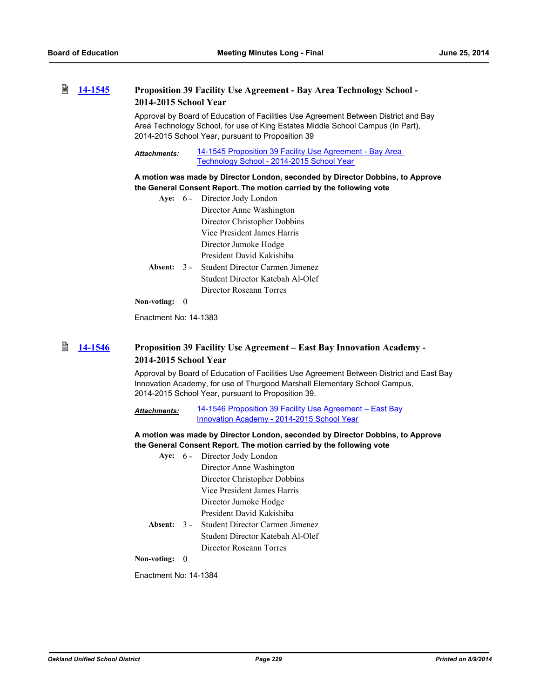### 昏 **[14-1545](http://ousd.legistar.com/gateway.aspx?m=l&id=/matter.aspx?key=33221) Proposition 39 Facility Use Agreement - Bay Area Technology School - 2014-2015 School Year**

Approval by Board of Education of Facilities Use Agreement Between District and Bay Area Technology School, for use of King Estates Middle School Campus (In Part), 2014-2015 School Year, pursuant to Proposition 39

[14-1545 Proposition 39 Facility Use Agreement - Bay Area](http://ousd.legistar.com/gateway.aspx?M=F&ID=76768.pdf)  Technology School - 2014-2015 School Year *Attachments:*

**A motion was made by Director London, seconded by Director Dobbins, to Approve the General Consent Report. The motion carried by the following vote**

|               | Aye: 6 - Director Jody London          |
|---------------|----------------------------------------|
|               | Director Anne Washington               |
|               | Director Christopher Dobbins           |
|               | Vice President James Harris            |
|               | Director Jumoke Hodge                  |
|               | President David Kakishiba              |
| Absent: $3 -$ | <b>Student Director Carmen Jimenez</b> |
|               | Student Director Katebah Al-Olef       |
|               | Director Roseann Torres                |
|               |                                        |

Non-voting: 0

Enactment No: 14-1383

#### 眥 **[14-1546](http://ousd.legistar.com/gateway.aspx?m=l&id=/matter.aspx?key=33222) Proposition 39 Facility Use Agreement – East Bay Innovation Academy - 2014-2015 School Year**

Approval by Board of Education of Facilities Use Agreement Between District and East Bay Innovation Academy, for use of Thurgood Marshall Elementary School Campus, 2014-2015 School Year, pursuant to Proposition 39.

[14-1546 Proposition 39 Facility Use Agreement – East Bay](http://ousd.legistar.com/gateway.aspx?M=F&ID=76766.pdf)  Innovation Academy - 2014-2015 School Year *Attachments:*

**A motion was made by Director London, seconded by Director Dobbins, to Approve the General Consent Report. The motion carried by the following vote**

|               | Aye: 6 - Director Jody London          |
|---------------|----------------------------------------|
|               | Director Anne Washington               |
|               | Director Christopher Dobbins           |
|               | Vice President James Harris            |
|               | Director Jumoke Hodge                  |
|               | President David Kakishiba              |
| Absent: $3 -$ | <b>Student Director Carmen Jimenez</b> |
|               | Student Director Katebah Al-Olef       |
|               | Director Roseann Torres                |
|               |                                        |

**Non-voting:** 0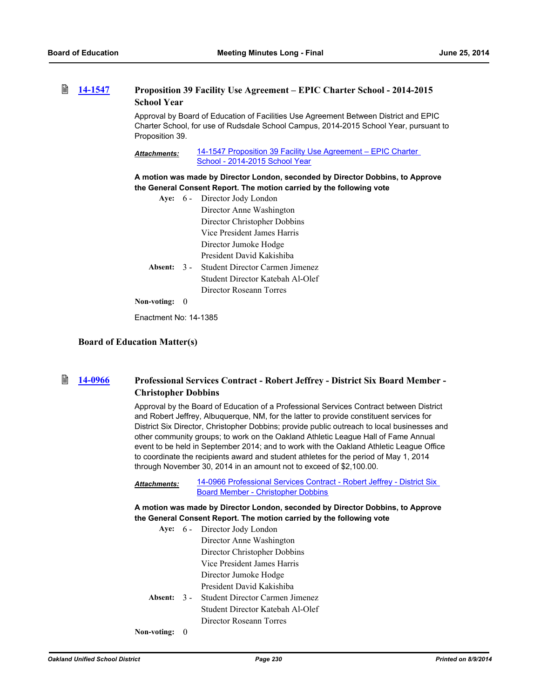#### ₿ **[14-1547](http://ousd.legistar.com/gateway.aspx?m=l&id=/matter.aspx?key=33223) Proposition 39 Facility Use Agreement – EPIC Charter School - 2014-2015 School Year**

Approval by Board of Education of Facilities Use Agreement Between District and EPIC Charter School, for use of Rudsdale School Campus, 2014-2015 School Year, pursuant to Proposition 39.

[14-1547 Proposition 39 Facility Use Agreement – EPIC Charter](http://ousd.legistar.com/gateway.aspx?M=F&ID=76767.pdf)  School - 2014-2015 School Year *Attachments:*

**A motion was made by Director London, seconded by Director Dobbins, to Approve the General Consent Report. The motion carried by the following vote**

|               | Aye: 6 - Director Jody London          |
|---------------|----------------------------------------|
|               | Director Anne Washington               |
|               | Director Christopher Dobbins           |
|               | Vice President James Harris            |
|               | Director Jumoke Hodge                  |
|               | President David Kakishiba              |
| Absent: $3 -$ | <b>Student Director Carmen Jimenez</b> |
|               | Student Director Katebah Al-Olef       |
|               | Director Roseann Torres                |
| Non-voting:   |                                        |

Enactment No: 14-1385

### **Board of Education Matter(s)**

# **[14-0966](http://ousd.legistar.com/gateway.aspx?m=l&id=/matter.aspx?key=32666) Professional Services Contract - Robert Jeffrey - District Six Board Member - Christopher Dobbins**

Approval by the Board of Education of a Professional Services Contract between District and Robert Jeffrey, Albuquerque, NM, for the latter to provide constituent services for District Six Director, Christopher Dobbins; provide public outreach to local businesses and other community groups; to work on the Oakland Athletic League Hall of Fame Annual event to be held in September 2014; and to work with the Oakland Athletic League Office to coordinate the recipients award and student athletes for the period of May 1, 2014 through November 30, 2014 in an amount not to exceed of \$2,100.00.

[14-0966 Professional Services Contract - Robert Jeffrey - District Six](http://ousd.legistar.com/gateway.aspx?M=F&ID=76753.pdf)  Board Member - Christopher Dobbins *Attachments:*

**A motion was made by Director London, seconded by Director Dobbins, to Approve the General Consent Report. The motion carried by the following vote**

Aye: 6 - Director Jody London Director Anne Washington Director Christopher Dobbins Vice President James Harris Director Jumoke Hodge President David Kakishiba **Absent:** Student Director Carmen Jimenez Student Director Katebah Al-Olef Director Roseann Torres Absent:  $3 -$ 

**Non-voting:** 0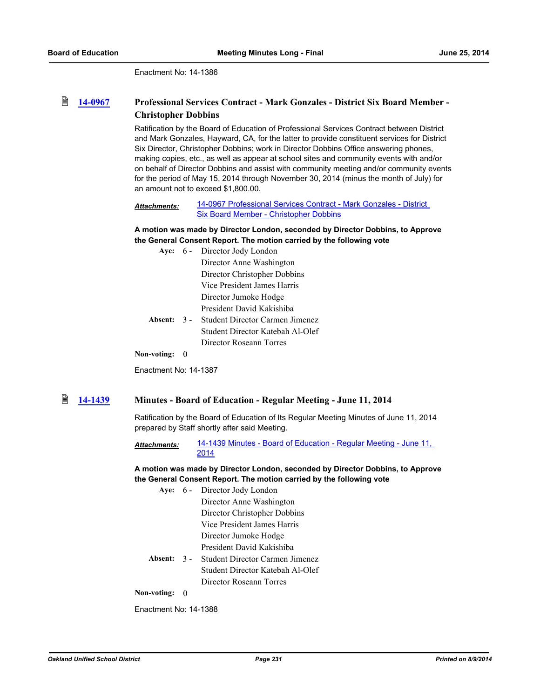### 昏 **[14-0967](http://ousd.legistar.com/gateway.aspx?m=l&id=/matter.aspx?key=32667) Professional Services Contract - Mark Gonzales - District Six Board Member - Christopher Dobbins**

Ratification by the Board of Education of Professional Services Contract between District and Mark Gonzales, Hayward, CA, for the latter to provide constituent services for District Six Director, Christopher Dobbins; work in Director Dobbins Office answering phones, making copies, etc., as well as appear at school sites and community events with and/or on behalf of Director Dobbins and assist with community meeting and/or community events for the period of May 15, 2014 through November 30, 2014 (minus the month of July) for an amount not to exceed \$1,800.00.

[14-0967 Professional Services Contract - Mark Gonzales - District](http://ousd.legistar.com/gateway.aspx?M=F&ID=76754.pdf)  Six Board Member - Christopher Dobbins *Attachments:*

### **A motion was made by Director London, seconded by Director Dobbins, to Approve the General Consent Report. The motion carried by the following vote**

|                    | Aye: 6 - Director Jody London          |
|--------------------|----------------------------------------|
|                    | Director Anne Washington               |
|                    | Director Christopher Dobbins           |
|                    | Vice President James Harris            |
|                    | Director Jumoke Hodge                  |
|                    | President David Kakishiba              |
| <b>Absent:</b> 3 - | <b>Student Director Carmen Jimenez</b> |
|                    | Student Director Katebah Al-Olef       |
|                    | Director Roseann Torres                |

**Non-voting:** 0

Enactment No: 14-1387

### **[14-1439](http://ousd.legistar.com/gateway.aspx?m=l&id=/matter.aspx?key=33115) Minutes - Board of Education - Regular Meeting - June 11, 2014**

Ratification by the Board of Education of Its Regular Meeting Minutes of June 11, 2014 prepared by Staff shortly after said Meeting.

[14-1439 Minutes - Board of Education - Regular Meeting - June 11,](https://ousd.legistar.com/View.ashx?M=M&ID=319668&GUID=DFA4FFF2-BCEC-4E3C-A70E-5A7B8F5A4ECB)  2014 *Attachments:*

**A motion was made by Director London, seconded by Director Dobbins, to Approve the General Consent Report. The motion carried by the following vote**

- Aye: 6 Director Jody London Director Anne Washington Director Christopher Dobbins Vice President James Harris Director Jumoke Hodge President David Kakishiba **Absent:** Student Director Carmen Jimenez Absent:  $3 -$
- Student Director Katebah Al-Olef Director Roseann Torres

**Non-voting:** 0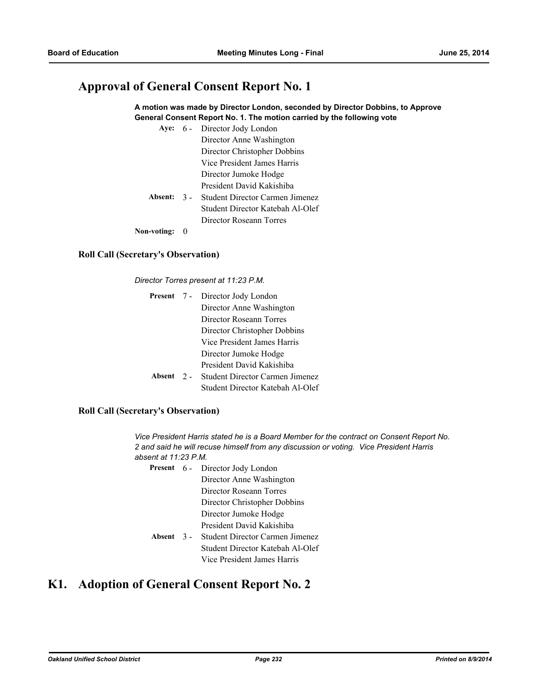# **Approval of General Consent Report No. 1**

# **A motion was made by Director London, seconded by Director Dobbins, to Approve General Consent Report No. 1. The motion carried by the following vote**

|               | Aye: 6 - Director Jody London          |
|---------------|----------------------------------------|
|               | Director Anne Washington               |
|               | Director Christopher Dobbins           |
|               | Vice President James Harris            |
|               | Director Jumoke Hodge                  |
|               | President David Kakishiba              |
| Absent: $3 -$ | <b>Student Director Carmen Jimenez</b> |
|               | Student Director Katebah Al-Olef       |
|               | Director Roseann Torres                |
|               |                                        |

**Non-voting:** 0

## **Roll Call (Secretary's Observation)**

*Director Torres present at 11:23 P.M.*

|            | <b>Present</b> 7 - Director Jody London |
|------------|-----------------------------------------|
|            | Director Anne Washington                |
|            | Director Roseann Torres                 |
|            | Director Christopher Dobbins            |
|            | Vice President James Harris             |
|            | Director Jumoke Hodge                   |
|            | President David Kakishiba               |
| Absent 2 - | <b>Student Director Carmen Jimenez</b>  |
|            | Student Director Katebah Al-Olef        |

## **Roll Call (Secretary's Observation)**

*Vice President Harris stated he is a Board Member for the contract on Consent Report No. 2 and said he will recuse himself from any discussion or voting. Vice President Harris absent at 11:23 P.M.*

|            | <b>Present</b> 6 - Director Jody London |
|------------|-----------------------------------------|
|            | Director Anne Washington                |
|            | Director Roseann Torres                 |
|            | Director Christopher Dobbins            |
|            | Director Jumoke Hodge                   |
|            | President David Kakishiba               |
| Absent 3 - | <b>Student Director Carmen Jimenez</b>  |
|            | Student Director Katebah Al-Olef        |
|            | Vice President James Harris             |

# **K1. Adoption of General Consent Report No. 2**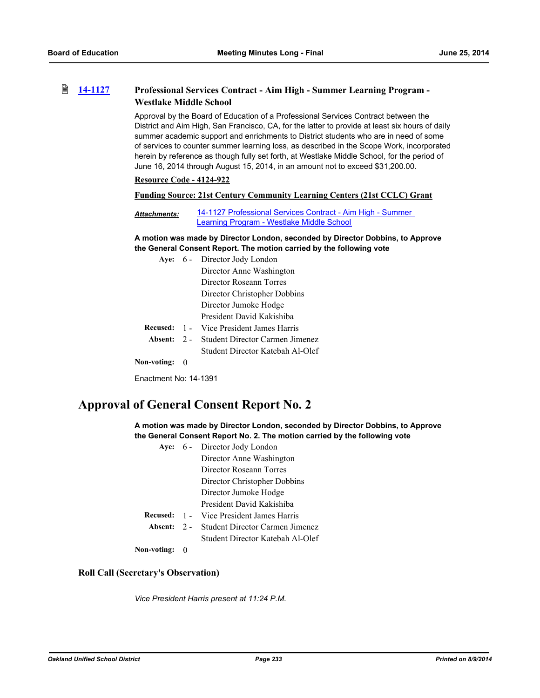### 昏 **[14-1127](http://ousd.legistar.com/gateway.aspx?m=l&id=/matter.aspx?key=32827) Professional Services Contract - Aim High - Summer Learning Program - Westlake Middle School**

Approval by the Board of Education of a Professional Services Contract between the District and Aim High, San Francisco, CA, for the latter to provide at least six hours of daily summer academic support and enrichments to District students who are in need of some of services to counter summer learning loss, as described in the Scope Work, incorporated herein by reference as though fully set forth, at Westlake Middle School, for the period of June 16, 2014 through August 15, 2014, in an amount not to exceed \$31,200.00.

## **Resource Code - 4124-922**

### **Funding Source: 21st Century Community Learning Centers (21st CCLC) Grant**

[14-1127 Professional Services Contract - Aim High - Summer](http://ousd.legistar.com/gateway.aspx?M=F&ID=76479.pdf)  Learning Program - Westlake Middle School *Attachments:*

## **A motion was made by Director London, seconded by Director Dobbins, to Approve the General Consent Report. The motion carried by the following vote**

|                 |          | Aye: 6 - Director Jody London    |
|-----------------|----------|----------------------------------|
|                 |          | Director Anne Washington         |
|                 |          | Director Roseann Torres          |
|                 |          | Director Christopher Dobbins     |
|                 |          | Director Jumoke Hodge            |
|                 |          | President David Kakishiba        |
| <b>Recused:</b> | $1 -$    | Vice President James Harris      |
| Absent:         | $2 -$    | Student Director Carmen Jimenez  |
|                 |          | Student Director Katebah Al-Olef |
| Non-voting:     | $\theta$ |                                  |
|                 |          |                                  |

Enactment No: 14-1391

# **Approval of General Consent Report No. 2**

## **A motion was made by Director London, seconded by Director Dobbins, to Approve the General Consent Report No. 2. The motion carried by the following vote**

|               |        | Aye: 6 - Director Jody London          |
|---------------|--------|----------------------------------------|
|               |        | Director Anne Washington               |
|               |        | Director Roseann Torres                |
|               |        | Director Christopher Dobbins           |
|               |        | Director Jumoke Hodge                  |
|               |        | President David Kakishiba              |
| Recused: 1 -  |        | Vice President James Harris            |
| Absent: $2 -$ |        | <b>Student Director Carmen Jimenez</b> |
|               |        | Student Director Katebah Al-Olef       |
| Non-voting:   | $_{0}$ |                                        |
|               |        |                                        |

## **Roll Call (Secretary's Observation)**

*Vice President Harris present at 11:24 P.M.*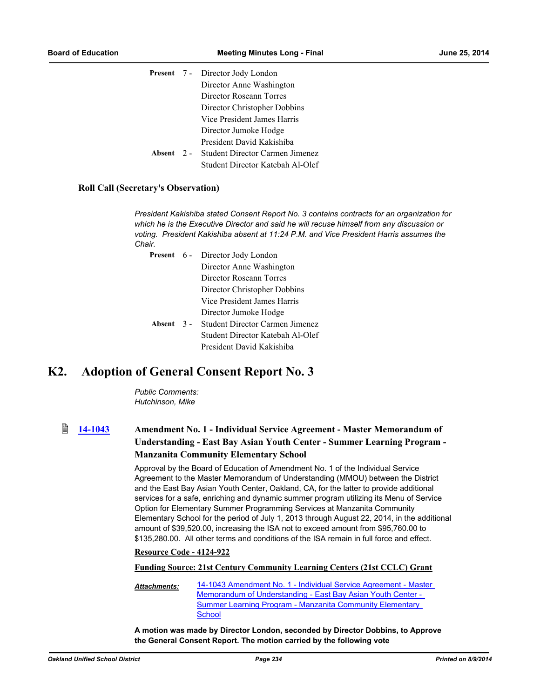|            | <b>Present</b> 7 - Director Jody London |
|------------|-----------------------------------------|
|            | Director Anne Washington                |
|            | Director Roseann Torres                 |
|            | Director Christopher Dobbins            |
|            | Vice President James Harris             |
|            | Director Jumoke Hodge                   |
|            | President David Kakishiba               |
| Absent 2 - | <b>Student Director Carmen Jimenez</b>  |
|            | Student Director Katebah Al-Olef        |

### **Roll Call (Secretary's Observation)**

*President Kakishiba stated Consent Report No. 3 contains contracts for an organization for which he is the Executive Director and said he will recuse himself from any discussion or voting. President Kakishiba absent at 11:24 P.M. and Vice President Harris assumes the Chair.*

|              | Present 6 - Director Jody London       |
|--------------|----------------------------------------|
|              | Director Anne Washington               |
|              | Director Roseann Torres                |
|              | Director Christopher Dobbins           |
|              | Vice President James Harris            |
|              | Director Jumoke Hodge                  |
| Absent $3 -$ | <b>Student Director Carmen Jimenez</b> |
|              | Student Director Katebah Al-Olef       |
|              | President David Kakishiba              |

# **K2. Adoption of General Consent Report No. 3**

*Public Comments: Hutchinson, Mike*

# **[14-1043](http://ousd.legistar.com/gateway.aspx?m=l&id=/matter.aspx?key=32743) Amendment No. 1 - Individual Service Agreement - Master Memorandum of Understanding - East Bay Asian Youth Center - Summer Learning Program - Manzanita Community Elementary School**

Approval by the Board of Education of Amendment No. 1 of the Individual Service Agreement to the Master Memorandum of Understanding (MMOU) between the District and the East Bay Asian Youth Center, Oakland, CA, for the latter to provide additional services for a safe, enriching and dynamic summer program utilizing its Menu of Service Option for Elementary Summer Programming Services at Manzanita Community Elementary School for the period of July 1, 2013 through August 22, 2014, in the additional amount of \$39,520.00, increasing the ISA not to exceed amount from \$95,760.00 to \$135,280.00. All other terms and conditions of the ISA remain in full force and effect.

### **Resource Code - 4124-922**

**Funding Source: 21st Century Community Learning Centers (21st CCLC) Grant**

[14-1043 Amendment No. 1 - Individual Service Agreement - Master](http://ousd.legistar.com/gateway.aspx?M=F&ID=76722.pdf)  Memorandum of Understanding - East Bay Asian Youth Center - Summer Learning Program - Manzanita Community Elementary **School** *Attachments:*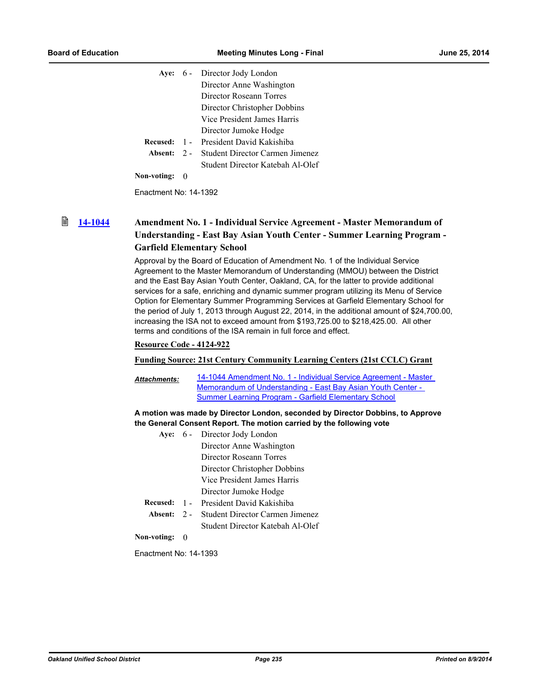|                | Aye: 6 - Director Jody London          |
|----------------|----------------------------------------|
|                | Director Anne Washington               |
|                | Director Roseann Torres                |
|                | Director Christopher Dobbins           |
|                | Vice President James Harris            |
|                | Director Jumoke Hodge                  |
| Recused: $1 -$ | President David Kakishiba              |
| Absent: 2 –    | <b>Student Director Carmen Jimenez</b> |
|                | Student Director Katebah Al-Olef       |
| Non-voting:    |                                        |

眥

# **[14-1044](http://ousd.legistar.com/gateway.aspx?m=l&id=/matter.aspx?key=32744) Amendment No. 1 - Individual Service Agreement - Master Memorandum of Understanding - East Bay Asian Youth Center - Summer Learning Program - Garfield Elementary School**

Approval by the Board of Education of Amendment No. 1 of the Individual Service Agreement to the Master Memorandum of Understanding (MMOU) between the District and the East Bay Asian Youth Center, Oakland, CA, for the latter to provide additional services for a safe, enriching and dynamic summer program utilizing its Menu of Service Option for Elementary Summer Programming Services at Garfield Elementary School for the period of July 1, 2013 through August 22, 2014, in the additional amount of \$24,700.00, increasing the ISA not to exceed amount from \$193,725.00 to \$218,425.00. All other terms and conditions of the ISA remain in full force and effect.

### **Resource Code - 4124-922**

### **Funding Source: 21st Century Community Learning Centers (21st CCLC) Grant**

[14-1044 Amendment No. 1 - Individual Service Agreement - Master](http://ousd.legistar.com/gateway.aspx?M=F&ID=76723.pdf)  Memorandum of Understanding - East Bay Asian Youth Center - Summer Learning Program - Garfield Elementary School *Attachments:*

### **A motion was made by Director London, seconded by Director Dobbins, to Approve the General Consent Report. The motion carried by the following vote**

|                | Aye: 6 - Director Jody London          |
|----------------|----------------------------------------|
|                | Director Anne Washington               |
|                | Director Roseann Torres                |
|                | Director Christopher Dobbins           |
|                | Vice President James Harris            |
|                | Director Jumoke Hodge                  |
| $Recused: 1 -$ | President David Kakishiba              |
| Absent: $2 -$  | <b>Student Director Carmen Jimenez</b> |
|                | Student Director Katebah Al-Olef       |
| Non-voting:    |                                        |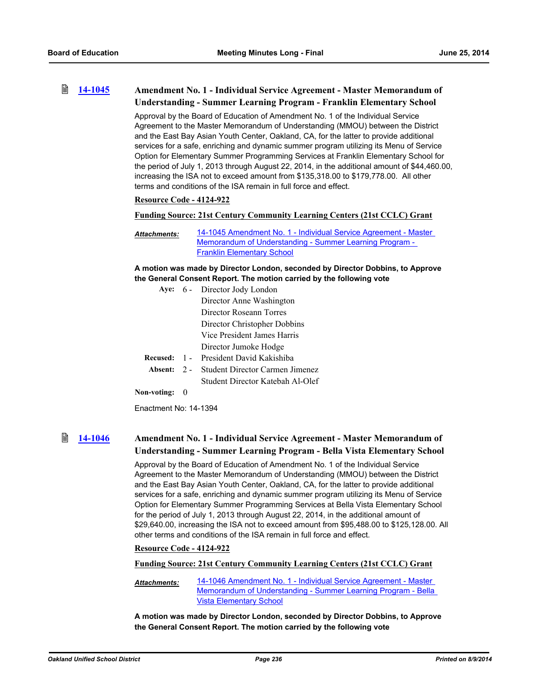### 昏 **[14-1045](http://ousd.legistar.com/gateway.aspx?m=l&id=/matter.aspx?key=32745) Amendment No. 1 - Individual Service Agreement - Master Memorandum of Understanding - Summer Learning Program - Franklin Elementary School**

Approval by the Board of Education of Amendment No. 1 of the Individual Service Agreement to the Master Memorandum of Understanding (MMOU) between the District and the East Bay Asian Youth Center, Oakland, CA, for the latter to provide additional services for a safe, enriching and dynamic summer program utilizing its Menu of Service Option for Elementary Summer Programming Services at Franklin Elementary School for the period of July 1, 2013 through August 22, 2014, in the additional amount of \$44,460.00, increasing the ISA not to exceed amount from \$135,318.00 to \$179,778.00. All other terms and conditions of the ISA remain in full force and effect.

### **Resource Code - 4124-922**

### **Funding Source: 21st Century Community Learning Centers (21st CCLC) Grant**

```
14-1045 Amendment No. 1 - Individual Service Agreement - Master 
                Memorandum of Understanding - Summer Learning Program - 
                Franklin Elementary School
Attachments:
```
## **A motion was made by Director London, seconded by Director Dobbins, to Approve the General Consent Report. The motion carried by the following vote**

|               |          | Aye: 6 - Director Jody London    |
|---------------|----------|----------------------------------|
|               |          | Director Anne Washington         |
|               |          | Director Roseann Torres          |
|               |          | Director Christopher Dobbins     |
|               |          | Vice President James Harris      |
|               |          | Director Jumoke Hodge            |
| Recused: 1 -  |          | President David Kakishiba        |
| Absent: $2 -$ |          | Student Director Carmen Jimenez  |
|               |          | Student Director Katebah Al-Olef |
| Non-voting:   | $\theta$ |                                  |

Enactment No: 14-1394

# **[14-1046](http://ousd.legistar.com/gateway.aspx?m=l&id=/matter.aspx?key=32746) Amendment No. 1 - Individual Service Agreement - Master Memorandum of Understanding - Summer Learning Program - Bella Vista Elementary School**

Approval by the Board of Education of Amendment No. 1 of the Individual Service Agreement to the Master Memorandum of Understanding (MMOU) between the District and the East Bay Asian Youth Center, Oakland, CA, for the latter to provide additional services for a safe, enriching and dynamic summer program utilizing its Menu of Service Option for Elementary Summer Programming Services at Bella Vista Elementary School for the period of July 1, 2013 through August 22, 2014, in the additional amount of \$29,640.00, increasing the ISA not to exceed amount from \$95,488.00 to \$125,128.00. All other terms and conditions of the ISA remain in full force and effect.

### **Resource Code - 4124-922**

### **Funding Source: 21st Century Community Learning Centers (21st CCLC) Grant**

14-1046 Amendment No. 1 - Individual Service Agreement - Master [Memorandum of Understanding - Summer Learning Program - Bella](http://ousd.legistar.com/gateway.aspx?M=F&ID=76726.pdf)  Vista Elementary School *Attachments:*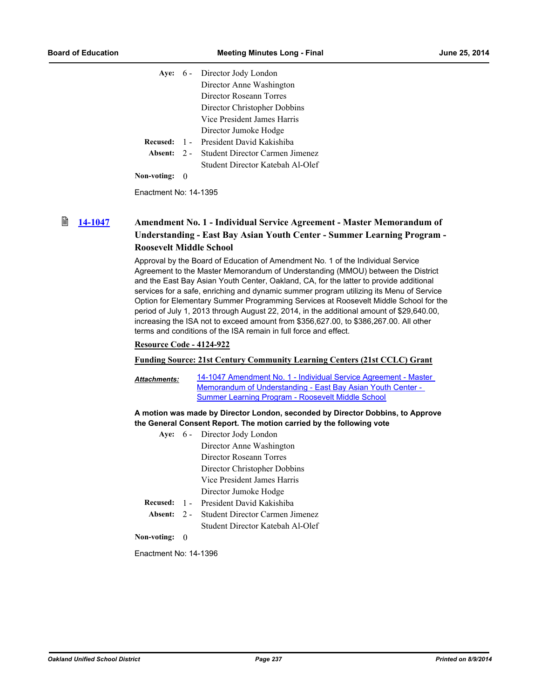|                | Aye: 6 - Director Jody London          |
|----------------|----------------------------------------|
|                | Director Anne Washington               |
|                | Director Roseann Torres                |
|                | Director Christopher Dobbins           |
|                | Vice President James Harris            |
|                | Director Jumoke Hodge                  |
| Recused: $1 -$ | President David Kakishiba              |
| Absent: $2 -$  | <b>Student Director Carmen Jimenez</b> |
|                | Student Director Katebah Al-Olef       |
| Non-voting:    |                                        |

眥

# **[14-1047](http://ousd.legistar.com/gateway.aspx?m=l&id=/matter.aspx?key=32747) Amendment No. 1 - Individual Service Agreement - Master Memorandum of Understanding - East Bay Asian Youth Center - Summer Learning Program - Roosevelt Middle School**

Approval by the Board of Education of Amendment No. 1 of the Individual Service Agreement to the Master Memorandum of Understanding (MMOU) between the District and the East Bay Asian Youth Center, Oakland, CA, for the latter to provide additional services for a safe, enriching and dynamic summer program utilizing its Menu of Service Option for Elementary Summer Programming Services at Roosevelt Middle School for the period of July 1, 2013 through August 22, 2014, in the additional amount of \$29,640.00, increasing the ISA not to exceed amount from \$356,627.00, to \$386,267.00. All other terms and conditions of the ISA remain in full force and effect.

### **Resource Code - 4124-922**

### **Funding Source: 21st Century Community Learning Centers (21st CCLC) Grant**

[14-1047 Amendment No. 1 - Individual Service Agreement - Master](http://ousd.legistar.com/gateway.aspx?M=F&ID=76725.pdf)  Memorandum of Understanding - East Bay Asian Youth Center - Summer Learning Program - Roosevelt Middle School *Attachments:*

### **A motion was made by Director London, seconded by Director Dobbins, to Approve the General Consent Report. The motion carried by the following vote**

|                | Aye: 6 - Director Jody London          |
|----------------|----------------------------------------|
|                | Director Anne Washington               |
|                | Director Roseann Torres                |
|                | Director Christopher Dobbins           |
|                | Vice President James Harris            |
|                | Director Jumoke Hodge                  |
| $Recused: 1 -$ | President David Kakishiba              |
| Absent: 2 -    | <b>Student Director Carmen Jimenez</b> |
|                | Student Director Katebah Al-Olef       |
| 'on voting:    |                                        |

**Non-voting:** 0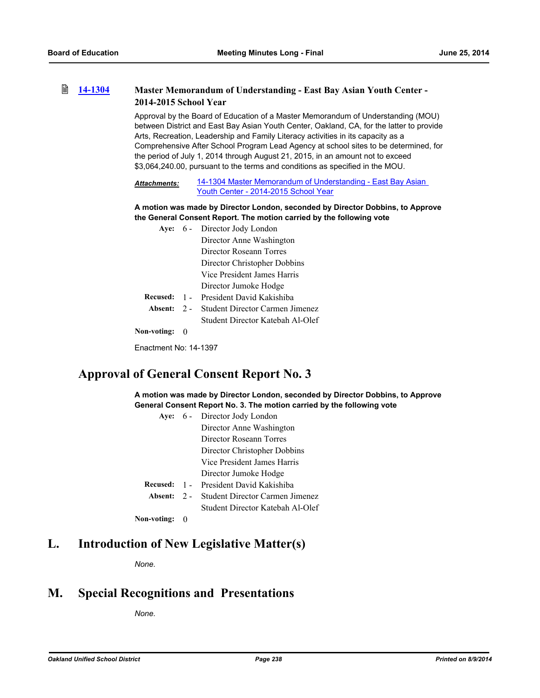### ₿ **[14-1304](http://ousd.legistar.com/gateway.aspx?m=l&id=/matter.aspx?key=32984) Master Memorandum of Understanding - East Bay Asian Youth Center - 2014-2015 School Year**

Approval by the Board of Education of a Master Memorandum of Understanding (MOU) between District and East Bay Asian Youth Center, Oakland, CA, for the latter to provide Arts, Recreation, Leadership and Family Literacy activities in its capacity as a Comprehensive After School Program Lead Agency at school sites to be determined, for the period of July 1, 2014 through August 21, 2015, in an amount not to exceed \$3,064,240.00, pursuant to the terms and conditions as specified in the MOU.

[14-1304 Master Memorandum of Understanding - East Bay Asian](http://ousd.legistar.com/gateway.aspx?M=F&ID=76746.pdf)  Youth Center - 2014-2015 School Year *Attachments:*

## **A motion was made by Director London, seconded by Director Dobbins, to Approve the General Consent Report. The motion carried by the following vote**

|                    | Aye: 6 - Director Jody London          |
|--------------------|----------------------------------------|
|                    | Director Anne Washington               |
|                    | Director Roseann Torres                |
|                    | Director Christopher Dobbins           |
|                    | Vice President James Harris            |
|                    | Director Jumoke Hodge                  |
| Recused: $1 -$     | President David Kakishiba              |
| <b>Absent:</b> 2 – | <b>Student Director Carmen Jimenez</b> |
|                    | Student Director Katebah Al-Olef       |
| Non-voting:        |                                        |

Enactment No: 14-1397

# **Approval of General Consent Report No. 3**

**A motion was made by Director London, seconded by Director Dobbins, to Approve General Consent Report No. 3. The motion carried by the following vote**

|                 |       | Aye: 6 - Director Jody London          |
|-----------------|-------|----------------------------------------|
|                 |       | Director Anne Washington               |
|                 |       | Director Roseann Torres                |
|                 |       | Director Christopher Dobbins           |
|                 |       | Vice President James Harris            |
|                 |       | Director Jumoke Hodge                  |
| <b>Recused:</b> | $1 -$ | President David Kakishiba              |
| Absent: $2 -$   |       | <b>Student Director Carmen Jimenez</b> |
|                 |       | Student Director Katebah Al-Olef       |
| nn-votino:      |       |                                        |

**Non-voting:** 0

# **L. Introduction of New Legislative Matter(s)**

*None.*

# **M. Special Recognitions and Presentations**

*None.*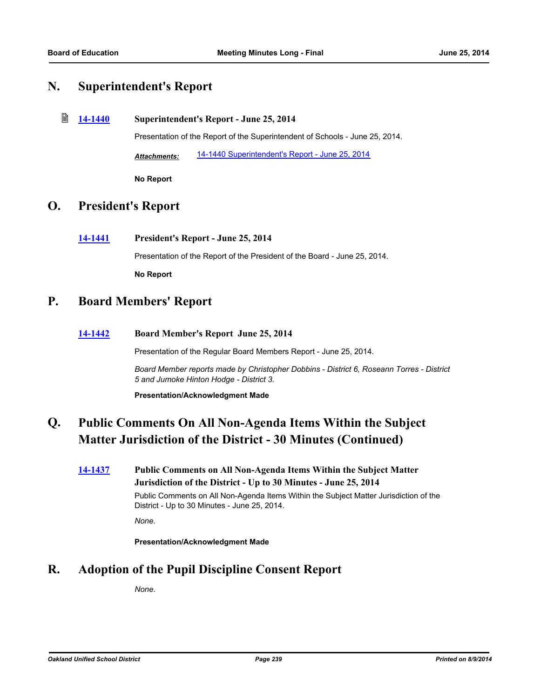# **N. Superintendent's Report**

|  | ■ 14-1440 | Superintendent's Report - June 25, 2014 |  |
|--|-----------|-----------------------------------------|--|
|--|-----------|-----------------------------------------|--|

Presentation of the Report of the Superintendent of Schools - June 25, 2014.

*Attachments:* [14-1440 Superintendent's Report - June 25, 2014](http://ousd.legistar.com/gateway.aspx?M=F&ID=76770.pdf)

**No Report**

# **O. President's Report**

**[14-1441](http://ousd.legistar.com/gateway.aspx?m=l&id=/matter.aspx?key=33117) President's Report - June 25, 2014**

Presentation of the Report of the President of the Board - June 25, 2014.

**No Report**

# **P. Board Members' Report**

**[14-1442](http://ousd.legistar.com/gateway.aspx?m=l&id=/matter.aspx?key=33118) Board Member's Report June 25, 2014**

Presentation of the Regular Board Members Report - June 25, 2014.

*Board Member reports made by Christopher Dobbins - District 6, Roseann Torres - District 5 and Jumoke Hinton Hodge - District 3.*

**Presentation/Acknowledgment Made**

### **Public Comments On All Non-Agenda Items Within the Subject Matter Jurisdiction of the District - 30 Minutes (Continued) Q.**

**[14-1437](http://ousd.legistar.com/gateway.aspx?m=l&id=/matter.aspx?key=33113) Public Comments on All Non-Agenda Items Within the Subject Matter Jurisdiction of the District - Up to 30 Minutes - June 25, 2014** Public Comments on All Non-Agenda Items Within the Subject Matter Jurisdiction of the

District - Up to 30 Minutes - June 25, 2014.

*None.*

**Presentation/Acknowledgment Made**

# **R. Adoption of the Pupil Discipline Consent Report**

*None.*